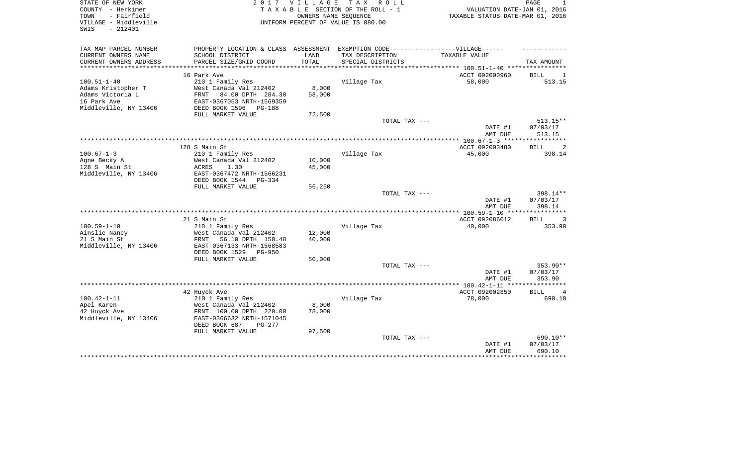| STATE OF NEW YORK<br>COUNTY - Herkimer<br>- Fairfield<br>TOWN<br>VILLAGE - Middleville<br>$-212401$<br>SWIS |                                                              | 2017 VILLAGE | TAX ROLL<br>TAXABLE SECTION OF THE ROLL - 1<br>OWNERS NAME SEQUENCE<br>UNIFORM PERCENT OF VALUE IS 080.00 | VALUATION DATE-JAN 01, 2016<br>TAXABLE STATUS DATE-MAR 01, 2016 | PAGE                          |
|-------------------------------------------------------------------------------------------------------------|--------------------------------------------------------------|--------------|-----------------------------------------------------------------------------------------------------------|-----------------------------------------------------------------|-------------------------------|
| TAX MAP PARCEL NUMBER                                                                                       | PROPERTY LOCATION & CLASS ASSESSMENT                         |              | EXEMPTION CODE------------------VILLAGE------                                                             |                                                                 |                               |
| CURRENT OWNERS NAME                                                                                         | SCHOOL DISTRICT                                              | LAND         | TAX DESCRIPTION                                                                                           | TAXABLE VALUE                                                   |                               |
| CURRENT OWNERS ADDRESS                                                                                      | PARCEL SIZE/GRID COORD                                       | TOTAL        | SPECIAL DISTRICTS                                                                                         |                                                                 | TAX AMOUNT                    |
|                                                                                                             | 16 Park Ave                                                  |              |                                                                                                           | ACCT 092000960                                                  | <b>BILL</b>                   |
| $100.51 - 1 - 40$                                                                                           | 210 1 Family Res                                             |              | Village Tax                                                                                               | 58,000                                                          | - 1<br>513.15                 |
| Adams Kristopher T                                                                                          | West Canada Val 212402                                       | 8,000        |                                                                                                           |                                                                 |                               |
| Adams Victoria L                                                                                            | 84.00 DPTH 284.30<br>FRNT                                    | 58,000       |                                                                                                           |                                                                 |                               |
| 16 Park Ave                                                                                                 | EAST-0367053 NRTH-1569359                                    |              |                                                                                                           |                                                                 |                               |
| Middleville, NY 13406                                                                                       | DEED BOOK 1596<br>PG-188                                     |              |                                                                                                           |                                                                 |                               |
|                                                                                                             | FULL MARKET VALUE                                            | 72,500       |                                                                                                           |                                                                 |                               |
|                                                                                                             |                                                              |              | TOTAL TAX ---                                                                                             | DATE #1                                                         | $513.15**$<br>07/03/17        |
|                                                                                                             |                                                              |              |                                                                                                           | AMT DUE                                                         | 513.15                        |
|                                                                                                             |                                                              |              |                                                                                                           |                                                                 |                               |
|                                                                                                             | 128 S Main St                                                |              |                                                                                                           | ACCT 092003480                                                  | <b>BILL</b><br>2              |
| $100.67 - 1 - 3$                                                                                            | 210 1 Family Res                                             |              | Village Tax                                                                                               | 45,000                                                          | 398.14                        |
| Aqne Becky A                                                                                                | West Canada Val 212402                                       | 10,000       |                                                                                                           |                                                                 |                               |
| 128 S Main St                                                                                               | <b>ACRES</b><br>1.30                                         | 45,000       |                                                                                                           |                                                                 |                               |
| Middleville, NY 13406                                                                                       | EAST-0367472 NRTH-1566231<br>DEED BOOK 1544<br>PG-334        |              |                                                                                                           |                                                                 |                               |
|                                                                                                             | FULL MARKET VALUE                                            | 56,250       |                                                                                                           |                                                                 |                               |
|                                                                                                             |                                                              |              | TOTAL TAX ---                                                                                             |                                                                 | 398.14**                      |
|                                                                                                             |                                                              |              |                                                                                                           | DATE #1                                                         | 07/03/17                      |
|                                                                                                             |                                                              |              |                                                                                                           | AMT DUE                                                         | 398.14                        |
|                                                                                                             |                                                              |              |                                                                                                           |                                                                 |                               |
|                                                                                                             | 21 S Main St                                                 |              |                                                                                                           | ACCT 092086012                                                  | <b>BILL</b><br>3              |
| $100.59 - 1 - 10$                                                                                           | 210 1 Family Res                                             |              | Village Tax                                                                                               | 40,000                                                          | 353.90                        |
| Ainslie Nancy                                                                                               | West Canada Val 212402                                       | 12,000       |                                                                                                           |                                                                 |                               |
| 21 S Main St                                                                                                | 56.10 DPTH 150.48<br>FRNT                                    | 40,000       |                                                                                                           |                                                                 |                               |
| Middleville, NY 13406                                                                                       | EAST-0367133 NRTH-1568583<br>DEED BOOK 1529<br><b>PG-950</b> |              |                                                                                                           |                                                                 |                               |
|                                                                                                             | FULL MARKET VALUE                                            | 50,000       |                                                                                                           |                                                                 |                               |
|                                                                                                             |                                                              |              | TOTAL TAX ---                                                                                             |                                                                 | 353.90**                      |
|                                                                                                             |                                                              |              |                                                                                                           | DATE #1                                                         | 07/03/17                      |
|                                                                                                             |                                                              |              |                                                                                                           | AMT DUE                                                         | 353.90                        |
|                                                                                                             |                                                              |              |                                                                                                           |                                                                 |                               |
|                                                                                                             | 42 Huyck Ave                                                 |              |                                                                                                           | ACCT 092002850                                                  | <b>BILL</b><br>$\overline{4}$ |
| $100.42 - 1 - 11$                                                                                           | 210 1 Family Res                                             |              | Village Tax                                                                                               | 78,000                                                          | 690.10                        |
| Apel Karen                                                                                                  | West Canada Val 212402                                       | 8,000        |                                                                                                           |                                                                 |                               |
| 42 Huyck Ave                                                                                                | FRNT 100.00 DPTH 220.00                                      | 78,000       |                                                                                                           |                                                                 |                               |
| Middleville, NY 13406                                                                                       | EAST-0366632 NRTH-1571045                                    |              |                                                                                                           |                                                                 |                               |
|                                                                                                             | DEED BOOK 687<br>PG-277<br>FULL MARKET VALUE                 | 97,500       |                                                                                                           |                                                                 |                               |
|                                                                                                             |                                                              |              | TOTAL TAX ---                                                                                             |                                                                 | 690.10**                      |
|                                                                                                             |                                                              |              |                                                                                                           | DATE #1                                                         | 07/03/17                      |
|                                                                                                             |                                                              |              |                                                                                                           | AMT DUE                                                         | 690.10                        |
|                                                                                                             |                                                              |              |                                                                                                           |                                                                 |                               |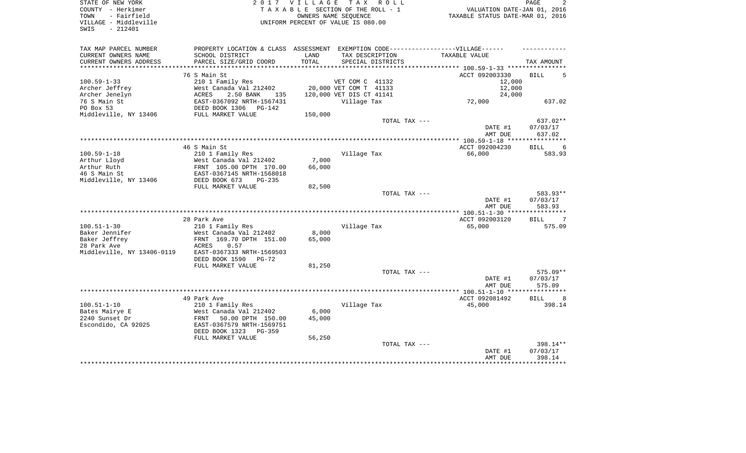| STATE OF NEW YORK<br>COUNTY - Herkimer<br>- Fairfield<br>TOWN<br>VILLAGE - Middleville<br>$-212401$<br>SWIS |                                                                                   | 2017 VILLAGE<br>TAXABLE SECTION OF THE ROLL - 1<br>UNIFORM PERCENT OF VALUE IS 080.00 | OWNERS NAME SEQUENCE     | TAX ROLL          | VALUATION DATE-JAN 01, 2016<br>TAXABLE STATUS DATE-MAR 01, 2016 | PAGE                  |
|-------------------------------------------------------------------------------------------------------------|-----------------------------------------------------------------------------------|---------------------------------------------------------------------------------------|--------------------------|-------------------|-----------------------------------------------------------------|-----------------------|
| TAX MAP PARCEL NUMBER                                                                                       | PROPERTY LOCATION & CLASS ASSESSMENT EXEMPTION CODE-----------------VILLAGE------ |                                                                                       |                          |                   |                                                                 |                       |
| CURRENT OWNERS NAME                                                                                         | SCHOOL DISTRICT                                                                   | LAND                                                                                  | TAX DESCRIPTION          |                   | TAXABLE VALUE                                                   |                       |
| CURRENT OWNERS ADDRESS                                                                                      | PARCEL SIZE/GRID COORD                                                            | TOTAL                                                                                 |                          | SPECIAL DISTRICTS |                                                                 | TAX AMOUNT            |
|                                                                                                             | 76 S Main St                                                                      |                                                                                       |                          |                   | ACCT 092003330                                                  | <b>BILL</b>           |
| $100.59 - 1 - 33$                                                                                           | 210 1 Family Res                                                                  |                                                                                       | VET COM C 41132          |                   | 12,000                                                          |                       |
| Archer Jeffrey                                                                                              | West Canada Val 212402                                                            |                                                                                       | 20,000 VET COM T 41133   |                   | 12,000                                                          |                       |
| Archer Jenelyn                                                                                              | 2.50 BANK<br>ACRES<br>135                                                         |                                                                                       | 120,000 VET DIS CT 41141 |                   | 24,000                                                          |                       |
| 76 S Main St                                                                                                | EAST-0367092 NRTH-1567431                                                         |                                                                                       | Village Tax              |                   | 72,000                                                          | 637.02                |
| PO Box 53                                                                                                   | DEED BOOK 1306<br>$PG-142$                                                        |                                                                                       |                          |                   |                                                                 |                       |
| Middleville, NY 13406                                                                                       | FULL MARKET VALUE                                                                 | 150,000                                                                               |                          |                   |                                                                 |                       |
|                                                                                                             |                                                                                   |                                                                                       |                          | TOTAL TAX ---     |                                                                 | 637.02**              |
|                                                                                                             |                                                                                   |                                                                                       |                          |                   | DATE #1                                                         | 07/03/17              |
|                                                                                                             |                                                                                   |                                                                                       |                          |                   | AMT DUE                                                         | 637.02                |
|                                                                                                             |                                                                                   |                                                                                       |                          |                   |                                                                 |                       |
|                                                                                                             | 46 S Main St                                                                      |                                                                                       |                          |                   | ACCT 092004230                                                  | <b>BILL</b><br>6      |
| $100.59 - 1 - 18$                                                                                           | 210 1 Family Res                                                                  |                                                                                       | Village Tax              |                   | 66,000                                                          | 583.93                |
| Arthur Lloyd                                                                                                | West Canada Val 212402                                                            | 7,000                                                                                 |                          |                   |                                                                 |                       |
| Arthur Ruth                                                                                                 | FRNT 105.00 DPTH 170.00                                                           | 66,000                                                                                |                          |                   |                                                                 |                       |
| 46 S Main St                                                                                                | EAST-0367145 NRTH-1568018                                                         |                                                                                       |                          |                   |                                                                 |                       |
| Middleville, NY 13406                                                                                       | DEED BOOK 673<br>$PG-235$                                                         |                                                                                       |                          |                   |                                                                 |                       |
|                                                                                                             | FULL MARKET VALUE                                                                 | 82,500                                                                                |                          |                   |                                                                 |                       |
|                                                                                                             |                                                                                   |                                                                                       |                          | TOTAL TAX ---     |                                                                 | 583.93**              |
|                                                                                                             |                                                                                   |                                                                                       |                          |                   | DATE #1                                                         | 07/03/17              |
|                                                                                                             |                                                                                   |                                                                                       |                          |                   | AMT DUE                                                         | 583.93                |
|                                                                                                             | 28 Park Ave                                                                       |                                                                                       |                          |                   | ACCT 092003120                                                  | <b>BILL</b><br>7      |
| $100.51 - 1 - 30$                                                                                           | 210 1 Family Res                                                                  |                                                                                       | Village Tax              |                   | 65,000                                                          | 575.09                |
| Baker Jennifer                                                                                              | West Canada Val 212402                                                            | 8,000                                                                                 |                          |                   |                                                                 |                       |
| Baker Jeffrey                                                                                               | FRNT 169.70 DPTH 151.00                                                           | 65,000                                                                                |                          |                   |                                                                 |                       |
| 28 Park Ave                                                                                                 | ACRES<br>0.57                                                                     |                                                                                       |                          |                   |                                                                 |                       |
| Middleville, NY 13406-0119                                                                                  | EAST-0367333 NRTH-1569503                                                         |                                                                                       |                          |                   |                                                                 |                       |
|                                                                                                             | DEED BOOK 1590 PG-72                                                              |                                                                                       |                          |                   |                                                                 |                       |
|                                                                                                             | FULL MARKET VALUE                                                                 | 81,250                                                                                |                          |                   |                                                                 |                       |
|                                                                                                             |                                                                                   |                                                                                       |                          | TOTAL TAX ---     |                                                                 | 575.09**              |
|                                                                                                             |                                                                                   |                                                                                       |                          |                   | DATE #1                                                         | 07/03/17              |
|                                                                                                             |                                                                                   |                                                                                       |                          |                   | AMT DUE                                                         | 575.09                |
|                                                                                                             |                                                                                   |                                                                                       |                          |                   |                                                                 |                       |
|                                                                                                             | 49 Park Ave                                                                       |                                                                                       |                          |                   | ACCT 092081492                                                  | <b>BILL</b><br>8      |
| $100.51 - 1 - 10$                                                                                           | 210 1 Family Res                                                                  |                                                                                       | Village Tax              |                   | 45,000                                                          | 398.14                |
| Bates Mairye E                                                                                              | West Canada Val 212402                                                            | 6,000                                                                                 |                          |                   |                                                                 |                       |
| 2240 Sunset Dr                                                                                              | FRNT<br>50.00 DPTH 150.00                                                         | 45,000                                                                                |                          |                   |                                                                 |                       |
| Escondido, CA 92025                                                                                         | EAST-0367579 NRTH-1569751                                                         |                                                                                       |                          |                   |                                                                 |                       |
|                                                                                                             | DEED BOOK 1323<br>$PG-359$                                                        |                                                                                       |                          |                   |                                                                 |                       |
|                                                                                                             | FULL MARKET VALUE                                                                 | 56,250                                                                                |                          |                   |                                                                 |                       |
|                                                                                                             |                                                                                   |                                                                                       |                          | TOTAL TAX ---     |                                                                 | 398.14**              |
|                                                                                                             |                                                                                   |                                                                                       |                          |                   | DATE #1                                                         | 07/03/17              |
|                                                                                                             |                                                                                   |                                                                                       |                          |                   | AMT DUE                                                         | 398.14<br>*********** |
|                                                                                                             |                                                                                   |                                                                                       |                          |                   |                                                                 |                       |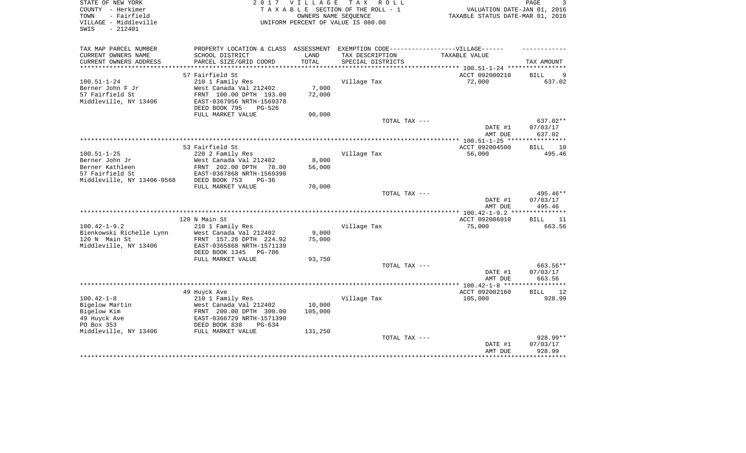| STATE OF NEW YORK<br>COUNTY - Herkimer<br>- Fairfield<br>TOWN<br>VILLAGE - Middleville<br>$-212401$<br>SWIS |                                                                                   | 2017 VILLAGE<br>OWNERS NAME SEQUENCE | TAX ROLL<br>TAXABLE SECTION OF THE ROLL - 1<br>UNIFORM PERCENT OF VALUE IS 080.00 | VALUATION DATE-JAN 01, 2016<br>TAXABLE STATUS DATE-MAR 01, 2016 | PAGE               |
|-------------------------------------------------------------------------------------------------------------|-----------------------------------------------------------------------------------|--------------------------------------|-----------------------------------------------------------------------------------|-----------------------------------------------------------------|--------------------|
| TAX MAP PARCEL NUMBER                                                                                       | PROPERTY LOCATION & CLASS ASSESSMENT EXEMPTION CODE-----------------VILLAGE------ |                                      |                                                                                   |                                                                 |                    |
| CURRENT OWNERS NAME                                                                                         | SCHOOL DISTRICT                                                                   | LAND                                 | TAX DESCRIPTION                                                                   | TAXABLE VALUE                                                   |                    |
| CURRENT OWNERS ADDRESS                                                                                      | PARCEL SIZE/GRID COORD                                                            | TOTAL                                | SPECIAL DISTRICTS                                                                 |                                                                 | TAX AMOUNT         |
|                                                                                                             | 57 Fairfield St                                                                   |                                      |                                                                                   | ACCT 092000210                                                  | <b>BILL</b><br>9   |
| $100.51 - 1 - 24$                                                                                           | 210 1 Family Res                                                                  |                                      | Village Tax                                                                       | 72,000                                                          | 637.02             |
| Berner John F Jr                                                                                            | West Canada Val 212402                                                            | 7,000                                |                                                                                   |                                                                 |                    |
| 57 Fairfield St                                                                                             | FRNT 100.00 DPTH 193.00                                                           | 72,000                               |                                                                                   |                                                                 |                    |
| Middleville, NY 13406                                                                                       | EAST-0367956 NRTH-1569378                                                         |                                      |                                                                                   |                                                                 |                    |
|                                                                                                             | DEED BOOK 795<br>PG-526                                                           |                                      |                                                                                   |                                                                 |                    |
|                                                                                                             | FULL MARKET VALUE                                                                 | 90,000                               |                                                                                   |                                                                 |                    |
|                                                                                                             |                                                                                   |                                      | TOTAL TAX ---                                                                     |                                                                 | $637.02**$         |
|                                                                                                             |                                                                                   |                                      |                                                                                   | DATE #1<br>AMT DUE                                              | 07/03/17<br>637.02 |
|                                                                                                             |                                                                                   |                                      |                                                                                   |                                                                 |                    |
|                                                                                                             | 53 Fairfield St                                                                   |                                      |                                                                                   | ACCT 092004500                                                  | <b>BILL</b><br>10  |
| $100.51 - 1 - 25$                                                                                           | 220 2 Family Res                                                                  |                                      | Village Tax                                                                       | 56,000                                                          | 495.46             |
| Berner John Jr<br>Berner Kathleen                                                                           | West Canada Val 212402<br>FRNT 202.00 DPTH<br>78.00                               | 8,000                                |                                                                                   |                                                                 |                    |
| 57 Fairfield St                                                                                             | EAST-0367868 NRTH-1569390                                                         | 56,000                               |                                                                                   |                                                                 |                    |
| Middleville, NY 13406-0568                                                                                  | DEED BOOK 753<br>$PG-36$                                                          |                                      |                                                                                   |                                                                 |                    |
|                                                                                                             | FULL MARKET VALUE                                                                 | 70,000                               |                                                                                   |                                                                 |                    |
|                                                                                                             |                                                                                   |                                      | TOTAL TAX ---                                                                     |                                                                 | 495.46**           |
|                                                                                                             |                                                                                   |                                      |                                                                                   | DATE #1<br>AMT DUE                                              | 07/03/17<br>495.46 |
|                                                                                                             |                                                                                   |                                      |                                                                                   |                                                                 |                    |
|                                                                                                             | 120 N Main St                                                                     |                                      |                                                                                   | ACCT 092086010                                                  | BILL<br>11         |
| $100.42 - 1 - 9.2$                                                                                          | 210 1 Family Res                                                                  |                                      | Village Tax                                                                       | 75,000                                                          | 663.56             |
| Bienkowski Richelle Lynn                                                                                    | West Canada Val 212402                                                            | 9,000                                |                                                                                   |                                                                 |                    |
| 120 N Main St<br>Middleville, NY 13406                                                                      | FRNT 157.26 DPTH 224.92<br>EAST-0365868 NRTH-1571139                              | 75,000                               |                                                                                   |                                                                 |                    |
|                                                                                                             | DEED BOOK 1345<br>PG-786                                                          |                                      |                                                                                   |                                                                 |                    |
|                                                                                                             | FULL MARKET VALUE                                                                 | 93,750                               |                                                                                   |                                                                 |                    |
|                                                                                                             |                                                                                   |                                      | TOTAL TAX ---                                                                     |                                                                 | 663.56**           |
|                                                                                                             |                                                                                   |                                      |                                                                                   | DATE #1                                                         | 07/03/17           |
|                                                                                                             |                                                                                   |                                      |                                                                                   | AMT DUE                                                         | 663.56             |
|                                                                                                             |                                                                                   |                                      |                                                                                   |                                                                 |                    |
|                                                                                                             | 49 Huyck Ave                                                                      |                                      |                                                                                   | ACCT 092002160                                                  | <b>BILL</b><br>12  |
| $100.42 - 1 - 8$                                                                                            | 210 1 Family Res                                                                  |                                      | Village Tax                                                                       | 105,000                                                         | 928.99             |
| Bigelow Martin<br>Bigelow Kim                                                                               | West Canada Val 212402                                                            | 10,000                               |                                                                                   |                                                                 |                    |
| 49 Huyck Ave                                                                                                | FRNT 200.00 DPTH 300.00<br>EAST-0366729 NRTH-1571390                              | 105,000                              |                                                                                   |                                                                 |                    |
| PO Box 353                                                                                                  | DEED BOOK 838<br>$PG-634$                                                         |                                      |                                                                                   |                                                                 |                    |
| Middleville, NY 13406                                                                                       | FULL MARKET VALUE                                                                 | 131,250                              |                                                                                   |                                                                 |                    |
|                                                                                                             |                                                                                   |                                      | TOTAL TAX ---                                                                     |                                                                 | 928.99**           |
|                                                                                                             |                                                                                   |                                      |                                                                                   | DATE #1                                                         | 07/03/17           |
|                                                                                                             |                                                                                   |                                      |                                                                                   | AMT DUE                                                         | 928.99             |
|                                                                                                             |                                                                                   |                                      |                                                                                   | *****************************                                   |                    |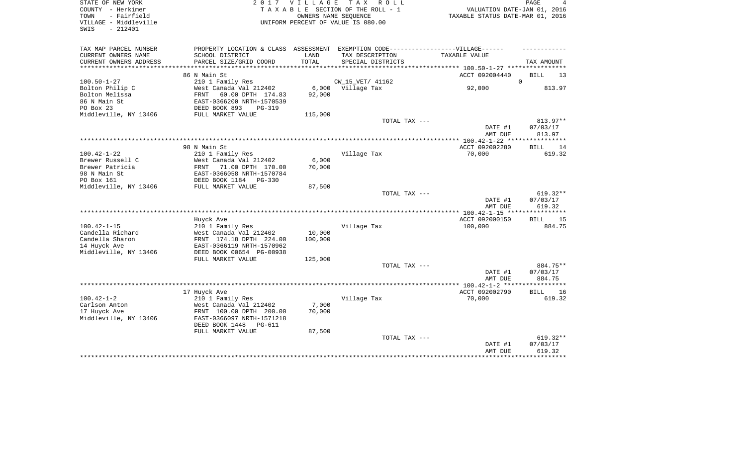| OWNERS NAME SEQUENCE<br>TAXABLE STATUS DATE-MAR 01, 2016<br>VILLAGE - Middleville<br>UNIFORM PERCENT OF VALUE IS 080.00<br>$-212401$<br>SWIS<br>PROPERTY LOCATION & CLASS ASSESSMENT EXEMPTION CODE-----------------VILLAGE------<br>TAX MAP PARCEL NUMBER<br>CURRENT OWNERS NAME<br>SCHOOL DISTRICT<br>LAND<br>TAX DESCRIPTION<br>TAXABLE VALUE<br>CURRENT OWNERS ADDRESS<br>TOTAL<br>PARCEL SIZE/GRID COORD<br>SPECIAL DISTRICTS<br>TAX AMOUNT<br>***********************<br>ACCT 092004440<br><b>BILL</b><br>86 N Main St<br>13<br>$100.50 - 1 - 27$<br>210 1 Family Res<br>CW_15_VET/ 41162<br>$\Omega$<br>Bolton Philip C<br>West Canada Val 212402<br>6,000<br>Village Tax<br>92,000<br>813.97<br>Bolton Melissa<br>FRNT<br>60.00 DPTH 174.83<br>92,000<br>86 N Main St<br>EAST-0366200 NRTH-1570539<br>PO Box 23<br>DEED BOOK 893<br>$PG-319$<br>Middleville, NY 13406<br>FULL MARKET VALUE<br>115,000<br>813.97**<br>TOTAL TAX ---<br>DATE #1<br>07/03/17<br>AMT DUE<br>813.97<br>***********<br>98 N Main St<br>ACCT 092002280<br><b>BILL</b><br>14<br>$100.42 - 1 - 22$<br>210 1 Family Res<br>Village Tax<br>70,000<br>619.32<br>6,000<br>Brewer Russell C<br>West Canada Val 212402<br>Brewer Patricia<br>70,000<br>FRNT<br>71.00 DPTH 170.00<br>98 N Main St<br>EAST-0366058 NRTH-1570784<br>PO Box 161<br>DEED BOOK 1184<br>PG-330<br>Middleville, NY 13406<br>FULL MARKET VALUE<br>87,500<br>$619.32**$<br>TOTAL TAX ---<br>07/03/17<br>DATE #1<br>619.32<br>AMT DUE<br>* * * * * * * * *<br>ACCT 092000150<br>Huyck Ave<br><b>BILL</b><br>15<br>210 1 Family Res<br>Village Tax<br>100,000<br>884.75<br>10,000<br>Candella Richard<br>West Canada Val 212402<br>Candella Sharon<br>FRNT 174.18 DPTH 224.00<br>100,000<br>14 Huyck Ave<br>EAST-0366119 NRTH-1570962<br>Middleville, NY 13406<br>DEED BOOK 00654 PG-00938<br>FULL MARKET VALUE<br>125,000<br>884.75**<br>TOTAL TAX ---<br>DATE #1<br>07/03/17<br>884.75<br>AMT DUE<br>*********<br>ACCT 092002790<br>17 Huyck Ave<br><b>BILL</b><br>16<br>$100.42 - 1 - 2$<br>210 1 Family Res<br>Village Tax<br>70,000<br>619.32<br>7,000<br>Carlson Anton<br>West Canada Val 212402<br>70,000<br>FRNT 100.00 DPTH 200.00<br>EAST-0366097 NRTH-1571218<br>DEED BOOK 1448<br><b>PG-611</b><br>FULL MARKET VALUE<br>87,500<br>TOTAL TAX ---<br>619.32**<br>DATE #1<br>07/03/17<br>AMT DUE<br>619.32<br>******* | STATE OF NEW YORK<br>COUNTY - Herkimer | <b>VILLAGE</b> | TAX ROLL<br>TAXABLE SECTION OF THE ROLL - 1 | PAGE<br>VALUATION DATE-JAN 01, 2016 |  |  |
|-----------------------------------------------------------------------------------------------------------------------------------------------------------------------------------------------------------------------------------------------------------------------------------------------------------------------------------------------------------------------------------------------------------------------------------------------------------------------------------------------------------------------------------------------------------------------------------------------------------------------------------------------------------------------------------------------------------------------------------------------------------------------------------------------------------------------------------------------------------------------------------------------------------------------------------------------------------------------------------------------------------------------------------------------------------------------------------------------------------------------------------------------------------------------------------------------------------------------------------------------------------------------------------------------------------------------------------------------------------------------------------------------------------------------------------------------------------------------------------------------------------------------------------------------------------------------------------------------------------------------------------------------------------------------------------------------------------------------------------------------------------------------------------------------------------------------------------------------------------------------------------------------------------------------------------------------------------------------------------------------------------------------------------------------------------------------------------------------------------------------------------------------------------------------------------------------------------------------------------------------------------------------------------------------------------------------------------------------------------------------------|----------------------------------------|----------------|---------------------------------------------|-------------------------------------|--|--|
|                                                                                                                                                                                                                                                                                                                                                                                                                                                                                                                                                                                                                                                                                                                                                                                                                                                                                                                                                                                                                                                                                                                                                                                                                                                                                                                                                                                                                                                                                                                                                                                                                                                                                                                                                                                                                                                                                                                                                                                                                                                                                                                                                                                                                                                                                                                                                                             | - Fairfield<br>TOWN                    |                |                                             |                                     |  |  |
|                                                                                                                                                                                                                                                                                                                                                                                                                                                                                                                                                                                                                                                                                                                                                                                                                                                                                                                                                                                                                                                                                                                                                                                                                                                                                                                                                                                                                                                                                                                                                                                                                                                                                                                                                                                                                                                                                                                                                                                                                                                                                                                                                                                                                                                                                                                                                                             |                                        |                |                                             |                                     |  |  |
|                                                                                                                                                                                                                                                                                                                                                                                                                                                                                                                                                                                                                                                                                                                                                                                                                                                                                                                                                                                                                                                                                                                                                                                                                                                                                                                                                                                                                                                                                                                                                                                                                                                                                                                                                                                                                                                                                                                                                                                                                                                                                                                                                                                                                                                                                                                                                                             |                                        |                |                                             |                                     |  |  |
|                                                                                                                                                                                                                                                                                                                                                                                                                                                                                                                                                                                                                                                                                                                                                                                                                                                                                                                                                                                                                                                                                                                                                                                                                                                                                                                                                                                                                                                                                                                                                                                                                                                                                                                                                                                                                                                                                                                                                                                                                                                                                                                                                                                                                                                                                                                                                                             |                                        |                |                                             |                                     |  |  |
|                                                                                                                                                                                                                                                                                                                                                                                                                                                                                                                                                                                                                                                                                                                                                                                                                                                                                                                                                                                                                                                                                                                                                                                                                                                                                                                                                                                                                                                                                                                                                                                                                                                                                                                                                                                                                                                                                                                                                                                                                                                                                                                                                                                                                                                                                                                                                                             |                                        |                |                                             |                                     |  |  |
|                                                                                                                                                                                                                                                                                                                                                                                                                                                                                                                                                                                                                                                                                                                                                                                                                                                                                                                                                                                                                                                                                                                                                                                                                                                                                                                                                                                                                                                                                                                                                                                                                                                                                                                                                                                                                                                                                                                                                                                                                                                                                                                                                                                                                                                                                                                                                                             |                                        |                |                                             |                                     |  |  |
|                                                                                                                                                                                                                                                                                                                                                                                                                                                                                                                                                                                                                                                                                                                                                                                                                                                                                                                                                                                                                                                                                                                                                                                                                                                                                                                                                                                                                                                                                                                                                                                                                                                                                                                                                                                                                                                                                                                                                                                                                                                                                                                                                                                                                                                                                                                                                                             |                                        |                |                                             |                                     |  |  |
|                                                                                                                                                                                                                                                                                                                                                                                                                                                                                                                                                                                                                                                                                                                                                                                                                                                                                                                                                                                                                                                                                                                                                                                                                                                                                                                                                                                                                                                                                                                                                                                                                                                                                                                                                                                                                                                                                                                                                                                                                                                                                                                                                                                                                                                                                                                                                                             |                                        |                |                                             |                                     |  |  |
|                                                                                                                                                                                                                                                                                                                                                                                                                                                                                                                                                                                                                                                                                                                                                                                                                                                                                                                                                                                                                                                                                                                                                                                                                                                                                                                                                                                                                                                                                                                                                                                                                                                                                                                                                                                                                                                                                                                                                                                                                                                                                                                                                                                                                                                                                                                                                                             |                                        |                |                                             |                                     |  |  |
|                                                                                                                                                                                                                                                                                                                                                                                                                                                                                                                                                                                                                                                                                                                                                                                                                                                                                                                                                                                                                                                                                                                                                                                                                                                                                                                                                                                                                                                                                                                                                                                                                                                                                                                                                                                                                                                                                                                                                                                                                                                                                                                                                                                                                                                                                                                                                                             |                                        |                |                                             |                                     |  |  |
|                                                                                                                                                                                                                                                                                                                                                                                                                                                                                                                                                                                                                                                                                                                                                                                                                                                                                                                                                                                                                                                                                                                                                                                                                                                                                                                                                                                                                                                                                                                                                                                                                                                                                                                                                                                                                                                                                                                                                                                                                                                                                                                                                                                                                                                                                                                                                                             |                                        |                |                                             |                                     |  |  |
|                                                                                                                                                                                                                                                                                                                                                                                                                                                                                                                                                                                                                                                                                                                                                                                                                                                                                                                                                                                                                                                                                                                                                                                                                                                                                                                                                                                                                                                                                                                                                                                                                                                                                                                                                                                                                                                                                                                                                                                                                                                                                                                                                                                                                                                                                                                                                                             |                                        |                |                                             |                                     |  |  |
|                                                                                                                                                                                                                                                                                                                                                                                                                                                                                                                                                                                                                                                                                                                                                                                                                                                                                                                                                                                                                                                                                                                                                                                                                                                                                                                                                                                                                                                                                                                                                                                                                                                                                                                                                                                                                                                                                                                                                                                                                                                                                                                                                                                                                                                                                                                                                                             |                                        |                |                                             |                                     |  |  |
|                                                                                                                                                                                                                                                                                                                                                                                                                                                                                                                                                                                                                                                                                                                                                                                                                                                                                                                                                                                                                                                                                                                                                                                                                                                                                                                                                                                                                                                                                                                                                                                                                                                                                                                                                                                                                                                                                                                                                                                                                                                                                                                                                                                                                                                                                                                                                                             |                                        |                |                                             |                                     |  |  |
|                                                                                                                                                                                                                                                                                                                                                                                                                                                                                                                                                                                                                                                                                                                                                                                                                                                                                                                                                                                                                                                                                                                                                                                                                                                                                                                                                                                                                                                                                                                                                                                                                                                                                                                                                                                                                                                                                                                                                                                                                                                                                                                                                                                                                                                                                                                                                                             |                                        |                |                                             |                                     |  |  |
|                                                                                                                                                                                                                                                                                                                                                                                                                                                                                                                                                                                                                                                                                                                                                                                                                                                                                                                                                                                                                                                                                                                                                                                                                                                                                                                                                                                                                                                                                                                                                                                                                                                                                                                                                                                                                                                                                                                                                                                                                                                                                                                                                                                                                                                                                                                                                                             |                                        |                |                                             |                                     |  |  |
|                                                                                                                                                                                                                                                                                                                                                                                                                                                                                                                                                                                                                                                                                                                                                                                                                                                                                                                                                                                                                                                                                                                                                                                                                                                                                                                                                                                                                                                                                                                                                                                                                                                                                                                                                                                                                                                                                                                                                                                                                                                                                                                                                                                                                                                                                                                                                                             |                                        |                |                                             |                                     |  |  |
|                                                                                                                                                                                                                                                                                                                                                                                                                                                                                                                                                                                                                                                                                                                                                                                                                                                                                                                                                                                                                                                                                                                                                                                                                                                                                                                                                                                                                                                                                                                                                                                                                                                                                                                                                                                                                                                                                                                                                                                                                                                                                                                                                                                                                                                                                                                                                                             |                                        |                |                                             |                                     |  |  |
|                                                                                                                                                                                                                                                                                                                                                                                                                                                                                                                                                                                                                                                                                                                                                                                                                                                                                                                                                                                                                                                                                                                                                                                                                                                                                                                                                                                                                                                                                                                                                                                                                                                                                                                                                                                                                                                                                                                                                                                                                                                                                                                                                                                                                                                                                                                                                                             |                                        |                |                                             |                                     |  |  |
|                                                                                                                                                                                                                                                                                                                                                                                                                                                                                                                                                                                                                                                                                                                                                                                                                                                                                                                                                                                                                                                                                                                                                                                                                                                                                                                                                                                                                                                                                                                                                                                                                                                                                                                                                                                                                                                                                                                                                                                                                                                                                                                                                                                                                                                                                                                                                                             |                                        |                |                                             |                                     |  |  |
|                                                                                                                                                                                                                                                                                                                                                                                                                                                                                                                                                                                                                                                                                                                                                                                                                                                                                                                                                                                                                                                                                                                                                                                                                                                                                                                                                                                                                                                                                                                                                                                                                                                                                                                                                                                                                                                                                                                                                                                                                                                                                                                                                                                                                                                                                                                                                                             |                                        |                |                                             |                                     |  |  |
|                                                                                                                                                                                                                                                                                                                                                                                                                                                                                                                                                                                                                                                                                                                                                                                                                                                                                                                                                                                                                                                                                                                                                                                                                                                                                                                                                                                                                                                                                                                                                                                                                                                                                                                                                                                                                                                                                                                                                                                                                                                                                                                                                                                                                                                                                                                                                                             |                                        |                |                                             |                                     |  |  |
|                                                                                                                                                                                                                                                                                                                                                                                                                                                                                                                                                                                                                                                                                                                                                                                                                                                                                                                                                                                                                                                                                                                                                                                                                                                                                                                                                                                                                                                                                                                                                                                                                                                                                                                                                                                                                                                                                                                                                                                                                                                                                                                                                                                                                                                                                                                                                                             |                                        |                |                                             |                                     |  |  |
|                                                                                                                                                                                                                                                                                                                                                                                                                                                                                                                                                                                                                                                                                                                                                                                                                                                                                                                                                                                                                                                                                                                                                                                                                                                                                                                                                                                                                                                                                                                                                                                                                                                                                                                                                                                                                                                                                                                                                                                                                                                                                                                                                                                                                                                                                                                                                                             |                                        |                |                                             |                                     |  |  |
|                                                                                                                                                                                                                                                                                                                                                                                                                                                                                                                                                                                                                                                                                                                                                                                                                                                                                                                                                                                                                                                                                                                                                                                                                                                                                                                                                                                                                                                                                                                                                                                                                                                                                                                                                                                                                                                                                                                                                                                                                                                                                                                                                                                                                                                                                                                                                                             | $100.42 - 1 - 15$                      |                |                                             |                                     |  |  |
|                                                                                                                                                                                                                                                                                                                                                                                                                                                                                                                                                                                                                                                                                                                                                                                                                                                                                                                                                                                                                                                                                                                                                                                                                                                                                                                                                                                                                                                                                                                                                                                                                                                                                                                                                                                                                                                                                                                                                                                                                                                                                                                                                                                                                                                                                                                                                                             |                                        |                |                                             |                                     |  |  |
|                                                                                                                                                                                                                                                                                                                                                                                                                                                                                                                                                                                                                                                                                                                                                                                                                                                                                                                                                                                                                                                                                                                                                                                                                                                                                                                                                                                                                                                                                                                                                                                                                                                                                                                                                                                                                                                                                                                                                                                                                                                                                                                                                                                                                                                                                                                                                                             |                                        |                |                                             |                                     |  |  |
|                                                                                                                                                                                                                                                                                                                                                                                                                                                                                                                                                                                                                                                                                                                                                                                                                                                                                                                                                                                                                                                                                                                                                                                                                                                                                                                                                                                                                                                                                                                                                                                                                                                                                                                                                                                                                                                                                                                                                                                                                                                                                                                                                                                                                                                                                                                                                                             |                                        |                |                                             |                                     |  |  |
|                                                                                                                                                                                                                                                                                                                                                                                                                                                                                                                                                                                                                                                                                                                                                                                                                                                                                                                                                                                                                                                                                                                                                                                                                                                                                                                                                                                                                                                                                                                                                                                                                                                                                                                                                                                                                                                                                                                                                                                                                                                                                                                                                                                                                                                                                                                                                                             |                                        |                |                                             |                                     |  |  |
|                                                                                                                                                                                                                                                                                                                                                                                                                                                                                                                                                                                                                                                                                                                                                                                                                                                                                                                                                                                                                                                                                                                                                                                                                                                                                                                                                                                                                                                                                                                                                                                                                                                                                                                                                                                                                                                                                                                                                                                                                                                                                                                                                                                                                                                                                                                                                                             |                                        |                |                                             |                                     |  |  |
|                                                                                                                                                                                                                                                                                                                                                                                                                                                                                                                                                                                                                                                                                                                                                                                                                                                                                                                                                                                                                                                                                                                                                                                                                                                                                                                                                                                                                                                                                                                                                                                                                                                                                                                                                                                                                                                                                                                                                                                                                                                                                                                                                                                                                                                                                                                                                                             |                                        |                |                                             |                                     |  |  |
|                                                                                                                                                                                                                                                                                                                                                                                                                                                                                                                                                                                                                                                                                                                                                                                                                                                                                                                                                                                                                                                                                                                                                                                                                                                                                                                                                                                                                                                                                                                                                                                                                                                                                                                                                                                                                                                                                                                                                                                                                                                                                                                                                                                                                                                                                                                                                                             |                                        |                |                                             |                                     |  |  |
|                                                                                                                                                                                                                                                                                                                                                                                                                                                                                                                                                                                                                                                                                                                                                                                                                                                                                                                                                                                                                                                                                                                                                                                                                                                                                                                                                                                                                                                                                                                                                                                                                                                                                                                                                                                                                                                                                                                                                                                                                                                                                                                                                                                                                                                                                                                                                                             |                                        |                |                                             |                                     |  |  |
|                                                                                                                                                                                                                                                                                                                                                                                                                                                                                                                                                                                                                                                                                                                                                                                                                                                                                                                                                                                                                                                                                                                                                                                                                                                                                                                                                                                                                                                                                                                                                                                                                                                                                                                                                                                                                                                                                                                                                                                                                                                                                                                                                                                                                                                                                                                                                                             |                                        |                |                                             |                                     |  |  |
|                                                                                                                                                                                                                                                                                                                                                                                                                                                                                                                                                                                                                                                                                                                                                                                                                                                                                                                                                                                                                                                                                                                                                                                                                                                                                                                                                                                                                                                                                                                                                                                                                                                                                                                                                                                                                                                                                                                                                                                                                                                                                                                                                                                                                                                                                                                                                                             |                                        |                |                                             |                                     |  |  |
|                                                                                                                                                                                                                                                                                                                                                                                                                                                                                                                                                                                                                                                                                                                                                                                                                                                                                                                                                                                                                                                                                                                                                                                                                                                                                                                                                                                                                                                                                                                                                                                                                                                                                                                                                                                                                                                                                                                                                                                                                                                                                                                                                                                                                                                                                                                                                                             |                                        |                |                                             |                                     |  |  |
|                                                                                                                                                                                                                                                                                                                                                                                                                                                                                                                                                                                                                                                                                                                                                                                                                                                                                                                                                                                                                                                                                                                                                                                                                                                                                                                                                                                                                                                                                                                                                                                                                                                                                                                                                                                                                                                                                                                                                                                                                                                                                                                                                                                                                                                                                                                                                                             | 17 Huyck Ave                           |                |                                             |                                     |  |  |
|                                                                                                                                                                                                                                                                                                                                                                                                                                                                                                                                                                                                                                                                                                                                                                                                                                                                                                                                                                                                                                                                                                                                                                                                                                                                                                                                                                                                                                                                                                                                                                                                                                                                                                                                                                                                                                                                                                                                                                                                                                                                                                                                                                                                                                                                                                                                                                             | Middleville, NY 13406                  |                |                                             |                                     |  |  |
|                                                                                                                                                                                                                                                                                                                                                                                                                                                                                                                                                                                                                                                                                                                                                                                                                                                                                                                                                                                                                                                                                                                                                                                                                                                                                                                                                                                                                                                                                                                                                                                                                                                                                                                                                                                                                                                                                                                                                                                                                                                                                                                                                                                                                                                                                                                                                                             |                                        |                |                                             |                                     |  |  |
|                                                                                                                                                                                                                                                                                                                                                                                                                                                                                                                                                                                                                                                                                                                                                                                                                                                                                                                                                                                                                                                                                                                                                                                                                                                                                                                                                                                                                                                                                                                                                                                                                                                                                                                                                                                                                                                                                                                                                                                                                                                                                                                                                                                                                                                                                                                                                                             |                                        |                |                                             |                                     |  |  |
|                                                                                                                                                                                                                                                                                                                                                                                                                                                                                                                                                                                                                                                                                                                                                                                                                                                                                                                                                                                                                                                                                                                                                                                                                                                                                                                                                                                                                                                                                                                                                                                                                                                                                                                                                                                                                                                                                                                                                                                                                                                                                                                                                                                                                                                                                                                                                                             |                                        |                |                                             |                                     |  |  |
|                                                                                                                                                                                                                                                                                                                                                                                                                                                                                                                                                                                                                                                                                                                                                                                                                                                                                                                                                                                                                                                                                                                                                                                                                                                                                                                                                                                                                                                                                                                                                                                                                                                                                                                                                                                                                                                                                                                                                                                                                                                                                                                                                                                                                                                                                                                                                                             |                                        |                |                                             |                                     |  |  |
|                                                                                                                                                                                                                                                                                                                                                                                                                                                                                                                                                                                                                                                                                                                                                                                                                                                                                                                                                                                                                                                                                                                                                                                                                                                                                                                                                                                                                                                                                                                                                                                                                                                                                                                                                                                                                                                                                                                                                                                                                                                                                                                                                                                                                                                                                                                                                                             |                                        |                |                                             |                                     |  |  |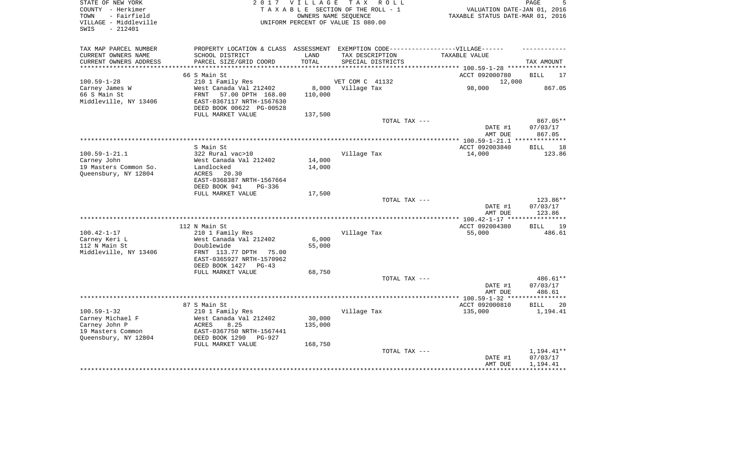| STATE OF NEW YORK<br>COUNTY - Herkimer<br>- Fairfield<br>TOWN<br>VILLAGE - Middleville<br>$-212401$<br>SWIS | T A X<br>2 0 1 7<br><b>VILLAGE</b><br>R O L L<br>TAXABLE SECTION OF THE ROLL - 1<br>OWNERS NAME SEOUENCE<br>UNIFORM PERCENT OF VALUE IS 080.00 |                  |                                                          | PAGE<br>VALUATION DATE-JAN 01, 2016<br>TAXABLE STATUS DATE-MAR 01, 2016 |                      |  |
|-------------------------------------------------------------------------------------------------------------|------------------------------------------------------------------------------------------------------------------------------------------------|------------------|----------------------------------------------------------|-------------------------------------------------------------------------|----------------------|--|
| TAX MAP PARCEL NUMBER                                                                                       | PROPERTY LOCATION & CLASS                                                                                                                      |                  | ASSESSMENT EXEMPTION CODE------------------VILLAGE------ |                                                                         |                      |  |
| CURRENT OWNERS NAME                                                                                         | SCHOOL DISTRICT                                                                                                                                | LAND             | TAX DESCRIPTION                                          | TAXABLE VALUE                                                           |                      |  |
| CURRENT OWNERS ADDRESS                                                                                      | PARCEL SIZE/GRID COORD                                                                                                                         | TOTAL            | SPECIAL DISTRICTS                                        |                                                                         | TAX AMOUNT           |  |
| ***********************                                                                                     |                                                                                                                                                |                  |                                                          |                                                                         |                      |  |
|                                                                                                             | 66 S Main St                                                                                                                                   |                  |                                                          | ACCT 092000780                                                          | <b>BILL</b><br>17    |  |
| $100.59 - 1 - 28$                                                                                           | 210 1 Family Res                                                                                                                               |                  | VET COM C 41132                                          | 12,000<br>98,000                                                        | 867.05               |  |
| Carney James W<br>66 S Main St                                                                              | West Canada Val 212402<br><b>FRNT</b><br>57.00 DPTH 168.00                                                                                     | 8,000<br>110,000 | Village Tax                                              |                                                                         |                      |  |
| Middleville, NY 13406                                                                                       | EAST-0367117 NRTH-1567630                                                                                                                      |                  |                                                          |                                                                         |                      |  |
|                                                                                                             | DEED BOOK 00622 PG-00528                                                                                                                       |                  |                                                          |                                                                         |                      |  |
|                                                                                                             | FULL MARKET VALUE                                                                                                                              | 137,500          |                                                          |                                                                         |                      |  |
|                                                                                                             |                                                                                                                                                |                  | TOTAL TAX ---                                            |                                                                         | $867.05**$           |  |
|                                                                                                             |                                                                                                                                                |                  |                                                          | DATE #1                                                                 | 07/03/17             |  |
|                                                                                                             |                                                                                                                                                |                  |                                                          | AMT DUE                                                                 | 867.05               |  |
|                                                                                                             |                                                                                                                                                |                  |                                                          |                                                                         | **********           |  |
|                                                                                                             | S Main St                                                                                                                                      |                  |                                                          | ACCT 092003840                                                          | 18<br>BILL           |  |
| $100.59 - 1 - 21.1$                                                                                         | 322 Rural vac>10                                                                                                                               |                  | Village Tax                                              | 14,000                                                                  | 123.86               |  |
| Carney John<br>19 Masters Common So.                                                                        | West Canada Val 212402<br>Landlocked                                                                                                           | 14,000<br>14,000 |                                                          |                                                                         |                      |  |
| Queensbury, NY 12804                                                                                        | ACRES<br>20.30                                                                                                                                 |                  |                                                          |                                                                         |                      |  |
|                                                                                                             | EAST-0368387 NRTH-1567664                                                                                                                      |                  |                                                          |                                                                         |                      |  |
|                                                                                                             | DEED BOOK 941<br>PG-336                                                                                                                        |                  |                                                          |                                                                         |                      |  |
|                                                                                                             | FULL MARKET VALUE                                                                                                                              | 17,500           |                                                          |                                                                         |                      |  |
|                                                                                                             |                                                                                                                                                |                  | TOTAL TAX ---                                            |                                                                         | 123.86**             |  |
|                                                                                                             |                                                                                                                                                |                  |                                                          | DATE #1                                                                 | 07/03/17             |  |
|                                                                                                             |                                                                                                                                                |                  | **********************                                   | AMT DUE                                                                 | 123.86<br>********   |  |
|                                                                                                             | 112 N Main St                                                                                                                                  |                  |                                                          | ** $100.42 - 1 - 17$ **                                                 |                      |  |
| $100.42 - 1 - 17$                                                                                           | 210 1 Family Res                                                                                                                               |                  | Village Tax                                              | ACCT 092004380<br>55,000                                                | 19<br>BILL<br>486.61 |  |
| Carney Keri L                                                                                               | West Canada Val 212402                                                                                                                         | 6,000            |                                                          |                                                                         |                      |  |
| 112 N Main St                                                                                               | Doublewide                                                                                                                                     | 55,000           |                                                          |                                                                         |                      |  |
| Middleville, NY 13406                                                                                       | FRNT 113.77 DPTH<br>75.00                                                                                                                      |                  |                                                          |                                                                         |                      |  |
|                                                                                                             | EAST-0365927 NRTH-1570962                                                                                                                      |                  |                                                          |                                                                         |                      |  |
|                                                                                                             | DEED BOOK 1427<br>$PG-43$                                                                                                                      |                  |                                                          |                                                                         |                      |  |
|                                                                                                             | FULL MARKET VALUE                                                                                                                              | 68,750           |                                                          |                                                                         |                      |  |
|                                                                                                             |                                                                                                                                                |                  | TOTAL TAX ---                                            |                                                                         | 486.61**             |  |
|                                                                                                             |                                                                                                                                                |                  |                                                          | DATE #1                                                                 | 07/03/17             |  |
|                                                                                                             |                                                                                                                                                |                  |                                                          | AMT DUE                                                                 | 486.61               |  |
|                                                                                                             | 87 S Main St                                                                                                                                   |                  |                                                          | **************** 100.59-1-32 ***<br>ACCT 092000810                      | <b>BILL</b><br>20    |  |
| $100.59 - 1 - 32$                                                                                           | 210 1 Family Res                                                                                                                               |                  | Village Tax                                              | 135,000                                                                 | 1,194.41             |  |
| Carney Michael F                                                                                            | West Canada Val 212402                                                                                                                         | 30,000           |                                                          |                                                                         |                      |  |
| Carney John P                                                                                               | <b>ACRES</b><br>8.25                                                                                                                           | 135,000          |                                                          |                                                                         |                      |  |
| 19 Masters Common                                                                                           | EAST-0367750 NRTH-1567441                                                                                                                      |                  |                                                          |                                                                         |                      |  |
| Queensbury, NY 12804                                                                                        | DEED BOOK 1290<br><b>PG-927</b>                                                                                                                |                  |                                                          |                                                                         |                      |  |
|                                                                                                             | FULL MARKET VALUE                                                                                                                              | 168,750          |                                                          |                                                                         |                      |  |
|                                                                                                             |                                                                                                                                                |                  | TOTAL TAX ---                                            |                                                                         | 1,194.41**           |  |
|                                                                                                             |                                                                                                                                                |                  |                                                          | DATE #1                                                                 | 07/03/17             |  |
|                                                                                                             |                                                                                                                                                |                  |                                                          | AMT DUE                                                                 | 1,194.41             |  |
|                                                                                                             |                                                                                                                                                |                  |                                                          |                                                                         |                      |  |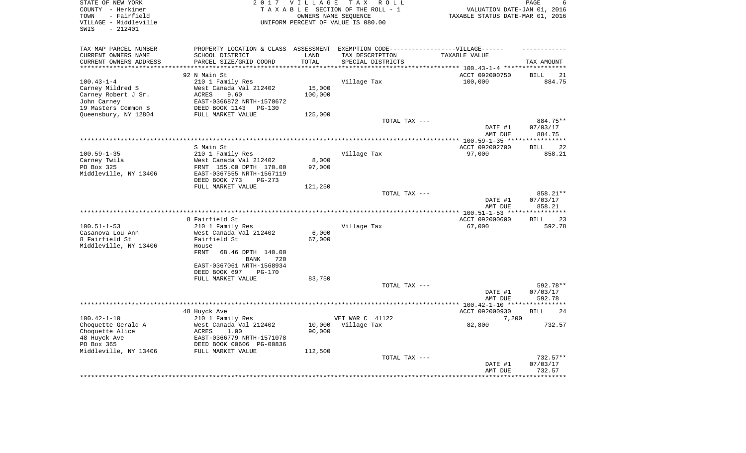| STATE OF NEW YORK<br>COUNTY - Herkimer<br>- Fairfield<br>TOWN<br>VILLAGE - Middleville<br>$-212401$<br>SWIS | <b>VILLAGE</b><br>TAX ROLL<br>2 0 1 7<br>TAXABLE SECTION OF THE ROLL - 1<br>OWNERS NAME SEOUENCE<br>UNIFORM PERCENT OF VALUE IS 080.00 |         |                   | PAGE<br>VALUATION DATE-JAN 01, 2016<br>TAXABLE STATUS DATE-MAR 01, 2016 |                                |  |
|-------------------------------------------------------------------------------------------------------------|----------------------------------------------------------------------------------------------------------------------------------------|---------|-------------------|-------------------------------------------------------------------------|--------------------------------|--|
| TAX MAP PARCEL NUMBER                                                                                       | PROPERTY LOCATION & CLASS ASSESSMENT EXEMPTION CODE-----------------VILLAGE------                                                      |         |                   |                                                                         |                                |  |
| CURRENT OWNERS NAME                                                                                         | SCHOOL DISTRICT                                                                                                                        | LAND    | TAX DESCRIPTION   | TAXABLE VALUE                                                           |                                |  |
| CURRENT OWNERS ADDRESS                                                                                      | PARCEL SIZE/GRID COORD                                                                                                                 | TOTAL   | SPECIAL DISTRICTS |                                                                         | TAX AMOUNT                     |  |
|                                                                                                             |                                                                                                                                        |         |                   | ******** 100.43-1-4 *****                                               |                                |  |
|                                                                                                             | 92 N Main St                                                                                                                           |         |                   | ACCT 092000750                                                          | 21<br><b>BILL</b>              |  |
| $100.43 - 1 - 4$                                                                                            | 210 1 Family Res                                                                                                                       |         | Village Tax       | 100,000                                                                 | 884.75                         |  |
| Carney Mildred S                                                                                            | West Canada Val 212402<br>9.60                                                                                                         | 15,000  |                   |                                                                         |                                |  |
| Carney Robert J Sr.<br>John Carney                                                                          | <b>ACRES</b><br>EAST-0366872 NRTH-1570672                                                                                              | 100,000 |                   |                                                                         |                                |  |
| 19 Masters Common S                                                                                         | DEED BOOK 1143<br><b>PG-130</b>                                                                                                        |         |                   |                                                                         |                                |  |
| Queensbury, NY 12804                                                                                        | FULL MARKET VALUE                                                                                                                      | 125,000 |                   |                                                                         |                                |  |
|                                                                                                             |                                                                                                                                        |         | TOTAL TAX ---     |                                                                         | 884.75**                       |  |
|                                                                                                             |                                                                                                                                        |         |                   | DATE #1<br>AMT DUE                                                      | 07/03/17<br>884.75             |  |
|                                                                                                             |                                                                                                                                        |         |                   | *************** 100.59-1-35 ****                                        |                                |  |
|                                                                                                             | S Main St                                                                                                                              |         |                   | ACCT 092002700                                                          | 22<br><b>BILL</b>              |  |
| $100.59 - 1 - 35$                                                                                           | 210 1 Family Res                                                                                                                       |         | Village Tax       | 97,000                                                                  | 858.21                         |  |
| Carney Twila                                                                                                | West Canada Val 212402                                                                                                                 | 8,000   |                   |                                                                         |                                |  |
| PO Box 325                                                                                                  | FRNT 155.00 DPTH 170.00                                                                                                                | 97,000  |                   |                                                                         |                                |  |
| Middleville, NY 13406                                                                                       | EAST-0367555 NRTH-1567119                                                                                                              |         |                   |                                                                         |                                |  |
|                                                                                                             | DEED BOOK 773<br>$PG-273$                                                                                                              |         |                   |                                                                         |                                |  |
|                                                                                                             | FULL MARKET VALUE                                                                                                                      | 121,250 |                   |                                                                         |                                |  |
|                                                                                                             |                                                                                                                                        |         | TOTAL TAX ---     | DATE #1<br>AMT DUE                                                      | 858.21**<br>07/03/17<br>858.21 |  |
|                                                                                                             |                                                                                                                                        |         |                   |                                                                         |                                |  |
|                                                                                                             | 8 Fairfield St                                                                                                                         |         |                   | ACCT 092000600                                                          | 23<br><b>BILL</b>              |  |
| $100.51 - 1 - 53$                                                                                           | 210 1 Family Res                                                                                                                       |         | Village Tax       | 67,000                                                                  | 592.78                         |  |
| Casanova Lou Ann                                                                                            | West Canada Val 212402                                                                                                                 | 6,000   |                   |                                                                         |                                |  |
| 8 Fairfield St                                                                                              | Fairfield St                                                                                                                           | 67,000  |                   |                                                                         |                                |  |
| Middleville, NY 13406                                                                                       | House                                                                                                                                  |         |                   |                                                                         |                                |  |
|                                                                                                             | <b>FRNT</b><br>68.46 DPTH 140.00                                                                                                       |         |                   |                                                                         |                                |  |
|                                                                                                             | <b>BANK</b><br>720                                                                                                                     |         |                   |                                                                         |                                |  |
|                                                                                                             | EAST-0367061 NRTH-1568934                                                                                                              |         |                   |                                                                         |                                |  |
|                                                                                                             | DEED BOOK 697<br><b>PG-170</b>                                                                                                         |         |                   |                                                                         |                                |  |
|                                                                                                             | FULL MARKET VALUE                                                                                                                      | 83,750  | TOTAL TAX ---     |                                                                         | 592.78**                       |  |
|                                                                                                             |                                                                                                                                        |         |                   | DATE #1                                                                 | 07/03/17                       |  |
|                                                                                                             |                                                                                                                                        |         |                   | AMT DUE                                                                 | 592.78                         |  |
|                                                                                                             |                                                                                                                                        |         |                   |                                                                         |                                |  |
|                                                                                                             | 48 Huyck Ave                                                                                                                           |         |                   | ACCT 092000930                                                          | 24<br>BILL                     |  |
| $100.42 - 1 - 10$                                                                                           | 210 1 Family Res                                                                                                                       |         | VET WAR C 41122   | 7,200                                                                   |                                |  |
| Choquette Gerald A                                                                                          | West Canada Val 212402                                                                                                                 | 10,000  | Village Tax       | 82,800                                                                  | 732.57                         |  |
| Choquette Alice                                                                                             | <b>ACRES</b><br>1.00                                                                                                                   | 90,000  |                   |                                                                         |                                |  |
| 48 Huyck Ave                                                                                                | EAST-0366779 NRTH-1571078                                                                                                              |         |                   |                                                                         |                                |  |
| PO Box 365                                                                                                  | DEED BOOK 00606 PG-00836                                                                                                               |         |                   |                                                                         |                                |  |
| Middleville, NY 13406                                                                                       | FULL MARKET VALUE                                                                                                                      | 112,500 |                   |                                                                         |                                |  |
|                                                                                                             |                                                                                                                                        |         | TOTAL TAX ---     |                                                                         | 732.57**                       |  |
|                                                                                                             |                                                                                                                                        |         |                   | DATE #1                                                                 | 07/03/17                       |  |
|                                                                                                             |                                                                                                                                        |         |                   | AMT DUE                                                                 | 732.57                         |  |
|                                                                                                             |                                                                                                                                        |         |                   |                                                                         |                                |  |
|                                                                                                             |                                                                                                                                        |         |                   |                                                                         |                                |  |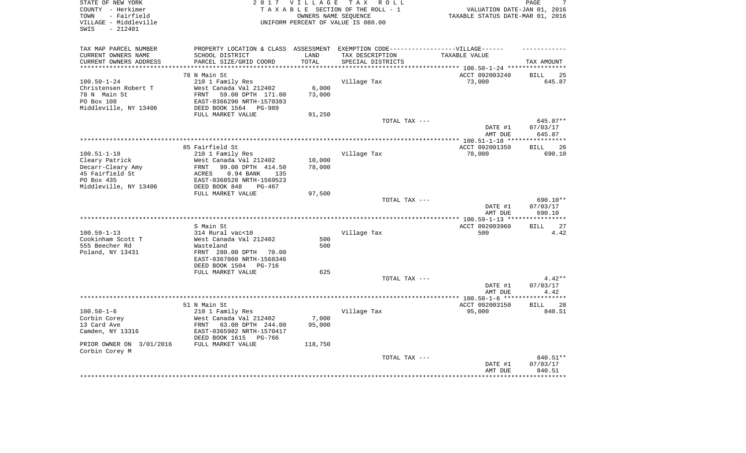| STATE OF NEW YORK<br>COUNTY - Herkimer     | 2017                                                                             | VILLAGE | TAX ROLL<br>TAXABLE SECTION OF THE ROLL - 1 | VALUATION DATE-JAN 01, 2016      | PAGE<br>7                      |
|--------------------------------------------|----------------------------------------------------------------------------------|---------|---------------------------------------------|----------------------------------|--------------------------------|
| - Fairfield<br>TOWN                        |                                                                                  |         | OWNERS NAME SEOUENCE                        | TAXABLE STATUS DATE-MAR 01, 2016 |                                |
| VILLAGE - Middleville<br>$-212401$<br>SWIS |                                                                                  |         | UNIFORM PERCENT OF VALUE IS 080.00          |                                  |                                |
| TAX MAP PARCEL NUMBER                      | PROPERTY LOCATION & CLASS ASSESSMENT EXEMPTION CODE----------------VILLAGE------ |         |                                             |                                  |                                |
| CURRENT OWNERS NAME                        | SCHOOL DISTRICT                                                                  | LAND    | TAX DESCRIPTION                             | TAXABLE VALUE                    |                                |
| CURRENT OWNERS ADDRESS                     | PARCEL SIZE/GRID COORD                                                           | TOTAL   | SPECIAL DISTRICTS                           |                                  | TAX AMOUNT                     |
|                                            |                                                                                  |         |                                             | ******** 100.50-1-24 ****        |                                |
|                                            | 78 N Main St                                                                     |         |                                             | ACCT 092003240                   | 25<br><b>BILL</b>              |
| $100.50 - 1 - 24$                          | 210 1 Family Res                                                                 |         | Village Tax                                 | 73,000                           | 645.87                         |
| Christensen Robert T                       | West Canada Val 212402                                                           | 6,000   |                                             |                                  |                                |
| 78 N Main St                               | <b>FRNT</b><br>59.00 DPTH 171.00                                                 | 73,000  |                                             |                                  |                                |
| PO Box 108                                 | EAST-0366290 NRTH-1570383                                                        |         |                                             |                                  |                                |
| Middleville, NY 13406                      | DEED BOOK 1564<br><b>PG-989</b>                                                  |         |                                             |                                  |                                |
|                                            | FULL MARKET VALUE                                                                | 91,250  |                                             |                                  |                                |
|                                            |                                                                                  |         | TOTAL TAX ---                               | DATE #1<br>AMT DUE               | 645.87**<br>07/03/17<br>645.87 |
|                                            |                                                                                  |         |                                             |                                  |                                |
|                                            | 85 Fairfield St                                                                  |         |                                             | ACCT 092001350                   | <b>BILL</b><br>26              |
| $100.51 - 1 - 18$                          | 210 1 Family Res                                                                 |         | Village Tax                                 | 78,000                           | 690.10                         |
| Cleary Patrick                             | West Canada Val 212402                                                           | 10,000  |                                             |                                  |                                |
| Decarr-Cleary Amy                          | 99.00 DPTH 414.50<br>FRNT                                                        | 78,000  |                                             |                                  |                                |
| 45 Fairfield St                            | 0.94 BANK<br>135<br>ACRES                                                        |         |                                             |                                  |                                |
| PO Box 435                                 | EAST-0368528 NRTH-1569523                                                        |         |                                             |                                  |                                |
| Middleville, NY 13406                      | DEED BOOK 848<br>$PG-467$                                                        |         |                                             |                                  |                                |
|                                            | FULL MARKET VALUE                                                                | 97,500  |                                             |                                  |                                |
|                                            |                                                                                  |         | TOTAL TAX ---                               |                                  | 690.10**                       |
|                                            |                                                                                  |         |                                             | DATE #1                          | 07/03/17                       |
|                                            |                                                                                  |         | ***********************************         | AMT DUE                          | 690.10<br>**********           |
|                                            |                                                                                  |         |                                             | *************** 100.59-1-13 **   |                                |
| $100.59 - 1 - 13$                          | S Main St<br>314 Rural vac<10                                                    |         | Village Tax                                 | ACCT 092003960<br>500            | 27<br><b>BILL</b><br>4.42      |
| Cookinham Scott T                          | West Canada Val 212402                                                           | 500     |                                             |                                  |                                |
| 555 Beecher Rd                             | Wasteland                                                                        | 500     |                                             |                                  |                                |
| Poland, NY 13431                           | FRNT 280.00 DPTH<br>70.00                                                        |         |                                             |                                  |                                |
|                                            | EAST-0367060 NRTH-1568346                                                        |         |                                             |                                  |                                |
|                                            | DEED BOOK 1504<br>PG-716                                                         |         |                                             |                                  |                                |
|                                            | FULL MARKET VALUE                                                                | 625     |                                             |                                  |                                |
|                                            |                                                                                  |         | TOTAL TAX ---                               |                                  | $4.42**$                       |
|                                            |                                                                                  |         |                                             | DATE #1                          | 07/03/17                       |
|                                            |                                                                                  |         |                                             | AMT DUE                          | 4.42                           |
|                                            |                                                                                  |         |                                             |                                  | *******                        |
|                                            | 51 N Main St                                                                     |         |                                             | ACCT 092003150                   | <b>BILL</b><br>28              |
| $100.50 - 1 - 6$                           | 210 1 Family Res                                                                 |         | Village Tax                                 | 95,000                           | 840.51                         |
| Corbin Corey                               | West Canada Val 212402                                                           | 7,000   |                                             |                                  |                                |
| 13 Card Ave                                | 63.00 DPTH 244.00<br>FRNT                                                        | 95,000  |                                             |                                  |                                |
| Camden, NY 13316                           | EAST-0365982 NRTH-1570417                                                        |         |                                             |                                  |                                |
| PRIOR OWNER ON 3/01/2016                   | DEED BOOK 1615<br>PG-766<br>FULL MARKET VALUE                                    | 118,750 |                                             |                                  |                                |
| Corbin Corey M                             |                                                                                  |         |                                             |                                  |                                |
|                                            |                                                                                  |         | TOTAL TAX ---                               |                                  | 840.51**                       |
|                                            |                                                                                  |         |                                             | DATE #1                          | 07/03/17                       |
|                                            |                                                                                  |         |                                             | AMT DUE                          | 840.51                         |
|                                            |                                                                                  |         |                                             |                                  |                                |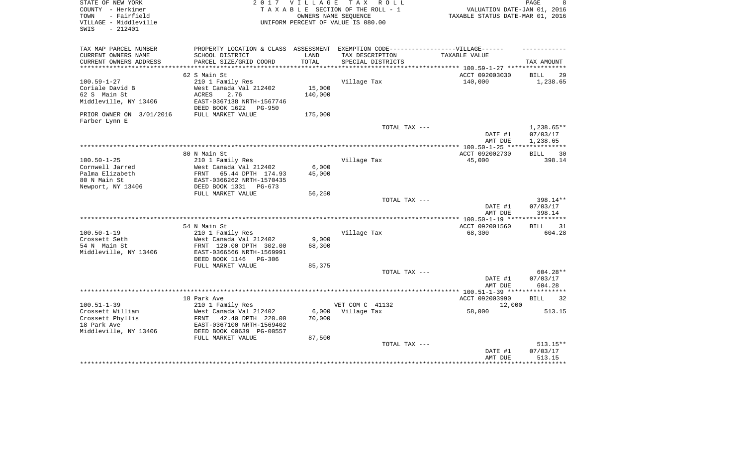| STATE OF NEW YORK<br>COUNTY - Herkimer<br>- Fairfield<br>TOWN<br>VILLAGE - Middleville<br>$-212401$<br>SWIS | 2 0 1 7                                                                                                                                             | VILLAGE                   | TAX ROLL<br>TAXABLE SECTION OF THE ROLL - 1<br>OWNERS NAME SEQUENCE<br>UNIFORM PERCENT OF VALUE IS 080.00                | VALUATION DATE-JAN 01, 2016<br>TAXABLE STATUS DATE-MAR 01, 2016 | PAGE<br>8                          |
|-------------------------------------------------------------------------------------------------------------|-----------------------------------------------------------------------------------------------------------------------------------------------------|---------------------------|--------------------------------------------------------------------------------------------------------------------------|-----------------------------------------------------------------|------------------------------------|
| TAX MAP PARCEL NUMBER<br>CURRENT OWNERS NAME<br>CURRENT OWNERS ADDRESS                                      | SCHOOL DISTRICT<br>PARCEL SIZE/GRID COORD                                                                                                           | LAND<br>TOTAL             | PROPERTY LOCATION & CLASS ASSESSMENT EXEMPTION CODE----------------VILLAGE------<br>TAX DESCRIPTION<br>SPECIAL DISTRICTS | TAXABLE VALUE                                                   | TAX AMOUNT                         |
| **********************                                                                                      | 62 S Main St                                                                                                                                        |                           |                                                                                                                          | ACCT 092003030                                                  | <b>BILL</b><br>29                  |
| $100.59 - 1 - 27$<br>Coriale David B<br>62 S Main St<br>Middleville, NY 13406                               | 210 1 Family Res<br>West Canada Val 212402<br>ACRES<br>2.76<br>EAST-0367138 NRTH-1567746<br>DEED BOOK 1622<br>PG-950                                | 15,000<br>140,000         | Village Tax                                                                                                              | 140,000                                                         | 1,238.65                           |
| PRIOR OWNER ON 3/01/2016<br>Farber Lynn E                                                                   | FULL MARKET VALUE                                                                                                                                   | 175,000                   |                                                                                                                          |                                                                 |                                    |
|                                                                                                             |                                                                                                                                                     |                           | TOTAL TAX ---                                                                                                            | DATE #1<br>AMT DUE                                              | 1,238.65**<br>07/03/17<br>1,238.65 |
|                                                                                                             |                                                                                                                                                     |                           |                                                                                                                          |                                                                 | ***********                        |
| $100.50 - 1 - 25$<br>Cornwell Jarred<br>Palma Elizabeth<br>80 N Main St<br>Newport, NY 13406                | 80 N Main St<br>210 1 Family Res<br>West Canada Val 212402<br>FRNT<br>65.44 DPTH 174.93<br>EAST-0366262 NRTH-1570435<br>DEED BOOK 1331<br>$PG-673$  | 6,000<br>45,000           | Village Tax                                                                                                              | ACCT 092002730<br>45,000                                        | 30<br><b>BILL</b><br>398.14        |
|                                                                                                             | FULL MARKET VALUE                                                                                                                                   | 56,250                    |                                                                                                                          |                                                                 |                                    |
|                                                                                                             |                                                                                                                                                     |                           | TOTAL TAX ---                                                                                                            | DATE #1<br>AMT DUE                                              | 398.14**<br>07/03/17<br>398.14     |
|                                                                                                             | 54 N Main St                                                                                                                                        |                           |                                                                                                                          | ACCT 092001560                                                  | 31<br>BILL                         |
| $100.50 - 1 - 19$<br>Crossett Seth<br>54 N Main St<br>Middleville, NY 13406                                 | 210 1 Family Res<br>West Canada Val 212402<br>FRNT 120.00 DPTH 302.00<br>EAST-0366566 NRTH-1569991<br>DEED BOOK 1146<br>PG-306<br>FULL MARKET VALUE | 9,000<br>68,300<br>85,375 | Village Tax                                                                                                              | 68,300                                                          | 604.28                             |
|                                                                                                             |                                                                                                                                                     |                           | TOTAL TAX ---                                                                                                            |                                                                 | 604.28**                           |
|                                                                                                             |                                                                                                                                                     |                           |                                                                                                                          | DATE #1<br>AMT DUE                                              | 07/03/17<br>604.28                 |
|                                                                                                             | 18 Park Ave                                                                                                                                         |                           |                                                                                                                          | **************** 100.51-1-39 *******<br>ACCT 092003990          | *********<br><b>BILL</b><br>32     |
| $100.51 - 1 - 39$                                                                                           | 210 1 Family Res                                                                                                                                    |                           | VET COM C 41132                                                                                                          | 12,000                                                          |                                    |
| Crossett William<br>Crossett Phyllis<br>18 Park Ave<br>Middleville, NY 13406                                | West Canada Val 212402<br>FRNT<br>42.40 DPTH 220.00<br>EAST-0367100 NRTH-1569402<br>DEED BOOK 00639 PG-00557<br>FULL MARKET VALUE                   | 6,000<br>70,000<br>87,500 | Village Tax                                                                                                              | 58,000                                                          | 513.15                             |
|                                                                                                             |                                                                                                                                                     |                           | TOTAL TAX ---                                                                                                            | DATE #1<br>AMT DUE                                              | 513.15**<br>07/03/17<br>513.15     |
|                                                                                                             |                                                                                                                                                     |                           |                                                                                                                          |                                                                 |                                    |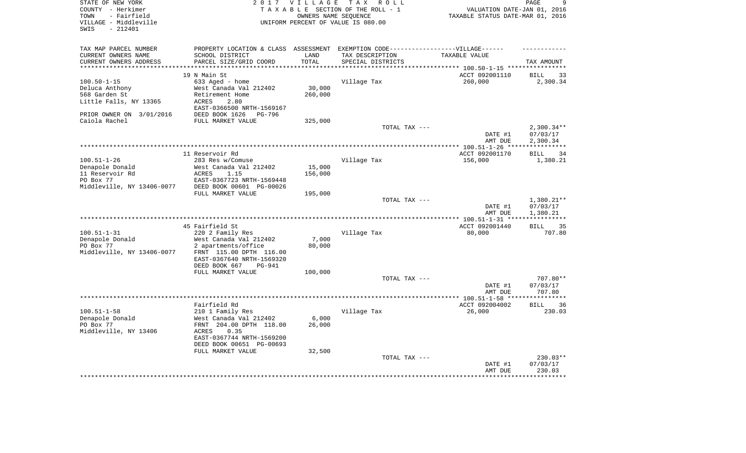| STATE OF NEW YORK<br>COUNTY - Herkimer<br>- Fairfield<br>TOWN<br>VILLAGE - Middleville<br>$-212401$<br>SWIS |                                                                                  | 2017 VILLAGE<br>OWNERS NAME SEOUENCE | TAX ROLL<br>TAXABLE SECTION OF THE ROLL - 1<br>UNIFORM PERCENT OF VALUE IS 080.00 | VALUATION DATE-JAN 01, 2016<br>TAXABLE STATUS DATE-MAR 01, 2016 | PAGE<br>9                         |
|-------------------------------------------------------------------------------------------------------------|----------------------------------------------------------------------------------|--------------------------------------|-----------------------------------------------------------------------------------|-----------------------------------------------------------------|-----------------------------------|
| TAX MAP PARCEL NUMBER                                                                                       | PROPERTY LOCATION & CLASS ASSESSMENT EXEMPTION CODE----------------VILLAGE------ |                                      |                                                                                   |                                                                 |                                   |
| CURRENT OWNERS NAME                                                                                         | SCHOOL DISTRICT                                                                  | LAND                                 | TAX DESCRIPTION                                                                   | TAXABLE VALUE                                                   |                                   |
| CURRENT OWNERS ADDRESS                                                                                      | PARCEL SIZE/GRID COORD                                                           | TOTAL                                | SPECIAL DISTRICTS                                                                 | *********** 100.50-1-15 *********                               | TAX AMOUNT                        |
|                                                                                                             | 19 N Main St                                                                     |                                      |                                                                                   | ACCT 092001110                                                  | <b>BILL</b><br>33                 |
| $100.50 - 1 - 15$                                                                                           | 633 Aged - home                                                                  |                                      | Village Tax                                                                       | 260,000                                                         | 2,300.34                          |
| Deluca Anthony                                                                                              | West Canada Val 212402                                                           | 30,000                               |                                                                                   |                                                                 |                                   |
| 568 Garden St                                                                                               | Retirement Home                                                                  | 260,000                              |                                                                                   |                                                                 |                                   |
| Little Falls, NY 13365                                                                                      | ACRES<br>2.80                                                                    |                                      |                                                                                   |                                                                 |                                   |
| PRIOR OWNER ON 3/01/2016                                                                                    | EAST-0366500 NRTH-1569167<br>DEED BOOK 1626<br>PG-796                            |                                      |                                                                                   |                                                                 |                                   |
| Caiola Rachel                                                                                               | FULL MARKET VALUE                                                                | 325,000                              |                                                                                   |                                                                 |                                   |
|                                                                                                             |                                                                                  |                                      | TOTAL TAX ---                                                                     | DATE #1                                                         | $2,300.34**$<br>07/03/17          |
|                                                                                                             |                                                                                  |                                      |                                                                                   | AMT DUE<br>************** 100.51-1-26 ****                      | 2,300.34<br>* * * * * * * * * * * |
|                                                                                                             | 11 Reservoir Rd                                                                  |                                      |                                                                                   | ACCT 092001170                                                  | BILL<br>34                        |
| $100.51 - 1 - 26$                                                                                           | 283 Res w/Comuse                                                                 |                                      | Village Tax                                                                       | 156,000                                                         | 1,380.21                          |
| Denapole Donald                                                                                             | West Canada Val 212402                                                           | 15,000                               |                                                                                   |                                                                 |                                   |
| 11 Reservoir Rd                                                                                             | 1.15<br>ACRES                                                                    | 156,000                              |                                                                                   |                                                                 |                                   |
| PO Box 77                                                                                                   | EAST-0367723 NRTH-1569448                                                        |                                      |                                                                                   |                                                                 |                                   |
| Middleville, NY 13406-0077                                                                                  | DEED BOOK 00601 PG-00026<br>FULL MARKET VALUE                                    | 195,000                              |                                                                                   |                                                                 |                                   |
|                                                                                                             |                                                                                  |                                      | TOTAL TAX ---                                                                     |                                                                 | 1,380.21**                        |
|                                                                                                             |                                                                                  |                                      |                                                                                   | DATE #1                                                         | 07/03/17                          |
|                                                                                                             |                                                                                  |                                      |                                                                                   | AMT DUE                                                         | 1,380.21                          |
|                                                                                                             | 45 Fairfield St                                                                  |                                      |                                                                                   | ACCT 092001440                                                  | 35<br>BILL                        |
| $100.51 - 1 - 31$                                                                                           | 220 2 Family Res                                                                 |                                      | Village Tax                                                                       | 80,000                                                          | 707.80                            |
| Denapole Donald                                                                                             | West Canada Val 212402                                                           | 7,000                                |                                                                                   |                                                                 |                                   |
| PO Box 77                                                                                                   | 2 apartments/office                                                              | 80,000                               |                                                                                   |                                                                 |                                   |
| Middleville, NY 13406-0077                                                                                  | FRNT 115.00 DPTH 116.00                                                          |                                      |                                                                                   |                                                                 |                                   |
|                                                                                                             | EAST-0367640 NRTH-1569320                                                        |                                      |                                                                                   |                                                                 |                                   |
|                                                                                                             | DEED BOOK 667<br>PG-941<br>FULL MARKET VALUE                                     | 100,000                              |                                                                                   |                                                                 |                                   |
|                                                                                                             |                                                                                  |                                      | TOTAL TAX ---                                                                     |                                                                 | 707.80**                          |
|                                                                                                             |                                                                                  |                                      |                                                                                   | DATE #1                                                         | 07/03/17                          |
|                                                                                                             |                                                                                  |                                      |                                                                                   | AMT DUE                                                         | 707.80                            |
|                                                                                                             |                                                                                  |                                      |                                                                                   |                                                                 | * * * * * * * * *                 |
|                                                                                                             | Fairfield Rd                                                                     |                                      |                                                                                   | ACCT 092004002                                                  | <b>BILL</b><br>36                 |
| $100.51 - 1 - 58$<br>Denapole Donald                                                                        | 210 1 Family Res<br>West Canada Val 212402                                       | 6,000                                | Village Tax                                                                       | 26,000                                                          | 230.03                            |
| PO Box 77                                                                                                   | FRNT 204.00 DPTH 118.00                                                          | 26,000                               |                                                                                   |                                                                 |                                   |
| Middleville, NY 13406                                                                                       | ACRES<br>0.35                                                                    |                                      |                                                                                   |                                                                 |                                   |
|                                                                                                             | EAST-0367744 NRTH-1569200                                                        |                                      |                                                                                   |                                                                 |                                   |
|                                                                                                             | DEED BOOK 00651 PG-00693                                                         |                                      |                                                                                   |                                                                 |                                   |
|                                                                                                             | FULL MARKET VALUE                                                                | 32,500                               |                                                                                   |                                                                 |                                   |
|                                                                                                             |                                                                                  |                                      | TOTAL TAX ---                                                                     |                                                                 | 230.03**                          |
|                                                                                                             |                                                                                  |                                      |                                                                                   | DATE #1<br>AMT DUE                                              | 07/03/17<br>230.03                |
|                                                                                                             |                                                                                  |                                      |                                                                                   |                                                                 |                                   |
|                                                                                                             |                                                                                  |                                      |                                                                                   |                                                                 |                                   |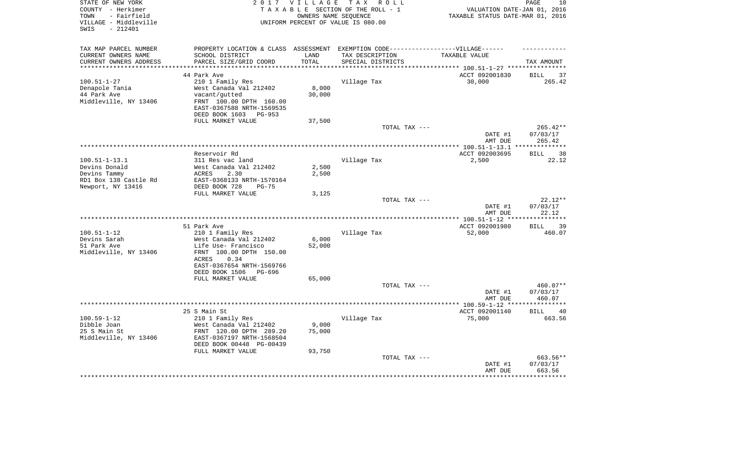| STATE OF NEW YORK<br>COUNTY - Herkimer<br>- Fairfield<br>TOWN<br>VILLAGE - Middleville<br>$-212401$<br>SWIS |                                                                                  | 2017 VILLAGE<br>OWNERS NAME SEOUENCE | TAX ROLL<br>TAXABLE SECTION OF THE ROLL - 1<br>UNIFORM PERCENT OF VALUE IS 080.00 | VALUATION DATE-JAN 01, 2016<br>TAXABLE STATUS DATE-MAR 01, 2016 | 10<br>PAGE                  |
|-------------------------------------------------------------------------------------------------------------|----------------------------------------------------------------------------------|--------------------------------------|-----------------------------------------------------------------------------------|-----------------------------------------------------------------|-----------------------------|
| TAX MAP PARCEL NUMBER                                                                                       | PROPERTY LOCATION & CLASS ASSESSMENT EXEMPTION CODE----------------VILLAGE------ |                                      |                                                                                   |                                                                 |                             |
| CURRENT OWNERS NAME                                                                                         | SCHOOL DISTRICT                                                                  | LAND                                 | TAX DESCRIPTION                                                                   | TAXABLE VALUE                                                   |                             |
| CURRENT OWNERS ADDRESS                                                                                      | PARCEL SIZE/GRID COORD                                                           | TOTAL                                | SPECIAL DISTRICTS                                                                 |                                                                 | TAX AMOUNT                  |
|                                                                                                             | 44 Park Ave                                                                      |                                      |                                                                                   | ACCT 092001830                                                  | 37<br><b>BILL</b>           |
| $100.51 - 1 - 27$                                                                                           | 210 1 Family Res                                                                 |                                      | Village Tax                                                                       | 30,000                                                          | 265.42                      |
| Denapole Tania                                                                                              | West Canada Val 212402                                                           | 8,000                                |                                                                                   |                                                                 |                             |
| 44 Park Ave                                                                                                 | vacant/gutted                                                                    | 30,000                               |                                                                                   |                                                                 |                             |
| Middleville, NY 13406                                                                                       | FRNT 100.00 DPTH 160.00                                                          |                                      |                                                                                   |                                                                 |                             |
|                                                                                                             | EAST-0367588 NRTH-1569535                                                        |                                      |                                                                                   |                                                                 |                             |
|                                                                                                             | DEED BOOK 1603 PG-953                                                            |                                      |                                                                                   |                                                                 |                             |
|                                                                                                             | FULL MARKET VALUE                                                                | 37,500                               |                                                                                   |                                                                 |                             |
|                                                                                                             |                                                                                  |                                      | TOTAL TAX ---                                                                     | DATE #1                                                         | $265.42**$<br>07/03/17      |
|                                                                                                             |                                                                                  |                                      |                                                                                   | AMT DUE                                                         | 265.42                      |
|                                                                                                             |                                                                                  |                                      | *************************************                                             | *************** 100.51-1-13.1                                   | ***********                 |
|                                                                                                             | Reservoir Rd                                                                     |                                      |                                                                                   | ACCT 092003695                                                  | 38<br>BILL                  |
| $100.51 - 1 - 13.1$                                                                                         | 311 Res vac land                                                                 |                                      | Village Tax                                                                       | 2,500                                                           | 22.12                       |
| Devins Donald                                                                                               | West Canada Val 212402                                                           | 2,500                                |                                                                                   |                                                                 |                             |
| Devins Tammy                                                                                                | ACRES<br>2.30                                                                    | 2,500                                |                                                                                   |                                                                 |                             |
| RD1 Box 138 Castle Rd<br>Newport, NY 13416                                                                  | EAST-0368133 NRTH-1570164<br>DEED BOOK 728<br>$PG-75$                            |                                      |                                                                                   |                                                                 |                             |
|                                                                                                             | FULL MARKET VALUE                                                                | 3,125                                |                                                                                   |                                                                 |                             |
|                                                                                                             |                                                                                  |                                      | TOTAL TAX ---                                                                     |                                                                 | $22.12**$                   |
|                                                                                                             |                                                                                  |                                      |                                                                                   | DATE #1                                                         | 07/03/17                    |
|                                                                                                             |                                                                                  |                                      |                                                                                   | AMT DUE                                                         | 22.12                       |
|                                                                                                             |                                                                                  |                                      |                                                                                   |                                                                 |                             |
| $100.51 - 1 - 12$                                                                                           | 51 Park Ave<br>210 1 Family Res                                                  |                                      | Village Tax                                                                       | ACCT 092001980<br>52,000                                        | 39<br><b>BILL</b><br>460.07 |
| Devins Sarah                                                                                                | West Canada Val 212402                                                           | 6,000                                |                                                                                   |                                                                 |                             |
| 51 Park Ave                                                                                                 | Life Use- Francisco                                                              | 52,000                               |                                                                                   |                                                                 |                             |
| Middleville, NY 13406                                                                                       | FRNT 100.00 DPTH 150.00                                                          |                                      |                                                                                   |                                                                 |                             |
|                                                                                                             | 0.34<br>ACRES                                                                    |                                      |                                                                                   |                                                                 |                             |
|                                                                                                             | EAST-0367654 NRTH-1569766                                                        |                                      |                                                                                   |                                                                 |                             |
|                                                                                                             | DEED BOOK 1506<br>PG-696                                                         |                                      |                                                                                   |                                                                 |                             |
|                                                                                                             | FULL MARKET VALUE                                                                | 65,000                               |                                                                                   |                                                                 |                             |
|                                                                                                             |                                                                                  |                                      | TOTAL TAX ---                                                                     | DATE #1                                                         | 460.07**<br>07/03/17        |
|                                                                                                             |                                                                                  |                                      |                                                                                   | AMT DUE                                                         | 460.07                      |
|                                                                                                             |                                                                                  |                                      |                                                                                   |                                                                 |                             |
|                                                                                                             | 25 S Main St                                                                     |                                      |                                                                                   | ACCT 092001140                                                  | <b>BILL</b><br>40           |
| $100.59 - 1 - 12$                                                                                           | 210 1 Family Res                                                                 |                                      | Village Tax                                                                       | 75,000                                                          | 663.56                      |
| Dibble Joan                                                                                                 | West Canada Val 212402                                                           | 9,000                                |                                                                                   |                                                                 |                             |
| 25 S Main St                                                                                                | FRNT 120.00 DPTH 289.20                                                          | 75,000                               |                                                                                   |                                                                 |                             |
| Middleville, NY 13406                                                                                       | EAST-0367197 NRTH-1568504<br>DEED BOOK 00448 PG-00439                            |                                      |                                                                                   |                                                                 |                             |
|                                                                                                             | FULL MARKET VALUE                                                                | 93,750                               |                                                                                   |                                                                 |                             |
|                                                                                                             |                                                                                  |                                      | TOTAL TAX ---                                                                     |                                                                 | 663.56**                    |
|                                                                                                             |                                                                                  |                                      |                                                                                   | DATE #1                                                         | 07/03/17                    |
|                                                                                                             |                                                                                  |                                      |                                                                                   | AMT DUE                                                         | 663.56                      |
|                                                                                                             |                                                                                  |                                      |                                                                                   |                                                                 |                             |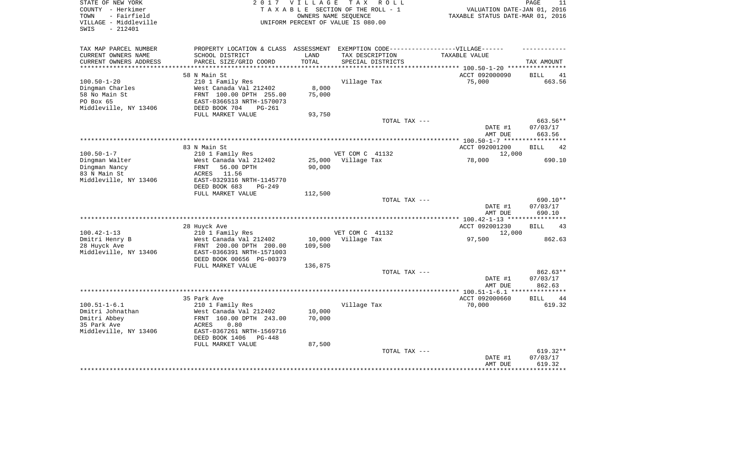| STATE OF NEW YORK<br>COUNTY - Herkimer<br>- Fairfield<br>TOWN<br>VILLAGE - Middleville<br>$-212401$<br>SWIS | 2017 VILLAGE<br>TAXABLE SECTION OF THE ROLL - 1<br>UNIFORM PERCENT OF VALUE IS 080.00 | PAGE<br>11<br>VALUATION DATE-JAN 01, 2016<br>TAXABLE STATUS DATE-MAR 01, 2016 |                                               |                              |                                |
|-------------------------------------------------------------------------------------------------------------|---------------------------------------------------------------------------------------|-------------------------------------------------------------------------------|-----------------------------------------------|------------------------------|--------------------------------|
| TAX MAP PARCEL NUMBER                                                                                       | PROPERTY LOCATION & CLASS ASSESSMENT                                                  |                                                                               | EXEMPTION CODE------------------VILLAGE------ |                              |                                |
| CURRENT OWNERS NAME<br>CURRENT OWNERS ADDRESS                                                               | SCHOOL DISTRICT<br>PARCEL SIZE/GRID COORD                                             | LAND<br>TOTAL                                                                 | TAX DESCRIPTION<br>SPECIAL DISTRICTS          | TAXABLE VALUE                | TAX AMOUNT                     |
| ***********************                                                                                     |                                                                                       |                                                                               |                                               |                              |                                |
|                                                                                                             | 58 N Main St                                                                          |                                                                               |                                               | ACCT 092000090               | 41<br><b>BILL</b>              |
| $100.50 - 1 - 20$                                                                                           | 210 1 Family Res                                                                      |                                                                               | Village Tax                                   | 75,000                       | 663.56                         |
| Dingman Charles<br>58 No Main St                                                                            | West Canada Val 212402<br>FRNT 100.00 DPTH 255.00                                     | 8,000<br>75,000                                                               |                                               |                              |                                |
| PO Box 65                                                                                                   | EAST-0366513 NRTH-1570073                                                             |                                                                               |                                               |                              |                                |
| Middleville, NY 13406                                                                                       | DEED BOOK 704<br>$PG-261$                                                             |                                                                               |                                               |                              |                                |
|                                                                                                             | FULL MARKET VALUE                                                                     | 93,750                                                                        |                                               |                              |                                |
|                                                                                                             |                                                                                       |                                                                               | TOTAL TAX ---                                 |                              | 663.56**                       |
|                                                                                                             |                                                                                       |                                                                               |                                               | DATE #1                      | 07/03/17                       |
|                                                                                                             |                                                                                       |                                                                               |                                               | AMT DUE                      | 663.56                         |
| ***************************                                                                                 |                                                                                       |                                                                               |                                               | ******** 100.50-1-7 ******** |                                |
|                                                                                                             | 83 N Main St                                                                          |                                                                               |                                               | ACCT 092001200               | <b>BILL</b><br>42              |
| $100.50 - 1 - 7$                                                                                            | 210 1 Family Res                                                                      |                                                                               | VET COM C 41132                               | 12,000                       |                                |
| Dingman Walter                                                                                              | West Canada Val 212402                                                                | 25,000                                                                        | Village Tax                                   | 78,000                       | 690.10                         |
| Dingman Nancy<br>83 N Main St                                                                               | 56.00 DPTH<br><b>FRNT</b><br>11.56<br>ACRES                                           | 90,000                                                                        |                                               |                              |                                |
| Middleville, NY 13406                                                                                       | EAST-0329316 NRTH-1145770                                                             |                                                                               |                                               |                              |                                |
|                                                                                                             | DEED BOOK 683<br><b>PG-249</b>                                                        |                                                                               |                                               |                              |                                |
|                                                                                                             | FULL MARKET VALUE                                                                     | 112,500                                                                       |                                               |                              |                                |
|                                                                                                             |                                                                                       |                                                                               | TOTAL TAX ---                                 | DATE #1<br>AMT DUE           | 690.10**<br>07/03/17<br>690.10 |
|                                                                                                             |                                                                                       |                                                                               | *******************                           | $**100.42 - 1 - 13$ ****     |                                |
|                                                                                                             | 28 Huyck Ave                                                                          |                                                                               |                                               | ACCT 092001230               | 43<br><b>BILL</b>              |
| $100.42 - 1 - 13$                                                                                           | 210 1 Family Res                                                                      |                                                                               | VET COM C 41132                               | 12,000                       |                                |
| Dmitri Henry B                                                                                              | West Canada Val 212402                                                                | 10,000                                                                        | Village Tax                                   | 97,500                       | 862.63                         |
| 28 Huyck Ave                                                                                                | FRNT 200.00 DPTH 200.00                                                               | 109,500                                                                       |                                               |                              |                                |
| Middleville, NY 13406                                                                                       | EAST-0366391 NRTH-1571003                                                             |                                                                               |                                               |                              |                                |
|                                                                                                             | DEED BOOK 00656 PG-00379                                                              |                                                                               |                                               |                              |                                |
|                                                                                                             | FULL MARKET VALUE                                                                     | 136,875                                                                       |                                               |                              |                                |
|                                                                                                             |                                                                                       |                                                                               | TOTAL TAX ---                                 | DATE #1                      | 862.63**<br>07/03/17           |
|                                                                                                             |                                                                                       |                                                                               |                                               | AMT DUE                      | 862.63                         |
|                                                                                                             |                                                                                       |                                                                               |                                               | ** $100.51 - 1 - 6.1$ ***    | * * * * * * * *                |
|                                                                                                             | 35 Park Ave                                                                           |                                                                               |                                               | ACCT 092000660               | <b>BILL</b><br>44              |
| $100.51 - 1 - 6.1$<br>Dmitri Johnathan                                                                      | 210 1 Family Res<br>West Canada Val 212402                                            | 10,000                                                                        | Village Tax                                   | 70,000                       | 619.32                         |
| Dmitri Abbey                                                                                                | FRNT 160.00 DPTH 243.00                                                               | 70,000                                                                        |                                               |                              |                                |
| 35 Park Ave                                                                                                 | 0.80<br>ACRES                                                                         |                                                                               |                                               |                              |                                |
| Middleville, NY 13406                                                                                       | EAST-0367261 NRTH-1569716                                                             |                                                                               |                                               |                              |                                |
|                                                                                                             | DEED BOOK 1406<br>PG-448                                                              |                                                                               |                                               |                              |                                |
|                                                                                                             | FULL MARKET VALUE                                                                     | 87,500                                                                        |                                               |                              |                                |
|                                                                                                             |                                                                                       |                                                                               | TOTAL TAX ---                                 |                              | 619.32**                       |
|                                                                                                             |                                                                                       |                                                                               |                                               | DATE #1                      | 07/03/17                       |
|                                                                                                             |                                                                                       |                                                                               |                                               | AMT DUE                      | 619.32                         |
|                                                                                                             |                                                                                       |                                                                               |                                               |                              |                                |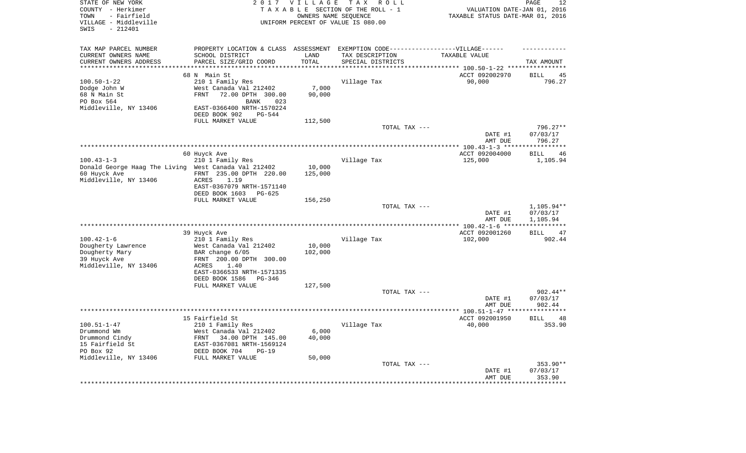| STATE OF NEW YORK<br>COUNTY - Herkimer<br>- Fairfield<br>TOWN<br>VILLAGE - Middleville<br>$-212401$<br>SWIS | 2 0 1 7                                                     | VILLAGE<br>OWNERS NAME SEQUENCE | T A X<br>R O L L<br>TAXABLE SECTION OF THE ROLL - 1<br>UNIFORM PERCENT OF VALUE IS 080.00 | VALUATION DATE-JAN 01, 2016<br>TAXABLE STATUS DATE-MAR 01, 2016 | PAGE<br>12                    |
|-------------------------------------------------------------------------------------------------------------|-------------------------------------------------------------|---------------------------------|-------------------------------------------------------------------------------------------|-----------------------------------------------------------------|-------------------------------|
| TAX MAP PARCEL NUMBER                                                                                       |                                                             |                                 | PROPERTY LOCATION & CLASS ASSESSMENT EXEMPTION CODE----------------VILLAGE------          |                                                                 |                               |
| CURRENT OWNERS NAME                                                                                         | SCHOOL DISTRICT                                             | LAND                            | TAX DESCRIPTION                                                                           | TAXABLE VALUE                                                   |                               |
| CURRENT OWNERS ADDRESS<br>**********************                                                            | PARCEL SIZE/GRID COORD                                      | TOTAL                           | SPECIAL DISTRICTS                                                                         |                                                                 | TAX AMOUNT                    |
|                                                                                                             | 68 N Main St                                                |                                 |                                                                                           | ACCT 092002970                                                  | <b>BILL</b><br>45             |
| $100.50 - 1 - 22$                                                                                           | 210 1 Family Res                                            |                                 | Village Tax                                                                               | 90,000                                                          | 796.27                        |
| Dodge John W                                                                                                | West Canada Val 212402                                      | 7,000                           |                                                                                           |                                                                 |                               |
| 68 N Main St                                                                                                | <b>FRNT</b><br>72.00 DPTH 300.00                            | 90,000                          |                                                                                           |                                                                 |                               |
| PO Box 564                                                                                                  | <b>BANK</b><br>023                                          |                                 |                                                                                           |                                                                 |                               |
| Middleville, NY 13406                                                                                       | EAST-0366400 NRTH-1570224<br><b>PG-544</b><br>DEED BOOK 902 |                                 |                                                                                           |                                                                 |                               |
|                                                                                                             | FULL MARKET VALUE                                           | 112,500                         |                                                                                           |                                                                 |                               |
|                                                                                                             |                                                             |                                 | TOTAL TAX ---                                                                             |                                                                 | $796.27**$                    |
|                                                                                                             |                                                             |                                 |                                                                                           | DATE #1                                                         | 07/03/17                      |
|                                                                                                             |                                                             |                                 |                                                                                           | AMT DUE                                                         | 796.27                        |
|                                                                                                             |                                                             |                                 |                                                                                           |                                                                 | *********                     |
| $100.43 - 1 - 3$                                                                                            | 60 Huyck Ave<br>210 1 Family Res                            |                                 | Village Tax                                                                               | ACCT 092004000<br>125,000                                       | <b>BILL</b><br>46<br>1,105.94 |
| Donald George Haag The Living West Canada Val 212402                                                        |                                                             | 10,000                          |                                                                                           |                                                                 |                               |
| 60 Huyck Ave                                                                                                | FRNT 235.00 DPTH 220.00                                     | 125,000                         |                                                                                           |                                                                 |                               |
| Middleville, NY 13406                                                                                       | <b>ACRES</b><br>1.19                                        |                                 |                                                                                           |                                                                 |                               |
|                                                                                                             | EAST-0367079 NRTH-1571140                                   |                                 |                                                                                           |                                                                 |                               |
|                                                                                                             | DEED BOOK 1603<br>$PG-625$                                  |                                 |                                                                                           |                                                                 |                               |
|                                                                                                             | FULL MARKET VALUE                                           | 156,250                         | TOTAL TAX ---                                                                             |                                                                 | 1,105.94**                    |
|                                                                                                             |                                                             |                                 |                                                                                           | DATE #1                                                         | 07/03/17                      |
|                                                                                                             |                                                             |                                 |                                                                                           | AMT DUE                                                         | 1,105.94                      |
|                                                                                                             |                                                             |                                 |                                                                                           |                                                                 | * * * * * * * * * * *         |
|                                                                                                             | 39 Huyck Ave                                                |                                 |                                                                                           | ACCT 092001260                                                  | <b>BILL</b><br>47             |
| $100.42 - 1 - 6$                                                                                            | 210 1 Family Res                                            |                                 | Village Tax                                                                               | 102,000                                                         | 902.44                        |
| Dougherty Lawrence<br>Dougherty Mary                                                                        | West Canada Val 212402<br>BAR change 6/05                   | 10,000<br>102,000               |                                                                                           |                                                                 |                               |
| 39 Huyck Ave                                                                                                | FRNT 200.00 DPTH 300.00                                     |                                 |                                                                                           |                                                                 |                               |
| Middleville, NY 13406                                                                                       | <b>ACRES</b><br>1.40                                        |                                 |                                                                                           |                                                                 |                               |
|                                                                                                             | EAST-0366533 NRTH-1571335                                   |                                 |                                                                                           |                                                                 |                               |
|                                                                                                             | DEED BOOK 1586<br>PG-346                                    |                                 |                                                                                           |                                                                 |                               |
|                                                                                                             | FULL MARKET VALUE                                           | 127,500                         | TOTAL TAX ---                                                                             |                                                                 | $902.44**$                    |
|                                                                                                             |                                                             |                                 |                                                                                           | DATE #1                                                         | 07/03/17                      |
|                                                                                                             |                                                             |                                 |                                                                                           | AMT DUE                                                         | 902.44                        |
|                                                                                                             |                                                             |                                 |                                                                                           |                                                                 | ********                      |
|                                                                                                             | 15 Fairfield St                                             |                                 |                                                                                           | ACCT 092001950                                                  | <b>BILL</b><br>48             |
| $100.51 - 1 - 47$                                                                                           | 210 1 Family Res                                            |                                 | Village Tax                                                                               | 40,000                                                          | 353.90                        |
| Drummond Wm<br>Drummond Cindy                                                                               | West Canada Val 212402<br>FRNT<br>34.00 DPTH 145.00         | 6,000<br>40,000                 |                                                                                           |                                                                 |                               |
| 15 Fairfield St                                                                                             | EAST-0367081 NRTH-1569124                                   |                                 |                                                                                           |                                                                 |                               |
| PO Box 92                                                                                                   | DEED BOOK 704<br>$PG-19$                                    |                                 |                                                                                           |                                                                 |                               |
| Middleville, NY 13406                                                                                       | FULL MARKET VALUE                                           | 50,000                          |                                                                                           |                                                                 |                               |
|                                                                                                             |                                                             |                                 | TOTAL TAX ---                                                                             |                                                                 | 353.90**                      |
|                                                                                                             |                                                             |                                 |                                                                                           | DATE #1<br>AMT DUE                                              | 07/03/17<br>353.90            |
|                                                                                                             |                                                             |                                 |                                                                                           | * * * * * * * * * * * * * * *                                   | *********                     |
|                                                                                                             |                                                             |                                 |                                                                                           |                                                                 |                               |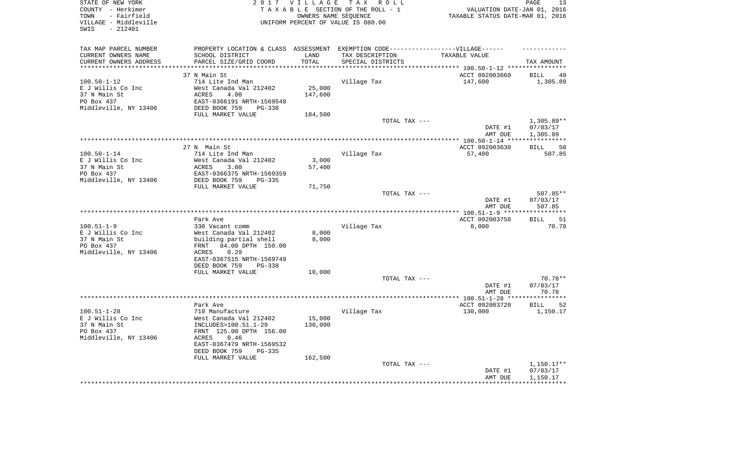| STATE OF NEW YORK<br>COUNTY - Herkimer<br>- Fairfield<br>TOWN<br>VILLAGE - Middleville<br>$-212401$<br>SWIS |                                                                                  | 2017 VILLAGE  | TAX ROLL<br>TAXABLE SECTION OF THE ROLL - 1<br>OWNERS NAME SEQUENCE<br>UNIFORM PERCENT OF VALUE IS 080.00 | VALUATION DATE-JAN 01, 2016<br>TAXABLE STATUS DATE-MAR 01, 2016 | PAGE<br>13                     |
|-------------------------------------------------------------------------------------------------------------|----------------------------------------------------------------------------------|---------------|-----------------------------------------------------------------------------------------------------------|-----------------------------------------------------------------|--------------------------------|
| TAX MAP PARCEL NUMBER                                                                                       | PROPERTY LOCATION & CLASS ASSESSMENT EXEMPTION CODE----------------VILLAGE------ |               |                                                                                                           |                                                                 |                                |
| CURRENT OWNERS NAME<br>CURRENT OWNERS ADDRESS                                                               | SCHOOL DISTRICT<br>PARCEL SIZE/GRID COORD                                        | LAND<br>TOTAL | TAX DESCRIPTION<br>SPECIAL DISTRICTS                                                                      | TAXABLE VALUE                                                   | TAX AMOUNT                     |
| *********************                                                                                       |                                                                                  | ************* |                                                                                                           | ********************************* 100.50-1-12 ****************  |                                |
|                                                                                                             | 37 N Main St                                                                     |               |                                                                                                           | ACCT 092003660                                                  | <b>BILL</b><br>49              |
| $100.50 - 1 - 12$                                                                                           | 714 Lite Ind Man                                                                 |               | Village Tax                                                                                               | 147,600                                                         | 1,305.89                       |
| E J Willis Co Inc                                                                                           | West Canada Val 212402                                                           | 25,000        |                                                                                                           |                                                                 |                                |
| 37 N Main St<br>PO Box 437                                                                                  | <b>ACRES</b><br>4.00<br>EAST-0366191 NRTH-1569548                                | 147,600       |                                                                                                           |                                                                 |                                |
| Middleville, NY 13406                                                                                       | DEED BOOK 759<br>PG-338                                                          |               |                                                                                                           |                                                                 |                                |
|                                                                                                             | FULL MARKET VALUE                                                                | 184,500       |                                                                                                           |                                                                 |                                |
|                                                                                                             |                                                                                  |               | TOTAL TAX ---                                                                                             |                                                                 | $1,305.89**$                   |
|                                                                                                             |                                                                                  |               |                                                                                                           | DATE #1                                                         | 07/03/17                       |
|                                                                                                             |                                                                                  |               |                                                                                                           | AMT DUE                                                         | 1,305.89                       |
|                                                                                                             | 27 N Main St                                                                     |               |                                                                                                           | ACCT 092003630                                                  | <b>BILL</b><br>50              |
| $100.50 - 1 - 14$                                                                                           | 714 Lite Ind Man                                                                 |               | Village Tax                                                                                               | 57,400                                                          | 507.85                         |
| E J Willis Co Inc                                                                                           | West Canada Val 212402                                                           | 3,000         |                                                                                                           |                                                                 |                                |
| 37 N Main St                                                                                                | ACRES<br>3.00                                                                    | 57,400        |                                                                                                           |                                                                 |                                |
| PO Box 437                                                                                                  | EAST-0366375 NRTH-1569359                                                        |               |                                                                                                           |                                                                 |                                |
| Middleville, NY 13406                                                                                       | DEED BOOK 759<br>$PG-335$<br>FULL MARKET VALUE                                   | 71,750        |                                                                                                           |                                                                 |                                |
|                                                                                                             |                                                                                  |               | TOTAL TAX ---                                                                                             |                                                                 | 507.85**                       |
|                                                                                                             |                                                                                  |               |                                                                                                           | DATE #1                                                         | 07/03/17                       |
|                                                                                                             |                                                                                  |               |                                                                                                           | AMT DUE                                                         | 507.85                         |
|                                                                                                             | Park Ave                                                                         |               |                                                                                                           |                                                                 | 51                             |
| $100.51 - 1 - 9$                                                                                            | 330 Vacant comm                                                                  |               | Village Tax                                                                                               | ACCT 092003750<br>8,000                                         | <b>BILL</b><br>70.78           |
| E J Willis Co Inc                                                                                           | West Canada Val 212402                                                           | 8,000         |                                                                                                           |                                                                 |                                |
| 37 N Main St                                                                                                | building partial shell                                                           | 8,000         |                                                                                                           |                                                                 |                                |
| PO Box 437                                                                                                  | 84.00 DPTH 150.00<br>FRNT                                                        |               |                                                                                                           |                                                                 |                                |
| Middleville, NY 13406                                                                                       | ACRES<br>0.29                                                                    |               |                                                                                                           |                                                                 |                                |
|                                                                                                             | EAST-0367515 NRTH-1569749<br>DEED BOOK 759<br>$PG-338$                           |               |                                                                                                           |                                                                 |                                |
|                                                                                                             | FULL MARKET VALUE                                                                | 10,000        |                                                                                                           |                                                                 |                                |
|                                                                                                             |                                                                                  |               | TOTAL TAX ---                                                                                             |                                                                 | 70.78**                        |
|                                                                                                             |                                                                                  |               |                                                                                                           | DATE #1                                                         | 07/03/17                       |
|                                                                                                             |                                                                                  |               |                                                                                                           | AMT DUE                                                         | 70.78<br>* * * * * * * * * * * |
|                                                                                                             | Park Ave                                                                         |               |                                                                                                           | ACCT 092003720                                                  | 52<br><b>BILL</b>              |
| $100.51 - 1 - 28$                                                                                           | 710 Manufacture                                                                  |               | Village Tax                                                                                               | 130,000                                                         | 1,150.17                       |
| E J Willis Co Inc                                                                                           | West Canada Val 212402                                                           | 15,000        |                                                                                                           |                                                                 |                                |
| 37 N Main St                                                                                                | INCLUDES>100.51.1-29                                                             | 130,000       |                                                                                                           |                                                                 |                                |
| PO Box 437                                                                                                  | FRNT 125.00 DPTH 156.00                                                          |               |                                                                                                           |                                                                 |                                |
| Middleville, NY 13406                                                                                       | 0.46<br>ACRES<br>EAST-0367479 NRTH-1569532                                       |               |                                                                                                           |                                                                 |                                |
|                                                                                                             | DEED BOOK 759<br>$PG-335$                                                        |               |                                                                                                           |                                                                 |                                |
|                                                                                                             | FULL MARKET VALUE                                                                | 162,500       |                                                                                                           |                                                                 |                                |
|                                                                                                             |                                                                                  |               | TOTAL TAX ---                                                                                             |                                                                 | $1,150.17**$                   |
|                                                                                                             |                                                                                  |               |                                                                                                           | DATE #1                                                         | 07/03/17                       |
|                                                                                                             |                                                                                  |               |                                                                                                           | AMT DUE                                                         | 1,150.17<br>***********        |
|                                                                                                             |                                                                                  |               |                                                                                                           |                                                                 |                                |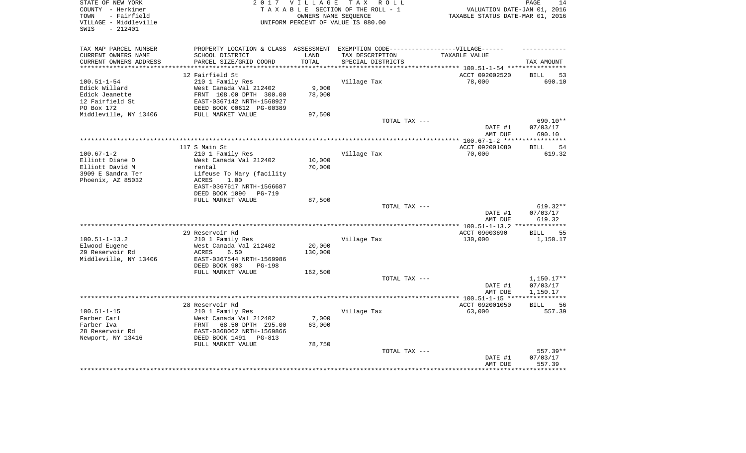| STATE OF NEW YORK<br>COUNTY - Herkimer<br>- Fairfield<br>TOWN<br>VILLAGE - Middleville | 2 0 1 7                                    | <b>VILLAGE</b> | T A X<br>R O L L<br>TAXABLE SECTION OF THE ROLL - 1<br>OWNERS NAME SEOUENCE<br>UNIFORM PERCENT OF VALUE IS 080.00 | VALUATION DATE-JAN 01, 2016<br>TAXABLE STATUS DATE-MAR 01, 2016 | 14<br>PAGE                  |
|----------------------------------------------------------------------------------------|--------------------------------------------|----------------|-------------------------------------------------------------------------------------------------------------------|-----------------------------------------------------------------|-----------------------------|
| $-212401$<br>SWIS                                                                      |                                            |                |                                                                                                                   |                                                                 |                             |
| TAX MAP PARCEL NUMBER                                                                  |                                            |                | PROPERTY LOCATION & CLASS ASSESSMENT EXEMPTION CODE-----------------VILLAGE------                                 |                                                                 |                             |
| CURRENT OWNERS NAME                                                                    | SCHOOL DISTRICT                            | LAND           | TAX DESCRIPTION                                                                                                   | TAXABLE VALUE                                                   |                             |
| CURRENT OWNERS ADDRESS                                                                 | PARCEL SIZE/GRID COORD                     | TOTAL          | SPECIAL DISTRICTS                                                                                                 |                                                                 | TAX AMOUNT                  |
| ***********************                                                                | *****************************              | ***********    |                                                                                                                   |                                                                 |                             |
|                                                                                        | 12 Fairfield St                            |                |                                                                                                                   | ACCT 092002520                                                  | 53<br>BILL                  |
| $100.51 - 1 - 54$<br>Edick Willard                                                     | 210 1 Family Res<br>West Canada Val 212402 | 9,000          | Village Tax                                                                                                       | 78,000                                                          | 690.10                      |
| Edick Jeanette                                                                         | FRNT 108.00 DPTH 300.00                    | 78,000         |                                                                                                                   |                                                                 |                             |
| 12 Fairfield St                                                                        | EAST-0367142 NRTH-1568927                  |                |                                                                                                                   |                                                                 |                             |
| PO Box 172                                                                             | DEED BOOK 00612 PG-00389                   |                |                                                                                                                   |                                                                 |                             |
| Middleville, NY 13406                                                                  | FULL MARKET VALUE                          | 97,500         |                                                                                                                   |                                                                 |                             |
|                                                                                        |                                            |                | TOTAL TAX ---                                                                                                     |                                                                 | 690.10**                    |
|                                                                                        |                                            |                |                                                                                                                   | DATE #1                                                         | 07/03/17                    |
|                                                                                        |                                            |                |                                                                                                                   | AMT DUE                                                         | 690.10                      |
|                                                                                        |                                            |                |                                                                                                                   | *** 100.67-1-2 ****                                             |                             |
| $100.67 - 1 - 2$                                                                       | 117 S Main St                              |                |                                                                                                                   | ACCT 092001080<br>70,000                                        | 54<br><b>BILL</b><br>619.32 |
| Elliott Diane D                                                                        | 210 1 Family Res<br>West Canada Val 212402 | 10,000         | Village Tax                                                                                                       |                                                                 |                             |
| Elliott David M                                                                        | rental                                     | 70,000         |                                                                                                                   |                                                                 |                             |
| 3909 E Sandra Ter                                                                      | Lifeuse To Mary (facility                  |                |                                                                                                                   |                                                                 |                             |
| Phoenix, AZ 85032                                                                      | <b>ACRES</b><br>1.00                       |                |                                                                                                                   |                                                                 |                             |
|                                                                                        | EAST-0367617 NRTH-1566687                  |                |                                                                                                                   |                                                                 |                             |
|                                                                                        | DEED BOOK 1090<br><b>PG-719</b>            |                |                                                                                                                   |                                                                 |                             |
|                                                                                        | FULL MARKET VALUE                          | 87,500         |                                                                                                                   |                                                                 |                             |
|                                                                                        |                                            |                | TOTAL TAX ---                                                                                                     |                                                                 | 619.32**                    |
|                                                                                        |                                            |                |                                                                                                                   | DATE #1                                                         | 07/03/17<br>619.32          |
|                                                                                        |                                            |                |                                                                                                                   | AMT DUE                                                         |                             |
|                                                                                        | 29 Reservoir Rd                            |                |                                                                                                                   | ACCT 09003690                                                   | <b>BILL</b><br>55           |
| $100.51 - 1 - 13.2$                                                                    | 210 1 Family Res                           |                | Village Tax                                                                                                       | 130,000                                                         | 1,150.17                    |
| Elwood Eugene                                                                          | West Canada Val 212402                     | 20,000         |                                                                                                                   |                                                                 |                             |
| 29 Reservoir Rd                                                                        | <b>ACRES</b><br>6.50                       | 130,000        |                                                                                                                   |                                                                 |                             |
| Middleville, NY 13406                                                                  | EAST-0367544 NRTH-1569986                  |                |                                                                                                                   |                                                                 |                             |
|                                                                                        | DEED BOOK 903<br>$PG-198$                  |                |                                                                                                                   |                                                                 |                             |
|                                                                                        | FULL MARKET VALUE                          | 162,500        |                                                                                                                   |                                                                 |                             |
|                                                                                        |                                            |                | TOTAL TAX ---                                                                                                     |                                                                 | $1,150.17**$                |
|                                                                                        |                                            |                |                                                                                                                   | DATE #1<br>AMT DUE                                              | 07/03/17<br>1,150.17        |
|                                                                                        |                                            |                |                                                                                                                   |                                                                 |                             |
|                                                                                        | 28 Reservoir Rd                            |                |                                                                                                                   | ACCT 092001050                                                  | 56<br><b>BILL</b>           |
| $100.51 - 1 - 15$                                                                      | 210 1 Family Res                           |                | Village Tax                                                                                                       | 63,000                                                          | 557.39                      |
| Farber Carl                                                                            | West Canada Val 212402                     | 7,000          |                                                                                                                   |                                                                 |                             |
| Farber Iva                                                                             | 68.50 DPTH 295.00<br>FRNT                  | 63,000         |                                                                                                                   |                                                                 |                             |
| 28 Reservoir Rd                                                                        | EAST-0368062 NRTH-1569866                  |                |                                                                                                                   |                                                                 |                             |
| Newport, NY 13416                                                                      | DEED BOOK 1491<br>PG-813                   |                |                                                                                                                   |                                                                 |                             |
|                                                                                        | FULL MARKET VALUE                          | 78,750         |                                                                                                                   |                                                                 |                             |
|                                                                                        |                                            |                | TOTAL TAX ---                                                                                                     | DATE #1                                                         | 557.39**<br>07/03/17        |
|                                                                                        |                                            |                |                                                                                                                   | AMT DUE                                                         | 557.39                      |
|                                                                                        |                                            |                |                                                                                                                   |                                                                 |                             |
|                                                                                        |                                            |                |                                                                                                                   |                                                                 |                             |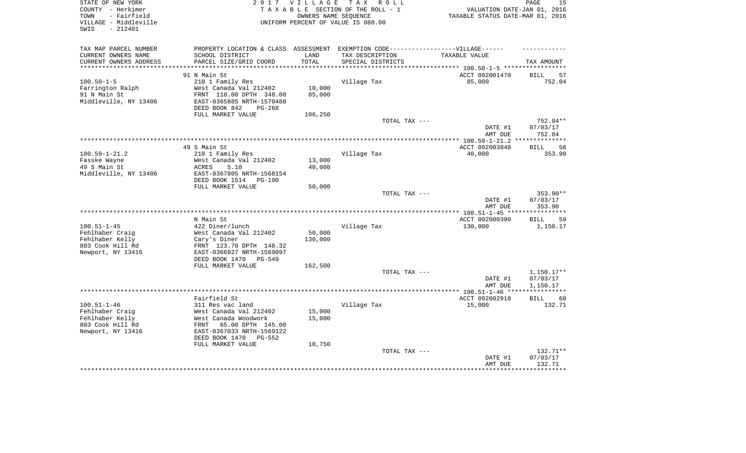| STATE OF NEW YORK<br>COUNTY - Herkimer<br>- Fairfield<br>TOWN<br>VILLAGE - Middleville<br>$-212401$<br>SWIS | 2 0 1 7<br>VILLAGE<br>TAX ROLL<br>TAXABLE SECTION OF THE ROLL - 1<br>OWNERS NAME SEOUENCE<br>UNIFORM PERCENT OF VALUE IS 080.00 |            |                                               | $\mathop{\mathtt{PAGE}}$<br>15<br>VALUATION DATE-JAN 01, 2016<br>TAXABLE STATUS DATE-MAR 01, 2016 |                                   |  |
|-------------------------------------------------------------------------------------------------------------|---------------------------------------------------------------------------------------------------------------------------------|------------|-----------------------------------------------|---------------------------------------------------------------------------------------------------|-----------------------------------|--|
| TAX MAP PARCEL NUMBER                                                                                       | PROPERTY LOCATION & CLASS                                                                                                       | ASSESSMENT | EXEMPTION CODE------------------VILLAGE------ |                                                                                                   |                                   |  |
| CURRENT OWNERS NAME                                                                                         | SCHOOL DISTRICT                                                                                                                 | LAND       | TAX DESCRIPTION                               | TAXABLE VALUE                                                                                     |                                   |  |
| CURRENT OWNERS ADDRESS<br>***********************                                                           | PARCEL SIZE/GRID COORD                                                                                                          | TOTAL      | SPECIAL DISTRICTS                             |                                                                                                   | TAX AMOUNT                        |  |
|                                                                                                             | 91 N Main St                                                                                                                    |            |                                               | ACCT 092001470                                                                                    | 57<br><b>BILL</b>                 |  |
| $100.50 - 1 - 5$                                                                                            | 210 1 Family Res                                                                                                                |            | Village Tax                                   | 85,000                                                                                            | 752.04                            |  |
| Farrington Ralph                                                                                            | West Canada Val 212402                                                                                                          | 10,000     |                                               |                                                                                                   |                                   |  |
| 91 N Main St<br>Middleville, NY 13406                                                                       | FRNT 118.00 DPTH 348.00<br>EAST-0365885 NRTH-1570488<br>DEED BOOK 842<br>$PG-268$                                               | 85,000     |                                               |                                                                                                   |                                   |  |
|                                                                                                             | FULL MARKET VALUE                                                                                                               | 106,250    |                                               |                                                                                                   |                                   |  |
|                                                                                                             |                                                                                                                                 |            | TOTAL TAX ---                                 |                                                                                                   | $752.04**$                        |  |
|                                                                                                             |                                                                                                                                 |            |                                               | DATE #1<br>AMT DUE                                                                                | 07/03/17<br>752.04                |  |
|                                                                                                             |                                                                                                                                 |            |                                               |                                                                                                   |                                   |  |
| $100.59 - 1 - 21.2$                                                                                         | 49 S Main St                                                                                                                    |            |                                               | ACCT 092003840<br>40,000                                                                          | 58<br><b>BILL</b><br>353.90       |  |
| Fasske Wayne                                                                                                | 210 1 Family Res<br>West Canada Val 212402                                                                                      | 13,000     | Village Tax                                   |                                                                                                   |                                   |  |
| 49 S Main St                                                                                                | <b>ACRES</b><br>5.10                                                                                                            | 40,000     |                                               |                                                                                                   |                                   |  |
| Middleville, NY 13406                                                                                       | EAST-0367805 NRTH-1568154                                                                                                       |            |                                               |                                                                                                   |                                   |  |
|                                                                                                             | DEED BOOK 1514<br><b>PG-190</b>                                                                                                 |            |                                               |                                                                                                   |                                   |  |
|                                                                                                             | FULL MARKET VALUE                                                                                                               | 50,000     |                                               |                                                                                                   |                                   |  |
|                                                                                                             |                                                                                                                                 |            | TOTAL TAX ---                                 | DATE #1                                                                                           | 353.90**<br>07/03/17              |  |
|                                                                                                             |                                                                                                                                 |            |                                               | AMT DUE                                                                                           | 353.90                            |  |
|                                                                                                             |                                                                                                                                 |            |                                               |                                                                                                   | *********                         |  |
|                                                                                                             | N Main St                                                                                                                       |            |                                               | ACCT 092000390                                                                                    | <b>BILL</b><br>59                 |  |
| $100.51 - 1 - 45$                                                                                           | 422 Diner/lunch                                                                                                                 |            | Village Tax                                   | 130,000                                                                                           | 1,150.17                          |  |
| Fehlhaber Craig                                                                                             | West Canada Val 212402                                                                                                          | 50,000     |                                               |                                                                                                   |                                   |  |
| Fehlhaber Kelly<br>803 Cook Hill Rd                                                                         | Cary's Diner<br>FRNT 123.70 DPTH 148.32                                                                                         | 130,000    |                                               |                                                                                                   |                                   |  |
| Newport, NY 13416                                                                                           | EAST-0366927 NRTH-1569097                                                                                                       |            |                                               |                                                                                                   |                                   |  |
|                                                                                                             | DEED BOOK 1470<br>$PG-549$                                                                                                      |            |                                               |                                                                                                   |                                   |  |
|                                                                                                             | FULL MARKET VALUE                                                                                                               | 162,500    |                                               |                                                                                                   |                                   |  |
|                                                                                                             |                                                                                                                                 |            | TOTAL TAX ---                                 |                                                                                                   | $1,150.17**$                      |  |
|                                                                                                             |                                                                                                                                 |            |                                               | DATE #1                                                                                           | 07/03/17                          |  |
|                                                                                                             |                                                                                                                                 |            |                                               | AMT DUE<br>****** 100.51-1-46                                                                     | 1,150.17<br>* * * * * * * * * * * |  |
|                                                                                                             | Fairfield St                                                                                                                    |            |                                               | ACCT 092002910                                                                                    | <b>BILL</b><br>60                 |  |
| $100.51 - 1 - 46$                                                                                           | 311 Res vac land                                                                                                                |            | Village Tax                                   | 15,000                                                                                            | 132.71                            |  |
| Fehlhaber Craig                                                                                             | West Canada Val 212402                                                                                                          | 15,000     |                                               |                                                                                                   |                                   |  |
| Fehlhaber Kelly                                                                                             | West Canada Woodwork                                                                                                            | 15,000     |                                               |                                                                                                   |                                   |  |
| 803 Cook Hill Rd                                                                                            | FRNT<br>65.00 DPTH 145.00                                                                                                       |            |                                               |                                                                                                   |                                   |  |
| Newport, NY 13416                                                                                           | EAST-0367033 NRTH-1569122<br>DEED BOOK 1470<br>PG-552                                                                           |            |                                               |                                                                                                   |                                   |  |
|                                                                                                             | FULL MARKET VALUE                                                                                                               | 18,750     |                                               |                                                                                                   |                                   |  |
|                                                                                                             |                                                                                                                                 |            | TOTAL TAX ---                                 |                                                                                                   | 132.71**                          |  |
|                                                                                                             |                                                                                                                                 |            |                                               | DATE #1<br>AMT DUE                                                                                | 07/03/17<br>132.71                |  |
|                                                                                                             |                                                                                                                                 |            |                                               |                                                                                                   |                                   |  |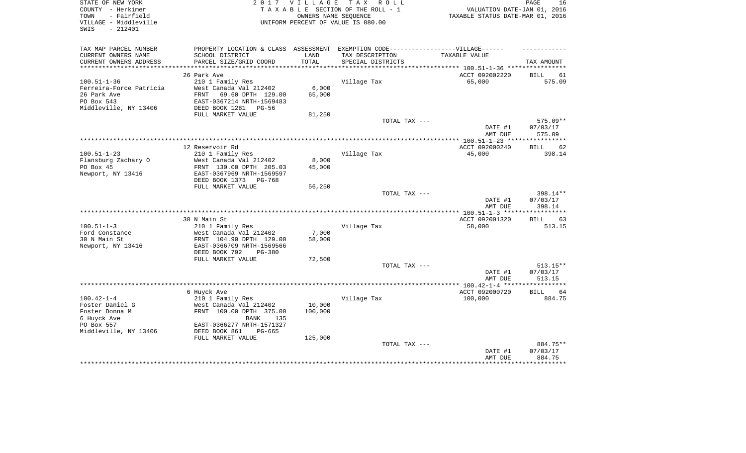| STATE OF NEW YORK<br>COUNTY - Herkimer<br>- Fairfield<br>TOWN<br>VILLAGE - Middleville<br>$-212401$<br>SWIS |                                                                                   | 2017 VILLAGE  | TAX ROLL<br>TAXABLE SECTION OF THE ROLL - 1<br>OWNERS NAME SEQUENCE<br>UNIFORM PERCENT OF VALUE IS 080.00 | VALUATION DATE-JAN 01, 2016<br>TAXABLE STATUS DATE-MAR 01, 2016 | PAGE<br>16        |
|-------------------------------------------------------------------------------------------------------------|-----------------------------------------------------------------------------------|---------------|-----------------------------------------------------------------------------------------------------------|-----------------------------------------------------------------|-------------------|
| TAX MAP PARCEL NUMBER                                                                                       | PROPERTY LOCATION & CLASS ASSESSMENT EXEMPTION CODE-----------------VILLAGE------ |               |                                                                                                           |                                                                 |                   |
| CURRENT OWNERS NAME<br>CURRENT OWNERS ADDRESS                                                               | SCHOOL DISTRICT<br>PARCEL SIZE/GRID COORD                                         | LAND<br>TOTAL | TAX DESCRIPTION<br>SPECIAL DISTRICTS                                                                      | TAXABLE VALUE                                                   | TAX AMOUNT        |
| ***********************                                                                                     |                                                                                   |               |                                                                                                           |                                                                 |                   |
|                                                                                                             | 26 Park Ave                                                                       |               |                                                                                                           | ACCT 092002220                                                  | 61<br>BILL        |
| $100.51 - 1 - 36$                                                                                           | 210 1 Family Res                                                                  |               | Village Tax                                                                                               | 65,000                                                          | 575.09            |
| Ferreira-Force Patricia                                                                                     | West Canada Val 212402                                                            | 6,000         |                                                                                                           |                                                                 |                   |
| 26 Park Ave                                                                                                 | FRNT<br>69.60 DPTH 129.00                                                         | 65,000        |                                                                                                           |                                                                 |                   |
| PO Box 543                                                                                                  | EAST-0367214 NRTH-1569483                                                         |               |                                                                                                           |                                                                 |                   |
| Middleville, NY 13406                                                                                       | DEED BOOK 1281<br>PG-56                                                           |               |                                                                                                           |                                                                 |                   |
|                                                                                                             | FULL MARKET VALUE                                                                 | 81,250        | TOTAL TAX ---                                                                                             |                                                                 | $575.09**$        |
|                                                                                                             |                                                                                   |               |                                                                                                           | DATE #1                                                         | 07/03/17          |
|                                                                                                             |                                                                                   |               |                                                                                                           | AMT DUE                                                         | 575.09            |
|                                                                                                             | 12 Reservoir Rd                                                                   |               |                                                                                                           | ACCT 092000240                                                  | 62<br><b>BILL</b> |
| $100.51 - 1 - 23$                                                                                           | 210 1 Family Res                                                                  |               | Village Tax                                                                                               | 45,000                                                          | 398.14            |
| Flansburg Zachary O                                                                                         | West Canada Val 212402                                                            | 8,000         |                                                                                                           |                                                                 |                   |
| PO Box 45                                                                                                   | FRNT 130.00 DPTH 205.03                                                           | 45,000        |                                                                                                           |                                                                 |                   |
| Newport, NY 13416                                                                                           | EAST-0367969 NRTH-1569597                                                         |               |                                                                                                           |                                                                 |                   |
|                                                                                                             | DEED BOOK 1373<br>$PG-768$                                                        |               |                                                                                                           |                                                                 |                   |
|                                                                                                             | FULL MARKET VALUE                                                                 | 56,250        |                                                                                                           |                                                                 | 398.14**          |
|                                                                                                             |                                                                                   |               | TOTAL TAX ---                                                                                             | DATE #1                                                         | 07/03/17          |
|                                                                                                             |                                                                                   |               |                                                                                                           | AMT DUE                                                         | 398.14            |
|                                                                                                             |                                                                                   |               |                                                                                                           | *** $100.51 - 1 - 3$ ****                                       |                   |
|                                                                                                             | 30 N Main St                                                                      |               |                                                                                                           | ACCT 092001320                                                  | <b>BILL</b><br>63 |
| $100.51 - 1 - 3$                                                                                            | 210 1 Family Res                                                                  |               | Village Tax                                                                                               | 58,000                                                          | 513.15            |
| Ford Constance                                                                                              | West Canada Val 212402                                                            | 7,000         |                                                                                                           |                                                                 |                   |
| 30 N Main St                                                                                                | FRNT 104.90 DPTH 129.00                                                           | 58,000        |                                                                                                           |                                                                 |                   |
| Newport, NY 13416                                                                                           | EAST-0366709 NRTH-1569566<br>PG-380                                               |               |                                                                                                           |                                                                 |                   |
|                                                                                                             | DEED BOOK 792<br>FULL MARKET VALUE                                                | 72,500        |                                                                                                           |                                                                 |                   |
|                                                                                                             |                                                                                   |               | TOTAL TAX ---                                                                                             |                                                                 | $513.15**$        |
|                                                                                                             |                                                                                   |               |                                                                                                           | DATE #1                                                         | 07/03/17          |
|                                                                                                             |                                                                                   |               |                                                                                                           | AMT DUE                                                         | 513.15            |
|                                                                                                             |                                                                                   |               |                                                                                                           |                                                                 |                   |
|                                                                                                             | 6 Huyck Ave                                                                       |               |                                                                                                           | ACCT 092000720                                                  | 64<br><b>BILL</b> |
| $100.42 - 1 - 4$                                                                                            | 210 1 Family Res                                                                  |               | Village Tax                                                                                               | 100,000                                                         | 884.75            |
| Foster Daniel G                                                                                             | West Canada Val 212402                                                            | 10,000        |                                                                                                           |                                                                 |                   |
| Foster Donna M<br>6 Huyck Ave                                                                               | FRNT 100.00 DPTH 375.00<br><b>BANK</b><br>135                                     | 100,000       |                                                                                                           |                                                                 |                   |
| PO Box 557                                                                                                  | EAST-0366277 NRTH-1571327                                                         |               |                                                                                                           |                                                                 |                   |
| Middleville, NY 13406                                                                                       | DEED BOOK 861<br>$PG-665$                                                         |               |                                                                                                           |                                                                 |                   |
|                                                                                                             | FULL MARKET VALUE                                                                 | 125,000       |                                                                                                           |                                                                 |                   |
|                                                                                                             |                                                                                   |               | TOTAL TAX ---                                                                                             |                                                                 | 884.75**          |
|                                                                                                             |                                                                                   |               |                                                                                                           | DATE #1                                                         | 07/03/17          |
|                                                                                                             |                                                                                   |               |                                                                                                           | AMT DUE                                                         | 884.75            |
|                                                                                                             |                                                                                   |               |                                                                                                           |                                                                 |                   |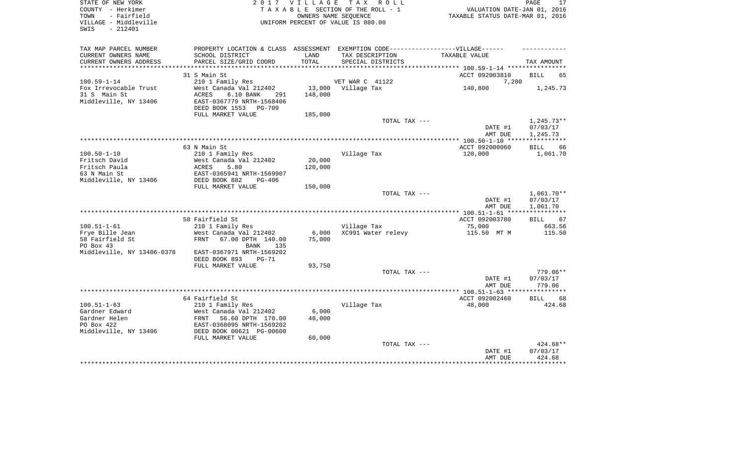| STATE OF NEW YORK<br>COUNTY - Herkimer<br>- Fairfield<br>TOWN<br>VILLAGE - Middleville<br>$-212401$<br>SWIS |                                            | 2017 VILLAGE<br>OWNERS NAME SEQUENCE | TAX ROLL<br>TAXABLE SECTION OF THE ROLL - 1<br>UNIFORM PERCENT OF VALUE IS 080.00                   | VALUATION DATE-JAN 01, 2016<br>TAXABLE STATUS DATE-MAR 01, 2016 | PAGE<br>17                           |
|-------------------------------------------------------------------------------------------------------------|--------------------------------------------|--------------------------------------|-----------------------------------------------------------------------------------------------------|-----------------------------------------------------------------|--------------------------------------|
| TAX MAP PARCEL NUMBER<br>CURRENT OWNERS NAME                                                                | SCHOOL DISTRICT                            | LAND                                 | PROPERTY LOCATION & CLASS ASSESSMENT EXEMPTION CODE----------------VILLAGE------<br>TAX DESCRIPTION | TAXABLE VALUE                                                   |                                      |
| CURRENT OWNERS ADDRESS<br>***********************                                                           | PARCEL SIZE/GRID COORD                     | TOTAL                                | SPECIAL DISTRICTS                                                                                   |                                                                 | TAX AMOUNT                           |
|                                                                                                             |                                            |                                      |                                                                                                     |                                                                 |                                      |
|                                                                                                             | 31 S Main St                               |                                      |                                                                                                     | ACCT 092003810                                                  | <b>BILL</b><br>65                    |
| $100.59 - 1 - 14$<br>Fox Irrevocable Trust                                                                  | 210 1 Family Res<br>West Canada Val 212402 |                                      | VET WAR C 41122<br>13,000 Village Tax                                                               | 7,200<br>140,800                                                |                                      |
| 31 S Main St                                                                                                | <b>ACRES</b><br>6.10 BANK<br>291           | 148,000                              |                                                                                                     |                                                                 | 1,245.73                             |
| Middleville, NY 13406                                                                                       | EAST-0367779 NRTH-1568406                  |                                      |                                                                                                     |                                                                 |                                      |
|                                                                                                             | DEED BOOK 1553 PG-709                      |                                      |                                                                                                     |                                                                 |                                      |
|                                                                                                             | FULL MARKET VALUE                          | 185,000                              |                                                                                                     |                                                                 |                                      |
|                                                                                                             |                                            |                                      | TOTAL TAX ---                                                                                       |                                                                 | $1,245.73**$                         |
|                                                                                                             |                                            |                                      |                                                                                                     | DATE #1                                                         | 07/03/17                             |
|                                                                                                             |                                            |                                      |                                                                                                     | AMT DUE                                                         | 1,245.73                             |
|                                                                                                             |                                            |                                      |                                                                                                     |                                                                 |                                      |
|                                                                                                             | 63 N Main St                               |                                      |                                                                                                     | ACCT 092000060                                                  | <b>BILL</b><br>66                    |
| $100.50 - 1 - 10$                                                                                           | 210 1 Family Res                           |                                      | Village Tax                                                                                         | 120,000                                                         | 1,061.70                             |
| Fritsch David                                                                                               | West Canada Val 212402                     | 20,000                               |                                                                                                     |                                                                 |                                      |
| Fritsch Paula                                                                                               | ACRES<br>5.80                              | 120,000                              |                                                                                                     |                                                                 |                                      |
| 63 N Main St                                                                                                | EAST-0365941 NRTH-1569907                  |                                      |                                                                                                     |                                                                 |                                      |
| Middleville, NY 13406                                                                                       | DEED BOOK 882<br>$PG-406$                  |                                      |                                                                                                     |                                                                 |                                      |
|                                                                                                             | FULL MARKET VALUE                          | 150,000                              |                                                                                                     |                                                                 |                                      |
|                                                                                                             |                                            |                                      | TOTAL TAX ---                                                                                       | DATE #1<br>AMT DUE                                              | $1,061.70**$<br>07/03/17<br>1,061.70 |
|                                                                                                             |                                            |                                      |                                                                                                     |                                                                 |                                      |
|                                                                                                             | 58 Fairfield St                            |                                      |                                                                                                     | ACCT 092003780                                                  | <b>BILL</b><br>67                    |
| $100.51 - 1 - 61$                                                                                           | 210 1 Family Res                           |                                      | Village Tax                                                                                         | 75,000                                                          | 663.56                               |
| Frye Bille Jean                                                                                             | West Canada Val 212402                     | 6,000                                | XC991 Water relevy                                                                                  | 115.50 MT M                                                     | 115.50                               |
| 58 Fairfield St                                                                                             | FRNT<br>67.00 DPTH 140.00                  | 75,000                               |                                                                                                     |                                                                 |                                      |
| PO Box 43                                                                                                   | BANK<br>135                                |                                      |                                                                                                     |                                                                 |                                      |
| Middleville, NY 13406-0378                                                                                  | EAST-0367971 NRTH-1569202                  |                                      |                                                                                                     |                                                                 |                                      |
|                                                                                                             | DEED BOOK 893<br>$PG-71$                   |                                      |                                                                                                     |                                                                 |                                      |
|                                                                                                             | FULL MARKET VALUE                          | 93,750                               |                                                                                                     |                                                                 |                                      |
|                                                                                                             |                                            |                                      | TOTAL TAX ---                                                                                       |                                                                 | 779.06**                             |
|                                                                                                             |                                            |                                      |                                                                                                     | DATE #1                                                         | 07/03/17                             |
|                                                                                                             |                                            |                                      |                                                                                                     | AMT DUE                                                         | 779.06                               |
|                                                                                                             | 64 Fairfield St                            |                                      |                                                                                                     | ACCT 092002460                                                  | <b>BILL</b><br>68                    |
| $100.51 - 1 - 63$                                                                                           | 210 1 Family Res                           |                                      | Village Tax                                                                                         | 48,000                                                          | 424.68                               |
| Gardner Edward                                                                                              | West Canada Val 212402                     | 6,000                                |                                                                                                     |                                                                 |                                      |
| Gardner Helen                                                                                               | 56.60 DPTH 170.00<br>FRNT                  | 48,000                               |                                                                                                     |                                                                 |                                      |
| PO Box 422                                                                                                  | EAST-0368095 NRTH-1569202                  |                                      |                                                                                                     |                                                                 |                                      |
| Middleville, NY 13406                                                                                       | DEED BOOK 00621 PG-00600                   |                                      |                                                                                                     |                                                                 |                                      |
|                                                                                                             | FULL MARKET VALUE                          | 60,000                               |                                                                                                     |                                                                 |                                      |
|                                                                                                             |                                            |                                      | TOTAL TAX ---                                                                                       |                                                                 | 424.68**                             |
|                                                                                                             |                                            |                                      |                                                                                                     | DATE #1<br>AMT DUE                                              | 07/03/17<br>424.68                   |
|                                                                                                             |                                            |                                      |                                                                                                     |                                                                 |                                      |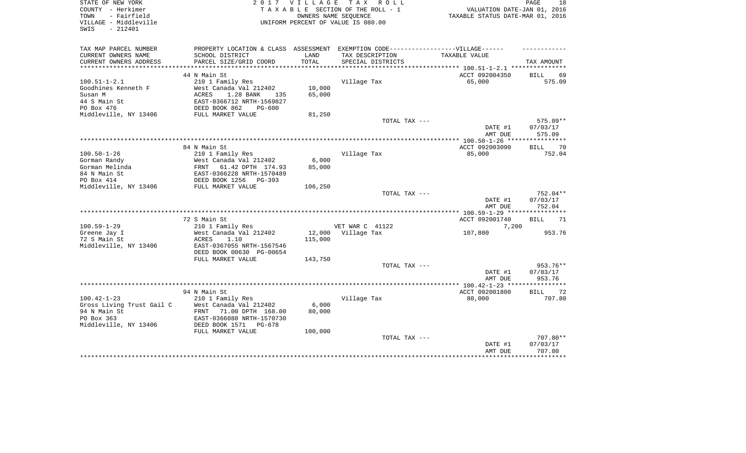| STATE OF NEW YORK<br>COUNTY - Herkimer<br>- Fairfield<br>TOWN<br>VILLAGE - Middleville<br>$-212401$<br>SWIS |                                                     | 2017 VILLAGE    | TAX ROLL<br>TAXABLE SECTION OF THE ROLL - 1<br>OWNERS NAME SEQUENCE<br>UNIFORM PERCENT OF VALUE IS 080.00 | VALUATION DATE-JAN 01, 2016<br>TAXABLE STATUS DATE-MAR 01, 2016 | PAGE<br>18                  |
|-------------------------------------------------------------------------------------------------------------|-----------------------------------------------------|-----------------|-----------------------------------------------------------------------------------------------------------|-----------------------------------------------------------------|-----------------------------|
| TAX MAP PARCEL NUMBER                                                                                       | PROPERTY LOCATION & CLASS ASSESSMENT                |                 |                                                                                                           | EXEMPTION CODE------------------VILLAGE------                   |                             |
| CURRENT OWNERS NAME                                                                                         | SCHOOL DISTRICT                                     | LAND            | TAX DESCRIPTION                                                                                           | TAXABLE VALUE                                                   |                             |
| CURRENT OWNERS ADDRESS                                                                                      | PARCEL SIZE/GRID COORD                              | TOTAL           | SPECIAL DISTRICTS                                                                                         |                                                                 | TAX AMOUNT                  |
|                                                                                                             |                                                     |                 |                                                                                                           |                                                                 |                             |
| $100.51 - 1 - 2.1$                                                                                          | 44 N Main St                                        |                 |                                                                                                           | ACCT 092004350<br>65,000                                        | 69<br><b>BILL</b><br>575.09 |
| Goodhines Kenneth F                                                                                         | 210 1 Family Res<br>West Canada Val 212402          | 10,000          | Village Tax                                                                                               |                                                                 |                             |
| Susan M                                                                                                     | ACRES<br>1.28 BANK<br>135                           | 65,000          |                                                                                                           |                                                                 |                             |
| 44 S Main St                                                                                                | EAST-0366712 NRTH-1569827                           |                 |                                                                                                           |                                                                 |                             |
| PO Box 476                                                                                                  | DEED BOOK 862<br>$PG-600$                           |                 |                                                                                                           |                                                                 |                             |
| Middleville, NY 13406                                                                                       | FULL MARKET VALUE                                   | 81,250          |                                                                                                           |                                                                 |                             |
|                                                                                                             |                                                     |                 | TOTAL TAX ---                                                                                             |                                                                 | $575.09**$                  |
|                                                                                                             |                                                     |                 |                                                                                                           | DATE #1<br>AMT DUE                                              | 07/03/17<br>575.09          |
|                                                                                                             |                                                     |                 |                                                                                                           |                                                                 |                             |
|                                                                                                             | 84 N Main St                                        |                 |                                                                                                           | ACCT 092003090                                                  | <b>BILL</b><br>70           |
| $100.50 - 1 - 26$                                                                                           | 210 1 Family Res                                    |                 | Village Tax                                                                                               | 85,000                                                          | 752.04                      |
| Gorman Randy<br>Gorman Melinda                                                                              | West Canada Val 212402<br>FRNT<br>61.42 DPTH 174.93 | 6,000<br>85,000 |                                                                                                           |                                                                 |                             |
| 84 N Main St                                                                                                | EAST-0366228 NRTH-1570489                           |                 |                                                                                                           |                                                                 |                             |
| PO Box 414                                                                                                  | DEED BOOK 1256<br>$PG-393$                          |                 |                                                                                                           |                                                                 |                             |
| Middleville, NY 13406                                                                                       | FULL MARKET VALUE                                   | 106,250         |                                                                                                           |                                                                 |                             |
|                                                                                                             |                                                     |                 | TOTAL TAX ---                                                                                             |                                                                 | 752.04**                    |
|                                                                                                             |                                                     |                 |                                                                                                           | DATE #1<br>AMT DUE                                              | 07/03/17<br>752.04          |
|                                                                                                             |                                                     |                 |                                                                                                           |                                                                 |                             |
|                                                                                                             | 72 S Main St                                        |                 |                                                                                                           | ACCT 092001740                                                  | <b>BILL</b><br>71           |
| $100.59 - 1 - 29$<br>Greene Jay I                                                                           | 210 1 Family Res<br>West Canada Val 212402          | 12,000          | VET WAR C 41122<br>Village Tax                                                                            | 7,200<br>107,800                                                | 953.76                      |
| 72 S Main St                                                                                                | 1.10<br>ACRES                                       | 115,000         |                                                                                                           |                                                                 |                             |
| Middleville, NY 13406                                                                                       | EAST-0367055 NRTH-1567546                           |                 |                                                                                                           |                                                                 |                             |
|                                                                                                             | DEED BOOK 00630 PG-00654                            |                 |                                                                                                           |                                                                 |                             |
|                                                                                                             | FULL MARKET VALUE                                   | 143,750         |                                                                                                           |                                                                 |                             |
|                                                                                                             |                                                     |                 | TOTAL TAX ---                                                                                             |                                                                 | 953.76**                    |
|                                                                                                             |                                                     |                 |                                                                                                           | DATE #1                                                         | 07/03/17                    |
|                                                                                                             |                                                     |                 |                                                                                                           | AMT DUE                                                         | 953.76                      |
|                                                                                                             |                                                     |                 |                                                                                                           |                                                                 |                             |
| $100.42 - 1 - 23$                                                                                           | 94 N Main St                                        |                 |                                                                                                           | ACCT 092001800                                                  | 72<br><b>BILL</b><br>707.80 |
| Gross Living Trust Gail C                                                                                   | 210 1 Family Res<br>West Canada Val 212402          | 6,000           | Village Tax                                                                                               | 80,000                                                          |                             |
| 94 N Main St                                                                                                | 71.00 DPTH 168.00<br>FRNT                           | 80,000          |                                                                                                           |                                                                 |                             |
| PO Box 363                                                                                                  | EAST-0366088 NRTH-1570730                           |                 |                                                                                                           |                                                                 |                             |
| Middleville, NY 13406                                                                                       | DEED BOOK 1571<br>PG-678                            |                 |                                                                                                           |                                                                 |                             |
|                                                                                                             | FULL MARKET VALUE                                   | 100,000         |                                                                                                           |                                                                 |                             |
|                                                                                                             |                                                     |                 | TOTAL TAX ---                                                                                             |                                                                 | 707.80**                    |
|                                                                                                             |                                                     |                 |                                                                                                           | DATE #1                                                         | 07/03/17                    |
|                                                                                                             |                                                     |                 |                                                                                                           | AMT DUE                                                         | 707.80<br>***********       |
|                                                                                                             |                                                     |                 |                                                                                                           |                                                                 |                             |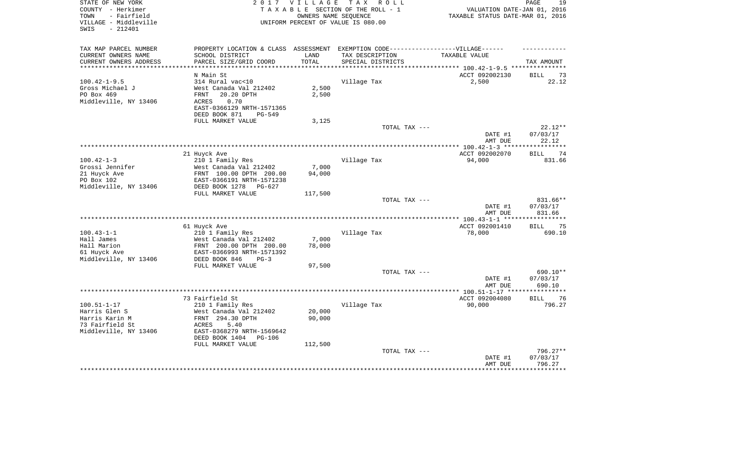| STATE OF NEW YORK<br>COUNTY - Herkimer<br>- Fairfield<br>TOWN<br>VILLAGE - Middleville<br>$-212401$<br>SWIS | 2 0 1 7                                                 | <b>VILLAGE</b> | T A X<br>R O L L<br>TAXABLE SECTION OF THE ROLL - 1<br>OWNERS NAME SEOUENCE<br>UNIFORM PERCENT OF VALUE IS 080.00 | VALUATION DATE-JAN 01, 2016<br>TAXABLE STATUS DATE-MAR 01, 2016 | 19<br>PAGE           |
|-------------------------------------------------------------------------------------------------------------|---------------------------------------------------------|----------------|-------------------------------------------------------------------------------------------------------------------|-----------------------------------------------------------------|----------------------|
|                                                                                                             |                                                         |                |                                                                                                                   |                                                                 |                      |
| TAX MAP PARCEL NUMBER                                                                                       | PROPERTY LOCATION & CLASS ASSESSMENT                    |                | EXEMPTION CODE------------------VILLAGE------                                                                     |                                                                 |                      |
| CURRENT OWNERS NAME<br>CURRENT OWNERS ADDRESS                                                               | SCHOOL DISTRICT<br>PARCEL SIZE/GRID COORD               | LAND<br>TOTAL  | TAX DESCRIPTION<br>SPECIAL DISTRICTS                                                                              | TAXABLE VALUE                                                   | TAX AMOUNT           |
| ***********************                                                                                     | ***************************                             | ***********    |                                                                                                                   |                                                                 |                      |
|                                                                                                             | N Main St                                               |                |                                                                                                                   | ACCT 092002130                                                  | 73<br>BILL           |
| $100.42 - 1 - 9.5$                                                                                          | 314 Rural vac<10                                        |                | Village Tax                                                                                                       | 2,500                                                           | 22.12                |
| Gross Michael J                                                                                             | West Canada Val 212402                                  | 2,500          |                                                                                                                   |                                                                 |                      |
| PO Box 469                                                                                                  | 20.20 DPTH<br>FRNT                                      | 2,500          |                                                                                                                   |                                                                 |                      |
| Middleville, NY 13406                                                                                       | 0.70<br>ACRES                                           |                |                                                                                                                   |                                                                 |                      |
|                                                                                                             | EAST-0366129 NRTH-1571365                               |                |                                                                                                                   |                                                                 |                      |
|                                                                                                             | DEED BOOK 871<br><b>PG-549</b>                          |                |                                                                                                                   |                                                                 |                      |
|                                                                                                             | FULL MARKET VALUE                                       | 3,125          | TOTAL TAX ---                                                                                                     |                                                                 | $22.12**$            |
|                                                                                                             |                                                         |                |                                                                                                                   | DATE #1                                                         | 07/03/17             |
|                                                                                                             |                                                         |                |                                                                                                                   | AMT DUE                                                         | 22.12                |
|                                                                                                             |                                                         |                |                                                                                                                   | *********** 100.42-1-3 ***                                      | *******              |
|                                                                                                             | 21 Huyck Ave                                            |                |                                                                                                                   | ACCT 092002070                                                  | 74<br>BILL           |
| $100.42 - 1 - 3$                                                                                            | 210 1 Family Res                                        |                | Village Tax                                                                                                       | 94,000                                                          | 831.66               |
| Grossi Jennifer                                                                                             | West Canada Val 212402                                  | 7,000          |                                                                                                                   |                                                                 |                      |
| 21 Huyck Ave                                                                                                | FRNT 100.00 DPTH 200.00                                 | 94,000         |                                                                                                                   |                                                                 |                      |
| PO Box 102<br>Middleville, NY 13406                                                                         | EAST-0366191 NRTH-1571238<br>DEED BOOK 1278<br>$PG-627$ |                |                                                                                                                   |                                                                 |                      |
|                                                                                                             | FULL MARKET VALUE                                       | 117,500        |                                                                                                                   |                                                                 |                      |
|                                                                                                             |                                                         |                | TOTAL TAX ---                                                                                                     |                                                                 | 831.66**             |
|                                                                                                             |                                                         |                |                                                                                                                   | DATE #1                                                         | 07/03/17             |
|                                                                                                             |                                                         |                |                                                                                                                   | AMT DUE                                                         | 831.66               |
|                                                                                                             |                                                         |                |                                                                                                                   | ****************** 100.43-1-1 ***                               | ******               |
| $100.43 - 1 - 1$                                                                                            | 61 Huyck Ave                                            |                | Village Tax                                                                                                       | ACCT 092001410                                                  | 75<br>BILL<br>690.10 |
| Hall James                                                                                                  | 210 1 Family Res<br>West Canada Val 212402              | 7,000          |                                                                                                                   | 78,000                                                          |                      |
| Hall Marion                                                                                                 | FRNT 200.00 DPTH 200.00                                 | 78,000         |                                                                                                                   |                                                                 |                      |
| 61 Huyck Ave                                                                                                | EAST-0366993 NRTH-1571392                               |                |                                                                                                                   |                                                                 |                      |
| Middleville, NY 13406                                                                                       | DEED BOOK 846<br>$PG-3$                                 |                |                                                                                                                   |                                                                 |                      |
|                                                                                                             | FULL MARKET VALUE                                       | 97,500         |                                                                                                                   |                                                                 |                      |
|                                                                                                             |                                                         |                | TOTAL TAX ---                                                                                                     |                                                                 | 690.10**             |
|                                                                                                             |                                                         |                |                                                                                                                   | DATE #1                                                         | 07/03/17             |
|                                                                                                             |                                                         |                |                                                                                                                   | AMT DUE                                                         | 690.10<br>********   |
|                                                                                                             | 73 Fairfield St                                         |                |                                                                                                                   | ACCT 092004080                                                  | <b>BILL</b><br>76    |
| $100.51 - 1 - 17$                                                                                           | 210 1 Family Res                                        |                | Village Tax                                                                                                       | 90,000                                                          | 796.27               |
| Harris Glen S                                                                                               | West Canada Val 212402                                  | 20,000         |                                                                                                                   |                                                                 |                      |
| Harris Karin M                                                                                              | FRNT 294.30 DPTH                                        | 90,000         |                                                                                                                   |                                                                 |                      |
| 73 Fairfield St                                                                                             | <b>ACRES</b><br>5.40                                    |                |                                                                                                                   |                                                                 |                      |
| Middleville, NY 13406                                                                                       | EAST-0368279 NRTH-1569642                               |                |                                                                                                                   |                                                                 |                      |
|                                                                                                             | DEED BOOK 1404<br><b>PG-106</b>                         |                |                                                                                                                   |                                                                 |                      |
|                                                                                                             | FULL MARKET VALUE                                       | 112,500        |                                                                                                                   |                                                                 |                      |
|                                                                                                             |                                                         |                | TOTAL TAX ---                                                                                                     |                                                                 | 796.27**             |
|                                                                                                             |                                                         |                |                                                                                                                   | DATE #1<br>AMT DUE                                              | 07/03/17<br>796.27   |
|                                                                                                             |                                                         |                |                                                                                                                   |                                                                 |                      |
|                                                                                                             |                                                         |                |                                                                                                                   |                                                                 |                      |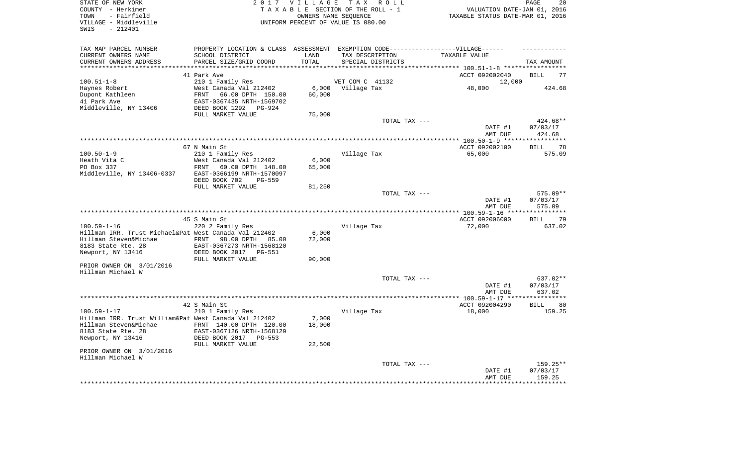| STATE OF NEW YORK<br>COUNTY - Herkimer<br>- Fairfield<br>TOWN<br>VILLAGE - Middleville<br>$-212401$<br>SWIS |                                                            | 2017 VILLAGE    | T A X<br>R O L L<br>TAXABLE SECTION OF THE ROLL - 1<br>OWNERS NAME SEQUENCE<br>UNIFORM PERCENT OF VALUE IS 080.00 | VALUATION DATE-JAN 01, 2016<br>TAXABLE STATUS DATE-MAR 01, 2016 | PAGE<br>20            |
|-------------------------------------------------------------------------------------------------------------|------------------------------------------------------------|-----------------|-------------------------------------------------------------------------------------------------------------------|-----------------------------------------------------------------|-----------------------|
| TAX MAP PARCEL NUMBER                                                                                       |                                                            |                 | PROPERTY LOCATION & CLASS ASSESSMENT EXEMPTION CODE----------------VILLAGE------                                  |                                                                 |                       |
| CURRENT OWNERS NAME                                                                                         | SCHOOL DISTRICT                                            | LAND            | TAX DESCRIPTION                                                                                                   | TAXABLE VALUE                                                   |                       |
| CURRENT OWNERS ADDRESS                                                                                      | PARCEL SIZE/GRID COORD                                     | TOTAL           | SPECIAL DISTRICTS                                                                                                 |                                                                 | TAX AMOUNT            |
| *******************                                                                                         |                                                            | *******         |                                                                                                                   | ********** 100.51-1-8 *****                                     |                       |
|                                                                                                             | 41 Park Ave                                                |                 |                                                                                                                   | ACCT 092002040                                                  | <b>BILL</b><br>77     |
| $100.51 - 1 - 8$                                                                                            | 210 1 Family Res                                           |                 | VET COM C 41132                                                                                                   | 12,000                                                          |                       |
| Haynes Robert<br>Dupont Kathleen                                                                            | West Canada Val 212402<br>FRNT<br>66.00 DPTH 150.00        | 6,000<br>60,000 | Village Tax                                                                                                       | 48,000                                                          | 424.68                |
| 41 Park Ave                                                                                                 | EAST-0367435 NRTH-1569702                                  |                 |                                                                                                                   |                                                                 |                       |
| Middleville, NY 13406                                                                                       | DEED BOOK 1292<br>PG-924                                   |                 |                                                                                                                   |                                                                 |                       |
|                                                                                                             | FULL MARKET VALUE                                          | 75,000          |                                                                                                                   |                                                                 |                       |
|                                                                                                             |                                                            |                 | TOTAL TAX ---                                                                                                     |                                                                 | 424.68**              |
|                                                                                                             |                                                            |                 |                                                                                                                   | DATE #1                                                         | 07/03/17              |
|                                                                                                             |                                                            |                 |                                                                                                                   | AMT DUE                                                         | 424.68                |
|                                                                                                             |                                                            |                 |                                                                                                                   | ** $100.50 - 1 - 9$ ***                                         | ********              |
|                                                                                                             | 67 N Main St                                               |                 |                                                                                                                   | ACCT 092002100                                                  | 78<br><b>BILL</b>     |
| $100.50 - 1 - 9$                                                                                            | 210 1 Family Res                                           |                 | Village Tax                                                                                                       | 65,000                                                          | 575.09                |
| Heath Vita C<br>PO Box 337                                                                                  | West Canada Val 212402<br><b>FRNT</b><br>60.00 DPTH 148.00 | 6,000<br>65,000 |                                                                                                                   |                                                                 |                       |
| Middleville, NY 13406-0337                                                                                  | EAST-0366199 NRTH-1570097                                  |                 |                                                                                                                   |                                                                 |                       |
|                                                                                                             | DEED BOOK 702<br><b>PG-559</b>                             |                 |                                                                                                                   |                                                                 |                       |
|                                                                                                             | FULL MARKET VALUE                                          | 81,250          |                                                                                                                   |                                                                 |                       |
|                                                                                                             |                                                            |                 | TOTAL TAX ---                                                                                                     |                                                                 | 575.09**              |
|                                                                                                             |                                                            |                 |                                                                                                                   | DATE #1                                                         | 07/03/17              |
|                                                                                                             |                                                            |                 |                                                                                                                   | AMT DUE                                                         | 575.09                |
|                                                                                                             |                                                            |                 |                                                                                                                   | $*100.59 - 1 - 16 **$                                           | ********              |
|                                                                                                             | 45 S Main St                                               |                 |                                                                                                                   | ACCT 092006000                                                  | 79<br><b>BILL</b>     |
| $100.59 - 1 - 16$<br>Hillman IRR. Trust Michael&Pat West Canada Val 212402                                  | 220 2 Family Res                                           | 6,000           | Village Tax                                                                                                       | 72,000                                                          | 637.02                |
| Hillman Steven&Michae                                                                                       | <b>FRNT</b><br>98.00 DPTH<br>85.00                         | 72,000          |                                                                                                                   |                                                                 |                       |
| 8183 State Rte. 28                                                                                          | EAST-0367273 NRTH-1568120                                  |                 |                                                                                                                   |                                                                 |                       |
| Newport, NY 13416                                                                                           | DEED BOOK 2017<br>PG-551                                   |                 |                                                                                                                   |                                                                 |                       |
|                                                                                                             | FULL MARKET VALUE                                          | 90,000          |                                                                                                                   |                                                                 |                       |
| PRIOR OWNER ON 3/01/2016                                                                                    |                                                            |                 |                                                                                                                   |                                                                 |                       |
| Hillman Michael W                                                                                           |                                                            |                 |                                                                                                                   |                                                                 |                       |
|                                                                                                             |                                                            |                 | TOTAL TAX ---                                                                                                     |                                                                 | 637.02**              |
|                                                                                                             |                                                            |                 |                                                                                                                   | DATE #1                                                         | 07/03/17              |
|                                                                                                             |                                                            |                 |                                                                                                                   | AMT DUE                                                         | 637.02<br>*********** |
|                                                                                                             | 42 S Main St                                               |                 |                                                                                                                   | ACCT 092004290                                                  | 80<br><b>BILL</b>     |
| $100.59 - 1 - 17$                                                                                           | 210 1 Family Res                                           |                 | Village Tax                                                                                                       | 18,000                                                          | 159.25                |
| Hillman IRR. Trust William&Pat West Canada Val 212402                                                       |                                                            | 7,000           |                                                                                                                   |                                                                 |                       |
| Hillman Steven&Michae                                                                                       | FRNT 140.00 DPTH 120.00                                    | 18,000          |                                                                                                                   |                                                                 |                       |
| 8183 State Rte. 28                                                                                          | EAST-0367126 NRTH-1568129                                  |                 |                                                                                                                   |                                                                 |                       |
| Newport, NY 13416                                                                                           | DEED BOOK 2017<br>$PG-553$                                 |                 |                                                                                                                   |                                                                 |                       |
|                                                                                                             | FULL MARKET VALUE                                          | 22,500          |                                                                                                                   |                                                                 |                       |
| PRIOR OWNER ON 3/01/2016<br>Hillman Michael W                                                               |                                                            |                 |                                                                                                                   |                                                                 |                       |
|                                                                                                             |                                                            |                 | TOTAL TAX ---                                                                                                     |                                                                 | 159.25**              |
|                                                                                                             |                                                            |                 |                                                                                                                   | DATE #1                                                         | 07/03/17              |
|                                                                                                             |                                                            |                 |                                                                                                                   | AMT DUE                                                         | 159.25                |
|                                                                                                             |                                                            |                 |                                                                                                                   |                                                                 |                       |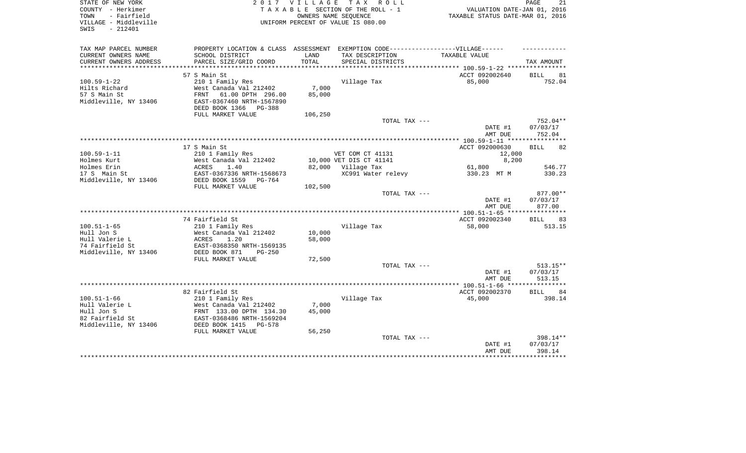| STATE OF NEW YORK<br>COUNTY - Herkimer<br>- Fairfield<br>TOWN<br>VILLAGE - Middleville<br>SWIS<br>$-212401$ |                                                                                  | 2017 VILLAGE | TAX ROLL<br>TAXABLE SECTION OF THE ROLL - 1<br>OWNERS NAME SEQUENCE<br>UNIFORM PERCENT OF VALUE IS 080.00 | VALUATION DATE-JAN 01,<br>TAXABLE STATUS DATE-MAR 01, 2016 | PAGE<br>21<br>2016   |
|-------------------------------------------------------------------------------------------------------------|----------------------------------------------------------------------------------|--------------|-----------------------------------------------------------------------------------------------------------|------------------------------------------------------------|----------------------|
|                                                                                                             |                                                                                  |              |                                                                                                           |                                                            |                      |
| TAX MAP PARCEL NUMBER                                                                                       | PROPERTY LOCATION & CLASS ASSESSMENT EXEMPTION CODE----------------VILLAGE------ |              |                                                                                                           |                                                            |                      |
| CURRENT OWNERS NAME                                                                                         | SCHOOL DISTRICT                                                                  | LAND         | TAX DESCRIPTION                                                                                           | TAXABLE VALUE                                              |                      |
| CURRENT OWNERS ADDRESS                                                                                      | PARCEL SIZE/GRID COORD                                                           | TOTAL        | SPECIAL DISTRICTS                                                                                         |                                                            | TAX AMOUNT           |
|                                                                                                             |                                                                                  |              |                                                                                                           |                                                            |                      |
|                                                                                                             | 57 S Main St                                                                     |              |                                                                                                           | ACCT 092002640                                             | BILL<br>81           |
| $100.59 - 1 - 22$                                                                                           | 210 1 Family Res                                                                 |              | Village Tax                                                                                               | 85,000                                                     | 752.04               |
| Hilts Richard                                                                                               | West Canada Val 212402                                                           | 7,000        |                                                                                                           |                                                            |                      |
| 57 S Main St                                                                                                | 61.00 DPTH 296.00<br>FRNT                                                        | 85,000       |                                                                                                           |                                                            |                      |
| Middleville, NY 13406                                                                                       | EAST-0367460 NRTH-1567890                                                        |              |                                                                                                           |                                                            |                      |
|                                                                                                             | DEED BOOK 1366 PG-388                                                            |              |                                                                                                           |                                                            |                      |
|                                                                                                             | FULL MARKET VALUE                                                                | 106,250      |                                                                                                           |                                                            |                      |
|                                                                                                             |                                                                                  |              | TOTAL TAX ---                                                                                             | DATE #1                                                    | 752.04**<br>07/03/17 |
|                                                                                                             |                                                                                  |              |                                                                                                           | AMT DUE                                                    | 752.04               |
|                                                                                                             |                                                                                  |              |                                                                                                           |                                                            |                      |
|                                                                                                             | 17 S Main St                                                                     |              |                                                                                                           | ACCT 092000630                                             | <b>BILL</b><br>82    |
| $100.59 - 1 - 11$                                                                                           | 210 1 Family Res                                                                 |              | VET COM CT 41131                                                                                          | 12,000                                                     |                      |
| Holmes Kurt                                                                                                 | West Canada Val 212402                                                           |              | 10,000 VET DIS CT 41141                                                                                   | 8,200                                                      |                      |
| Holmes Erin                                                                                                 | 1.40<br>ACRES                                                                    |              | 82,000 Village Tax                                                                                        | 61,800                                                     | 546.77               |
| 17 S Main St                                                                                                | EAST-0367336 NRTH-1568673                                                        |              | XC991 Water relevy                                                                                        | 330.23 MT M                                                | 330.23               |
| Middleville, NY 13406                                                                                       | DEED BOOK 1559 PG-764                                                            |              |                                                                                                           |                                                            |                      |
|                                                                                                             | FULL MARKET VALUE                                                                | 102,500      |                                                                                                           |                                                            |                      |
|                                                                                                             |                                                                                  |              | TOTAL TAX ---                                                                                             |                                                            | 877.00**             |
|                                                                                                             |                                                                                  |              |                                                                                                           | DATE #1                                                    | 07/03/17             |
|                                                                                                             |                                                                                  |              |                                                                                                           | AMT DUE                                                    | 877.00               |
|                                                                                                             | 74 Fairfield St                                                                  |              |                                                                                                           | ACCT 092002340                                             | 83<br><b>BILL</b>    |
| $100.51 - 1 - 65$                                                                                           | 210 1 Family Res                                                                 |              | Village Tax                                                                                               | 58,000                                                     | 513.15               |
| Hull Jon S                                                                                                  | West Canada Val 212402                                                           | 10,000       |                                                                                                           |                                                            |                      |
| Hull Valerie L                                                                                              | ACRES<br>1.20                                                                    | 58,000       |                                                                                                           |                                                            |                      |
| 74 Fairfield St                                                                                             | EAST-0368350 NRTH-1569135                                                        |              |                                                                                                           |                                                            |                      |
| Middleville, NY 13406                                                                                       | DEED BOOK 871<br>$PG-250$                                                        |              |                                                                                                           |                                                            |                      |
|                                                                                                             | FULL MARKET VALUE                                                                | 72,500       |                                                                                                           |                                                            |                      |
|                                                                                                             |                                                                                  |              | TOTAL TAX ---                                                                                             |                                                            | $513.15**$           |
|                                                                                                             |                                                                                  |              |                                                                                                           | DATE #1                                                    | 07/03/17             |
|                                                                                                             |                                                                                  |              |                                                                                                           | AMT DUE                                                    | 513.15               |
|                                                                                                             |                                                                                  |              |                                                                                                           |                                                            |                      |
|                                                                                                             | 82 Fairfield St                                                                  |              |                                                                                                           | ACCT 092002370                                             | <b>BILL</b><br>84    |
| $100.51 - 1 - 66$                                                                                           | 210 1 Family Res                                                                 |              | Village Tax                                                                                               | 45,000                                                     | 398.14               |
| Hull Valerie L                                                                                              | West Canada Val 212402                                                           | 7,000        |                                                                                                           |                                                            |                      |
| Hull Jon S<br>82 Fairfield St                                                                               | FRNT 133.00 DPTH 134.30<br>EAST-0368486 NRTH-1569204                             | 45,000       |                                                                                                           |                                                            |                      |
| Middleville, NY 13406                                                                                       | DEED BOOK 1415<br>PG-578                                                         |              |                                                                                                           |                                                            |                      |
|                                                                                                             | FULL MARKET VALUE                                                                | 56,250       |                                                                                                           |                                                            |                      |
|                                                                                                             |                                                                                  |              | TOTAL TAX ---                                                                                             |                                                            | 398.14**             |
|                                                                                                             |                                                                                  |              |                                                                                                           | DATE #1                                                    | 07/03/17             |
|                                                                                                             |                                                                                  |              |                                                                                                           | AMT DUE                                                    | 398.14               |
|                                                                                                             |                                                                                  |              |                                                                                                           |                                                            |                      |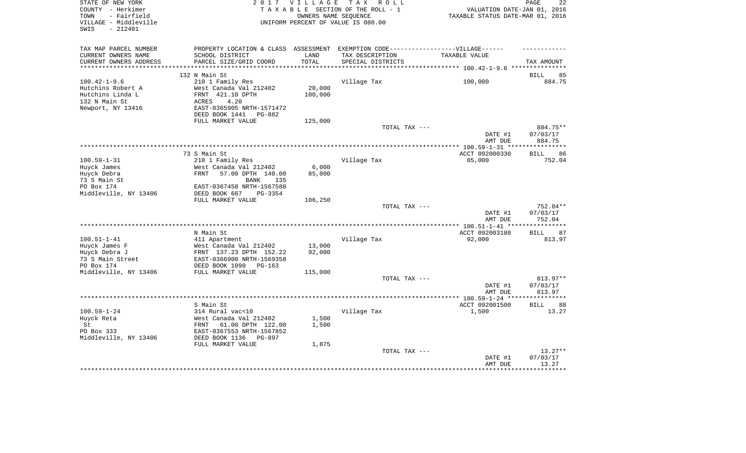| STATE OF NEW YORK<br>COUNTY - Herkimer<br>- Fairfield<br>TOWN | 2 0 1 7                                       | <b>VILLAGE</b> | T A X<br>R O L L<br>TAXABLE SECTION OF THE ROLL - 1<br>OWNERS NAME SEQUENCE | VALUATION DATE-JAN 01, 2016<br>TAXABLE STATUS DATE-MAR 01, 2016 | PAGE<br>22           |
|---------------------------------------------------------------|-----------------------------------------------|----------------|-----------------------------------------------------------------------------|-----------------------------------------------------------------|----------------------|
| VILLAGE - Middleville<br>SWIS<br>$-212401$                    |                                               |                | UNIFORM PERCENT OF VALUE IS 080.00                                          |                                                                 |                      |
| TAX MAP PARCEL NUMBER                                         | PROPERTY LOCATION & CLASS                     | ASSESSMENT     | EXEMPTION CODE------------------VILLAGE------                               |                                                                 |                      |
| CURRENT OWNERS NAME                                           | SCHOOL DISTRICT                               | LAND           | TAX DESCRIPTION                                                             | TAXABLE VALUE                                                   |                      |
| CURRENT OWNERS ADDRESS<br>**********************              | PARCEL SIZE/GRID COORD                        | TOTAL          | SPECIAL DISTRICTS                                                           |                                                                 | TAX AMOUNT           |
|                                                               |                                               |                | ************************************** 100.42-1-9.6                         |                                                                 | ***************      |
| $100.42 - 1 - 9.6$                                            | 132 N Main St<br>210 1 Family Res             |                | Village Tax                                                                 | 100,000                                                         | 85<br>BILL<br>884.75 |
| Hutchins Robert A                                             | West Canada Val 212402                        | 20,000         |                                                                             |                                                                 |                      |
| Hutchins Linda L                                              | FRNT<br>421.10 DPTH                           | 100,000        |                                                                             |                                                                 |                      |
| 132 N Main St                                                 | ACRES<br>4.20                                 |                |                                                                             |                                                                 |                      |
| Newport, NY 13416                                             | EAST-0365905 NRTH-1571472                     |                |                                                                             |                                                                 |                      |
|                                                               | DEED BOOK 1441<br>PG-882                      |                |                                                                             |                                                                 |                      |
|                                                               | FULL MARKET VALUE                             | 125,000        |                                                                             |                                                                 |                      |
|                                                               |                                               |                | TOTAL TAX ---                                                               |                                                                 | 884.75**             |
|                                                               |                                               |                |                                                                             | DATE #1                                                         | 07/03/17             |
|                                                               |                                               |                |                                                                             | AMT DUE                                                         | 884.75<br>******     |
|                                                               | 73 S Main St                                  |                |                                                                             | ACCT 092000330                                                  | 86<br><b>BILL</b>    |
| $100.59 - 1 - 31$                                             | 210 1 Family Res                              |                | Village Tax                                                                 | 85,000                                                          | 752.04               |
| Huyck James                                                   | West Canada Val 212402                        | 6,000          |                                                                             |                                                                 |                      |
| Huyck Debra                                                   | 57.00 DPTH 140.00<br>FRNT                     | 85,000         |                                                                             |                                                                 |                      |
| 73 S Main St                                                  | <b>BANK</b><br>135                            |                |                                                                             |                                                                 |                      |
| PO Box 174                                                    | EAST-0367458 NRTH-1567580                     |                |                                                                             |                                                                 |                      |
| Middleville, NY 13406                                         | DEED BOOK 667<br>PG-3354                      |                |                                                                             |                                                                 |                      |
|                                                               | FULL MARKET VALUE                             | 106,250        |                                                                             |                                                                 |                      |
|                                                               |                                               |                | TOTAL TAX ---                                                               | DATE #1                                                         | 752.04**<br>07/03/17 |
|                                                               |                                               |                |                                                                             | AMT DUE                                                         | 752.04               |
|                                                               |                                               |                |                                                                             |                                                                 |                      |
|                                                               | N Main St                                     |                |                                                                             | ACCT 092003180                                                  | <b>BILL</b><br>87    |
| $100.51 - 1 - 41$                                             | 411 Apartment                                 |                | Village Tax                                                                 | 92,000                                                          | 813.97               |
| Huyck James F                                                 | West Canada Val 212402                        | 13,000         |                                                                             |                                                                 |                      |
| Huyck Debra J                                                 | FRNT 137.23 DPTH 152.22                       | 92,000         |                                                                             |                                                                 |                      |
| 73 S Main Street                                              | EAST-0366900 NRTH-1569358                     |                |                                                                             |                                                                 |                      |
| PO Box 174                                                    | DEED BOOK 1090<br>$PG-163$                    |                |                                                                             |                                                                 |                      |
| Middleville, NY 13406                                         | FULL MARKET VALUE                             | 115,000        | TOTAL TAX ---                                                               |                                                                 | 813.97**             |
|                                                               |                                               |                |                                                                             | DATE #1                                                         | 07/03/17             |
|                                                               |                                               |                |                                                                             | AMT DUE                                                         | 813.97               |
|                                                               | *******************************               |                | *************************                                                   | ************* 100.59-1-24 ****                                  |                      |
|                                                               | S Main St                                     |                |                                                                             | ACCT 092001500                                                  | <b>BILL</b><br>88    |
| $100.59 - 1 - 24$                                             | 314 Rural vac<10                              |                | Village Tax                                                                 | 1,500                                                           | 13.27                |
| Huyck Reta                                                    | West Canada Val 212402                        | 1,500          |                                                                             |                                                                 |                      |
| St                                                            | FRNT<br>61.00 DPTH 122.00                     | 1,500          |                                                                             |                                                                 |                      |
| PO Box 333                                                    | EAST-0367553 NRTH-1567852                     |                |                                                                             |                                                                 |                      |
| Middleville, NY 13406                                         | DEED BOOK 1136<br>PG-897<br>FULL MARKET VALUE |                |                                                                             |                                                                 |                      |
|                                                               |                                               | 1,875          | TOTAL TAX ---                                                               |                                                                 | $13.27**$            |
|                                                               |                                               |                |                                                                             | DATE #1                                                         | 07/03/17             |
|                                                               |                                               |                |                                                                             | AMT DUE                                                         | 13.27                |
|                                                               |                                               |                |                                                                             |                                                                 |                      |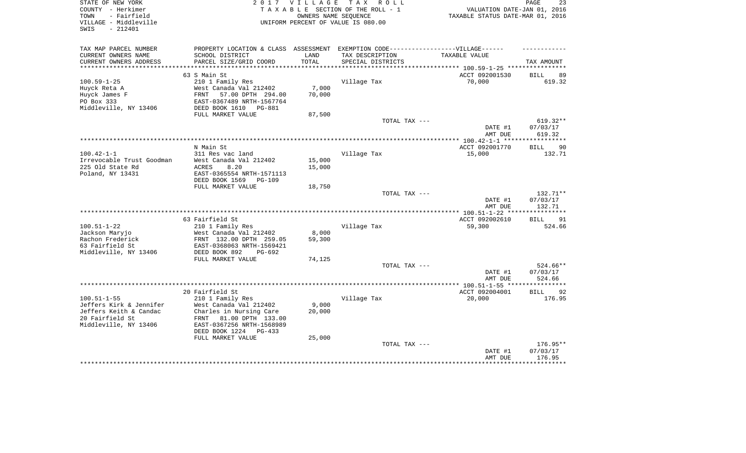| STATE OF NEW YORK<br>COUNTY - Herkimer<br>- Fairfield<br>TOWN<br>VILLAGE - Middleville<br>$-212401$<br>SWIS |                                                                                   | 2017 VILLAGE<br>OWNERS NAME SEQUENCE | TAX ROLL<br>TAXABLE SECTION OF THE ROLL - 1<br>UNIFORM PERCENT OF VALUE IS 080.00 | VALUATION DATE-JAN 01, 2016<br>TAXABLE STATUS DATE-MAR 01, 2016 | 23<br>PAGE                  |
|-------------------------------------------------------------------------------------------------------------|-----------------------------------------------------------------------------------|--------------------------------------|-----------------------------------------------------------------------------------|-----------------------------------------------------------------|-----------------------------|
| TAX MAP PARCEL NUMBER                                                                                       | PROPERTY LOCATION & CLASS ASSESSMENT EXEMPTION CODE-----------------VILLAGE------ |                                      |                                                                                   |                                                                 |                             |
| CURRENT OWNERS NAME<br>CURRENT OWNERS ADDRESS                                                               | SCHOOL DISTRICT<br>PARCEL SIZE/GRID COORD                                         | LAND<br>TOTAL                        | TAX DESCRIPTION<br>SPECIAL DISTRICTS                                              | TAXABLE VALUE                                                   |                             |
| ***********************                                                                                     |                                                                                   |                                      |                                                                                   |                                                                 | TAX AMOUNT                  |
|                                                                                                             | 63 S Main St                                                                      |                                      |                                                                                   | ACCT 092001530                                                  | <b>BILL</b><br>89           |
| $100.59 - 1 - 25$                                                                                           | 210 1 Family Res                                                                  |                                      | Village Tax                                                                       | 70,000                                                          | 619.32                      |
| Huyck Reta A                                                                                                | West Canada Val 212402                                                            | 7,000                                |                                                                                   |                                                                 |                             |
| Huyck James F                                                                                               | FRNT<br>57.00 DPTH 294.00                                                         | 70,000                               |                                                                                   |                                                                 |                             |
| PO Box 333                                                                                                  | EAST-0367489 NRTH-1567764                                                         |                                      |                                                                                   |                                                                 |                             |
| Middleville, NY 13406                                                                                       | DEED BOOK 1610<br>PG-881                                                          |                                      |                                                                                   |                                                                 |                             |
|                                                                                                             | FULL MARKET VALUE                                                                 | 87,500                               | TOTAL TAX ---                                                                     |                                                                 | $619.32**$                  |
|                                                                                                             |                                                                                   |                                      |                                                                                   | DATE #1                                                         | 07/03/17                    |
|                                                                                                             |                                                                                   |                                      |                                                                                   | AMT DUE                                                         | 619.32                      |
|                                                                                                             |                                                                                   |                                      |                                                                                   |                                                                 |                             |
|                                                                                                             | N Main St                                                                         |                                      |                                                                                   | ACCT 092001770                                                  | <b>BILL</b><br>90           |
| $100.42 - 1 - 1$                                                                                            | 311 Res vac land                                                                  |                                      | Village Tax                                                                       | 15,000                                                          | 132.71                      |
| Irrevocable Trust Goodman                                                                                   | West Canada Val 212402                                                            | 15,000                               |                                                                                   |                                                                 |                             |
| 225 Old State Rd<br>Poland, NY 13431                                                                        | ACRES<br>8.20<br>EAST-0365554 NRTH-1571113                                        | 15,000                               |                                                                                   |                                                                 |                             |
|                                                                                                             | DEED BOOK 1569<br>$PG-109$                                                        |                                      |                                                                                   |                                                                 |                             |
|                                                                                                             | FULL MARKET VALUE                                                                 | 18,750                               |                                                                                   |                                                                 |                             |
|                                                                                                             |                                                                                   |                                      | TOTAL TAX ---                                                                     |                                                                 | 132.71**                    |
|                                                                                                             |                                                                                   |                                      |                                                                                   | DATE #1                                                         | 07/03/17                    |
|                                                                                                             |                                                                                   |                                      |                                                                                   | AMT DUE                                                         | 132.71                      |
|                                                                                                             |                                                                                   |                                      |                                                                                   | *** $100.51 - 1 - 22$ **                                        |                             |
| $100.51 - 1 - 22$                                                                                           | 63 Fairfield St<br>210 1 Family Res                                               |                                      | Village Tax                                                                       | ACCT 092002610<br>59,300                                        | 91<br><b>BILL</b><br>524.66 |
| Jackson Maryjo                                                                                              | West Canada Val 212402                                                            | 8,000                                |                                                                                   |                                                                 |                             |
| Rachon Frederick                                                                                            | FRNT 132.00 DPTH 259.05                                                           | 59,300                               |                                                                                   |                                                                 |                             |
| 63 Fairfield St                                                                                             | EAST-0368063 NRTH-1569421                                                         |                                      |                                                                                   |                                                                 |                             |
| Middleville, NY 13406                                                                                       | DEED BOOK 892<br>PG-692                                                           |                                      |                                                                                   |                                                                 |                             |
|                                                                                                             | FULL MARKET VALUE                                                                 | 74,125                               |                                                                                   |                                                                 |                             |
|                                                                                                             |                                                                                   |                                      | TOTAL TAX ---                                                                     | DATE #1                                                         | 524.66**                    |
|                                                                                                             |                                                                                   |                                      |                                                                                   | AMT DUE                                                         | 07/03/17<br>524.66          |
|                                                                                                             |                                                                                   |                                      |                                                                                   |                                                                 |                             |
|                                                                                                             | 20 Fairfield St                                                                   |                                      |                                                                                   | ACCT 092004001                                                  | 92<br><b>BILL</b>           |
| $100.51 - 1 - 55$                                                                                           | 210 1 Family Res                                                                  |                                      | Village Tax                                                                       | 20,000                                                          | 176.95                      |
| Jeffers Kirk & Jennifer                                                                                     | West Canada Val 212402                                                            | 9,000                                |                                                                                   |                                                                 |                             |
| Jeffers Keith & Candac                                                                                      | Charles in Nursing Care                                                           | 20,000                               |                                                                                   |                                                                 |                             |
| 20 Fairfield St                                                                                             | 81.00 DPTH 133.00<br>FRNT                                                         |                                      |                                                                                   |                                                                 |                             |
| Middleville, NY 13406                                                                                       | EAST-0367256 NRTH-1568989<br>DEED BOOK 1224<br>$PG-433$                           |                                      |                                                                                   |                                                                 |                             |
|                                                                                                             | FULL MARKET VALUE                                                                 | 25,000                               |                                                                                   |                                                                 |                             |
|                                                                                                             |                                                                                   |                                      | TOTAL TAX ---                                                                     |                                                                 | 176.95**                    |
|                                                                                                             |                                                                                   |                                      |                                                                                   | DATE #1                                                         | 07/03/17                    |
|                                                                                                             |                                                                                   |                                      |                                                                                   | AMT DUE                                                         | 176.95                      |
|                                                                                                             |                                                                                   |                                      |                                                                                   |                                                                 |                             |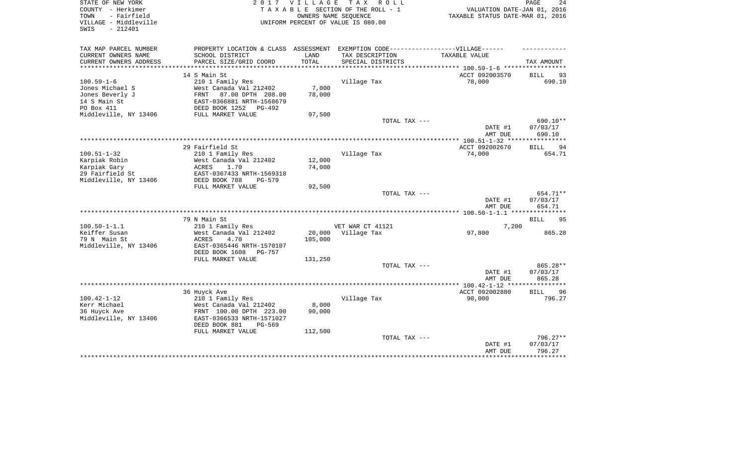| STATE OF NEW YORK<br>COUNTY - Herkimer                            | 2 0 1 7                                                                           | <b>VILLAGE</b>  | TAX ROLL<br>TAXABLE SECTION OF THE ROLL - 1                | VALUATION DATE-JAN 01,           | PAGE<br>24<br>2016 |
|-------------------------------------------------------------------|-----------------------------------------------------------------------------------|-----------------|------------------------------------------------------------|----------------------------------|--------------------|
| - Fairfield<br>TOWN<br>VILLAGE - Middleville<br>$-212401$<br>SWIS |                                                                                   |                 | OWNERS NAME SEQUENCE<br>UNIFORM PERCENT OF VALUE IS 080.00 | TAXABLE STATUS DATE-MAR 01, 2016 |                    |
| TAX MAP PARCEL NUMBER                                             | PROPERTY LOCATION & CLASS ASSESSMENT EXEMPTION CODE-----------------VILLAGE------ |                 |                                                            |                                  |                    |
| CURRENT OWNERS NAME                                               | SCHOOL DISTRICT                                                                   | LAND            | TAX DESCRIPTION                                            | TAXABLE VALUE                    |                    |
| CURRENT OWNERS ADDRESS                                            | PARCEL SIZE/GRID COORD                                                            | TOTAL           | SPECIAL DISTRICTS                                          |                                  | TAX AMOUNT         |
|                                                                   |                                                                                   |                 |                                                            |                                  |                    |
|                                                                   | 14 S Main St                                                                      |                 |                                                            | ACCT 092003570                   | BILL<br>93         |
| $100.59 - 1 - 6$<br>Jones Michael S                               | 210 1 Family Res<br>West Canada Val 212402                                        |                 | Village Tax                                                | 78,000                           | 690.10             |
| Jones Beverly J                                                   | 87.00 DPTH 208.00<br>FRNT                                                         | 7,000<br>78,000 |                                                            |                                  |                    |
| 14 S Main St                                                      | EAST-0366881 NRTH-1568679                                                         |                 |                                                            |                                  |                    |
| PO Box 411                                                        | DEED BOOK 1252<br>PG-492                                                          |                 |                                                            |                                  |                    |
| Middleville, NY 13406                                             | FULL MARKET VALUE                                                                 | 97,500          |                                                            |                                  |                    |
|                                                                   |                                                                                   |                 | TOTAL TAX ---                                              |                                  | 690.10**           |
|                                                                   |                                                                                   |                 |                                                            | DATE #1<br>AMT DUE               | 07/03/17<br>690.10 |
|                                                                   |                                                                                   |                 |                                                            |                                  |                    |
|                                                                   | 29 Fairfield St                                                                   |                 |                                                            | ACCT 092002670                   | <b>BILL</b><br>94  |
| $100.51 - 1 - 32$                                                 | 210 1 Family Res                                                                  |                 | Village Tax                                                | 74,000                           | 654.71             |
| Karpiak Robin                                                     | West Canada Val 212402                                                            | 12,000          |                                                            |                                  |                    |
| Karpiak Gary<br>29 Fairfield St                                   | ACRES<br>1.70<br>EAST-0367433 NRTH-1569318                                        | 74,000          |                                                            |                                  |                    |
| Middleville, NY 13406                                             | DEED BOOK 788<br>$PG-579$                                                         |                 |                                                            |                                  |                    |
|                                                                   | FULL MARKET VALUE                                                                 | 92,500          |                                                            |                                  |                    |
|                                                                   |                                                                                   |                 | TOTAL TAX ---                                              |                                  | 654.71**           |
|                                                                   |                                                                                   |                 |                                                            | DATE #1<br>AMT DUE               | 07/03/17<br>654.71 |
|                                                                   |                                                                                   |                 |                                                            |                                  |                    |
|                                                                   | 79 N Main St                                                                      |                 |                                                            |                                  | 95<br>BILL         |
| $100.50 - 1 - 1.1$                                                | 210 1 Family Res                                                                  |                 | VET WAR CT 41121                                           | 7,200                            |                    |
| Keiffer Susan                                                     | West Canada Val 212402                                                            | 20,000          | Village Tax                                                | 97,800                           | 865.28             |
| 79 N Main St<br>Middleville, NY 13406                             | 4.70<br>ACRES<br>EAST-0365446 NRTH-1570107                                        | 105,000         |                                                            |                                  |                    |
|                                                                   | DEED BOOK 1608<br>PG-757                                                          |                 |                                                            |                                  |                    |
|                                                                   | FULL MARKET VALUE                                                                 | 131,250         |                                                            |                                  |                    |
|                                                                   |                                                                                   |                 | TOTAL TAX ---                                              |                                  | 865.28**           |
|                                                                   |                                                                                   |                 |                                                            | DATE #1                          | 07/03/17           |
|                                                                   |                                                                                   |                 |                                                            | AMT DUE                          | 865.28             |
|                                                                   |                                                                                   |                 |                                                            |                                  |                    |
|                                                                   | 36 Huyck Ave                                                                      |                 |                                                            | ACCT 092002880                   | <b>BILL</b><br>96  |
| $100.42 - 1 - 12$                                                 | 210 1 Family Res                                                                  |                 | Village Tax                                                | 90,000                           | 796.27             |
| Kerr Michael                                                      | West Canada Val 212402                                                            | 8,000           |                                                            |                                  |                    |
| 36 Huyck Ave                                                      | FRNT 100.00 DPTH 223.00                                                           | 90,000          |                                                            |                                  |                    |
| Middleville, NY 13406                                             | EAST-0366533 NRTH-1571027                                                         |                 |                                                            |                                  |                    |
|                                                                   | DEED BOOK 881<br>$PG-569$<br>FULL MARKET VALUE                                    | 112,500         |                                                            |                                  |                    |
|                                                                   |                                                                                   |                 | TOTAL TAX ---                                              |                                  | 796.27**           |
|                                                                   |                                                                                   |                 |                                                            | DATE #1                          | 07/03/17           |
|                                                                   |                                                                                   |                 |                                                            | AMT DUE                          | 796.27             |
|                                                                   |                                                                                   |                 |                                                            |                                  | **************     |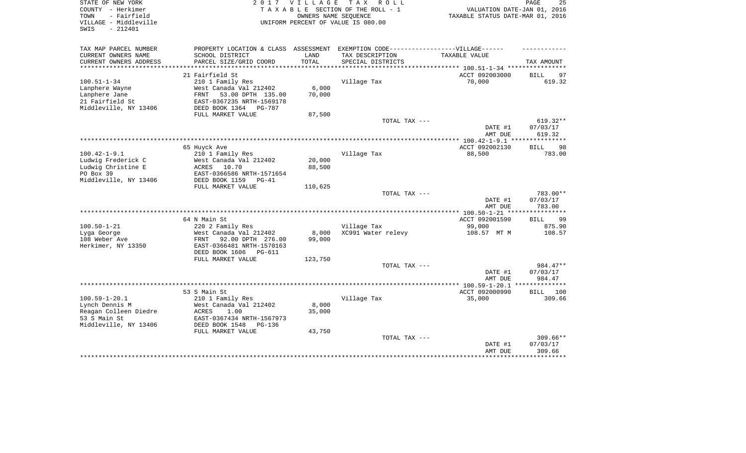| STATE OF NEW YORK<br>COUNTY - Herkimer<br>- Fairfield<br>TOWN<br>VILLAGE - Middleville<br>$-212401$<br>SWIS |                                      | 2017 VILLAGE | TAX ROLL<br>TAXABLE SECTION OF THE ROLL - 1<br>OWNERS NAME SEQUENCE<br>UNIFORM PERCENT OF VALUE IS 080.00 | VALUATION DATE-JAN 01, 2016<br>TAXABLE STATUS DATE-MAR 01, 2016 | PAGE<br>25                  |
|-------------------------------------------------------------------------------------------------------------|--------------------------------------|--------------|-----------------------------------------------------------------------------------------------------------|-----------------------------------------------------------------|-----------------------------|
| TAX MAP PARCEL NUMBER                                                                                       | PROPERTY LOCATION & CLASS ASSESSMENT |              | EXEMPTION CODE------------------VILLAGE------                                                             |                                                                 |                             |
| CURRENT OWNERS NAME                                                                                         | SCHOOL DISTRICT                      | LAND         | TAX DESCRIPTION                                                                                           | TAXABLE VALUE                                                   |                             |
| CURRENT OWNERS ADDRESS                                                                                      | PARCEL SIZE/GRID COORD               | TOTAL        | SPECIAL DISTRICTS                                                                                         |                                                                 | TAX AMOUNT                  |
|                                                                                                             | 21 Fairfield St                      |              |                                                                                                           | ACCT 092003000                                                  | <b>BILL</b><br>97           |
| $100.51 - 1 - 34$                                                                                           | 210 1 Family Res                     |              | Village Tax                                                                                               | 70,000                                                          | 619.32                      |
| Lanphere Wayne                                                                                              | West Canada Val 212402               | 6,000        |                                                                                                           |                                                                 |                             |
| Lanphere Jane                                                                                               | 53.00 DPTH 135.00<br>FRNT            | 70,000       |                                                                                                           |                                                                 |                             |
| 21 Fairfield St                                                                                             | EAST-0367235 NRTH-1569178            |              |                                                                                                           |                                                                 |                             |
| Middleville, NY 13406                                                                                       | DEED BOOK 1364<br>PG-787             |              |                                                                                                           |                                                                 |                             |
|                                                                                                             | FULL MARKET VALUE                    | 87,500       |                                                                                                           |                                                                 |                             |
|                                                                                                             |                                      |              | TOTAL TAX ---                                                                                             |                                                                 | $619.32**$                  |
|                                                                                                             |                                      |              |                                                                                                           | DATE #1<br>AMT DUE                                              | 07/03/17<br>619.32          |
|                                                                                                             |                                      |              |                                                                                                           |                                                                 |                             |
| $100.42 - 1 - 9.1$                                                                                          | 65 Huyck Ave<br>210 1 Family Res     |              | Village Tax                                                                                               | ACCT 092002130<br>88,500                                        | <b>BILL</b><br>98<br>783.00 |
| Ludwig Frederick C                                                                                          | West Canada Val 212402               | 20,000       |                                                                                                           |                                                                 |                             |
| Ludwig Christine E                                                                                          | ACRES<br>10.70                       | 88,500       |                                                                                                           |                                                                 |                             |
| PO Box 39                                                                                                   | EAST-0366586 NRTH-1571654            |              |                                                                                                           |                                                                 |                             |
| Middleville, NY 13406                                                                                       | DEED BOOK 1159<br>$PG-41$            |              |                                                                                                           |                                                                 |                             |
|                                                                                                             | FULL MARKET VALUE                    | 110,625      |                                                                                                           |                                                                 |                             |
|                                                                                                             |                                      |              | TOTAL TAX ---                                                                                             |                                                                 | 783.00**                    |
|                                                                                                             |                                      |              |                                                                                                           | DATE #1                                                         | 07/03/17                    |
|                                                                                                             |                                      |              |                                                                                                           | AMT DUE                                                         | 783.00                      |
|                                                                                                             | 64 N Main St                         |              |                                                                                                           | ACCT 092001590                                                  | 99<br><b>BILL</b>           |
| $100.50 - 1 - 21$                                                                                           | 220 2 Family Res                     |              | Village Tax                                                                                               | 99,000                                                          | 875.90                      |
| Lyga George                                                                                                 | West Canada Val 212402               | 8,000        | XC991 Water relevy                                                                                        | 108.57 MT M                                                     | 108.57                      |
| 108 Weber Ave                                                                                               | FRNT<br>92.00 DPTH 276.00            | 99,000       |                                                                                                           |                                                                 |                             |
| Herkimer, NY 13350                                                                                          | EAST-0366481 NRTH-1570163            |              |                                                                                                           |                                                                 |                             |
|                                                                                                             | DEED BOOK 1606<br>PG-611             |              |                                                                                                           |                                                                 |                             |
|                                                                                                             | FULL MARKET VALUE                    | 123,750      |                                                                                                           |                                                                 |                             |
|                                                                                                             |                                      |              | TOTAL TAX ---                                                                                             |                                                                 | 984.47**                    |
|                                                                                                             |                                      |              |                                                                                                           | DATE #1<br>AMT DUE                                              | 07/03/17<br>984.47          |
|                                                                                                             |                                      |              |                                                                                                           |                                                                 | **************              |
|                                                                                                             | 53 S Main St                         |              |                                                                                                           | ACCT 092000990                                                  | <b>BILL</b><br>100          |
| $100.59 - 1 - 20.1$                                                                                         | 210 1 Family Res                     |              | Village Tax                                                                                               | 35,000                                                          | 309.66                      |
| Lynch Dennis M                                                                                              | West Canada Val 212402               | 8,000        |                                                                                                           |                                                                 |                             |
| Reagan Colleen Diedre                                                                                       | <b>ACRES</b><br>1.00                 | 35,000       |                                                                                                           |                                                                 |                             |
| 53 S Main St                                                                                                | EAST-0367434 NRTH-1567973            |              |                                                                                                           |                                                                 |                             |
| Middleville, NY 13406                                                                                       | DEED BOOK 1548<br>$PG-136$           |              |                                                                                                           |                                                                 |                             |
|                                                                                                             | FULL MARKET VALUE                    | 43,750       |                                                                                                           |                                                                 |                             |
|                                                                                                             |                                      |              | TOTAL TAX ---                                                                                             |                                                                 | $309.66**$                  |
|                                                                                                             |                                      |              |                                                                                                           | DATE #1<br>AMT DUE                                              | 07/03/17<br>309.66          |
|                                                                                                             |                                      |              |                                                                                                           |                                                                 | .                           |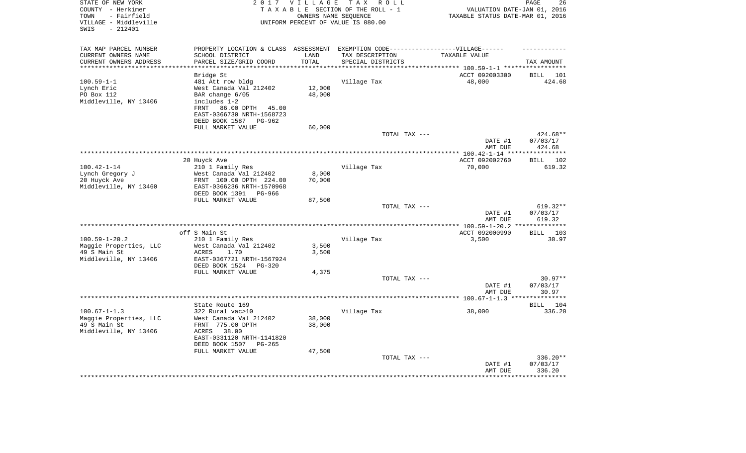| STATE OF NEW YORK<br>COUNTY - Herkimer<br>- Fairfield<br>TOWN<br>VILLAGE - Middleville<br>- 212401<br>SWIS |                                                         | 2017 VILLAGE<br>OWNERS NAME SEOUENCE | T A X<br>R O L L<br>TAXABLE SECTION OF THE ROLL - 1<br>UNIFORM PERCENT OF VALUE IS 080.00 | VALUATION DATE-JAN 01, 2016<br>TAXABLE STATUS DATE-MAR 01, 2016 | 26<br>PAGE                   |
|------------------------------------------------------------------------------------------------------------|---------------------------------------------------------|--------------------------------------|-------------------------------------------------------------------------------------------|-----------------------------------------------------------------|------------------------------|
| TAX MAP PARCEL NUMBER                                                                                      |                                                         |                                      | PROPERTY LOCATION & CLASS ASSESSMENT EXEMPTION CODE-----------------VILLAGE------         |                                                                 |                              |
| CURRENT OWNERS NAME                                                                                        | SCHOOL DISTRICT                                         | LAND                                 | TAX DESCRIPTION                                                                           | TAXABLE VALUE                                                   |                              |
| CURRENT OWNERS ADDRESS                                                                                     | PARCEL SIZE/GRID COORD                                  | TOTAL                                | SPECIAL DISTRICTS                                                                         |                                                                 | TAX AMOUNT                   |
|                                                                                                            | Bridge St                                               |                                      |                                                                                           | ******* 100.59-1-1 *****<br>ACCT 092003300                      | <b>BILL</b><br>101           |
| $100.59 - 1 - 1$                                                                                           | 481 Att row bldg                                        |                                      | Village Tax                                                                               | 48,000                                                          | 424.68                       |
| Lynch Eric                                                                                                 | West Canada Val 212402                                  | 12,000                               |                                                                                           |                                                                 |                              |
| PO Box 112                                                                                                 | BAR change 6/05                                         | 48,000                               |                                                                                           |                                                                 |                              |
| Middleville, NY 13406                                                                                      | includes 1-2                                            |                                      |                                                                                           |                                                                 |                              |
|                                                                                                            | 86.00 DPTH<br>45.00<br>FRNT                             |                                      |                                                                                           |                                                                 |                              |
|                                                                                                            | EAST-0366730 NRTH-1568723<br>DEED BOOK 1587<br>$PG-962$ |                                      |                                                                                           |                                                                 |                              |
|                                                                                                            | FULL MARKET VALUE                                       | 60,000                               |                                                                                           |                                                                 |                              |
|                                                                                                            |                                                         |                                      | TOTAL TAX ---                                                                             |                                                                 | 424.68**                     |
|                                                                                                            |                                                         |                                      |                                                                                           | DATE #1                                                         | 07/03/17                     |
|                                                                                                            |                                                         |                                      |                                                                                           | AMT DUE                                                         | 424.68                       |
|                                                                                                            |                                                         |                                      |                                                                                           |                                                                 | ********                     |
| $100.42 - 1 - 14$                                                                                          | 20 Huyck Ave<br>210 1 Family Res                        |                                      | Village Tax                                                                               | ACCT 092002760<br>70,000                                        | 102<br><b>BILL</b><br>619.32 |
| Lynch Gregory J                                                                                            | West Canada Val 212402                                  | 8,000                                |                                                                                           |                                                                 |                              |
| 20 Huyck Ave                                                                                               | FRNT 100.00 DPTH 224.00                                 | 70,000                               |                                                                                           |                                                                 |                              |
| Middleville, NY 13460                                                                                      | EAST-0366236 NRTH-1570968                               |                                      |                                                                                           |                                                                 |                              |
|                                                                                                            | DEED BOOK 1391<br>PG-966                                |                                      |                                                                                           |                                                                 |                              |
|                                                                                                            | FULL MARKET VALUE                                       | 87,500                               | TOTAL TAX ---                                                                             |                                                                 | 619.32**                     |
|                                                                                                            |                                                         |                                      |                                                                                           | DATE #1                                                         | 07/03/17                     |
|                                                                                                            |                                                         |                                      |                                                                                           | AMT DUE                                                         | 619.32                       |
|                                                                                                            |                                                         |                                      |                                                                                           |                                                                 | **********                   |
|                                                                                                            | off S Main St                                           |                                      |                                                                                           | ACCT 092000990                                                  | 103<br><b>BILL</b>           |
| $100.59 - 1 - 20.2$                                                                                        | 210 1 Family Res<br>West Canada Val 212402              |                                      | Village Tax                                                                               | 3,500                                                           | 30.97                        |
| Maggie Properties, LLC<br>49 S Main St                                                                     | <b>ACRES</b><br>1.70                                    | 3,500<br>3,500                       |                                                                                           |                                                                 |                              |
| Middleville, NY 13406                                                                                      | EAST-0367721 NRTH-1567924                               |                                      |                                                                                           |                                                                 |                              |
|                                                                                                            | DEED BOOK 1524<br>$PG-320$                              |                                      |                                                                                           |                                                                 |                              |
|                                                                                                            | FULL MARKET VALUE                                       | 4,375                                |                                                                                           |                                                                 |                              |
|                                                                                                            |                                                         |                                      | TOTAL TAX ---                                                                             |                                                                 | $30.97**$                    |
|                                                                                                            |                                                         |                                      |                                                                                           | DATE #1<br>AMT DUE                                              | 07/03/17<br>30.97            |
|                                                                                                            |                                                         |                                      | ***********************                                                                   | ******** $100.67 - 1 - 1.3$                                     |                              |
|                                                                                                            | State Route 169                                         |                                      |                                                                                           |                                                                 | <b>BILL</b><br>104           |
| $100.67 - 1 - 1.3$                                                                                         | 322 Rural vac>10                                        |                                      | Village Tax                                                                               | 38,000                                                          | 336.20                       |
| Maggie Properties, LLC                                                                                     | West Canada Val 212402                                  | 38,000                               |                                                                                           |                                                                 |                              |
| 49 S Main St                                                                                               | FRNT 775.00 DPTH                                        | 38,000                               |                                                                                           |                                                                 |                              |
| Middleville, NY 13406                                                                                      | 38.00<br>ACRES<br>EAST-0331120 NRTH-1141820             |                                      |                                                                                           |                                                                 |                              |
|                                                                                                            | DEED BOOK 1507<br>PG-265                                |                                      |                                                                                           |                                                                 |                              |
|                                                                                                            | FULL MARKET VALUE                                       | 47,500                               |                                                                                           |                                                                 |                              |
|                                                                                                            |                                                         |                                      | TOTAL TAX ---                                                                             |                                                                 | 336.20**                     |
|                                                                                                            |                                                         |                                      |                                                                                           | DATE #1<br>AMT DUE                                              | 07/03/17<br>336.20           |
|                                                                                                            |                                                         |                                      |                                                                                           |                                                                 |                              |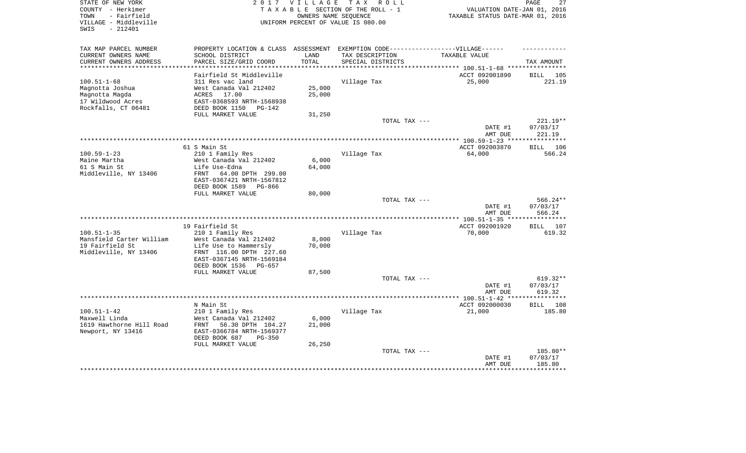| STATE OF NEW YORK<br>COUNTY - Herkimer<br>- Fairfield<br>TOWN<br>VILLAGE - Middleville<br>$-212401$<br>SWIS | 2 0 1 7                                                     | <b>VILLAGE</b> | T A X<br>R O L L<br>TAXABLE SECTION OF THE ROLL - 1<br>OWNERS NAME SEQUENCE<br>UNIFORM PERCENT OF VALUE IS 080.00 | VALUATION DATE-JAN 01, 2016<br>TAXABLE STATUS DATE-MAR 01, 2016 | PAGE<br>27            |
|-------------------------------------------------------------------------------------------------------------|-------------------------------------------------------------|----------------|-------------------------------------------------------------------------------------------------------------------|-----------------------------------------------------------------|-----------------------|
| TAX MAP PARCEL NUMBER                                                                                       | PROPERTY LOCATION & CLASS                                   | ASSESSMENT     | EXEMPTION CODE------------------VILLAGE------                                                                     |                                                                 |                       |
| CURRENT OWNERS NAME                                                                                         | SCHOOL DISTRICT                                             | LAND           | TAX DESCRIPTION                                                                                                   | TAXABLE VALUE                                                   |                       |
| CURRENT OWNERS ADDRESS                                                                                      | PARCEL SIZE/GRID COORD                                      | TOTAL          | SPECIAL DISTRICTS                                                                                                 |                                                                 | TAX AMOUNT            |
| **********************                                                                                      | **********************                                      | **********     | ********************************* 100.51-1-68 ****************                                                    |                                                                 |                       |
|                                                                                                             | Fairfield St Middleville                                    |                |                                                                                                                   | ACCT 092001890                                                  | 105<br>BILL           |
| $100.51 - 1 - 68$<br>Magnotta Joshua                                                                        | 311 Res vac land<br>West Canada Val 212402                  | 25,000         | Village Tax                                                                                                       | 25,000                                                          | 221.19                |
| Magnotta Magda                                                                                              | ACRES<br>17.00                                              | 25,000         |                                                                                                                   |                                                                 |                       |
| 17 Wildwood Acres                                                                                           | EAST-0368593 NRTH-1568938                                   |                |                                                                                                                   |                                                                 |                       |
| Rockfalls, CT 06481                                                                                         | DEED BOOK 1150<br>$PG-142$                                  |                |                                                                                                                   |                                                                 |                       |
|                                                                                                             | FULL MARKET VALUE                                           | 31,250         |                                                                                                                   |                                                                 |                       |
|                                                                                                             |                                                             |                | TOTAL TAX ---                                                                                                     |                                                                 | 221.19**              |
|                                                                                                             |                                                             |                |                                                                                                                   | DATE #1                                                         | 07/03/17              |
|                                                                                                             |                                                             |                |                                                                                                                   | AMT DUE                                                         | 221.19                |
|                                                                                                             |                                                             |                |                                                                                                                   | ****** 100.59-1-23 ***                                          | ********              |
| $100.59 - 1 - 23$                                                                                           | 61 S Main St                                                |                |                                                                                                                   | ACCT 092003870<br>64,000                                        | 106<br>BILL<br>566.24 |
| Maine Martha                                                                                                | 210 1 Family Res<br>West Canada Val 212402                  | 6,000          | Village Tax                                                                                                       |                                                                 |                       |
| 61 S Main St                                                                                                | Life Use-Edna                                               | 64,000         |                                                                                                                   |                                                                 |                       |
| Middleville, NY 13406                                                                                       | 64.00 DPTH 299.00<br><b>FRNT</b>                            |                |                                                                                                                   |                                                                 |                       |
|                                                                                                             | EAST-0367421 NRTH-1567812                                   |                |                                                                                                                   |                                                                 |                       |
|                                                                                                             | DEED BOOK 1589<br>PG-866                                    |                |                                                                                                                   |                                                                 |                       |
|                                                                                                             | FULL MARKET VALUE                                           | 80,000         |                                                                                                                   |                                                                 |                       |
|                                                                                                             |                                                             |                | TOTAL TAX ---                                                                                                     |                                                                 | $566.24**$            |
|                                                                                                             |                                                             |                |                                                                                                                   | DATE #1<br>AMT DUE                                              | 07/03/17<br>566.24    |
|                                                                                                             | *************************                                   |                | ***********************                                                                                           | *** $100.51 - 1 - 35$ **                                        | *******               |
|                                                                                                             | 19 Fairfield St                                             |                |                                                                                                                   | ACCT 092001920                                                  | 107<br>BILL           |
| $100.51 - 1 - 35$                                                                                           | 210 1 Family Res                                            |                | Village Tax                                                                                                       | 70,000                                                          | 619.32                |
| Mansfield Carter William                                                                                    | West Canada Val 212402                                      | 8,000          |                                                                                                                   |                                                                 |                       |
| 19 Fairfield St                                                                                             | Life Use to Hammersly                                       | 70,000         |                                                                                                                   |                                                                 |                       |
| Middleville, NY 13406                                                                                       | FRNT 116.00 DPTH 227.60                                     |                |                                                                                                                   |                                                                 |                       |
|                                                                                                             | EAST-0367145 NRTH-1569184                                   |                |                                                                                                                   |                                                                 |                       |
|                                                                                                             | DEED BOOK 1536<br>PG-657                                    |                |                                                                                                                   |                                                                 |                       |
|                                                                                                             | FULL MARKET VALUE                                           | 87,500         | TOTAL TAX ---                                                                                                     |                                                                 | 619.32**              |
|                                                                                                             |                                                             |                |                                                                                                                   | DATE #1                                                         | 07/03/17              |
|                                                                                                             |                                                             |                |                                                                                                                   | AMT DUE                                                         | 619.32                |
|                                                                                                             |                                                             |                |                                                                                                                   |                                                                 | ******                |
|                                                                                                             | N Main St                                                   |                |                                                                                                                   | ACCT 092000030                                                  | 108<br><b>BILL</b>    |
| $100.51 - 1 - 42$                                                                                           | 210 1 Family Res                                            |                | Village Tax                                                                                                       | 21,000                                                          | 185.80                |
| Maxwell Linda                                                                                               | West Canada Val 212402                                      | 6,000          |                                                                                                                   |                                                                 |                       |
| 1619 Hawthorne Hill Road                                                                                    | 56.30 DPTH 104.27<br>FRNT                                   | 21,000         |                                                                                                                   |                                                                 |                       |
| Newport, NY 13416                                                                                           | EAST-0366784 NRTH-1569377<br>DEED BOOK 687<br><b>PG-350</b> |                |                                                                                                                   |                                                                 |                       |
|                                                                                                             | FULL MARKET VALUE                                           | 26,250         |                                                                                                                   |                                                                 |                       |
|                                                                                                             |                                                             |                | TOTAL TAX ---                                                                                                     |                                                                 | 185.80**              |
|                                                                                                             |                                                             |                |                                                                                                                   | DATE #1                                                         | 07/03/17              |
|                                                                                                             |                                                             |                |                                                                                                                   | AMT DUE                                                         | 185.80                |
|                                                                                                             |                                                             |                |                                                                                                                   |                                                                 |                       |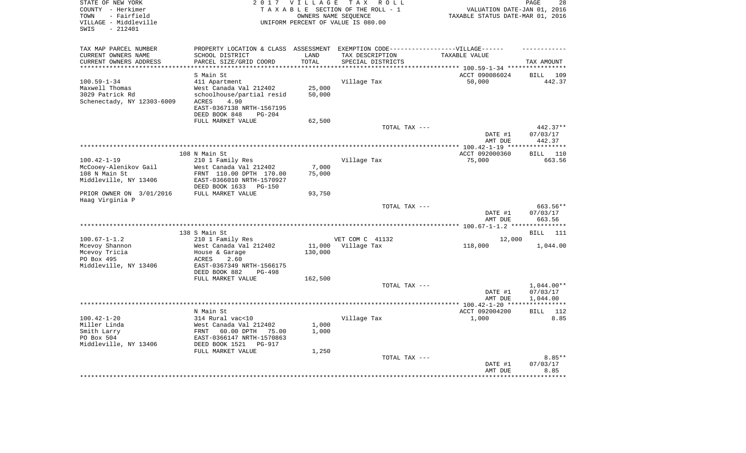| STATE OF NEW YORK<br>COUNTY - Herkimer<br>TOWN<br>- Fairfield<br>VILLAGE - Middleville |                                                       | 2017 VILLAGE      | T A X<br>R O L L<br>TAXABLE SECTION OF THE ROLL - 1<br>OWNERS NAME SEQUENCE<br>UNIFORM PERCENT OF VALUE IS 080.00 | VALUATION DATE-JAN 01, 2016<br>TAXABLE STATUS DATE-MAR 01, 2016 | PAGE<br>28                        |
|----------------------------------------------------------------------------------------|-------------------------------------------------------|-------------------|-------------------------------------------------------------------------------------------------------------------|-----------------------------------------------------------------|-----------------------------------|
| SWIS<br>$-212401$                                                                      |                                                       |                   |                                                                                                                   |                                                                 |                                   |
| TAX MAP PARCEL NUMBER                                                                  | PROPERTY LOCATION & CLASS ASSESSMENT                  |                   | EXEMPTION CODE------------------VILLAGE------                                                                     |                                                                 |                                   |
| CURRENT OWNERS NAME                                                                    | SCHOOL DISTRICT                                       | LAND              | TAX DESCRIPTION                                                                                                   | TAXABLE VALUE                                                   |                                   |
| CURRENT OWNERS ADDRESS                                                                 | PARCEL SIZE/GRID COORD                                | TOTAL             | SPECIAL DISTRICTS                                                                                                 |                                                                 | TAX AMOUNT                        |
| *********************                                                                  | **********************                                | ***********       |                                                                                                                   |                                                                 |                                   |
| $100.59 - 1 - 34$                                                                      | S Main St<br>411 Apartment                            |                   | Village Tax                                                                                                       | ACCT 090086024<br>50,000                                        | BILL 109<br>442.37                |
| Maxwell Thomas                                                                         | West Canada Val 212402                                | 25,000            |                                                                                                                   |                                                                 |                                   |
| 3029 Patrick Rd                                                                        | schoolhouse/partial resid                             | 50,000            |                                                                                                                   |                                                                 |                                   |
| Schenectady, NY 12303-6009                                                             | 4.90<br>ACRES                                         |                   |                                                                                                                   |                                                                 |                                   |
|                                                                                        | EAST-0367138 NRTH-1567195                             |                   |                                                                                                                   |                                                                 |                                   |
|                                                                                        | DEED BOOK 848<br>$PG-204$                             |                   |                                                                                                                   |                                                                 |                                   |
|                                                                                        | FULL MARKET VALUE                                     | 62,500            |                                                                                                                   |                                                                 |                                   |
|                                                                                        |                                                       |                   | TOTAL TAX ---                                                                                                     |                                                                 | $442.37**$                        |
|                                                                                        |                                                       |                   |                                                                                                                   | DATE #1<br>AMT DUE                                              | 07/03/17<br>442.37                |
|                                                                                        |                                                       |                   |                                                                                                                   |                                                                 | ***********                       |
|                                                                                        | 108 N Main St                                         |                   |                                                                                                                   | ACCT 092000360                                                  | BILL<br>110                       |
| $100.42 - 1 - 19$                                                                      | 210 1 Family Res                                      |                   | Village Tax                                                                                                       | 75,000                                                          | 663.56                            |
| McCooey-Alenikov Gail                                                                  | West Canada Val 212402                                | 7,000             |                                                                                                                   |                                                                 |                                   |
| 108 N Main St                                                                          | FRNT 110.00 DPTH 170.00                               | 75,000            |                                                                                                                   |                                                                 |                                   |
| Middleville, NY 13406                                                                  | EAST-0366010 NRTH-1570927<br>DEED BOOK 1633<br>PG-150 |                   |                                                                                                                   |                                                                 |                                   |
| PRIOR OWNER ON 3/01/2016                                                               | FULL MARKET VALUE                                     | 93,750            |                                                                                                                   |                                                                 |                                   |
| Haag Virginia P                                                                        |                                                       |                   | TOTAL TAX ---                                                                                                     |                                                                 | 663.56**                          |
|                                                                                        |                                                       |                   |                                                                                                                   | DATE #1<br>AMT DUE                                              | 07/03/17<br>663.56                |
|                                                                                        |                                                       |                   |                                                                                                                   |                                                                 | *********                         |
|                                                                                        | 138 S Main St                                         |                   |                                                                                                                   |                                                                 | <b>BILL</b><br>111                |
| $100.67 - 1 - 1.2$                                                                     | 210 1 Family Res                                      |                   | VET COM C 41132                                                                                                   | 12,000                                                          |                                   |
| Mcevoy Shannon<br>Mcevoy Tricia                                                        | West Canada Val 212402<br>House & Garage              | 11,000<br>130,000 | Village Tax                                                                                                       | 118,000                                                         | 1,044.00                          |
| PO Box 495                                                                             | ACRES<br>2.60                                         |                   |                                                                                                                   |                                                                 |                                   |
| Middleville, NY 13406                                                                  | EAST-0367349 NRTH-1566175                             |                   |                                                                                                                   |                                                                 |                                   |
|                                                                                        | DEED BOOK 882<br>PG-498                               |                   |                                                                                                                   |                                                                 |                                   |
|                                                                                        | FULL MARKET VALUE                                     | 162,500           |                                                                                                                   |                                                                 |                                   |
|                                                                                        |                                                       |                   | TOTAL TAX ---                                                                                                     |                                                                 | $1,044.00**$                      |
|                                                                                        |                                                       |                   |                                                                                                                   | DATE #1                                                         | 07/03/17                          |
|                                                                                        |                                                       |                   |                                                                                                                   | AMT DUE                                                         | 1,044.00<br>* * * * * * * * * * * |
|                                                                                        | N Main St                                             |                   |                                                                                                                   | ACCT 092004200                                                  | 112<br><b>BILL</b>                |
| $100.42 - 1 - 20$                                                                      | 314 Rural vac<10                                      |                   | Village Tax                                                                                                       | 1,000                                                           | 8.85                              |
| Miller Linda                                                                           | West Canada Val 212402                                | 1,000             |                                                                                                                   |                                                                 |                                   |
| Smith Larry                                                                            | FRNT<br>60.00 DPTH<br>75.00                           | 1,000             |                                                                                                                   |                                                                 |                                   |
| PO Box 504                                                                             | EAST-0366147 NRTH-1570863                             |                   |                                                                                                                   |                                                                 |                                   |
| Middleville, NY 13406                                                                  | DEED BOOK 1521<br><b>PG-917</b>                       |                   |                                                                                                                   |                                                                 |                                   |
|                                                                                        | FULL MARKET VALUE                                     | 1,250             |                                                                                                                   |                                                                 |                                   |
|                                                                                        |                                                       |                   | TOTAL TAX ---                                                                                                     | DATE #1                                                         | $8.85**$<br>07/03/17              |
|                                                                                        |                                                       |                   |                                                                                                                   | AMT DUE                                                         | 8.85                              |
|                                                                                        |                                                       |                   |                                                                                                                   |                                                                 | *******                           |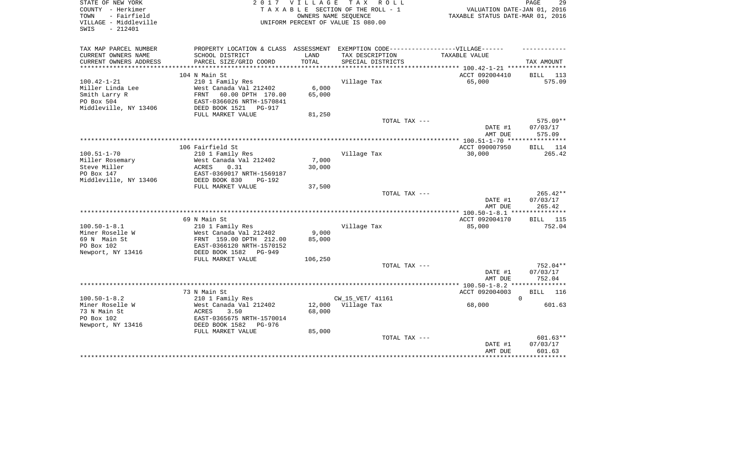| STATE OF NEW YORK<br>COUNTY - Herkimer<br>- Fairfield<br>TOWN<br>VILLAGE - Middleville<br>$-212401$<br>SWIS |                                                   | 2017 VILLAGE | TAX ROLL<br>TAXABLE SECTION OF THE ROLL - 1<br>OWNERS NAME SEQUENCE<br>UNIFORM PERCENT OF VALUE IS 080.00 | VALUATION DATE-JAN 01, 2016<br>TAXABLE STATUS DATE-MAR 01, 2016 | PAGE<br>29         |
|-------------------------------------------------------------------------------------------------------------|---------------------------------------------------|--------------|-----------------------------------------------------------------------------------------------------------|-----------------------------------------------------------------|--------------------|
| TAX MAP PARCEL NUMBER                                                                                       | PROPERTY LOCATION & CLASS ASSESSMENT              |              | EXEMPTION CODE------------------VILLAGE------                                                             |                                                                 |                    |
| CURRENT OWNERS NAME                                                                                         | SCHOOL DISTRICT                                   | LAND         | TAX DESCRIPTION                                                                                           | TAXABLE VALUE                                                   |                    |
| CURRENT OWNERS ADDRESS                                                                                      | PARCEL SIZE/GRID COORD                            | TOTAL        | SPECIAL DISTRICTS                                                                                         |                                                                 | TAX AMOUNT         |
|                                                                                                             | 104 N Main St                                     |              |                                                                                                           | ACCT 092004410                                                  | BILL 113           |
| $100.42 - 1 - 21$                                                                                           | 210 1 Family Res                                  |              | Village Tax                                                                                               | 65,000                                                          | 575.09             |
| Miller Linda Lee                                                                                            | West Canada Val 212402                            | 6,000        |                                                                                                           |                                                                 |                    |
| Smith Larry R                                                                                               | FRNT<br>60.00 DPTH 170.00                         | 65,000       |                                                                                                           |                                                                 |                    |
| PO Box 504                                                                                                  | EAST-0366026 NRTH-1570841                         |              |                                                                                                           |                                                                 |                    |
| Middleville, NY 13406                                                                                       | DEED BOOK 1521<br>PG-917                          |              |                                                                                                           |                                                                 |                    |
|                                                                                                             | FULL MARKET VALUE                                 | 81,250       |                                                                                                           |                                                                 |                    |
|                                                                                                             |                                                   |              | TOTAL TAX ---                                                                                             |                                                                 | 575.09**           |
|                                                                                                             |                                                   |              |                                                                                                           | DATE #1<br>AMT DUE                                              | 07/03/17<br>575.09 |
|                                                                                                             |                                                   |              |                                                                                                           |                                                                 |                    |
|                                                                                                             | 106 Fairfield St                                  |              |                                                                                                           | ACCT 090007950                                                  | <b>BILL</b><br>114 |
| $100.51 - 1 - 70$<br>Miller Rosemary                                                                        | 210 1 Family Res<br>West Canada Val 212402        | 7,000        | Village Tax                                                                                               | 30,000                                                          | 265.42             |
| Steve Miller                                                                                                | 0.31<br><b>ACRES</b>                              | 30,000       |                                                                                                           |                                                                 |                    |
| PO Box 147                                                                                                  | EAST-0369017 NRTH-1569187                         |              |                                                                                                           |                                                                 |                    |
| Middleville, NY 13406                                                                                       | DEED BOOK 830<br>PG-192                           |              |                                                                                                           |                                                                 |                    |
|                                                                                                             | FULL MARKET VALUE                                 | 37,500       |                                                                                                           |                                                                 |                    |
|                                                                                                             |                                                   |              | TOTAL TAX ---                                                                                             |                                                                 | $265.42**$         |
|                                                                                                             |                                                   |              |                                                                                                           | DATE #1                                                         | 07/03/17           |
|                                                                                                             |                                                   |              |                                                                                                           | AMT DUE                                                         | 265.42             |
|                                                                                                             |                                                   |              |                                                                                                           |                                                                 |                    |
|                                                                                                             | 69 N Main St                                      |              |                                                                                                           | ACCT 092004170                                                  | 115<br>BILL        |
| $100.50 - 1 - 8.1$<br>Miner Roselle W                                                                       | 210 1 Family Res                                  | 9,000        | Village Tax                                                                                               | 85,000                                                          | 752.04             |
| 69 N Main St                                                                                                | West Canada Val 212402<br>FRNT 159.00 DPTH 212.00 | 85,000       |                                                                                                           |                                                                 |                    |
| PO Box 102                                                                                                  | EAST-0366120 NRTH-1570152                         |              |                                                                                                           |                                                                 |                    |
| Newport, NY 13416                                                                                           | DEED BOOK 1582<br>PG-949                          |              |                                                                                                           |                                                                 |                    |
|                                                                                                             | FULL MARKET VALUE                                 | 106,250      |                                                                                                           |                                                                 |                    |
|                                                                                                             |                                                   |              | TOTAL TAX ---                                                                                             |                                                                 | 752.04**           |
|                                                                                                             |                                                   |              |                                                                                                           | DATE #1                                                         | 07/03/17           |
|                                                                                                             |                                                   |              |                                                                                                           | AMT DUE                                                         | 752.04             |
|                                                                                                             |                                                   |              |                                                                                                           |                                                                 |                    |
|                                                                                                             | 73 N Main St                                      |              |                                                                                                           | ACCT 092004003                                                  | <b>BILL</b><br>116 |
| $100.50 - 1 - 8.2$                                                                                          | 210 1 Family Res                                  |              | CW_15_VET/ 41161                                                                                          | $\Omega$                                                        |                    |
| Miner Roselle W                                                                                             | West Canada Val 212402                            | 12,000       | Village Tax                                                                                               | 68,000                                                          | 601.63             |
| 73 N Main St                                                                                                | 3.50<br>ACRES                                     | 68,000       |                                                                                                           |                                                                 |                    |
| PO Box 102                                                                                                  | EAST-0365675 NRTH-1570014                         |              |                                                                                                           |                                                                 |                    |
| Newport, NY 13416                                                                                           | DEED BOOK 1582<br>PG-976<br>FULL MARKET VALUE     | 85,000       |                                                                                                           |                                                                 |                    |
|                                                                                                             |                                                   |              | TOTAL TAX ---                                                                                             |                                                                 | $601.63**$         |
|                                                                                                             |                                                   |              |                                                                                                           | DATE #1                                                         | 07/03/17           |
|                                                                                                             |                                                   |              |                                                                                                           | AMT DUE                                                         | 601.63             |
|                                                                                                             |                                                   |              |                                                                                                           |                                                                 |                    |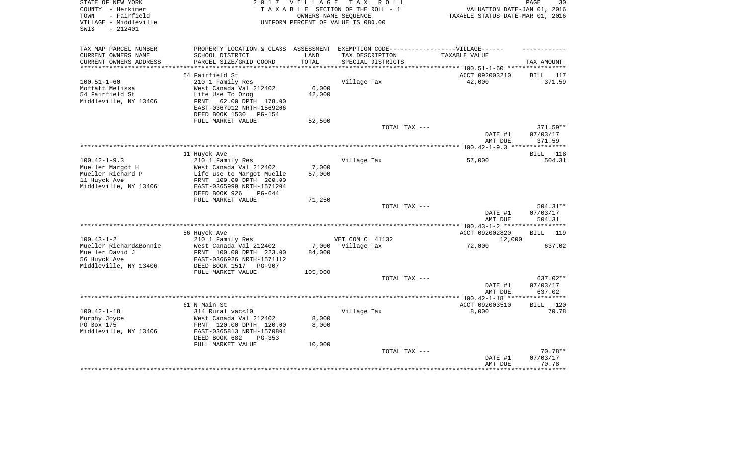| STATE OF NEW YORK<br>COUNTY - Herkimer<br>- Fairfield<br>TOWN<br>VILLAGE - Middleville<br>$-212401$<br>SWIS |                                                                                   | 2017 VILLAGE    | TAX ROLL<br>TAXABLE SECTION OF THE ROLL - 1<br>OWNERS NAME SEOUENCE<br>UNIFORM PERCENT OF VALUE IS 080.00 | VALUATION DATE-JAN 01, 2016<br>TAXABLE STATUS DATE-MAR 01, 2016 | PAGE<br>30           |
|-------------------------------------------------------------------------------------------------------------|-----------------------------------------------------------------------------------|-----------------|-----------------------------------------------------------------------------------------------------------|-----------------------------------------------------------------|----------------------|
| TAX MAP PARCEL NUMBER                                                                                       | PROPERTY LOCATION & CLASS ASSESSMENT EXEMPTION CODE-----------------VILLAGE------ |                 |                                                                                                           |                                                                 |                      |
| CURRENT OWNERS NAME                                                                                         | SCHOOL DISTRICT                                                                   | LAND            | TAX DESCRIPTION                                                                                           | TAXABLE VALUE                                                   |                      |
| CURRENT OWNERS ADDRESS<br>***********************                                                           | PARCEL SIZE/GRID COORD                                                            | TOTAL           | SPECIAL DISTRICTS                                                                                         |                                                                 | TAX AMOUNT           |
|                                                                                                             | 54 Fairfield St                                                                   |                 |                                                                                                           | ACCT 092003210                                                  | BILL<br>117          |
| $100.51 - 1 - 60$                                                                                           | 210 1 Family Res                                                                  |                 | Village Tax                                                                                               | 42,000                                                          | 371.59               |
| Moffatt Melissa                                                                                             | West Canada Val 212402                                                            | 6,000           |                                                                                                           |                                                                 |                      |
| 54 Fairfield St                                                                                             | Life Use To Ozog                                                                  | 42,000          |                                                                                                           |                                                                 |                      |
| Middleville, NY 13406                                                                                       | 62.00 DPTH 178.00<br>FRNT                                                         |                 |                                                                                                           |                                                                 |                      |
|                                                                                                             | EAST-0367912 NRTH-1569206                                                         |                 |                                                                                                           |                                                                 |                      |
|                                                                                                             | DEED BOOK 1530 PG-154<br>FULL MARKET VALUE                                        | 52,500          |                                                                                                           |                                                                 |                      |
|                                                                                                             |                                                                                   |                 | TOTAL TAX ---                                                                                             |                                                                 | $371.59**$           |
|                                                                                                             |                                                                                   |                 |                                                                                                           | DATE #1                                                         | 07/03/17             |
|                                                                                                             |                                                                                   |                 |                                                                                                           | AMT DUE                                                         | 371.59               |
|                                                                                                             |                                                                                   |                 |                                                                                                           |                                                                 |                      |
|                                                                                                             | 11 Huyck Ave                                                                      |                 |                                                                                                           |                                                                 | 118<br><b>BILL</b>   |
| $100.42 - 1 - 9.3$<br>Mueller Margot H                                                                      | 210 1 Family Res<br>West Canada Val 212402                                        | 7,000           | Village Tax                                                                                               | 57,000                                                          | 504.31               |
| Mueller Richard P                                                                                           | Life use to Margot Muelle                                                         | 57,000          |                                                                                                           |                                                                 |                      |
| 11 Huyck Ave                                                                                                | FRNT 100.00 DPTH 200.00                                                           |                 |                                                                                                           |                                                                 |                      |
| Middleville, NY 13406                                                                                       | EAST-0365999 NRTH-1571204                                                         |                 |                                                                                                           |                                                                 |                      |
|                                                                                                             | DEED BOOK 926<br>$PG-644$                                                         |                 |                                                                                                           |                                                                 |                      |
|                                                                                                             | FULL MARKET VALUE                                                                 | 71,250          |                                                                                                           |                                                                 |                      |
|                                                                                                             |                                                                                   |                 | TOTAL TAX ---                                                                                             | DATE #1                                                         | 504.31**<br>07/03/17 |
|                                                                                                             |                                                                                   |                 |                                                                                                           | AMT DUE                                                         | 504.31               |
|                                                                                                             |                                                                                   |                 |                                                                                                           |                                                                 |                      |
|                                                                                                             | 56 Huyck Ave                                                                      |                 |                                                                                                           | ACCT 092002820                                                  | <b>BILL</b><br>119   |
| $100.43 - 1 - 2$                                                                                            | 210 1 Family Res                                                                  |                 | VET COM C 41132                                                                                           | 12,000                                                          |                      |
| Mueller Richard&Bonnie<br>Mueller David J                                                                   | West Canada Val 212402<br>FRNT 100.00 DPTH 223.00                                 | 7,000<br>84,000 | Village Tax                                                                                               | 72,000                                                          | 637.02               |
| 56 Huyck Ave                                                                                                | EAST-0366926 NRTH-1571112                                                         |                 |                                                                                                           |                                                                 |                      |
| Middleville, NY 13406                                                                                       | DEED BOOK 1517<br>PG-907                                                          |                 |                                                                                                           |                                                                 |                      |
|                                                                                                             | FULL MARKET VALUE                                                                 | 105,000         |                                                                                                           |                                                                 |                      |
|                                                                                                             |                                                                                   |                 | TOTAL TAX ---                                                                                             |                                                                 | 637.02**             |
|                                                                                                             |                                                                                   |                 |                                                                                                           | DATE #1                                                         | 07/03/17             |
|                                                                                                             |                                                                                   |                 |                                                                                                           | AMT DUE                                                         | 637.02               |
|                                                                                                             | 61 N Main St                                                                      |                 |                                                                                                           | ACCT 092003510                                                  | <b>BILL</b><br>120   |
| $100.42 - 1 - 18$                                                                                           | 314 Rural vac<10                                                                  |                 | Village Tax                                                                                               | 8,000                                                           | 70.78                |
| Murphy Joyce                                                                                                | West Canada Val 212402                                                            | 8,000           |                                                                                                           |                                                                 |                      |
| PO Box 175                                                                                                  | FRNT 120.00 DPTH 120.00                                                           | 8,000           |                                                                                                           |                                                                 |                      |
| Middleville, NY 13406                                                                                       | EAST-0365813 NRTH-1570804                                                         |                 |                                                                                                           |                                                                 |                      |
|                                                                                                             | DEED BOOK 682<br>PG-353<br>FULL MARKET VALUE                                      | 10,000          |                                                                                                           |                                                                 |                      |
|                                                                                                             |                                                                                   |                 | TOTAL TAX ---                                                                                             |                                                                 | $70.78**$            |
|                                                                                                             |                                                                                   |                 |                                                                                                           | DATE #1                                                         | 07/03/17             |
|                                                                                                             |                                                                                   |                 |                                                                                                           | AMT DUE                                                         | 70.78                |
|                                                                                                             |                                                                                   |                 |                                                                                                           |                                                                 |                      |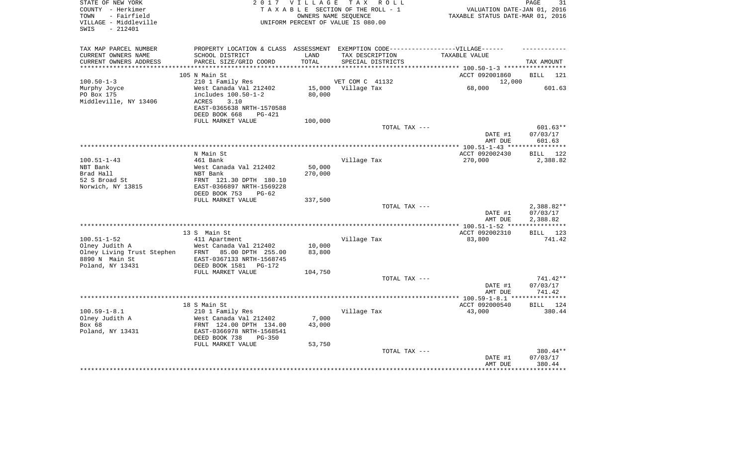| STATE OF NEW YORK<br>COUNTY - Herkimer<br>- Fairfield<br>TOWN<br>VILLAGE - Middleville<br>$-212401$<br>SWIS |                                                                                  | 2017 VILLAGE | TAX ROLL<br>TAXABLE SECTION OF THE ROLL - 1<br>OWNERS NAME SEOUENCE<br>UNIFORM PERCENT OF VALUE IS 080.00 | VALUATION DATE-JAN 01, 2016<br>TAXABLE STATUS DATE-MAR 01, 2016 | PAGE<br>31         |
|-------------------------------------------------------------------------------------------------------------|----------------------------------------------------------------------------------|--------------|-----------------------------------------------------------------------------------------------------------|-----------------------------------------------------------------|--------------------|
| TAX MAP PARCEL NUMBER                                                                                       | PROPERTY LOCATION & CLASS ASSESSMENT EXEMPTION CODE----------------VILLAGE------ |              |                                                                                                           |                                                                 |                    |
| CURRENT OWNERS NAME                                                                                         | SCHOOL DISTRICT                                                                  | LAND         | TAX DESCRIPTION                                                                                           | TAXABLE VALUE                                                   |                    |
| CURRENT OWNERS ADDRESS                                                                                      | PARCEL SIZE/GRID COORD                                                           | TOTAL        | SPECIAL DISTRICTS                                                                                         |                                                                 | TAX AMOUNT         |
| *************************                                                                                   |                                                                                  |              |                                                                                                           |                                                                 |                    |
|                                                                                                             | 105 N Main St                                                                    |              |                                                                                                           | ACCT 092001860                                                  | BILL<br>121        |
| $100.50 - 1 - 3$<br>Murphy Joyce                                                                            | 210 1 Family Res<br>West Canada Val 212402                                       | 15,000       | VET COM C 41132<br>Village Tax                                                                            | 12,000<br>68,000                                                | 601.63             |
| PO Box 175                                                                                                  | includes 100.50-1-2                                                              | 80,000       |                                                                                                           |                                                                 |                    |
| Middleville, NY 13406                                                                                       | <b>ACRES</b><br>3.10                                                             |              |                                                                                                           |                                                                 |                    |
|                                                                                                             | EAST-0365638 NRTH-1570588                                                        |              |                                                                                                           |                                                                 |                    |
|                                                                                                             | DEED BOOK 668<br>$PG-421$                                                        |              |                                                                                                           |                                                                 |                    |
|                                                                                                             | FULL MARKET VALUE                                                                | 100,000      |                                                                                                           |                                                                 |                    |
|                                                                                                             |                                                                                  |              | TOTAL TAX ---                                                                                             |                                                                 | $601.63**$         |
|                                                                                                             |                                                                                  |              |                                                                                                           | DATE #1                                                         | 07/03/17           |
|                                                                                                             |                                                                                  |              |                                                                                                           | AMT DUE                                                         | 601.63             |
|                                                                                                             | N Main St                                                                        |              |                                                                                                           | ACCT 092002430                                                  | <b>BILL</b><br>122 |
| $100.51 - 1 - 43$                                                                                           | 461 Bank                                                                         |              | Village Tax                                                                                               | 270,000                                                         | 2,388.82           |
| NBT Bank                                                                                                    | West Canada Val 212402                                                           | 50,000       |                                                                                                           |                                                                 |                    |
| Brad Hall                                                                                                   | NBT Bank                                                                         | 270,000      |                                                                                                           |                                                                 |                    |
| 52 S Broad St                                                                                               | FRNT 121.30 DPTH 180.10                                                          |              |                                                                                                           |                                                                 |                    |
| Norwich, NY 13815                                                                                           | EAST-0366897 NRTH-1569228                                                        |              |                                                                                                           |                                                                 |                    |
|                                                                                                             | DEED BOOK 753<br>$PG-62$                                                         |              |                                                                                                           |                                                                 |                    |
|                                                                                                             | FULL MARKET VALUE                                                                | 337,500      |                                                                                                           |                                                                 | 2,388.82**         |
|                                                                                                             |                                                                                  |              | TOTAL TAX ---                                                                                             | DATE #1                                                         | 07/03/17           |
|                                                                                                             |                                                                                  |              |                                                                                                           | AMT DUE                                                         | 2,388.82           |
|                                                                                                             |                                                                                  |              |                                                                                                           |                                                                 |                    |
|                                                                                                             | 13 S Main St                                                                     |              |                                                                                                           | ACCT 092002310                                                  | BILL 123           |
| $100.51 - 1 - 52$                                                                                           | 411 Apartment                                                                    |              | Village Tax                                                                                               | 83,800                                                          | 741.42             |
| Olney Judith A                                                                                              | West Canada Val 212402                                                           | 10,000       |                                                                                                           |                                                                 |                    |
| Olney Living Trust Stephen                                                                                  | 85.00 DPTH 255.00<br>FRNT                                                        | 83,800       |                                                                                                           |                                                                 |                    |
| 8890 N Main St<br>Poland, NY 13431                                                                          | EAST-0367133 NRTH-1568745<br>DEED BOOK 1581<br>$PG-172$                          |              |                                                                                                           |                                                                 |                    |
|                                                                                                             | FULL MARKET VALUE                                                                | 104,750      |                                                                                                           |                                                                 |                    |
|                                                                                                             |                                                                                  |              | TOTAL TAX ---                                                                                             |                                                                 | 741.42**           |
|                                                                                                             |                                                                                  |              |                                                                                                           | DATE #1                                                         | 07/03/17           |
|                                                                                                             |                                                                                  |              |                                                                                                           | AMT DUE                                                         | 741.42             |
|                                                                                                             |                                                                                  |              |                                                                                                           |                                                                 |                    |
|                                                                                                             | 18 S Main St                                                                     |              |                                                                                                           | ACCT 092000540                                                  | <b>BILL</b><br>124 |
| $100.59 - 1 - 8.1$                                                                                          | 210 1 Family Res                                                                 |              | Village Tax                                                                                               | 43,000                                                          | 380.44             |
| Olney Judith A<br>Box 68                                                                                    | West Canada Val 212402                                                           | 7,000        |                                                                                                           |                                                                 |                    |
| Poland, NY 13431                                                                                            | FRNT 124.00 DPTH 134.00<br>EAST-0366978 NRTH-1568541                             | 43,000       |                                                                                                           |                                                                 |                    |
|                                                                                                             | DEED BOOK 738<br>PG-350                                                          |              |                                                                                                           |                                                                 |                    |
|                                                                                                             | FULL MARKET VALUE                                                                | 53,750       |                                                                                                           |                                                                 |                    |
|                                                                                                             |                                                                                  |              | TOTAL TAX ---                                                                                             |                                                                 | 380.44**           |
|                                                                                                             |                                                                                  |              |                                                                                                           | DATE #1                                                         | 07/03/17           |
|                                                                                                             |                                                                                  |              |                                                                                                           | AMT DUE                                                         | 380.44             |
|                                                                                                             |                                                                                  |              |                                                                                                           |                                                                 |                    |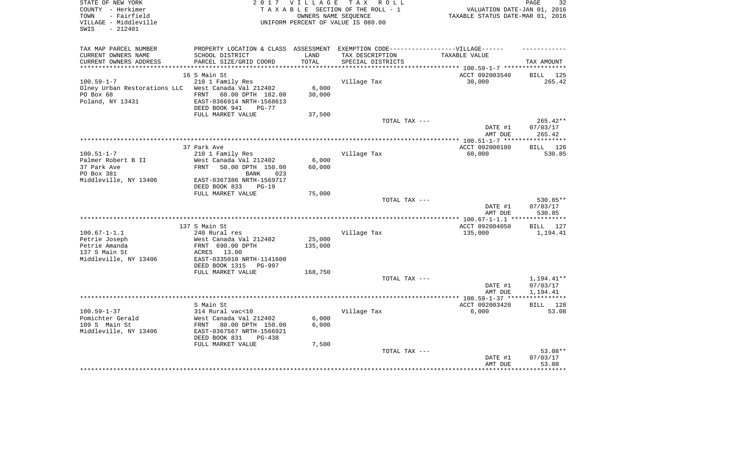| STATE OF NEW YORK<br>COUNTY - Herkimer<br>- Fairfield<br>TOWN<br>VILLAGE - Middleville<br>$-212401$<br>SWIS | 2017 VILLAGE<br>TAX ROLL<br>TAXABLE SECTION OF THE ROLL - 1<br>OWNERS NAME SEQUENCE<br>UNIFORM PERCENT OF VALUE IS 080.00 |           |                                               | PAGE<br>32<br>VALUATION DATE-JAN 01, 2016<br>TAXABLE STATUS DATE-MAR 01, 2016 |                             |  |
|-------------------------------------------------------------------------------------------------------------|---------------------------------------------------------------------------------------------------------------------------|-----------|-----------------------------------------------|-------------------------------------------------------------------------------|-----------------------------|--|
| TAX MAP PARCEL NUMBER                                                                                       | PROPERTY LOCATION & CLASS ASSESSMENT                                                                                      |           | EXEMPTION CODE------------------VILLAGE------ |                                                                               |                             |  |
| CURRENT OWNERS NAME                                                                                         | SCHOOL DISTRICT                                                                                                           | LAND      | TAX DESCRIPTION                               | TAXABLE VALUE                                                                 |                             |  |
| CURRENT OWNERS ADDRESS<br>***********************                                                           | PARCEL SIZE/GRID COORD                                                                                                    | TOTAL     | SPECIAL DISTRICTS                             |                                                                               | TAX AMOUNT                  |  |
|                                                                                                             |                                                                                                                           |           |                                               |                                                                               |                             |  |
| $100.59 - 1 - 7$                                                                                            | 16 S Main St<br>210 1 Family Res                                                                                          |           | Village Tax                                   | ACCT 092003540<br>30,000                                                      | BILL<br>125<br>265.42       |  |
| Olney Urban Restorations LLC                                                                                | West Canada Val 212402                                                                                                    | 6,000     |                                               |                                                                               |                             |  |
| PO Box 68                                                                                                   | FRNT<br>60.00 DPTH 182.00                                                                                                 | 30,000    |                                               |                                                                               |                             |  |
| Poland, NY 13431                                                                                            | EAST-0366914 NRTH-1568613                                                                                                 |           |                                               |                                                                               |                             |  |
|                                                                                                             | DEED BOOK 941<br>$PG-77$                                                                                                  |           |                                               |                                                                               |                             |  |
|                                                                                                             | FULL MARKET VALUE                                                                                                         | 37,500    |                                               |                                                                               |                             |  |
|                                                                                                             |                                                                                                                           |           | TOTAL TAX ---                                 |                                                                               | $265.42**$                  |  |
|                                                                                                             |                                                                                                                           |           |                                               | DATE #1                                                                       | 07/03/17                    |  |
| ***************************                                                                                 |                                                                                                                           |           |                                               | AMT DUE                                                                       | 265.42<br>* * * * * * * * * |  |
|                                                                                                             | 37 Park Ave                                                                                                               |           |                                               | ************ 100.51-1-7 *****<br>ACCT 092000180                               | 126                         |  |
| $100.51 - 1 - 7$                                                                                            | 210 1 Family Res                                                                                                          |           | Village Tax                                   | 60,000                                                                        | BILL<br>530.85              |  |
| Palmer Robert B II                                                                                          | West Canada Val 212402                                                                                                    | 6,000     |                                               |                                                                               |                             |  |
| 37 Park Ave                                                                                                 | <b>FRNT</b><br>50.00 DPTH 150.00                                                                                          | 60,000    |                                               |                                                                               |                             |  |
| PO Box 381                                                                                                  | 023<br><b>BANK</b>                                                                                                        |           |                                               |                                                                               |                             |  |
| Middleville, NY 13406                                                                                       | EAST-0367386 NRTH-1569717                                                                                                 |           |                                               |                                                                               |                             |  |
|                                                                                                             | DEED BOOK 833<br>$PG-19$                                                                                                  |           |                                               |                                                                               |                             |  |
|                                                                                                             | FULL MARKET VALUE                                                                                                         | 75,000    |                                               |                                                                               |                             |  |
|                                                                                                             |                                                                                                                           |           | TOTAL TAX ---                                 |                                                                               | 530.85**                    |  |
|                                                                                                             |                                                                                                                           |           |                                               | DATE #1<br>AMT DUE                                                            | 07/03/17<br>530.85          |  |
|                                                                                                             |                                                                                                                           | ********* |                                               | $*$ 100.67-1-1.1 $*$                                                          | **********                  |  |
|                                                                                                             | 137 S Main St                                                                                                             |           |                                               | ACCT 092004050                                                                | 127<br><b>BILL</b>          |  |
| $100.67 - 1 - 1.1$                                                                                          | 240 Rural res                                                                                                             |           | Village Tax                                   | 135,000                                                                       | 1,194.41                    |  |
| Petrie Joseph                                                                                               | West Canada Val 212402                                                                                                    | 25,000    |                                               |                                                                               |                             |  |
| Petrie Amanda                                                                                               | FRNT 690.00 DPTH                                                                                                          | 135,000   |                                               |                                                                               |                             |  |
| 137 S Main St                                                                                               | 13.00<br>ACRES                                                                                                            |           |                                               |                                                                               |                             |  |
| Middleville, NY 13406                                                                                       | EAST-0335010 NRTH-1141600<br>DEED BOOK 1315<br><b>PG-997</b>                                                              |           |                                               |                                                                               |                             |  |
|                                                                                                             | FULL MARKET VALUE                                                                                                         | 168,750   |                                               |                                                                               |                             |  |
|                                                                                                             |                                                                                                                           |           | TOTAL TAX ---                                 |                                                                               | 1,194.41**                  |  |
|                                                                                                             |                                                                                                                           |           |                                               | DATE #1                                                                       | 07/03/17                    |  |
|                                                                                                             |                                                                                                                           |           |                                               | AMT DUE                                                                       | 1,194.41                    |  |
|                                                                                                             | *******************************                                                                                           |           |                                               | ************ 100.59-1-37 ***                                                  | ***********                 |  |
|                                                                                                             | S Main St                                                                                                                 |           |                                               | ACCT 092003420                                                                | 128<br>BILL                 |  |
| $100.59 - 1 - 37$                                                                                           | 314 Rural vac<10                                                                                                          |           | Village Tax                                   | 6,000                                                                         | 53.08                       |  |
| Pomichter Gerald                                                                                            | West Canada Val 212402                                                                                                    | 6,000     |                                               |                                                                               |                             |  |
| 109 S Main St<br>Middleville, NY 13406                                                                      | FRNT<br>80.00 DPTH 150.00<br>EAST-0367567 NRTH-1566921                                                                    | 6,000     |                                               |                                                                               |                             |  |
|                                                                                                             | DEED BOOK 831<br>PG-438                                                                                                   |           |                                               |                                                                               |                             |  |
|                                                                                                             | FULL MARKET VALUE                                                                                                         | 7,500     |                                               |                                                                               |                             |  |
|                                                                                                             |                                                                                                                           |           | TOTAL TAX ---                                 |                                                                               | 53.08**                     |  |
|                                                                                                             |                                                                                                                           |           |                                               | DATE #1                                                                       | 07/03/17                    |  |
|                                                                                                             |                                                                                                                           |           |                                               | AMT DUE                                                                       | 53.08                       |  |
|                                                                                                             |                                                                                                                           |           |                                               |                                                                               |                             |  |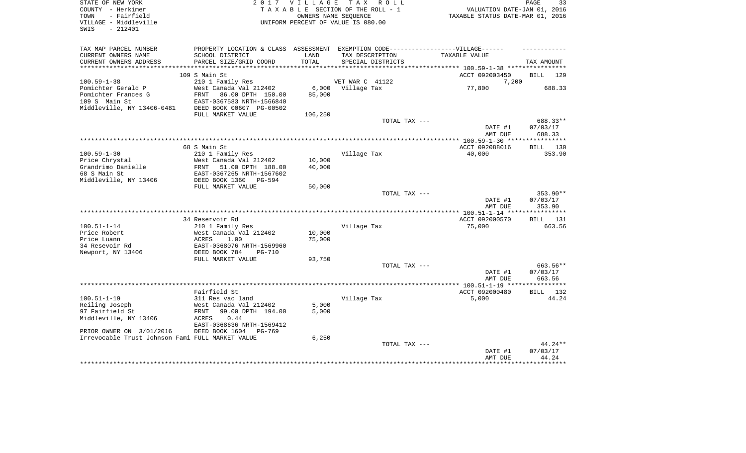| STATE OF NEW YORK<br>COUNTY - Herkimer<br>- Fairfield<br>TOWN<br>VILLAGE - Middleville<br>$-212401$<br>SWIS |                                                                                                                                               | 2017 VILLAGE               | TAX ROLL<br>TAXABLE SECTION OF THE ROLL - 1<br>OWNERS NAME SEQUENCE<br>UNIFORM PERCENT OF VALUE IS 080.00                 | VALUATION DATE-JAN 01, 2016<br>TAXABLE STATUS DATE-MAR 01, 2016 | PAGE<br>33                     |
|-------------------------------------------------------------------------------------------------------------|-----------------------------------------------------------------------------------------------------------------------------------------------|----------------------------|---------------------------------------------------------------------------------------------------------------------------|-----------------------------------------------------------------|--------------------------------|
| TAX MAP PARCEL NUMBER<br>CURRENT OWNERS NAME<br>CURRENT OWNERS ADDRESS                                      | SCHOOL DISTRICT<br>PARCEL SIZE/GRID COORD                                                                                                     | LAND<br>TOTAL              | PROPERTY LOCATION & CLASS ASSESSMENT EXEMPTION CODE-----------------VILLAGE------<br>TAX DESCRIPTION<br>SPECIAL DISTRICTS | TAXABLE VALUE                                                   | TAX AMOUNT                     |
|                                                                                                             |                                                                                                                                               |                            |                                                                                                                           |                                                                 |                                |
|                                                                                                             | 109 S Main St                                                                                                                                 |                            |                                                                                                                           | ACCT 092003450                                                  | BILL 129                       |
| $100.59 - 1 - 38$                                                                                           | 210 1 Family Res                                                                                                                              |                            | VET WAR C 41122                                                                                                           | 7,200                                                           |                                |
| Pomichter Gerald P<br>Pomichter Frances G<br>109 S Main St<br>Middleville, NY 13406-0481                    | West Canada Val 212402<br>FRNT<br>86.00 DPTH 150.00<br>EAST-0367583 NRTH-1566840<br>DEED BOOK 00607 PG-00502<br>FULL MARKET VALUE             | 6,000<br>85,000<br>106,250 | Village Tax                                                                                                               | 77,800                                                          | 688.33                         |
|                                                                                                             |                                                                                                                                               |                            | TOTAL TAX ---                                                                                                             |                                                                 | 688.33**                       |
|                                                                                                             |                                                                                                                                               |                            |                                                                                                                           | DATE #1<br>AMT DUE                                              | 07/03/17<br>688.33             |
|                                                                                                             |                                                                                                                                               |                            |                                                                                                                           |                                                                 |                                |
| $100.59 - 1 - 30$<br>Price Chrystal<br>Grandrimo Danielle<br>68 S Main St<br>Middleville, NY 13406          | 68 S Main St<br>210 1 Family Res<br>West Canada Val 212402<br>FRNT<br>51.00 DPTH 188.00<br>EAST-0367265 NRTH-1567602<br>DEED BOOK 1360 PG-594 | 10,000<br>40,000           | Village Tax                                                                                                               | ACCT 092088016<br>40,000                                        | BILL 130<br>353.90             |
|                                                                                                             | FULL MARKET VALUE                                                                                                                             | 50,000                     |                                                                                                                           |                                                                 |                                |
|                                                                                                             |                                                                                                                                               |                            | TOTAL TAX ---                                                                                                             | DATE #1<br>AMT DUE                                              | 353.90**<br>07/03/17<br>353.90 |
|                                                                                                             |                                                                                                                                               |                            |                                                                                                                           | **************** 100.51-1-14 ****                               | ********                       |
|                                                                                                             | 34 Reservoir Rd                                                                                                                               |                            |                                                                                                                           | ACCT 092000570                                                  | BILL 131                       |
| $100.51 - 1 - 14$                                                                                           | 210 1 Family Res                                                                                                                              |                            | Village Tax                                                                                                               | 75,000                                                          | 663.56                         |
| Price Robert<br>Price Luann<br>34 Resevoir Rd                                                               | West Canada Val 212402<br>ACRES<br>1.00<br>EAST-0368076 NRTH-1569960                                                                          | 10,000<br>75,000           |                                                                                                                           |                                                                 |                                |
| Newport, NY 13406                                                                                           | DEED BOOK 784<br><b>PG-710</b>                                                                                                                |                            |                                                                                                                           |                                                                 |                                |
|                                                                                                             | FULL MARKET VALUE                                                                                                                             | 93,750                     |                                                                                                                           |                                                                 |                                |
|                                                                                                             |                                                                                                                                               |                            | TOTAL TAX ---                                                                                                             | DATE #1<br>AMT DUE                                              | 663.56**<br>07/03/17<br>663.56 |
|                                                                                                             |                                                                                                                                               |                            |                                                                                                                           |                                                                 |                                |
| $100.51 - 1 - 19$                                                                                           | Fairfield St<br>311 Res vac land                                                                                                              |                            | Village Tax                                                                                                               | ACCT 092000480<br>5,000                                         | BILL 132<br>44.24              |
| Reiling Joseph                                                                                              | West Canada Val 212402                                                                                                                        | 5,000                      |                                                                                                                           |                                                                 |                                |
| 97 Fairfield St<br>Middleville, NY 13406                                                                    | 99.00 DPTH 194.00<br>FRNT<br>ACRES<br>0.44<br>EAST-0368636 NRTH-1569412                                                                       | 5,000                      |                                                                                                                           |                                                                 |                                |
| PRIOR OWNER ON 3/01/2016                                                                                    | DEED BOOK 1604<br>$PG-769$                                                                                                                    |                            |                                                                                                                           |                                                                 |                                |
| Irrevocable Trust Johnson Fami FULL MARKET VALUE                                                            |                                                                                                                                               | 6,250                      |                                                                                                                           |                                                                 |                                |
|                                                                                                             |                                                                                                                                               |                            | TOTAL TAX ---                                                                                                             | DATE #1<br>AMT DUE                                              | $44.24**$<br>07/03/17<br>44.24 |
|                                                                                                             |                                                                                                                                               |                            |                                                                                                                           |                                                                 | *******                        |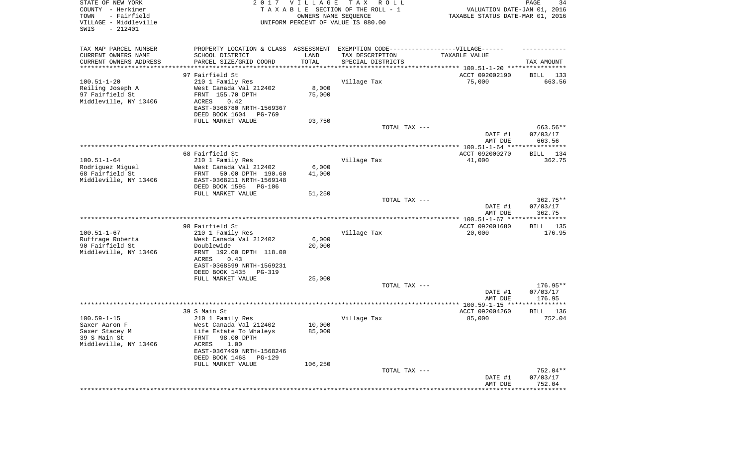| STATE OF NEW YORK<br>COUNTY - Herkimer<br>- Fairfield<br>TOWN<br>VILLAGE - Middleville<br>SWIS<br>$-212401$ | 2017                                                                              | <b>VILLAGE</b> | T A X<br>R O L L<br>TAXABLE SECTION OF THE ROLL - 1<br>OWNERS NAME SEQUENCE<br>UNIFORM PERCENT OF VALUE IS 080.00 | VALUATION DATE-JAN 01, 2016<br>TAXABLE STATUS DATE-MAR 01, 2016 | PAGE<br>34                |
|-------------------------------------------------------------------------------------------------------------|-----------------------------------------------------------------------------------|----------------|-------------------------------------------------------------------------------------------------------------------|-----------------------------------------------------------------|---------------------------|
| TAX MAP PARCEL NUMBER                                                                                       | PROPERTY LOCATION & CLASS ASSESSMENT EXEMPTION CODE-----------------VILLAGE------ |                |                                                                                                                   |                                                                 |                           |
| CURRENT OWNERS NAME<br>CURRENT OWNERS ADDRESS                                                               | SCHOOL DISTRICT<br>PARCEL SIZE/GRID COORD                                         | LAND<br>TOTAL  | TAX DESCRIPTION<br>SPECIAL DISTRICTS                                                                              | TAXABLE VALUE                                                   | TAX AMOUNT                |
| *********************                                                                                       |                                                                                   |                |                                                                                                                   |                                                                 |                           |
|                                                                                                             | 97 Fairfield St                                                                   |                |                                                                                                                   | ACCT 092002190                                                  | BILL<br>133               |
| $100.51 - 1 - 20$                                                                                           | 210 1 Family Res                                                                  |                | Village Tax                                                                                                       | 75,000                                                          | 663.56                    |
| Reiling Joseph A                                                                                            | West Canada Val 212402                                                            | 8,000          |                                                                                                                   |                                                                 |                           |
| 97 Fairfield St<br>Middleville, NY 13406                                                                    | FRNT 155.70 DPTH<br>ACRES<br>0.42                                                 | 75,000         |                                                                                                                   |                                                                 |                           |
|                                                                                                             | EAST-0368780 NRTH-1569367                                                         |                |                                                                                                                   |                                                                 |                           |
|                                                                                                             | DEED BOOK 1604<br>PG-769                                                          |                |                                                                                                                   |                                                                 |                           |
|                                                                                                             | FULL MARKET VALUE                                                                 | 93,750         |                                                                                                                   |                                                                 |                           |
|                                                                                                             |                                                                                   |                | TOTAL TAX ---                                                                                                     |                                                                 | 663.56**                  |
|                                                                                                             |                                                                                   |                |                                                                                                                   | DATE #1                                                         | 07/03/17                  |
|                                                                                                             |                                                                                   |                |                                                                                                                   | AMT DUE                                                         | 663.56                    |
|                                                                                                             | 68 Fairfield St                                                                   |                |                                                                                                                   | ACCT 092000270                                                  | BILL 134                  |
| $100.51 - 1 - 64$                                                                                           | 210 1 Family Res                                                                  |                | Village Tax                                                                                                       | 41,000                                                          | 362.75                    |
| Rodriguez Miguel                                                                                            | West Canada Val 212402                                                            | 6,000          |                                                                                                                   |                                                                 |                           |
| 68 Fairfield St                                                                                             | 50.00 DPTH 190.60<br>FRNT                                                         | 41,000         |                                                                                                                   |                                                                 |                           |
| Middleville, NY 13406                                                                                       | EAST-0368211 NRTH-1569148                                                         |                |                                                                                                                   |                                                                 |                           |
|                                                                                                             | DEED BOOK 1595<br>PG-106<br>FULL MARKET VALUE                                     | 51,250         |                                                                                                                   |                                                                 |                           |
|                                                                                                             |                                                                                   |                | TOTAL TAX ---                                                                                                     |                                                                 | $362.75**$                |
|                                                                                                             |                                                                                   |                |                                                                                                                   | DATE #1<br>AMT DUE                                              | 07/03/17<br>362.75        |
|                                                                                                             |                                                                                   |                |                                                                                                                   |                                                                 |                           |
| $100.51 - 1 - 67$                                                                                           | 90 Fairfield St<br>210 1 Family Res                                               |                | Village Tax                                                                                                       | ACCT 092001680<br>20,000                                        | <b>BILL</b> 135<br>176.95 |
| Ruffrage Roberta                                                                                            | West Canada Val 212402                                                            | 6,000          |                                                                                                                   |                                                                 |                           |
| 90 Fairfield St                                                                                             | Doublewide                                                                        | 20,000         |                                                                                                                   |                                                                 |                           |
| Middleville, NY 13406                                                                                       | FRNT 192.00 DPTH 118.00                                                           |                |                                                                                                                   |                                                                 |                           |
|                                                                                                             | ACRES<br>0.43                                                                     |                |                                                                                                                   |                                                                 |                           |
|                                                                                                             | EAST-0368599 NRTH-1569231<br>DEED BOOK 1435<br>PG-319                             |                |                                                                                                                   |                                                                 |                           |
|                                                                                                             | FULL MARKET VALUE                                                                 | 25,000         |                                                                                                                   |                                                                 |                           |
|                                                                                                             |                                                                                   |                | TOTAL TAX ---                                                                                                     |                                                                 | 176.95**                  |
|                                                                                                             |                                                                                   |                |                                                                                                                   | DATE #1                                                         | 07/03/17                  |
|                                                                                                             |                                                                                   |                |                                                                                                                   | AMT DUE                                                         | 176.95                    |
|                                                                                                             | 39 S Main St                                                                      |                |                                                                                                                   |                                                                 |                           |
| $100.59 - 1 - 15$                                                                                           | 210 1 Family Res                                                                  |                | Village Tax                                                                                                       | ACCT 092004260<br>85,000                                        | <b>BILL</b> 136<br>752.04 |
| Saxer Aaron F                                                                                               | West Canada Val 212402                                                            | 10,000         |                                                                                                                   |                                                                 |                           |
| Saxer Stacey M                                                                                              | Life Estate To Whaleys                                                            | 85,000         |                                                                                                                   |                                                                 |                           |
| 39 S Main St                                                                                                | 98.00 DPTH<br>FRNT                                                                |                |                                                                                                                   |                                                                 |                           |
| Middleville, NY 13406                                                                                       | ACRES<br>1.00                                                                     |                |                                                                                                                   |                                                                 |                           |
|                                                                                                             | EAST-0367499 NRTH-1568246<br>DEED BOOK 1468 PG-129                                |                |                                                                                                                   |                                                                 |                           |
|                                                                                                             | FULL MARKET VALUE                                                                 | 106,250        |                                                                                                                   |                                                                 |                           |
|                                                                                                             |                                                                                   |                | TOTAL TAX ---                                                                                                     |                                                                 | $752.04**$                |
|                                                                                                             |                                                                                   |                |                                                                                                                   | DATE #1                                                         | 07/03/17                  |
|                                                                                                             |                                                                                   |                |                                                                                                                   | AMT DUE                                                         | 752.04                    |
|                                                                                                             |                                                                                   |                |                                                                                                                   | ***********************************                             |                           |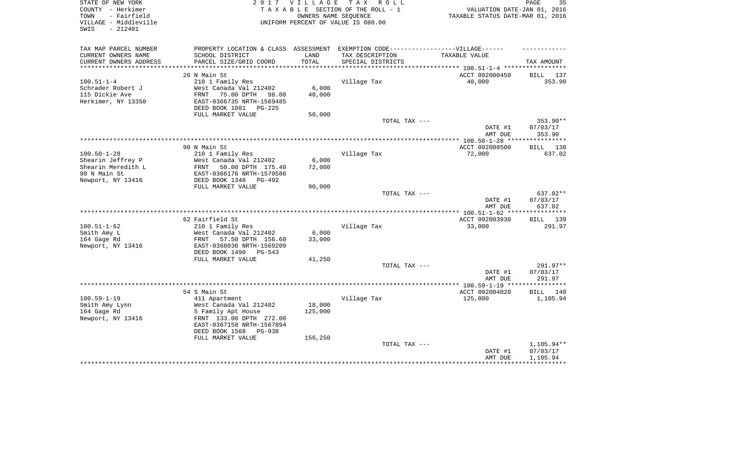| STATE OF NEW YORK<br>COUNTY - Herkimer<br>- Fairfield<br>TOWN<br>VILLAGE - Middleville<br>- 212401<br>SWIS |                                                        | 2017 VILLAGE  | TAX ROLL<br>TAXABLE SECTION OF THE ROLL - 1<br>OWNERS NAME SEQUENCE<br>UNIFORM PERCENT OF VALUE IS 080.00 | VALUATION DATE-JAN 01, 2016<br>TAXABLE STATUS DATE-MAR 01, 2016 | PAGE<br>35 |
|------------------------------------------------------------------------------------------------------------|--------------------------------------------------------|---------------|-----------------------------------------------------------------------------------------------------------|-----------------------------------------------------------------|------------|
| TAX MAP PARCEL NUMBER                                                                                      | PROPERTY LOCATION & CLASS ASSESSMENT                   |               | EXEMPTION CODE-----------------VILLAGE------                                                              |                                                                 |            |
| CURRENT OWNERS NAME<br>CURRENT OWNERS ADDRESS                                                              | SCHOOL DISTRICT<br>PARCEL SIZE/GRID COORD              | LAND<br>TOTAL | TAX DESCRIPTION<br>SPECIAL DISTRICTS                                                                      | TAXABLE VALUE                                                   | TAX AMOUNT |
| ***********************                                                                                    |                                                        |               |                                                                                                           |                                                                 |            |
|                                                                                                            | 26 N Main St                                           |               |                                                                                                           | ACCT 092000450                                                  | BILL 137   |
| $100.51 - 1 - 4$                                                                                           | 210 1 Family Res                                       |               | Village Tax                                                                                               | 40,000                                                          | 353.90     |
| Schrader Robert J                                                                                          | West Canada Val 212402                                 | 6,000         |                                                                                                           |                                                                 |            |
| 115 Dickie Ave                                                                                             | FRNT<br>75.00 DPTH<br>98.00                            | 40,000        |                                                                                                           |                                                                 |            |
| Herkimer, NY 13350                                                                                         | EAST-0366735 NRTH-1569485                              |               |                                                                                                           |                                                                 |            |
|                                                                                                            | DEED BOOK 1081 PG-225                                  |               |                                                                                                           |                                                                 |            |
|                                                                                                            | FULL MARKET VALUE                                      | 50,000        |                                                                                                           |                                                                 | 353.90**   |
|                                                                                                            |                                                        |               | TOTAL TAX ---                                                                                             | DATE #1                                                         | 07/03/17   |
|                                                                                                            |                                                        |               |                                                                                                           | AMT DUE                                                         | 353.90     |
|                                                                                                            |                                                        |               |                                                                                                           |                                                                 |            |
|                                                                                                            | 90 N Main St                                           |               |                                                                                                           | ACCT 092008500                                                  | BILL 138   |
| $100.50 - 1 - 28$                                                                                          | 210 1 Family Res                                       |               | Village Tax                                                                                               | 72,000                                                          | 637.02     |
| Shearin Jeffrey P                                                                                          | West Canada Val 212402                                 | 6,000         |                                                                                                           |                                                                 |            |
| Shearin Meredith L                                                                                         | FRNT<br>50.00 DPTH 175.40                              | 72,000        |                                                                                                           |                                                                 |            |
| 90 N Main St                                                                                               | EAST-0366176 NRTH-1570586                              |               |                                                                                                           |                                                                 |            |
| Newport, NY 13416                                                                                          | DEED BOOK 1348<br>$PG-492$<br>FULL MARKET VALUE        | 90,000        |                                                                                                           |                                                                 |            |
|                                                                                                            |                                                        |               | TOTAL TAX ---                                                                                             |                                                                 | 637.02**   |
|                                                                                                            |                                                        |               |                                                                                                           | DATE #1                                                         | 07/03/17   |
|                                                                                                            |                                                        |               |                                                                                                           | AMT DUE                                                         | 637.02     |
|                                                                                                            |                                                        |               |                                                                                                           | **************** 100.51-1-62 *****                              | ********** |
|                                                                                                            | 62 Fairfield St                                        |               |                                                                                                           | ACCT 092003930                                                  | BILL 139   |
| $100.51 - 1 - 62$                                                                                          | 210 1 Family Res                                       |               | Village Tax                                                                                               | 33,000                                                          | 291.97     |
| Smith Amy L                                                                                                | West Canada Val 212402                                 | 6,000         |                                                                                                           |                                                                 |            |
| 164 Gage Rd<br>Newport, NY 13416                                                                           | FRNT<br>57.50 DPTH 156.60<br>EAST-0368036 NRTH-1569209 | 33,000        |                                                                                                           |                                                                 |            |
|                                                                                                            | DEED BOOK 1490 PG-543                                  |               |                                                                                                           |                                                                 |            |
|                                                                                                            | FULL MARKET VALUE                                      | 41,250        |                                                                                                           |                                                                 |            |
|                                                                                                            |                                                        |               | TOTAL TAX ---                                                                                             |                                                                 | 291.97**   |
|                                                                                                            |                                                        |               |                                                                                                           | DATE #1                                                         | 07/03/17   |
|                                                                                                            |                                                        |               |                                                                                                           | AMT DUE                                                         | 291.97     |
|                                                                                                            |                                                        |               |                                                                                                           |                                                                 |            |
|                                                                                                            | 54 S Main St                                           |               |                                                                                                           | ACCT 092004020                                                  | BILL 140   |
| $100.59 - 1 - 19$<br>Smith Amy Lynn                                                                        | 411 Apartment<br>West Canada Val 212402                | 18,000        | Village Tax                                                                                               | 125,000                                                         | 1,105.94   |
| 164 Gage Rd                                                                                                | 5 Family Apt House                                     | 125,000       |                                                                                                           |                                                                 |            |
| Newport, NY 13416                                                                                          | FRNT 133.00 DPTH 272.00                                |               |                                                                                                           |                                                                 |            |
|                                                                                                            | EAST-0367158 NRTH-1567894                              |               |                                                                                                           |                                                                 |            |
|                                                                                                            | DEED BOOK 1568<br>$PG-938$                             |               |                                                                                                           |                                                                 |            |
|                                                                                                            | FULL MARKET VALUE                                      | 156,250       |                                                                                                           |                                                                 |            |
|                                                                                                            |                                                        |               | TOTAL TAX ---                                                                                             |                                                                 | 1,105.94** |
|                                                                                                            |                                                        |               |                                                                                                           | DATE #1<br>AMT DUE                                              | 07/03/17   |
|                                                                                                            |                                                        |               |                                                                                                           |                                                                 | 1,105.94   |
|                                                                                                            |                                                        |               |                                                                                                           |                                                                 |            |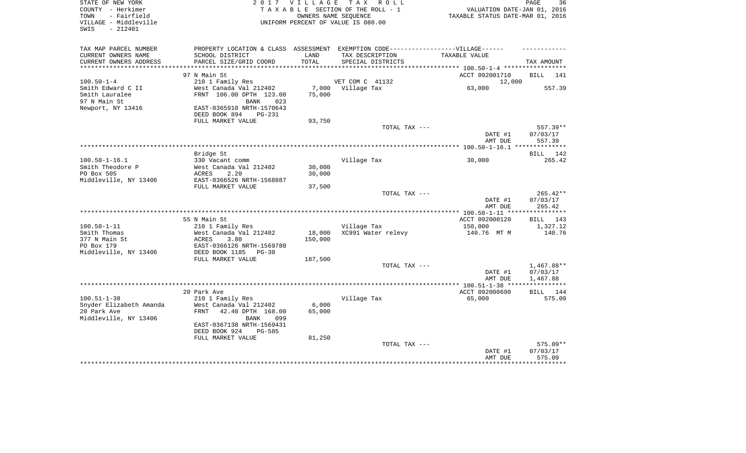| STATE OF NEW YORK<br>COUNTY - Herkimer<br>- Fairfield<br>TOWN<br>VILLAGE - Middleville<br>$-212401$<br>SWIS |                                            | 2017 VILLAGE  | TAX ROLL<br>TAXABLE SECTION OF THE ROLL - 1<br>OWNERS NAME SEQUENCE<br>UNIFORM PERCENT OF VALUE IS 080.00 | VALUATION DATE-JAN 01, 2016<br>TAXABLE STATUS DATE-MAR 01, 2016 | PAGE<br>36           |
|-------------------------------------------------------------------------------------------------------------|--------------------------------------------|---------------|-----------------------------------------------------------------------------------------------------------|-----------------------------------------------------------------|----------------------|
| TAX MAP PARCEL NUMBER                                                                                       |                                            |               | PROPERTY LOCATION & CLASS ASSESSMENT EXEMPTION CODE-----------------VILLAGE------                         |                                                                 |                      |
| CURRENT OWNERS NAME<br>CURRENT OWNERS ADDRESS                                                               | SCHOOL DISTRICT<br>PARCEL SIZE/GRID COORD  | LAND<br>TOTAL | TAX DESCRIPTION<br>SPECIAL DISTRICTS                                                                      | TAXABLE VALUE                                                   | TAX AMOUNT           |
|                                                                                                             |                                            |               |                                                                                                           |                                                                 |                      |
| $100.50 - 1 - 4$                                                                                            | 97 N Main St                               |               | VET COM C 41132                                                                                           | ACCT 092001710<br>12,000                                        | BILL<br>141          |
| Smith Edward C II                                                                                           | 210 1 Family Res<br>West Canada Val 212402 |               | 7,000 Village Tax                                                                                         | 63,000                                                          | 557.39               |
| Smith Lauralee                                                                                              | FRNT 106.00 DPTH 123.00                    | 75,000        |                                                                                                           |                                                                 |                      |
| 97 N Main St                                                                                                | 023<br><b>BANK</b>                         |               |                                                                                                           |                                                                 |                      |
| Newport, NY 13416                                                                                           | EAST-0365910 NRTH-1570643                  |               |                                                                                                           |                                                                 |                      |
|                                                                                                             | DEED BOOK 894<br><b>PG-231</b>             |               |                                                                                                           |                                                                 |                      |
|                                                                                                             | FULL MARKET VALUE                          | 93,750        |                                                                                                           |                                                                 |                      |
|                                                                                                             |                                            |               | TOTAL TAX ---                                                                                             | DATE #1                                                         | 557.39**<br>07/03/17 |
|                                                                                                             |                                            |               |                                                                                                           | AMT DUE                                                         | 557.39               |
|                                                                                                             |                                            |               |                                                                                                           |                                                                 |                      |
|                                                                                                             | Bridge St                                  |               |                                                                                                           |                                                                 | BILL 142             |
| $100.50 - 1 - 16.1$                                                                                         | 330 Vacant comm                            |               | Village Tax                                                                                               | 30,000                                                          | 265.42               |
| Smith Theodore P                                                                                            | West Canada Val 212402                     | 30,000        |                                                                                                           |                                                                 |                      |
| PO Box 505                                                                                                  | ACRES<br>2.20                              | 30,000        |                                                                                                           |                                                                 |                      |
| Middleville, NY 13406                                                                                       | EAST-0366526 NRTH-1568887                  |               |                                                                                                           |                                                                 |                      |
|                                                                                                             | FULL MARKET VALUE                          | 37,500        | TOTAL TAX ---                                                                                             |                                                                 | 265.42**             |
|                                                                                                             |                                            |               |                                                                                                           | DATE #1                                                         | 07/03/17             |
|                                                                                                             |                                            |               |                                                                                                           | AMT DUE                                                         | 265.42               |
|                                                                                                             |                                            |               |                                                                                                           | ****** 100.50-1-11 **                                           | * * * * * * * * * *  |
|                                                                                                             | 55 N Main St                               |               |                                                                                                           | ACCT 092000120                                                  | BILL 143             |
| $100.50 - 1 - 11$                                                                                           | 210 1 Family Res                           |               | Village Tax                                                                                               | 150,000                                                         | 1,327.12             |
| Smith Thomas                                                                                                | West Canada Val 212402                     | 18,000        | XC991 Water relevy                                                                                        | 140.76 MT M                                                     | 140.76               |
| 377 N Main St<br>PO Box 179                                                                                 | ACRES<br>3.80<br>EAST-0366126 NRTH-1569780 | 150,000       |                                                                                                           |                                                                 |                      |
| Middleville, NY 13406                                                                                       | DEED BOOK 1185<br>$PG-30$                  |               |                                                                                                           |                                                                 |                      |
|                                                                                                             | FULL MARKET VALUE                          | 187,500       |                                                                                                           |                                                                 |                      |
|                                                                                                             |                                            |               | TOTAL TAX ---                                                                                             |                                                                 | $1,467.88**$         |
|                                                                                                             |                                            |               |                                                                                                           | DATE #1                                                         | 07/03/17             |
|                                                                                                             |                                            |               |                                                                                                           | AMT DUE                                                         | 1,467.88             |
|                                                                                                             |                                            |               |                                                                                                           |                                                                 | ***********          |
| $100.51 - 1 - 38$                                                                                           | 20 Park Ave                                |               |                                                                                                           | ACCT 092000690<br>65,000                                        | BILL 144             |
| Snyder Elizabeth Amanda                                                                                     | 210 1 Family Res<br>West Canada Val 212402 | 6,000         | Village Tax                                                                                               |                                                                 | 575.09               |
| 20 Park Ave                                                                                                 | 42.40 DPTH 168.00<br><b>FRNT</b>           | 65,000        |                                                                                                           |                                                                 |                      |
| Middleville, NY 13406                                                                                       | <b>BANK</b><br>099                         |               |                                                                                                           |                                                                 |                      |
|                                                                                                             | EAST-0367138 NRTH-1569431                  |               |                                                                                                           |                                                                 |                      |
|                                                                                                             | DEED BOOK 924<br>$PG-585$                  |               |                                                                                                           |                                                                 |                      |
|                                                                                                             | FULL MARKET VALUE                          | 81,250        |                                                                                                           |                                                                 |                      |
|                                                                                                             |                                            |               | TOTAL TAX ---                                                                                             |                                                                 | 575.09**             |
|                                                                                                             |                                            |               |                                                                                                           | DATE #1<br>AMT DUE                                              | 07/03/17<br>575.09   |
|                                                                                                             |                                            |               |                                                                                                           |                                                                 | ********             |
|                                                                                                             |                                            |               |                                                                                                           |                                                                 |                      |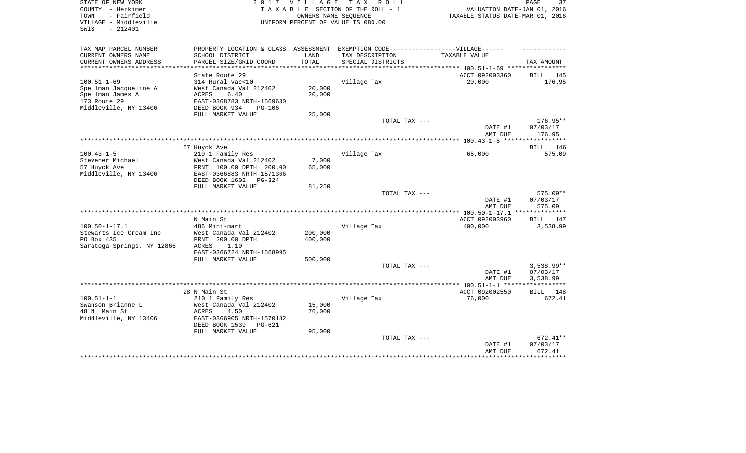| STATE OF NEW YORK<br>COUNTY - Herkimer<br>- Fairfield<br>TOWN<br>VILLAGE - Middleville<br>$-212401$<br>SWIS |                                                                                   | 2017 VILLAGE<br>OWNERS NAME SEQUENCE | TAX ROLL<br>TAXABLE SECTION OF THE ROLL - 1<br>UNIFORM PERCENT OF VALUE IS 080.00 | VALUATION DATE-JAN 01, 2016<br>TAXABLE STATUS DATE-MAR 01, 2016 | PAGE<br>37         |
|-------------------------------------------------------------------------------------------------------------|-----------------------------------------------------------------------------------|--------------------------------------|-----------------------------------------------------------------------------------|-----------------------------------------------------------------|--------------------|
| TAX MAP PARCEL NUMBER                                                                                       | PROPERTY LOCATION & CLASS ASSESSMENT EXEMPTION CODE-----------------VILLAGE------ |                                      |                                                                                   |                                                                 |                    |
| CURRENT OWNERS NAME                                                                                         | SCHOOL DISTRICT                                                                   | LAND                                 | TAX DESCRIPTION                                                                   | TAXABLE VALUE                                                   |                    |
| CURRENT OWNERS ADDRESS                                                                                      | PARCEL SIZE/GRID COORD                                                            | TOTAL                                | SPECIAL DISTRICTS                                                                 |                                                                 | TAX AMOUNT         |
|                                                                                                             |                                                                                   |                                      |                                                                                   |                                                                 |                    |
| $100.51 - 1 - 69$                                                                                           | State Route 29<br>314 Rural vac<10                                                |                                      | Village Tax                                                                       | ACCT 092003360<br>20,000                                        | BILL 145<br>176.95 |
| Spellman Jacqueline A                                                                                       | West Canada Val 212402                                                            | 20,000                               |                                                                                   |                                                                 |                    |
| Spellman James A                                                                                            | ACRES<br>6.40                                                                     | 20,000                               |                                                                                   |                                                                 |                    |
| 173 Route 29                                                                                                | EAST-0368783 NRTH-1569630                                                         |                                      |                                                                                   |                                                                 |                    |
| Middleville, NY 13406                                                                                       | DEED BOOK 934<br>$PG-106$                                                         |                                      |                                                                                   |                                                                 |                    |
|                                                                                                             | FULL MARKET VALUE                                                                 | 25,000                               |                                                                                   |                                                                 |                    |
|                                                                                                             |                                                                                   |                                      | TOTAL TAX ---                                                                     |                                                                 | 176.95**           |
|                                                                                                             |                                                                                   |                                      |                                                                                   | DATE #1<br>AMT DUE                                              | 07/03/17<br>176.95 |
|                                                                                                             |                                                                                   |                                      |                                                                                   |                                                                 |                    |
|                                                                                                             | 57 Huyck Ave                                                                      |                                      |                                                                                   |                                                                 | BILL 146           |
| $100.43 - 1 - 5$                                                                                            | 210 1 Family Res                                                                  |                                      | Village Tax                                                                       | 65,000                                                          | 575.09             |
| Stevener Michael<br>57 Huyck Ave                                                                            | West Canada Val 212402<br>FRNT 100.00 DPTH 200.00                                 | 7,000<br>65,000                      |                                                                                   |                                                                 |                    |
| Middleville, NY 13406                                                                                       | EAST-0366883 NRTH-1571366                                                         |                                      |                                                                                   |                                                                 |                    |
|                                                                                                             | DEED BOOK 1602 PG-324                                                             |                                      |                                                                                   |                                                                 |                    |
|                                                                                                             | FULL MARKET VALUE                                                                 | 81,250                               |                                                                                   |                                                                 |                    |
|                                                                                                             |                                                                                   |                                      | TOTAL TAX ---                                                                     |                                                                 | $575.09**$         |
|                                                                                                             |                                                                                   |                                      |                                                                                   | DATE #1<br>AMT DUE                                              | 07/03/17<br>575.09 |
|                                                                                                             |                                                                                   |                                      |                                                                                   |                                                                 |                    |
|                                                                                                             | N Main St                                                                         |                                      |                                                                                   | ACCT 092003960                                                  | BILL<br>147        |
| $100.50 - 1 - 17.1$                                                                                         | 486 Mini-mart                                                                     |                                      | Village Tax                                                                       | 400,000                                                         | 3,538.99           |
| Stewarts Ice Cream Inc                                                                                      | West Canada Val 212402                                                            | 200,000                              |                                                                                   |                                                                 |                    |
| PO Box 435<br>Saratoga Springs, NY 12866                                                                    | FRNT 200.00 DPTH<br>1.10<br>ACRES                                                 | 400,000                              |                                                                                   |                                                                 |                    |
|                                                                                                             | EAST-0366724 NRTH-1568995                                                         |                                      |                                                                                   |                                                                 |                    |
|                                                                                                             | FULL MARKET VALUE                                                                 | 500,000                              |                                                                                   |                                                                 |                    |
|                                                                                                             |                                                                                   |                                      | TOTAL TAX ---                                                                     |                                                                 | $3,538.99**$       |
|                                                                                                             |                                                                                   |                                      |                                                                                   | DATE #1                                                         | 07/03/17           |
|                                                                                                             |                                                                                   |                                      |                                                                                   | AMT DUE                                                         | 3,538.99           |
|                                                                                                             |                                                                                   |                                      |                                                                                   |                                                                 |                    |
|                                                                                                             | 28 N Main St                                                                      |                                      |                                                                                   | ACCT 092002550                                                  | BILL<br>148        |
| $100.51 - 1 - 1$                                                                                            | 210 1 Family Res                                                                  |                                      | Village Tax                                                                       | 76,000                                                          | 672.41             |
| Swanson Brianne L                                                                                           | West Canada Val 212402                                                            | 15,000                               |                                                                                   |                                                                 |                    |
| 48 N Main St<br>Middleville, NY 13406                                                                       | 4.50<br>ACRES<br>EAST-0366905 NRTH-1570182                                        | 76,000                               |                                                                                   |                                                                 |                    |
|                                                                                                             | DEED BOOK 1539<br>PG-621                                                          |                                      |                                                                                   |                                                                 |                    |
|                                                                                                             | FULL MARKET VALUE                                                                 | 95,000                               |                                                                                   |                                                                 |                    |
|                                                                                                             |                                                                                   |                                      | TOTAL TAX ---                                                                     |                                                                 | 672.41**           |
|                                                                                                             |                                                                                   |                                      |                                                                                   | DATE #1                                                         | 07/03/17           |
|                                                                                                             |                                                                                   |                                      |                                                                                   | AMT DUE                                                         | 672.41             |
|                                                                                                             |                                                                                   |                                      |                                                                                   |                                                                 | ********           |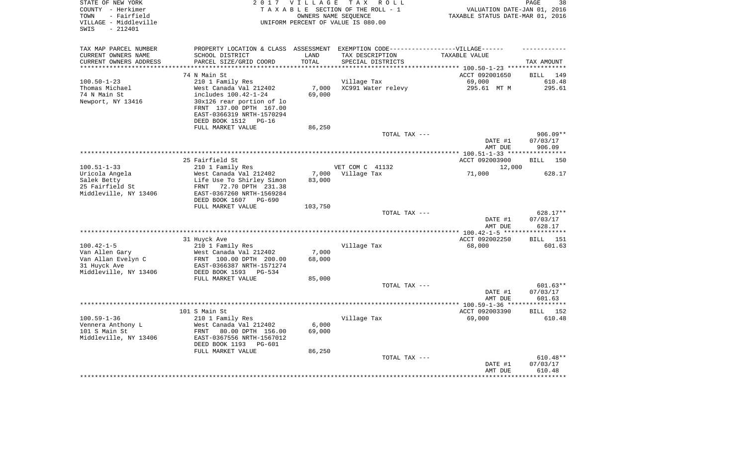| STATE OF NEW YORK<br>COUNTY - Herkimer<br>- Fairfield<br>TOWN<br>VILLAGE - Middleville<br>$-212401$<br>SWIS |                                                | 2017 VILLAGE<br>OWNERS NAME SEOUENCE | T A X<br>R O L L<br>TAXABLE SECTION OF THE ROLL - 1<br>UNIFORM PERCENT OF VALUE IS 080.00 | VALUATION DATE-JAN 01, 2016<br>TAXABLE STATUS DATE-MAR 01, 2016 | PAGE<br>38           |
|-------------------------------------------------------------------------------------------------------------|------------------------------------------------|--------------------------------------|-------------------------------------------------------------------------------------------|-----------------------------------------------------------------|----------------------|
| TAX MAP PARCEL NUMBER                                                                                       | PROPERTY LOCATION & CLASS ASSESSMENT           |                                      | EXEMPTION CODE------------------VILLAGE------                                             |                                                                 |                      |
| CURRENT OWNERS NAME                                                                                         | SCHOOL DISTRICT                                | LAND                                 | TAX DESCRIPTION                                                                           | TAXABLE VALUE                                                   |                      |
| CURRENT OWNERS ADDRESS                                                                                      | PARCEL SIZE/GRID COORD                         | TOTAL                                | SPECIAL DISTRICTS                                                                         |                                                                 | TAX AMOUNT           |
|                                                                                                             |                                                |                                      |                                                                                           | ******* 100.50-1-23 ****                                        |                      |
|                                                                                                             | 74 N Main St                                   |                                      |                                                                                           | ACCT 092001650                                                  | <b>BILL</b><br>149   |
| $100.50 - 1 - 23$                                                                                           | 210 1 Family Res                               |                                      | Village Tax                                                                               | 69,000                                                          | 610.48               |
| Thomas Michael<br>74 N Main St                                                                              | West Canada Val 212402<br>includes 100.42-1-24 | 7,000                                | XC991 Water relevy                                                                        | 295.61 MT M                                                     | 295.61               |
| Newport, NY 13416                                                                                           | 30x126 rear portion of lo                      | 69,000                               |                                                                                           |                                                                 |                      |
|                                                                                                             | FRNT 137.00 DPTH 167.00                        |                                      |                                                                                           |                                                                 |                      |
|                                                                                                             | EAST-0366319 NRTH-1570294                      |                                      |                                                                                           |                                                                 |                      |
|                                                                                                             | DEED BOOK 1512<br>$PG-16$                      |                                      |                                                                                           |                                                                 |                      |
|                                                                                                             | FULL MARKET VALUE                              | 86,250                               |                                                                                           |                                                                 |                      |
|                                                                                                             |                                                |                                      | TOTAL TAX ---                                                                             |                                                                 | 906.09**             |
|                                                                                                             |                                                |                                      |                                                                                           | DATE #1<br>AMT DUE                                              | 07/03/17<br>906.09   |
| *************************                                                                                   |                                                |                                      |                                                                                           | ************** 100.51-1-33 ******                               | **********           |
|                                                                                                             | 25 Fairfield St                                |                                      |                                                                                           | ACCT 092003900                                                  | <b>BILL</b><br>150   |
| $100.51 - 1 - 33$                                                                                           | 210 1 Family Res                               |                                      | VET COM C 41132                                                                           | 12,000                                                          |                      |
| Uricola Angela                                                                                              | West Canada Val 212402                         | 7,000                                | Village Tax                                                                               | 71,000                                                          | 628.17               |
| Salek Betty                                                                                                 | Life Use To Shirley Simon                      | 83,000                               |                                                                                           |                                                                 |                      |
| 25 Fairfield St                                                                                             | <b>FRNT</b><br>72.70 DPTH 231.38               |                                      |                                                                                           |                                                                 |                      |
| Middleville, NY 13406                                                                                       | EAST-0367260 NRTH-1569284                      |                                      |                                                                                           |                                                                 |                      |
|                                                                                                             | DEED BOOK 1607<br>PG-690<br>FULL MARKET VALUE  | 103,750                              |                                                                                           |                                                                 |                      |
|                                                                                                             |                                                |                                      | TOTAL TAX ---                                                                             |                                                                 | 628.17**             |
|                                                                                                             |                                                |                                      |                                                                                           | DATE #1                                                         | 07/03/17             |
|                                                                                                             |                                                |                                      |                                                                                           | AMT DUE                                                         | 628.17               |
|                                                                                                             |                                                |                                      |                                                                                           |                                                                 |                      |
|                                                                                                             | 31 Huyck Ave                                   |                                      |                                                                                           | ACCT 092002250                                                  | <b>BILL</b><br>151   |
| $100.42 - 1 - 5$                                                                                            | 210 1 Family Res                               |                                      | Village Tax                                                                               | 68,000                                                          | 601.63               |
| Van Allen Gary                                                                                              | West Canada Val 212402                         | 7,000                                |                                                                                           |                                                                 |                      |
| Van Allan Evelyn C                                                                                          | FRNT 100.00 DPTH 200.00                        | 68,000                               |                                                                                           |                                                                 |                      |
| 31 Huyck Ave                                                                                                | EAST-0366387 NRTH-1571274                      |                                      |                                                                                           |                                                                 |                      |
| Middleville, NY 13406                                                                                       | DEED BOOK 1593<br>$PG-534$                     |                                      |                                                                                           |                                                                 |                      |
|                                                                                                             | FULL MARKET VALUE                              | 85,000                               |                                                                                           |                                                                 |                      |
|                                                                                                             |                                                |                                      | TOTAL TAX ---                                                                             | DATE #1                                                         | 601.63**<br>07/03/17 |
|                                                                                                             |                                                |                                      |                                                                                           | AMT DUE                                                         | 601.63               |
|                                                                                                             |                                                |                                      |                                                                                           |                                                                 |                      |
|                                                                                                             | 101 S Main St                                  |                                      |                                                                                           | ACCT 092003390                                                  | 152<br><b>BILL</b>   |
| $100.59 - 1 - 36$                                                                                           | 210 1 Family Res                               |                                      | Village Tax                                                                               | 69,000                                                          | 610.48               |
| Vennera Anthony L                                                                                           | West Canada Val 212402                         | 6,000                                |                                                                                           |                                                                 |                      |
| 101 S Main St                                                                                               | 80.00 DPTH 156.00<br>FRNT                      | 69,000                               |                                                                                           |                                                                 |                      |
| Middleville, NY 13406                                                                                       | EAST-0367556 NRTH-1567012                      |                                      |                                                                                           |                                                                 |                      |
|                                                                                                             | DEED BOOK 1193<br>PG-601                       |                                      |                                                                                           |                                                                 |                      |
|                                                                                                             | FULL MARKET VALUE                              | 86,250                               |                                                                                           |                                                                 |                      |
|                                                                                                             |                                                |                                      | TOTAL TAX ---                                                                             |                                                                 | 610.48**             |
|                                                                                                             |                                                |                                      |                                                                                           | DATE #1                                                         | 07/03/17             |
|                                                                                                             |                                                |                                      |                                                                                           | AMT DUE                                                         | 610.48               |
|                                                                                                             |                                                |                                      |                                                                                           |                                                                 |                      |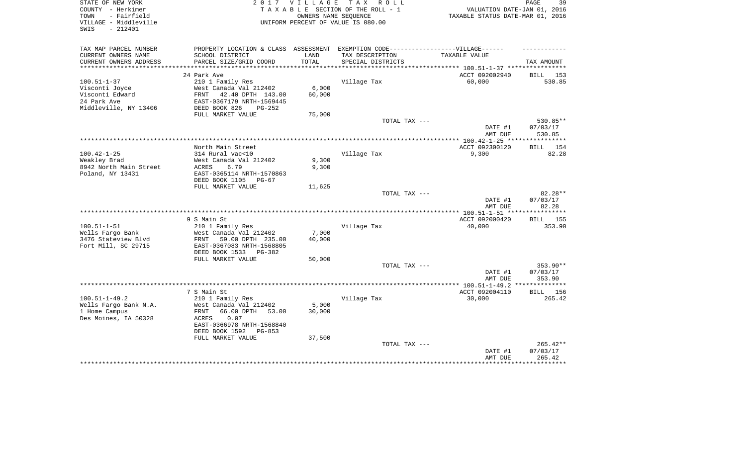| STATE OF NEW YORK<br>COUNTY - Herkimer<br>- Fairfield<br>TOWN<br>VILLAGE - Middleville<br>- 212401<br>SWIS |                                                                                   | 2017 VILLAGE<br>OWNERS NAME SEQUENCE | TAX ROLL<br>TAXABLE SECTION OF THE ROLL - 1<br>UNIFORM PERCENT OF VALUE IS 080.00 | VALUATION DATE-JAN 01, 2016<br>TAXABLE STATUS DATE-MAR 01, 2016 | 39<br>PAGE                |
|------------------------------------------------------------------------------------------------------------|-----------------------------------------------------------------------------------|--------------------------------------|-----------------------------------------------------------------------------------|-----------------------------------------------------------------|---------------------------|
| TAX MAP PARCEL NUMBER                                                                                      | PROPERTY LOCATION & CLASS ASSESSMENT EXEMPTION CODE-----------------VILLAGE------ |                                      |                                                                                   |                                                                 |                           |
| CURRENT OWNERS NAME                                                                                        | SCHOOL DISTRICT                                                                   | LAND<br>TOTAL                        | TAX DESCRIPTION                                                                   | TAXABLE VALUE                                                   |                           |
| CURRENT OWNERS ADDRESS<br>***********************                                                          | PARCEL SIZE/GRID COORD                                                            |                                      | SPECIAL DISTRICTS                                                                 |                                                                 | TAX AMOUNT                |
|                                                                                                            | 24 Park Ave                                                                       |                                      |                                                                                   | ACCT 092002940                                                  | BILL 153                  |
| $100.51 - 1 - 37$                                                                                          | 210 1 Family Res                                                                  |                                      | Village Tax                                                                       | 60,000                                                          | 530.85                    |
| Visconti Joyce                                                                                             | West Canada Val 212402                                                            | 6,000                                |                                                                                   |                                                                 |                           |
| Visconti Edward                                                                                            | FRNT<br>42.40 DPTH 143.00                                                         | 60,000                               |                                                                                   |                                                                 |                           |
| 24 Park Ave                                                                                                | EAST-0367179 NRTH-1569445                                                         |                                      |                                                                                   |                                                                 |                           |
| Middleville, NY 13406                                                                                      | DEED BOOK 826<br>$PG-252$                                                         |                                      |                                                                                   |                                                                 |                           |
|                                                                                                            | FULL MARKET VALUE                                                                 | 75,000                               |                                                                                   |                                                                 |                           |
|                                                                                                            |                                                                                   |                                      | TOTAL TAX ---                                                                     | DATE #1                                                         | 530.85**<br>07/03/17      |
|                                                                                                            |                                                                                   |                                      |                                                                                   | AMT DUE                                                         | 530.85                    |
|                                                                                                            |                                                                                   |                                      |                                                                                   |                                                                 |                           |
|                                                                                                            | North Main Street                                                                 |                                      |                                                                                   | ACCT 092300120                                                  | 154<br><b>BILL</b>        |
| $100.42 - 1 - 25$                                                                                          | 314 Rural vac<10                                                                  |                                      | Village Tax                                                                       | 9,300                                                           | 82.28                     |
| Weakley Brad                                                                                               | West Canada Val 212402                                                            | 9,300                                |                                                                                   |                                                                 |                           |
| 8942 North Main Street                                                                                     | ACRES<br>6.79                                                                     | 9,300                                |                                                                                   |                                                                 |                           |
| Poland, NY 13431                                                                                           | EAST-0365114 NRTH-1570863                                                         |                                      |                                                                                   |                                                                 |                           |
|                                                                                                            | DEED BOOK 1105<br>$PG-67$<br>FULL MARKET VALUE                                    | 11,625                               |                                                                                   |                                                                 |                           |
|                                                                                                            |                                                                                   |                                      | TOTAL TAX ---                                                                     |                                                                 | 82.28**                   |
|                                                                                                            |                                                                                   |                                      |                                                                                   | DATE #1                                                         | 07/03/17                  |
|                                                                                                            |                                                                                   |                                      |                                                                                   | AMT DUE                                                         | 82.28                     |
|                                                                                                            |                                                                                   |                                      | **********************************                                                | *** 100.51-1-51 ****                                            | *******                   |
|                                                                                                            | 9 S Main St                                                                       |                                      |                                                                                   | ACCT 092000420                                                  | BILL<br>155               |
| $100.51 - 1 - 51$                                                                                          | 210 1 Family Res                                                                  |                                      | Village Tax                                                                       | 40,000                                                          | 353.90                    |
| Wells Fargo Bank                                                                                           | West Canada Val 212402                                                            | 7,000                                |                                                                                   |                                                                 |                           |
| 3476 Stateview Blvd<br>Fort Mill, SC 29715                                                                 | 59.00 DPTH 235.00<br>FRNT<br>EAST-0367083 NRTH-1568805                            | 40,000                               |                                                                                   |                                                                 |                           |
|                                                                                                            | DEED BOOK 1533<br>PG-382                                                          |                                      |                                                                                   |                                                                 |                           |
|                                                                                                            | FULL MARKET VALUE                                                                 | 50,000                               |                                                                                   |                                                                 |                           |
|                                                                                                            |                                                                                   |                                      | TOTAL TAX ---                                                                     |                                                                 | 353.90**                  |
|                                                                                                            |                                                                                   |                                      |                                                                                   | DATE #1                                                         | 07/03/17                  |
|                                                                                                            |                                                                                   |                                      |                                                                                   | AMT DUE                                                         | 353.90                    |
|                                                                                                            |                                                                                   |                                      |                                                                                   |                                                                 |                           |
| $100.51 - 1 - 49.2$                                                                                        | 7 S Main St                                                                       |                                      |                                                                                   | ACCT 092004110                                                  | <b>BILL</b> 156<br>265.42 |
| Wells Fargo Bank N.A.                                                                                      | 210 1 Family Res<br>West Canada Val 212402                                        | 5,000                                | Village Tax                                                                       | 30,000                                                          |                           |
| 1 Home Campus                                                                                              | FRNT<br>66.00 DPTH<br>53.00                                                       | 30,000                               |                                                                                   |                                                                 |                           |
| Des Moines, IA 50328                                                                                       | ACRES<br>0.07                                                                     |                                      |                                                                                   |                                                                 |                           |
|                                                                                                            | EAST-0366978 NRTH-1568840                                                         |                                      |                                                                                   |                                                                 |                           |
|                                                                                                            | DEED BOOK 1592<br>$PG-853$                                                        |                                      |                                                                                   |                                                                 |                           |
|                                                                                                            | FULL MARKET VALUE                                                                 | 37,500                               |                                                                                   |                                                                 |                           |
|                                                                                                            |                                                                                   |                                      | TOTAL TAX ---                                                                     |                                                                 | $265.42**$                |
|                                                                                                            |                                                                                   |                                      |                                                                                   | DATE #1<br>AMT DUE                                              | 07/03/17<br>265.42        |
|                                                                                                            |                                                                                   |                                      |                                                                                   |                                                                 | ********                  |
|                                                                                                            |                                                                                   |                                      |                                                                                   |                                                                 |                           |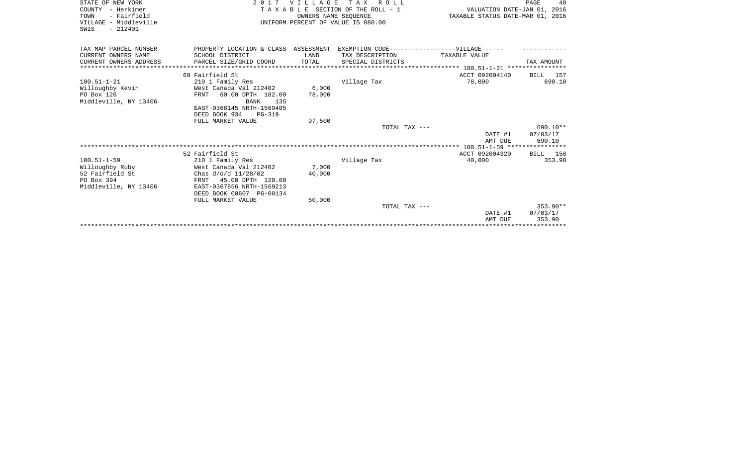| STATE OF NEW YORK      | 2017 VILLAGE<br>T A X<br>R O L L                                                  |                             |                                    | 40<br>PAGE                       |            |  |
|------------------------|-----------------------------------------------------------------------------------|-----------------------------|------------------------------------|----------------------------------|------------|--|
| COUNTY - Herkimer      | TAXABLE SECTION OF THE ROLL - 1                                                   | VALUATION DATE-JAN 01, 2016 |                                    |                                  |            |  |
| TOWN<br>- Fairfield    |                                                                                   | OWNERS NAME SEOUENCE        |                                    | TAXABLE STATUS DATE-MAR 01, 2016 |            |  |
| VILLAGE - Middleville  |                                                                                   |                             | UNIFORM PERCENT OF VALUE IS 080.00 |                                  |            |  |
| $-212401$<br>SWIS      |                                                                                   |                             |                                    |                                  |            |  |
|                        |                                                                                   |                             |                                    |                                  |            |  |
| TAX MAP PARCEL NUMBER  | PROPERTY LOCATION & CLASS ASSESSMENT EXEMPTION CODE-----------------VILLAGE------ |                             |                                    |                                  |            |  |
| CURRENT OWNERS NAME    | SCHOOL DISTRICT                                                                   | LAND                        | TAX DESCRIPTION                    | TAXABLE VALUE                    |            |  |
| CURRENT OWNERS ADDRESS | PARCEL SIZE/GRID COORD                                                            | TOTAL                       | SPECIAL DISTRICTS                  |                                  | TAX AMOUNT |  |
|                        |                                                                                   |                             |                                    |                                  |            |  |
|                        | 69 Fairfield St                                                                   |                             |                                    | ACCT 092004140                   | BILL 157   |  |
| $100.51 - 1 - 21$      | 210 1 Family Res                                                                  |                             | Village Tax                        | 78,000                           | 690.10     |  |
| Willoughby Kevin       | West Canada Val 212402                                                            | 6,000                       |                                    |                                  |            |  |
| PO Box 126             | 60.00 DPTH 182.00<br>FRNT                                                         | 78,000                      |                                    |                                  |            |  |
| Middleville, NY 13406  | BANK<br>135<br>EAST-0368145 NRTH-1569405                                          |                             |                                    |                                  |            |  |
|                        | DEED BOOK 934<br><b>PG-319</b>                                                    |                             |                                    |                                  |            |  |
|                        | FULL MARKET VALUE                                                                 | 97,500                      |                                    |                                  |            |  |
|                        |                                                                                   |                             | TOTAL TAX ---                      |                                  | $690.10**$ |  |
|                        |                                                                                   |                             |                                    | DATE #1                          | 07/03/17   |  |
|                        |                                                                                   |                             |                                    | AMT DUE                          | 690.10     |  |
|                        |                                                                                   |                             |                                    |                                  |            |  |
|                        | 52 Fairfield St                                                                   |                             |                                    | ACCT 092004320                   | BILL 158   |  |
| $100.51 - 1 - 59$      | 210 1 Family Res                                                                  |                             | Village Tax                        | 40,000                           | 353.90     |  |
| Willoughby Ruby        | West Canada Val 212402                                                            | 7,000                       |                                    |                                  |            |  |
| 52 Fairfield St        | Chas d/o/d 11/28/02                                                               | 40,000                      |                                    |                                  |            |  |
| PO Box 394             | 45.00 DPTH 120.00<br>FRNT                                                         |                             |                                    |                                  |            |  |
| Middleville, NY 13406  | EAST-0367856 NRTH-1569213                                                         |                             |                                    |                                  |            |  |
|                        | DEED BOOK 00607 PG-00134<br>FULL MARKET VALUE                                     | 50,000                      |                                    |                                  |            |  |
|                        |                                                                                   |                             | TOTAL TAX ---                      |                                  | $353.90**$ |  |
|                        |                                                                                   |                             |                                    | DATE #1                          | 07/03/17   |  |
|                        |                                                                                   |                             |                                    | AMT DUE                          | 353.90     |  |
|                        |                                                                                   |                             |                                    |                                  |            |  |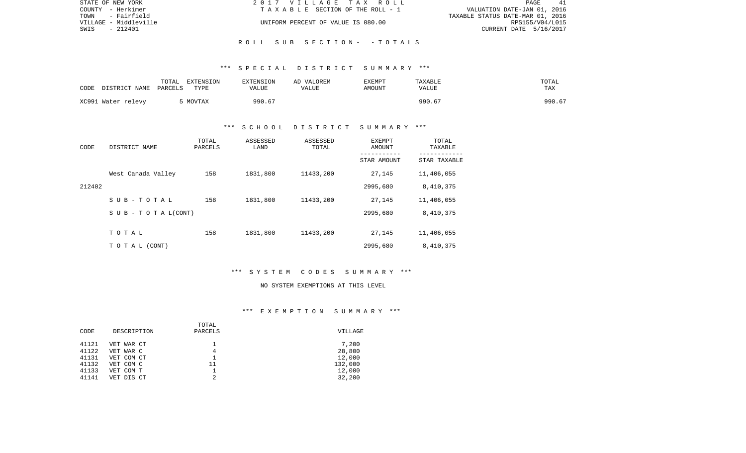| STATE OF NEW YORK     | 2017 VILLAGE TAX ROLL              | 41<br>PAGE                       |
|-----------------------|------------------------------------|----------------------------------|
| COUNTY - Herkimer     | TAXABLE SECTION OF THE ROLL - 1    | VALUATION DATE-JAN 01, 2016      |
| TOWN<br>- Fairfield   |                                    | TAXABLE STATUS DATE-MAR 01, 2016 |
| VILLAGE - Middleville | UNIFORM PERCENT OF VALUE IS 080.00 | RPS155/V04/L015                  |
| SWIS<br>- 212401      |                                    | CURRENT DATE 5/16/2017           |
|                       |                                    |                                  |

R O L L S U B S E C T I O N - - T O T A L S

| CODE | DISTRICT NAME      | TOTAL<br>EXTENSION<br>PARCELS<br>TYPE | <b>EXTENSION</b><br>VALUE | AD VALOREM<br>VALUE | EXEMPT<br>AMOUNT | <b>TAXABLE</b><br>VALUE | TOTAL<br>TAX |
|------|--------------------|---------------------------------------|---------------------------|---------------------|------------------|-------------------------|--------------|
|      | XC991 Water relevy | MOVTAX                                | 990.67                    |                     |                  | 990.67                  | 990.67       |

## \*\*\* S C H O O L D I S T R I C T S U M M A R Y \*\*\*

| CODE   | DISTRICT NAME                    | TOTAL<br>PARCELS | ASSESSED<br>LAND | ASSESSED<br>TOTAL | EXEMPT<br><b>AMOUNT</b> | TOTAL<br>TAXABLE |
|--------|----------------------------------|------------------|------------------|-------------------|-------------------------|------------------|
|        |                                  |                  |                  |                   | STAR AMOUNT             | STAR TAXABLE     |
|        | West Canada Valley               | 158              | 1831,800         | 11433,200         | 27,145                  | 11,406,055       |
| 212402 |                                  |                  |                  |                   | 2995,680                | 8,410,375        |
|        | SUB-TOTAL                        | 158              | 1831,800         | 11433,200         | 27,145                  | 11,406,055       |
|        | $S \cup B - T \cup T A L (CONT)$ |                  |                  |                   | 2995,680                | 8,410,375        |
|        |                                  |                  |                  |                   |                         |                  |
|        | TOTAL                            | 158              | 1831,800         | 11433,200         | 27,145                  | 11,406,055       |
|        | T O T A L (CONT)                 |                  |                  |                   | 2995,680                | 8,410,375        |

## \*\*\* S Y S T E M C O D E S S U M M A R Y \*\*\*

#### NO SYSTEM EXEMPTIONS AT THIS LEVEL

|       |             | TOTAL   |         |
|-------|-------------|---------|---------|
| CODE  | DESCRIPTION | PARCELS | VILLAGE |
| 41121 | VET WAR CT  |         | 7,200   |
| 41122 | VET WAR C   | 4       | 28,800  |
| 41131 | VET COM CT  |         | 12,000  |
| 41132 | VET COM C   | 11      | 132,000 |
| 41133 | VET COM T   |         | 12,000  |
| 41141 | VET DIS CT  | 2       | 32,200  |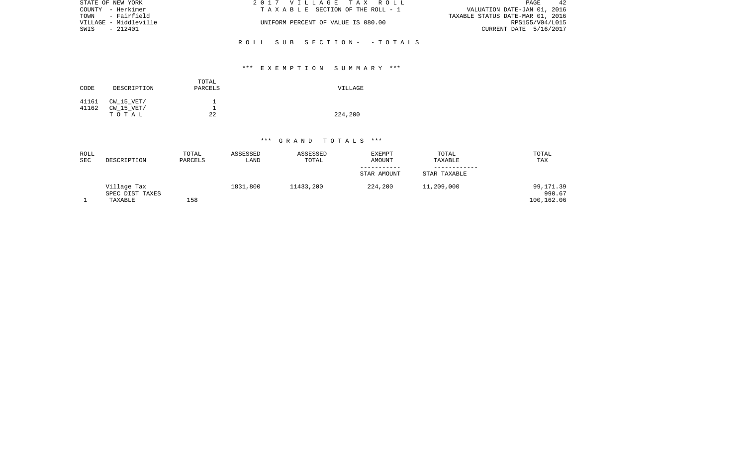| STATE OF NEW YORK     | 2017 VILLAGE TAX ROLL              | 42<br>PAGE                       |
|-----------------------|------------------------------------|----------------------------------|
| COUNTY - Herkimer     | TAXABLE SECTION OF THE ROLL - 1    | VALUATION DATE-JAN 01, 2016      |
| TOWN - Fairfield      |                                    | TAXABLE STATUS DATE-MAR 01, 2016 |
| VILLAGE - Middleville | UNIFORM PERCENT OF VALUE IS 080.00 | RPS155/V04/L015                  |
| SWIS<br>- 212401      |                                    | CURRENT DATE 5/16/2017           |
|                       |                                    |                                  |
|                       | ROLL SUB SECTION- - TOTALS         |                                  |

| CODE           | DESCRIPTION                           | TOTAL<br>PARCELS | VILLAGE |
|----------------|---------------------------------------|------------------|---------|
| 41161<br>41162 | CW 15 VET/<br>$CW$ 15 $VET/$<br>тотаь | ᅩ<br>22          | 224,200 |

| ROLL<br>SEC | DESCRIPTION                               | TOTAL<br>PARCELS | ASSESSED<br>LAND | ASSESSED<br>TOTAL | <b>EXEMPT</b><br>AMOUNT | TOTAL<br>TAXABLE | TOTAL<br>TAX                      |
|-------------|-------------------------------------------|------------------|------------------|-------------------|-------------------------|------------------|-----------------------------------|
|             |                                           |                  |                  |                   | STAR AMOUNT             | STAR TAXABLE     |                                   |
|             | Village Tax<br>SPEC DIST TAXES<br>TAXABLE | 158              | 1831,800         | 11433,200         | 224,200                 | 11,209,000       | 99,171.39<br>990.67<br>100,162.06 |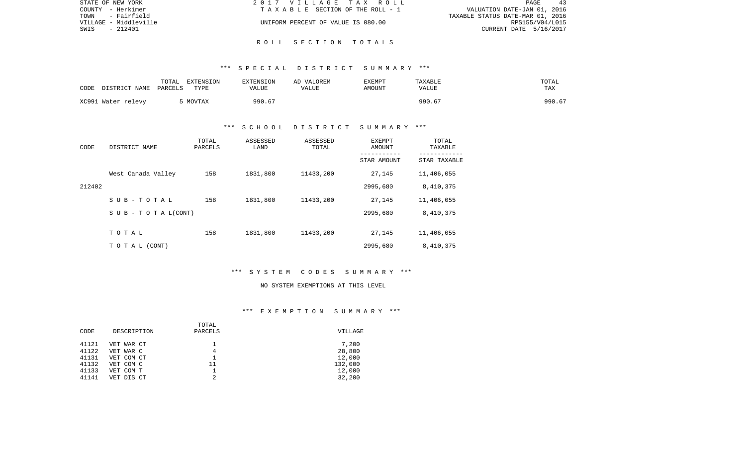| STATE OF NEW YORK     | 2017 VILLAGE TAX ROLL              | PAGE<br>43                       |
|-----------------------|------------------------------------|----------------------------------|
| COUNTY - Herkimer     | TAXABLE SECTION OF THE ROLL - 1    | VALUATION DATE-JAN 01, 2016      |
| TOWN<br>- Fairfield   |                                    | TAXABLE STATUS DATE-MAR 01, 2016 |
| VILLAGE - Middleville | UNIFORM PERCENT OF VALUE IS 080.00 | RPS155/V04/L015                  |
| SWIS<br>- 212401      |                                    | CURRENT DATE 5/16/2017           |
|                       |                                    |                                  |

R O L L S E C T I O N T O T A L S

| CODE<br>DISTRICT NAME | TOTAL<br>EXTENSION<br>PARCELS<br>TYPE | <b>EXTENSION</b><br>VALUE | VALOREM<br>AD.<br>VALUE | <b>EXEMPT</b><br>AMOUNT | TAXABLE<br>VALUE | TOTAL<br><b>TAX</b> |
|-----------------------|---------------------------------------|---------------------------|-------------------------|-------------------------|------------------|---------------------|
| XC991 Water relevy    | MOVTAX                                | 990.67                    |                         |                         | 990.b<br>67      | 990.67              |

# \*\*\* S C H O O L D I S T R I C T S U M M A R Y \*\*\*

| CODE   | DISTRICT NAME                    | TOTAL<br>PARCELS | ASSESSED<br>LAND | ASSESSED<br>TOTAL | EXEMPT<br>AMOUNT<br>----------- | TOTAL<br>TAXABLE<br>----------- |
|--------|----------------------------------|------------------|------------------|-------------------|---------------------------------|---------------------------------|
|        |                                  |                  |                  |                   | STAR AMOUNT                     | STAR TAXABLE                    |
|        | West Canada Valley               | 158              | 1831,800         | 11433,200         | 27,145                          | 11,406,055                      |
| 212402 |                                  |                  |                  |                   | 2995,680                        | 8,410,375                       |
|        | SUB-TOTAL                        | 158              | 1831,800         | 11433,200         | 27,145                          | 11,406,055                      |
|        | $S \cup B - T \cup T A L (CONT)$ |                  |                  |                   | 2995,680                        | 8,410,375                       |
|        |                                  |                  |                  |                   |                                 |                                 |
|        | TOTAL                            | 158              | 1831,800         | 11433,200         | 27,145                          | 11,406,055                      |
|        | T O T A L (CONT)                 |                  |                  |                   | 2995,680                        | 8,410,375                       |

# \*\*\* S Y S T E M C O D E S S U M M A R Y \*\*\*

#### NO SYSTEM EXEMPTIONS AT THIS LEVEL

|       |             | TOTAL   |         |
|-------|-------------|---------|---------|
| CODE  | DESCRIPTION | PARCELS | VILLAGE |
| 41121 | VET WAR CT  |         | 7,200   |
| 41122 | VET WAR C   | 4       | 28,800  |
| 41131 | VET COM CT  |         | 12,000  |
| 41132 | VET COM C   | 11      | 132,000 |
| 41133 | VET COM T   |         | 12,000  |
| 41141 | VET DIS CT  | 2       | 32,200  |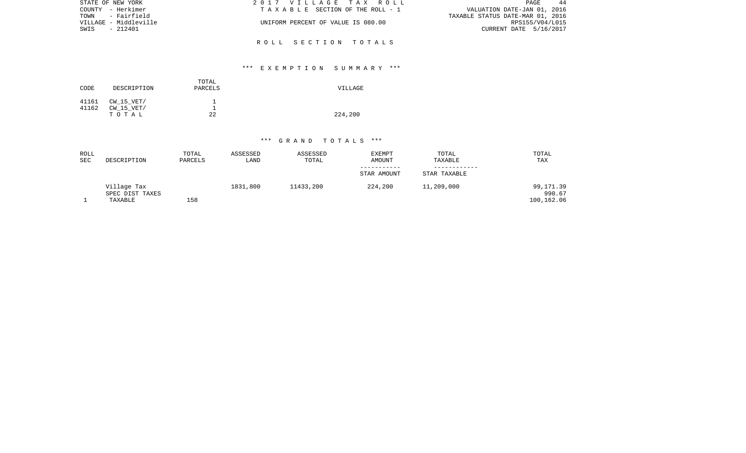| STATE OF NEW YORK     | 2017 VILLAGE TAX ROLL              | PAGE<br>-44                      |
|-----------------------|------------------------------------|----------------------------------|
| COUNTY - Herkimer     | TAXABLE SECTION OF THE ROLL - 1    | VALUATION DATE-JAN 01, 2016      |
| TOWN - Fairfield      |                                    | TAXABLE STATUS DATE-MAR 01, 2016 |
| VILLAGE - Middleville | UNIFORM PERCENT OF VALUE IS 080.00 | RPS155/V04/L015                  |
| SWIS<br>- 212401      |                                    | CURRENT DATE 5/16/2017           |
|                       |                                    |                                  |
|                       | ROLL SECTION TOTALS                |                                  |

| CODE           | DESCRIPTION                       | TOTAL<br>PARCELS | VILLAGE |
|----------------|-----------------------------------|------------------|---------|
| 41161<br>41162 | CW 15 VET/<br>CW 15 VET/<br>TOTAL | 22               | 224,200 |

| ROLL<br>SEC | DESCRIPTION                               | TOTAL<br>PARCELS | ASSESSED<br>LAND | ASSESSED<br>TOTAL | <b>EXEMPT</b><br>AMOUNT | TOTAL<br>TAXABLE | TOTAL<br>TAX                      |
|-------------|-------------------------------------------|------------------|------------------|-------------------|-------------------------|------------------|-----------------------------------|
|             |                                           |                  |                  |                   | STAR AMOUNT             | STAR TAXABLE     |                                   |
|             | Village Tax<br>SPEC DIST TAXES<br>TAXABLE | 158              | 1831,800         | 11433,200         | 224,200                 | 11,209,000       | 99,171.39<br>990.67<br>100,162.06 |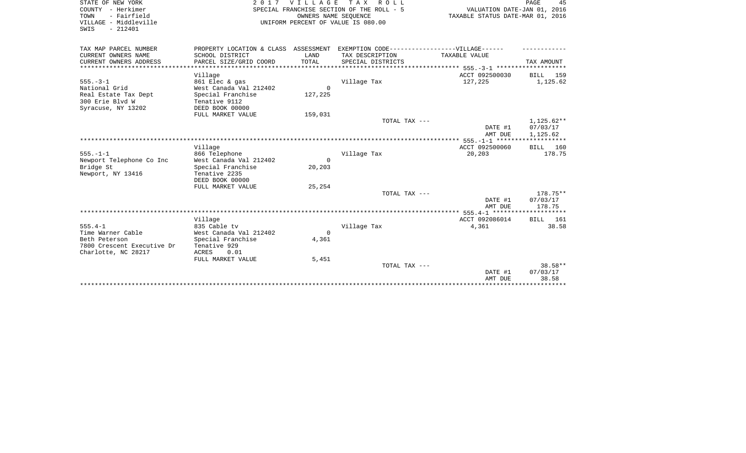| STATE OF NEW YORK<br>COUNTY - Herkimer<br>- Fairfield<br>TOWN<br>VILLAGE - Middleville | 2017                                     | V I L L A G E                   | T A X<br>R O L L<br>SPECIAL FRANCHISE SECTION OF THE ROLL - 5<br>OWNERS NAME SEOUENCE<br>UNIFORM PERCENT OF VALUE IS 080.00 | VALUATION DATE-JAN 01, 2016<br>TAXABLE STATUS DATE-MAR 01, 2016 | PAGE<br>45        |
|----------------------------------------------------------------------------------------|------------------------------------------|---------------------------------|-----------------------------------------------------------------------------------------------------------------------------|-----------------------------------------------------------------|-------------------|
| SWIS<br>$-212401$                                                                      |                                          |                                 |                                                                                                                             |                                                                 |                   |
| TAX MAP PARCEL NUMBER                                                                  |                                          |                                 | PROPERTY LOCATION & CLASS ASSESSMENT EXEMPTION CODE-----------------VILLAGE------                                           |                                                                 |                   |
| CURRENT OWNERS NAME                                                                    | SCHOOL DISTRICT                          | LAND                            | TAX DESCRIPTION                                                                                                             | TAXABLE VALUE                                                   |                   |
| CURRENT OWNERS ADDRESS<br>**************                                               | PARCEL SIZE/GRID COORD                   | TOTAL<br>********************** | SPECIAL DISTRICTS                                                                                                           |                                                                 | TAX AMOUNT        |
|                                                                                        |                                          |                                 |                                                                                                                             | ***************************** 555.-3-1 ***********              |                   |
| $555. - 3 - 1$                                                                         | Village                                  |                                 |                                                                                                                             | ACCT 092500030<br>127,225                                       | 159<br>BILL       |
| National Grid                                                                          | 861 Elec & gas<br>West Canada Val 212402 | $\Omega$                        | Village Tax                                                                                                                 |                                                                 | 1,125.62          |
| Real Estate Tax Dept                                                                   | Special Franchise                        | 127,225                         |                                                                                                                             |                                                                 |                   |
| 300 Erie Blvd W                                                                        | Tenative 9112                            |                                 |                                                                                                                             |                                                                 |                   |
| Syracuse, NY 13202                                                                     | DEED BOOK 00000                          |                                 |                                                                                                                             |                                                                 |                   |
|                                                                                        | FULL MARKET VALUE                        | 159,031                         |                                                                                                                             |                                                                 |                   |
|                                                                                        |                                          |                                 | TOTAL TAX ---                                                                                                               |                                                                 | $1,125.62**$      |
|                                                                                        |                                          |                                 |                                                                                                                             | DATE #1                                                         | 07/03/17          |
|                                                                                        |                                          |                                 |                                                                                                                             | AMT DUE                                                         | 1,125.62          |
|                                                                                        |                                          |                                 |                                                                                                                             |                                                                 |                   |
|                                                                                        | Village                                  |                                 |                                                                                                                             | ACCT 092500060                                                  | BILL 160          |
| $555. - 1 - 1$                                                                         | 866 Telephone                            |                                 | Village Tax                                                                                                                 | 20,203                                                          | 178.75            |
| Newport Telephone Co Inc                                                               | West Canada Val 212402                   | $\Omega$                        |                                                                                                                             |                                                                 |                   |
| Bridge St                                                                              | Special Franchise<br>Tenative 2235       | 20,203                          |                                                                                                                             |                                                                 |                   |
| Newport, NY 13416                                                                      | DEED BOOK 00000                          |                                 |                                                                                                                             |                                                                 |                   |
|                                                                                        | FULL MARKET VALUE                        | 25,254                          |                                                                                                                             |                                                                 |                   |
|                                                                                        |                                          |                                 | TOTAL TAX ---                                                                                                               |                                                                 | 178.75**          |
|                                                                                        |                                          |                                 |                                                                                                                             | DATE #1                                                         | 07/03/17          |
|                                                                                        |                                          |                                 |                                                                                                                             | AMT DUE                                                         | 178.75            |
|                                                                                        |                                          |                                 |                                                                                                                             |                                                                 |                   |
|                                                                                        | Village                                  |                                 |                                                                                                                             | ACCT 092086014                                                  | BILL 161          |
| $555.4 - 1$                                                                            | 835 Cable tv                             |                                 | Village Tax                                                                                                                 | 4,361                                                           | 38.58             |
| Time Warner Cable                                                                      | West Canada Val 212402                   | $\Omega$                        |                                                                                                                             |                                                                 |                   |
| Beth Peterson                                                                          | Special Franchise                        | 4,361                           |                                                                                                                             |                                                                 |                   |
| 7800 Crescent Executive Dr                                                             | Tenative 929                             |                                 |                                                                                                                             |                                                                 |                   |
| Charlotte, NC 28217                                                                    | ACRES<br>0.01                            |                                 |                                                                                                                             |                                                                 |                   |
|                                                                                        | FULL MARKET VALUE                        | 5,451                           |                                                                                                                             |                                                                 |                   |
|                                                                                        |                                          |                                 | TOTAL TAX ---                                                                                                               |                                                                 | $38.58**$         |
|                                                                                        |                                          |                                 |                                                                                                                             | DATE #1<br>AMT DUE                                              | 07/03/17<br>38.58 |
|                                                                                        |                                          |                                 |                                                                                                                             |                                                                 |                   |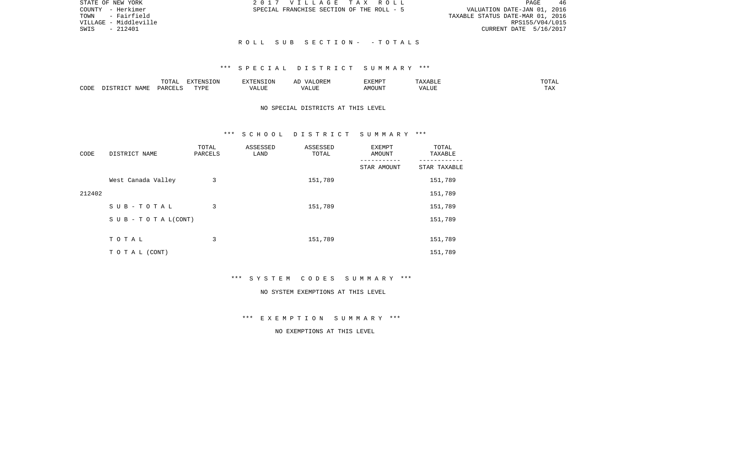| STATE OF NEW YORK     | 2017 VILLAGE TAX ROLL                     | -46<br>PAGE                      |
|-----------------------|-------------------------------------------|----------------------------------|
| COUNTY - Herkimer     | SPECIAL FRANCHISE SECTION OF THE ROLL - 5 | VALUATION DATE-JAN 01, 2016      |
| TOWN - Fairfield      |                                           | TAXABLE STATUS DATE-MAR 01, 2016 |
| VILLAGE - Middleville |                                           | RPS155/V04/L015                  |
| - 212401<br>SWIS      |                                           | CURRENT DATE 5/16/2017           |
|                       |                                           |                                  |
|                       | ROLL SUB SECTION- -TOTALS                 |                                  |

|      |      | ----<br>◡∸⊷              | EXTENSION |           | 'XEMPT        | .                 | ----           |
|------|------|--------------------------|-----------|-----------|---------------|-------------------|----------------|
| CODE | NAME | $\triangle$ ARCET $\sim$ | T T T T   | $- - - -$ | IOUN'.<br>. M | 77 T TTT<br>A HUI | $- - -$<br>LA. |

# NO SPECIAL DISTRICTS AT THIS LEVEL

#### \*\*\* S C H O O L D I S T R I C T S U M M A R Y \*\*\*

| CODE   | DISTRICT NAME                    | TOTAL<br>PARCELS | ASSESSED<br>LAND | ASSESSED<br>TOTAL | EXEMPT<br>AMOUNT<br>--------- | TOTAL<br>TAXABLE<br>-------- |
|--------|----------------------------------|------------------|------------------|-------------------|-------------------------------|------------------------------|
|        |                                  |                  |                  |                   | STAR AMOUNT                   | STAR TAXABLE                 |
|        | West Canada Valley               | 3                |                  | 151,789           |                               | 151,789                      |
| 212402 |                                  |                  |                  |                   |                               | 151,789                      |
|        | SUB-TOTAL                        | 3                |                  | 151,789           |                               | 151,789                      |
|        | $S \cup B - T \cup T A L (CONT)$ |                  |                  |                   |                               | 151,789                      |
|        |                                  |                  |                  |                   |                               |                              |
|        | TOTAL                            | 3                |                  | 151,789           |                               | 151,789                      |
|        | T O T A L (CONT)                 |                  |                  |                   |                               | 151,789                      |

\*\*\* S Y S T E M C O D E S S U M M A R Y \*\*\*

#### NO SYSTEM EXEMPTIONS AT THIS LEVEL

\*\*\* E X E M P T I O N S U M M A R Y \*\*\*

# NO EXEMPTIONS AT THIS LEVEL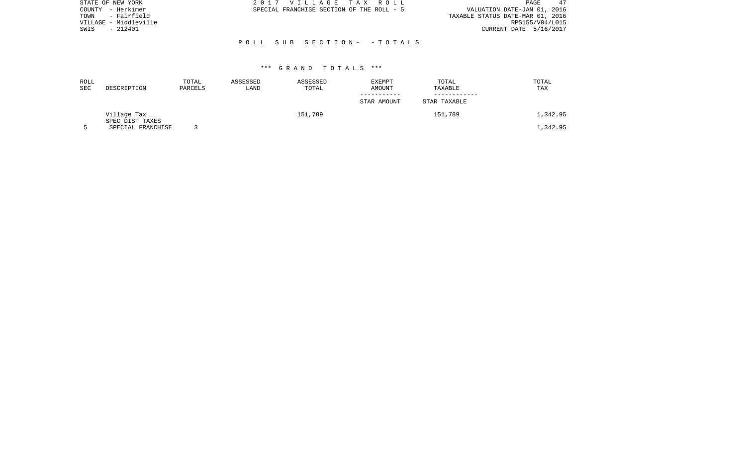| STATE OF NEW YORK     | 2017 VILLAGE TAX ROLL                     | 47<br>PAGE                       |
|-----------------------|-------------------------------------------|----------------------------------|
| - Herkimer<br>COUNTY  | SPECIAL FRANCHISE SECTION OF THE ROLL - 5 | VALUATION DATE-JAN 01, 2016      |
| - Fairfield<br>TOWN   |                                           | TAXABLE STATUS DATE-MAR 01, 2016 |
| VILLAGE - Middleville |                                           | RPS155/V04/L015                  |
| - 212401<br>SWIS      |                                           | CURRENT DATE 5/16/2017           |
|                       |                                           |                                  |
|                       | ROLL SUB SECTION- -TOTALS                 |                                  |
|                       |                                           |                                  |

| ROLL<br><b>SEC</b> | DESCRIPTION                    | TOTAL<br>PARCELS | ASSESSED<br>LAND | ASSESSED<br>TOTAL | EXEMPT<br>AMOUNT | TOTAL<br>TAXABLE | TOTAL<br>TAX |
|--------------------|--------------------------------|------------------|------------------|-------------------|------------------|------------------|--------------|
|                    |                                |                  |                  |                   | STAR AMOUNT      | STAR TAXABLE     |              |
|                    | Village Tax<br>SPEC DIST TAXES |                  |                  | 151,789           |                  | 151,789          | l,342.95     |
|                    | SPECIAL FRANCHISE              |                  |                  |                   |                  |                  | 1,342.95     |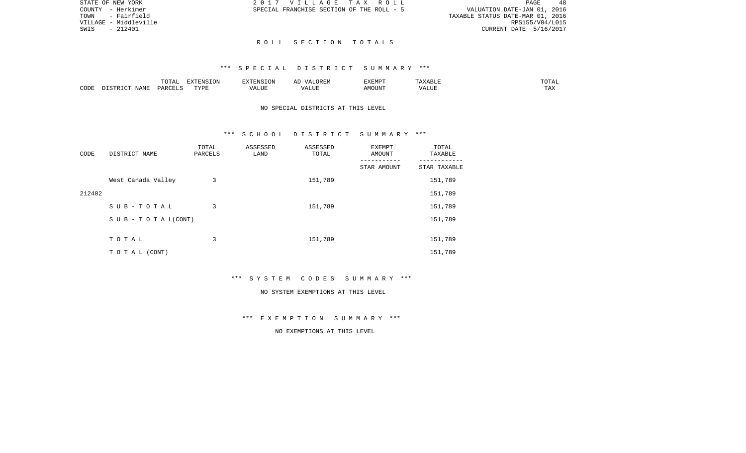|                                  |                             | PAGE | 48 |
|----------------------------------|-----------------------------|------|----|
|                                  | VALUATION DATE-JAN 01, 2016 |      |    |
| TAXABLE STATUS DATE-MAR 01, 2016 |                             |      |    |
|                                  | RPS155/V04/L015             |      |    |
|                                  | CURRENT DATE 5/16/2017      |      |    |

STATE OF NEW YORK **2017 VILLAGE TAX ROLL** COUNTY - Herkimer SPECIAL FRANCHISE SECTION OF THE ROLL - 5

TOWN - Fairfield VILLAGE - Middleville SWIS - 212401

#### R O L L S E C T I O N T O T A L S

# \*\*\* S P E C I A L D I S T R I C T S U M M A R Y \*\*\*

|      |             | ◡∸⊷   | <b>DEAIGE ONT</b><br>w |                    | proprac<br>4.MP | ABLE<br>. . | ⊼ה∩ר<br>---          |
|------|-------------|-------|------------------------|--------------------|-----------------|-------------|----------------------|
| CODE | <b>NAME</b> | D ∆ ⊦ | <b>TVDI</b>            | $- - - -$<br>LIU F |                 | $- - - -$   | $m \times n$<br>⊥ ≞∡ |

# NO SPECIAL DISTRICTS AT THIS LEVEL

#### \*\*\* S C H O O L D I S T R I C T S U M M A R Y \*\*\*

| CODE   | DISTRICT NAME      | TOTAL<br>PARCELS | ASSESSED<br>LAND | ASSESSED<br>TOTAL | EXEMPT<br>AMOUNT | TOTAL<br>TAXABLE |
|--------|--------------------|------------------|------------------|-------------------|------------------|------------------|
|        |                    |                  |                  |                   | STAR AMOUNT      | STAR TAXABLE     |
|        | West Canada Valley | 3                |                  | 151,789           |                  | 151,789          |
| 212402 |                    |                  |                  |                   |                  | 151,789          |
|        | SUB-TOTAL          | 3                |                  | 151,789           |                  | 151,789          |
|        | SUB - TO TAL(CONT) |                  |                  |                   |                  | 151,789          |
|        |                    |                  |                  |                   |                  |                  |
|        | TOTAL              | 3                |                  | 151,789           |                  | 151,789          |
|        | TO TAL (CONT)      |                  |                  |                   |                  | 151,789          |

\*\*\* S Y S T E M C O D E S S U M M A R Y \*\*\*

#### NO SYSTEM EXEMPTIONS AT THIS LEVEL

\*\*\* E X E M P T I O N S U M M A R Y \*\*\*

NO EXEMPTIONS AT THIS LEVEL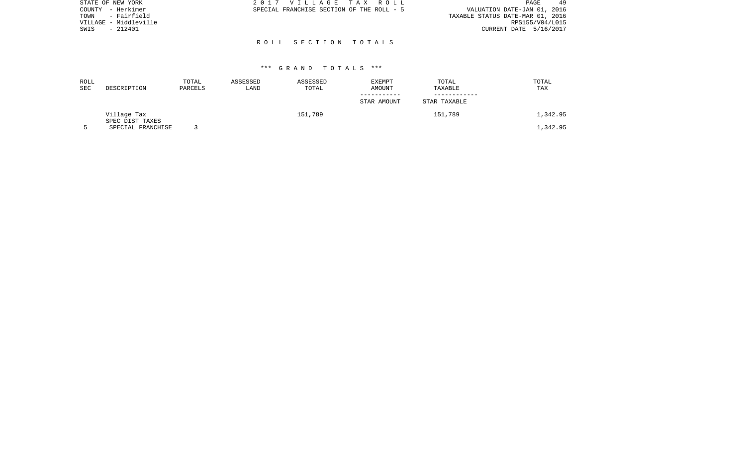| STATE OF NEW YORK     | 2017 VILLAGE TAX ROLL                     | 49<br>PAGE                       |
|-----------------------|-------------------------------------------|----------------------------------|
| COUNTY - Herkimer     | SPECIAL FRANCHISE SECTION OF THE ROLL - 5 | VALUATION DATE-JAN 01, 2016      |
| - Fairfield<br>TOWN   |                                           | TAXABLE STATUS DATE-MAR 01, 2016 |
| VILLAGE - Middleville |                                           | RPS155/V04/L015                  |
| - 212401<br>SWIS      |                                           | CURRENT DATE 5/16/2017           |
|                       |                                           |                                  |
|                       | ROLL SECTION TOTALS                       |                                  |

| ROLL<br><b>SEC</b> | DESCRIPTION                    | TOTAL<br>PARCELS | ASSESSED<br>LAND | ASSESSED<br>TOTAL | EXEMPT<br>AMOUNT | TOTAL<br>TAXABLE | TOTAL<br>TAX |
|--------------------|--------------------------------|------------------|------------------|-------------------|------------------|------------------|--------------|
|                    |                                |                  |                  |                   | STAR AMOUNT      | STAR TAXABLE     |              |
|                    | Village Tax<br>SPEC DIST TAXES |                  |                  | 151,789           |                  | 151,789          | l,342.95     |
|                    | SPECIAL FRANCHISE              |                  |                  |                   |                  |                  | 1,342.95     |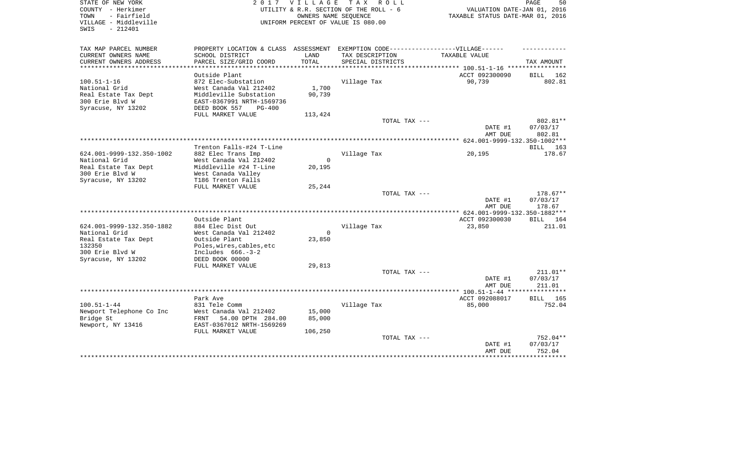| STATE OF NEW YORK<br>COUNTY - Herkimer<br>- Fairfield<br>TOWN | 2 0 1 7                                                                          | V I L L A G E | TAX ROLL<br>UTILITY & R.R. SECTION OF THE ROLL - 6<br>OWNERS NAME SEQUENCE | VALUATION DATE-JAN 01, 2016<br>TAXABLE STATUS DATE-MAR 01, 2016 | 50<br>PAGE            |
|---------------------------------------------------------------|----------------------------------------------------------------------------------|---------------|----------------------------------------------------------------------------|-----------------------------------------------------------------|-----------------------|
| VILLAGE - Middleville<br>$-212401$<br>SWIS                    |                                                                                  |               | UNIFORM PERCENT OF VALUE IS 080.00                                         |                                                                 |                       |
| TAX MAP PARCEL NUMBER                                         | PROPERTY LOCATION & CLASS ASSESSMENT EXEMPTION CODE----------------VILLAGE------ |               |                                                                            |                                                                 |                       |
| CURRENT OWNERS NAME                                           | SCHOOL DISTRICT                                                                  | LAND          | TAX DESCRIPTION                                                            | TAXABLE VALUE                                                   |                       |
| CURRENT OWNERS ADDRESS<br>**********************              | PARCEL SIZE/GRID COORD                                                           | TOTAL         | SPECIAL DISTRICTS                                                          |                                                                 | TAX AMOUNT            |
|                                                               | Outside Plant                                                                    |               |                                                                            | ACCT 092300090                                                  | BILL 162              |
| $100.51 - 1 - 16$                                             | 872 Elec-Substation                                                              |               | Village Tax                                                                | 90,739                                                          | 802.81                |
| National Grid                                                 | West Canada Val 212402                                                           | 1,700         |                                                                            |                                                                 |                       |
| Real Estate Tax Dept                                          | Middleville Substation                                                           | 90,739        |                                                                            |                                                                 |                       |
| 300 Erie Blvd W                                               | EAST-0367991 NRTH-1569736                                                        |               |                                                                            |                                                                 |                       |
| Syracuse, NY 13202                                            | DEED BOOK 557<br>PG-400                                                          |               |                                                                            |                                                                 |                       |
|                                                               | FULL MARKET VALUE                                                                | 113,424       |                                                                            |                                                                 |                       |
|                                                               |                                                                                  |               | TOTAL TAX ---                                                              | DATE #1                                                         | 802.81**<br>07/03/17  |
|                                                               |                                                                                  |               |                                                                            | AMT DUE                                                         | 802.81                |
|                                                               |                                                                                  |               |                                                                            |                                                                 |                       |
|                                                               | Trenton Falls-#24 T-Line                                                         |               |                                                                            |                                                                 | BILL 163              |
| 624.001-9999-132.350-1002                                     | 882 Elec Trans Imp                                                               |               | Village Tax                                                                | 20,195                                                          | 178.67                |
| National Grid                                                 | West Canada Val 212402                                                           | $\Omega$      |                                                                            |                                                                 |                       |
| Real Estate Tax Dept                                          | Middleville #24 T-Line                                                           | 20,195        |                                                                            |                                                                 |                       |
| 300 Erie Blvd W<br>Syracuse, NY 13202                         | West Canada Valley<br>T186 Trenton Falls                                         |               |                                                                            |                                                                 |                       |
|                                                               | FULL MARKET VALUE                                                                | 25,244        |                                                                            |                                                                 |                       |
|                                                               |                                                                                  |               | TOTAL TAX ---                                                              |                                                                 | 178.67**              |
|                                                               |                                                                                  |               |                                                                            | DATE #1                                                         | 07/03/17              |
|                                                               |                                                                                  |               |                                                                            | AMT DUE                                                         | 178.67                |
|                                                               |                                                                                  |               |                                                                            | ******* 624.001-9999-132.350-1882***                            |                       |
|                                                               | Outside Plant                                                                    |               |                                                                            | ACCT 092300030                                                  | BILL 164              |
| 624.001-9999-132.350-1882<br>National Grid                    | 884 Elec Dist Out<br>West Canada Val 212402                                      | $\mathbf 0$   | Village Tax                                                                | 23,850                                                          | 211.01                |
| Real Estate Tax Dept                                          | Outside Plant                                                                    | 23,850        |                                                                            |                                                                 |                       |
| 132350                                                        | Poles, wires, cables, etc                                                        |               |                                                                            |                                                                 |                       |
| 300 Erie Blvd W                                               | Includes $666.-3-2$                                                              |               |                                                                            |                                                                 |                       |
| Syracuse, NY 13202                                            | DEED BOOK 00000                                                                  |               |                                                                            |                                                                 |                       |
|                                                               | FULL MARKET VALUE                                                                | 29,813        |                                                                            |                                                                 |                       |
|                                                               |                                                                                  |               | TOTAL TAX ---                                                              |                                                                 | $211.01**$            |
|                                                               |                                                                                  |               |                                                                            | DATE #1                                                         | 07/03/17<br>211.01    |
|                                                               |                                                                                  |               |                                                                            | AMT DUE                                                         | * * * * * * * * * * * |
|                                                               | Park Ave                                                                         |               |                                                                            | ACCT 092088017                                                  | BILL 165              |
| $100.51 - 1 - 44$                                             | 831 Tele Comm                                                                    |               | Village Tax                                                                | 85,000                                                          | 752.04                |
| Newport Telephone Co Inc                                      | West Canada Val 212402                                                           | 15,000        |                                                                            |                                                                 |                       |
| Bridge St                                                     | FRNT<br>54.00 DPTH 284.00                                                        | 85,000        |                                                                            |                                                                 |                       |
| Newport, NY 13416                                             | EAST-0367012 NRTH-1569269                                                        |               |                                                                            |                                                                 |                       |
|                                                               | FULL MARKET VALUE                                                                | 106,250       | TOTAL TAX ---                                                              |                                                                 | 752.04**              |
|                                                               |                                                                                  |               |                                                                            | DATE #1                                                         | 07/03/17              |
|                                                               |                                                                                  |               |                                                                            | AMT DUE                                                         | 752.04                |
|                                                               |                                                                                  |               |                                                                            |                                                                 | * * * * * * * * *     |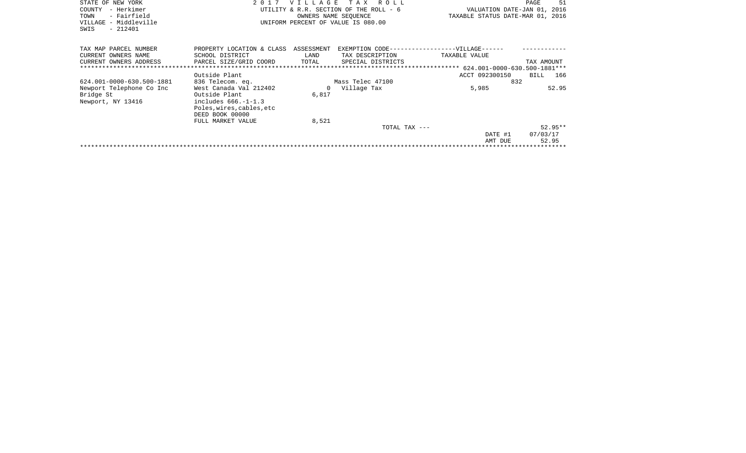| STATE OF NEW YORK<br>- Herkimer<br>COUNTY<br>- Fairfield<br>TOWN<br>VILLAGE - Middleville<br>$-212401$<br>SWIS | 2 0 1 7                                                                                                                                  | <b>VILLAGE</b><br>OWNERS NAME SEQUENCE | T A X<br>R O L L<br>UTILITY & R.R. SECTION OF THE ROLL - 6<br>UNIFORM PERCENT OF VALUE IS 080.00 | VALUATION DATE-JAN 01, 2016<br>TAXABLE STATUS DATE-MAR 01, 2016 | 51<br>PAGE                     |
|----------------------------------------------------------------------------------------------------------------|------------------------------------------------------------------------------------------------------------------------------------------|----------------------------------------|--------------------------------------------------------------------------------------------------|-----------------------------------------------------------------|--------------------------------|
| TAX MAP PARCEL NUMBER<br>CURRENT OWNERS NAME<br>CURRENT OWNERS ADDRESS                                         | PROPERTY LOCATION & CLASS<br>SCHOOL DISTRICT<br>PARCEL SIZE/GRID COORD                                                                   | ASSESSMENT<br>LAND<br>TOTAL            | TAX DESCRIPTION<br>SPECIAL DISTRICTS                                                             | EXEMPTION CODE------------------VILLAGE------<br>TAXABLE VALUE  | TAX AMOUNT                     |
|                                                                                                                | Outside Plant                                                                                                                            |                                        |                                                                                                  | ACCT 092300150                                                  | BILL<br>166                    |
| 624.001-0000-630.500-1881                                                                                      | 836 Telecom. eq.                                                                                                                         |                                        | Mass Telec 47100                                                                                 | 832                                                             |                                |
| Newport Telephone Co Inc<br>Bridge St<br>Newport, NY 13416                                                     | West Canada Val 212402<br>Outside Plant<br>includes $666. -1 - 1.3$<br>Poles, wires, cables, etc<br>DEED BOOK 00000<br>FULL MARKET VALUE | $\Omega$<br>6,817<br>8,521             | Village Tax                                                                                      | 5,985                                                           | 52.95                          |
|                                                                                                                |                                                                                                                                          |                                        | TOTAL TAX ---                                                                                    | DATE #1<br>AMT DUE                                              | $52.95**$<br>07/03/17<br>52.95 |
|                                                                                                                |                                                                                                                                          |                                        |                                                                                                  |                                                                 |                                |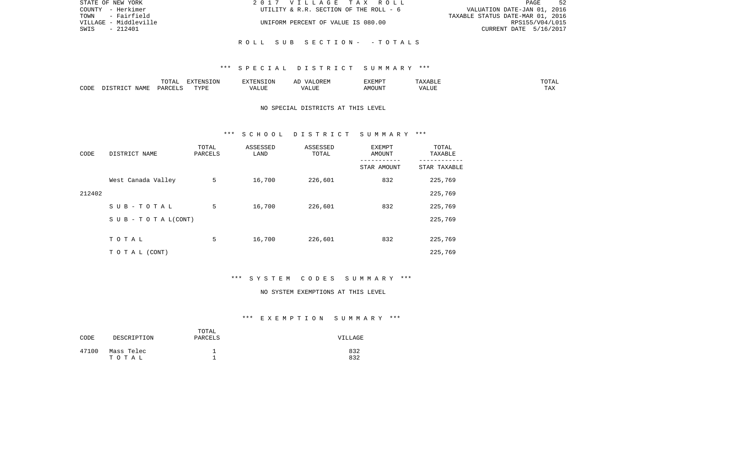| STATE OF NEW YORK     | 2017 VILLAGE TAX ROLL                  | -52<br>PAGE                      |
|-----------------------|----------------------------------------|----------------------------------|
| COUNTY - Herkimer     | UTILITY & R.R. SECTION OF THE ROLL - 6 | VALUATION DATE-JAN 01, 2016      |
| TOWN - Fairfield      |                                        | TAXABLE STATUS DATE-MAR 01, 2016 |
| VILLAGE - Middleville | UNIFORM PERCENT OF VALUE IS 080.00     | RPS155/V04/L015                  |
| $-212401$<br>SWIS     |                                        | CURRENT DATE 5/16/2017           |
|                       |                                        |                                  |
|                       | ROLL SUB SECTION- - TOTALS             |                                  |

|      |      | $m \wedge m \wedge n$<br>TATAT | <b>DENICE ONT</b><br>LUN | <b>GMC</b>               | 17 D<br>$\rightarrow$ | <b>EXEMPT</b>        | .                          | . סדעה                |
|------|------|--------------------------------|--------------------------|--------------------------|-----------------------|----------------------|----------------------------|-----------------------|
| CODE | NAME | ∩ ¤ ∆ ∪                        | TVDI<br>.                | $\sim$ $  -$<br>الماسلة. | ۳ تا سد.              | $0.56$ $0.75$ $0.75$ | ודד ה<br><u>уд</u><br>ALU! | m 7<br>L <i>L</i> 14. |

# NO SPECIAL DISTRICTS AT THIS LEVEL

#### \*\*\* S C H O O L D I S T R I C T S U M M A R Y \*\*\*

| CODE   | DISTRICT NAME                    | TOTAL<br>PARCELS | ASSESSED<br>LAND | ASSESSED<br>TOTAL | EXEMPT<br>AMOUNT<br>STAR AMOUNT | TOTAL<br>TAXABLE<br>STAR TAXABLE |
|--------|----------------------------------|------------------|------------------|-------------------|---------------------------------|----------------------------------|
|        |                                  |                  |                  |                   |                                 |                                  |
|        | West Canada Valley               | 5                | 16,700           | 226,601           | 832                             | 225,769                          |
| 212402 |                                  |                  |                  |                   |                                 | 225,769                          |
|        | SUB-TOTAL                        | 5                | 16,700           | 226,601           | 832                             | 225,769                          |
|        | $S \cup B - T \cup T A L (CONT)$ |                  |                  |                   |                                 | 225,769                          |
|        | TOTAL                            | 5                | 16,700           | 226,601           | 832                             | 225,769                          |
|        | T O T A L (CONT)                 |                  |                  |                   |                                 | 225,769                          |

# \*\*\* S Y S T E M C O D E S S U M M A R Y \*\*\*

#### NO SYSTEM EXEMPTIONS AT THIS LEVEL

| CODE  | DESCRIPTION         | TOTAL<br>PARCELS | VILLAGE    |
|-------|---------------------|------------------|------------|
| 47100 | Mass Telec<br>тотаь |                  | 832<br>832 |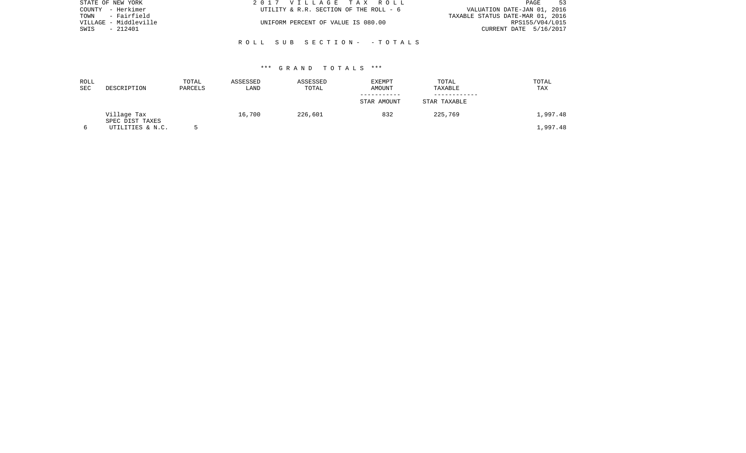| STATE OF NEW YORK     | 2017 VILLAGE TAX ROLL                  | 53<br><b>PAGE</b>                |
|-----------------------|----------------------------------------|----------------------------------|
| COUNTY - Herkimer     | UTILITY & R.R. SECTION OF THE ROLL - 6 | VALUATION DATE-JAN 01, 2016      |
| - Fairfield<br>TOWN   |                                        | TAXABLE STATUS DATE-MAR 01, 2016 |
| VILLAGE - Middleville | UNIFORM PERCENT OF VALUE IS 080.00     | RPS155/V04/L015                  |
| - 212401<br>SWIS      |                                        | CURRENT DATE 5/16/2017           |
|                       |                                        |                                  |
|                       | ROLL SUB SECTION- - TOTALS             |                                  |

| ROLL<br>SEC | DESCRIPTION                    | TOTAL<br>PARCELS | ASSESSED<br>LAND | ASSESSED<br>TOTAL | <b>EXEMPT</b><br>AMOUNT | TOTAL<br>TAXABLE | TOTAL<br>TAX |
|-------------|--------------------------------|------------------|------------------|-------------------|-------------------------|------------------|--------------|
|             |                                |                  |                  |                   | STAR AMOUNT             | STAR TAXABLE     |              |
|             | Village Tax<br>SPEC DIST TAXES |                  | 16,700           | 226,601           | 832                     | 225,769          | 1,997.48     |
|             | UTILITIES & N.C.               |                  |                  |                   |                         |                  | 1,997.48     |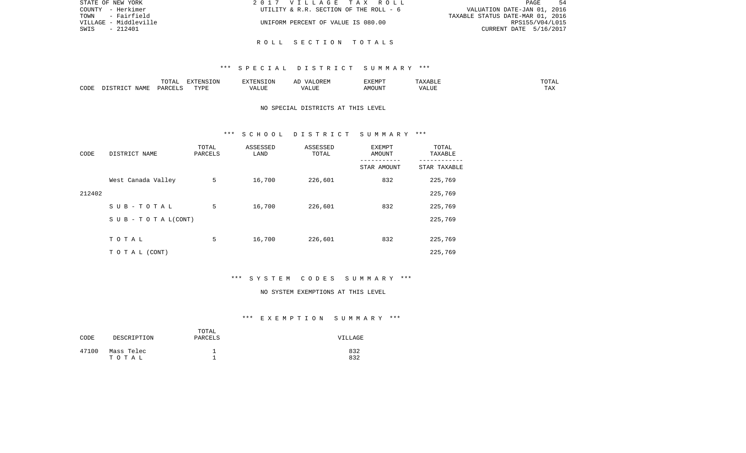| STATE OF NEW YORK     | 2017 VILLAGE TAX ROLL                  | -54<br><b>PAGE</b>               |
|-----------------------|----------------------------------------|----------------------------------|
| COUNTY - Herkimer     | UTILITY & R.R. SECTION OF THE ROLL - 6 | VALUATION DATE-JAN 01, 2016      |
| - Fairfield<br>TOWN   |                                        | TAXABLE STATUS DATE-MAR 01, 2016 |
| VILLAGE - Middleville | UNIFORM PERCENT OF VALUE IS 080.00     | RPS155/V04/L015                  |
| SWIS<br>- 212401      |                                        | CURRENT DATE 5/16/2017           |
|                       |                                        |                                  |

R O L L S E C T I O N T O T A L S

|      |      | $\Box \land \Box \Box$<br>TOTAL | EXTENSION | $   -$ | $H^{\prime}$ H $^{\prime}$ M $^{\prime}$<br>A | EXEMP' | ABLE                 | ---        |
|------|------|---------------------------------|-----------|--------|-----------------------------------------------|--------|----------------------|------------|
| CODE | NAMF | ، جمہوری                        | TVDF<br>. |        | .TTT                                          |        | <b>T TTT</b><br>ALUI | max<br>was |

# NO SPECIAL DISTRICTS AT THIS LEVEL

#### \*\*\* S C H O O L D I S T R I C T S U M M A R Y \*\*\*

| CODE   | DISTRICT NAME                    | TOTAL<br>PARCELS | ASSESSED<br>LAND | ASSESSED<br>TOTAL | EXEMPT<br>AMOUNT | TOTAL<br>TAXABLE |
|--------|----------------------------------|------------------|------------------|-------------------|------------------|------------------|
|        |                                  |                  |                  |                   | STAR AMOUNT      | STAR TAXABLE     |
|        | West Canada Valley               | 5                | 16,700           | 226,601           | 832              | 225,769          |
| 212402 |                                  |                  |                  |                   |                  | 225,769          |
|        | SUB-TOTAL                        | 5                | 16,700           | 226,601           | 832              | 225,769          |
|        | $S \cup B - T \cup T A L (CONT)$ |                  |                  |                   |                  | 225,769          |
|        |                                  |                  |                  |                   |                  |                  |
|        | TOTAL                            | 5                | 16,700           | 226,601           | 832              | 225,769          |
|        | T O T A L (CONT)                 |                  |                  |                   |                  | 225,769          |

# \*\*\* S Y S T E M C O D E S S U M M A R Y \*\*\*

#### NO SYSTEM EXEMPTIONS AT THIS LEVEL

| CODE  | DESCRIPTION         | TOTAL<br>PARCELS | VILLAGE    |
|-------|---------------------|------------------|------------|
| 47100 | Mass Telec<br>тотаь |                  | 832<br>832 |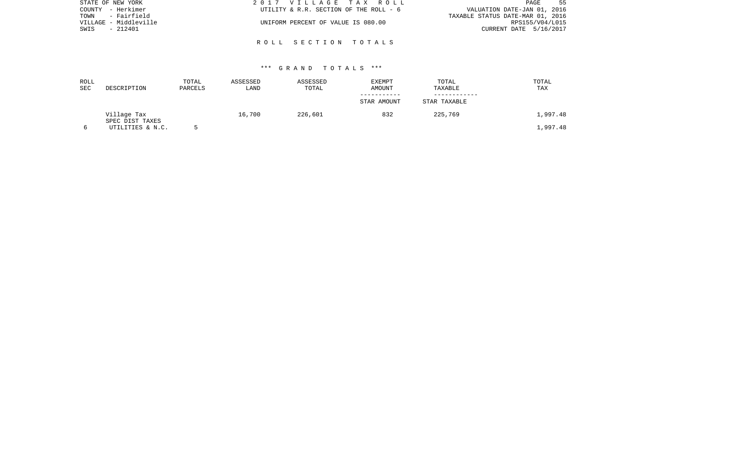| STATE OF NEW YORK     | 2017 VILLAGE TAX ROLL                  | 55<br>PAGE                       |
|-----------------------|----------------------------------------|----------------------------------|
| COUNTY - Herkimer     | UTILITY & R.R. SECTION OF THE ROLL - 6 | VALUATION DATE-JAN 01, 2016      |
| - Fairfield<br>TOWN   |                                        | TAXABLE STATUS DATE-MAR 01, 2016 |
| VILLAGE - Middleville | UNIFORM PERCENT OF VALUE IS 080.00     | RPS155/V04/L015                  |
| - 212401<br>SWIS      |                                        | CURRENT DATE 5/16/2017           |
|                       |                                        |                                  |
|                       | ROLL SECTION TOTALS                    |                                  |

| ROLL |                  | TOTAL   | ASSESSED | ASSESSED | <b>EXEMPT</b> | TOTAL        | TOTAL    |
|------|------------------|---------|----------|----------|---------------|--------------|----------|
| SEC  | DESCRIPTION      | PARCELS | LAND     | TOTAL    | AMOUNT        | TAXABLE      | TAX      |
|      |                  |         |          |          |               |              |          |
|      |                  |         |          |          | STAR AMOUNT   | STAR TAXABLE |          |
|      | Village Tax      |         | 16,700   | 226,601  | 832           | 225,769      | 1,997.48 |
|      | SPEC DIST TAXES  |         |          |          |               |              |          |
|      | UTILITIES & N.C. |         |          |          |               |              | .,997.48 |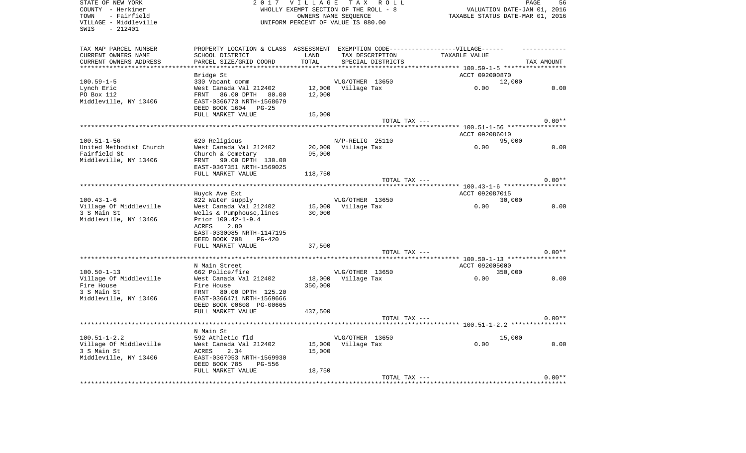| STATE OF NEW YORK<br>COUNTY - Herkimer<br>TOWN<br>- Fairfield<br>VILLAGE - Middleville<br>SWIS<br>$-212401$ |                                                                                                                                                                          | 2017 VILLAGE TAX ROLL<br>WHOLLY EXEMPT SECTION OF THE ROLL - 8<br>UNIFORM PERCENT OF VALUE IS 080.00 | OWNERS NAME SEQUENCE                  |                   | VALUATION DATE-JAN 01, 2016<br>TAXABLE STATUS DATE-MAR 01, 2016 | 56<br>PAGE |
|-------------------------------------------------------------------------------------------------------------|--------------------------------------------------------------------------------------------------------------------------------------------------------------------------|------------------------------------------------------------------------------------------------------|---------------------------------------|-------------------|-----------------------------------------------------------------|------------|
| TAX MAP PARCEL NUMBER<br>CURRENT OWNERS NAME<br>CURRENT OWNERS ADDRESS                                      | PROPERTY LOCATION & CLASS ASSESSMENT EXEMPTION CODE-----------------VILLAGE------<br>SCHOOL DISTRICT<br>PARCEL SIZE/GRID COORD                                           | LAND<br>TOTAL                                                                                        | TAX DESCRIPTION                       | SPECIAL DISTRICTS | TAXABLE VALUE                                                   | TAX AMOUNT |
| $100.59 - 1 - 5$<br>Lynch Eric<br>PO Box 112<br>Middleville, NY 13406                                       | Bridge St<br>330 Vacant comm<br>West Canada Val 212402<br>FRNT<br>86.00 DPTH 80.00<br>EAST-0366773 NRTH-1568679                                                          | 12,000                                                                                               | VLG/OTHER 13650<br>12,000 Village Tax |                   | ACCT 092000870<br>12,000<br>0.00                                | 0.00       |
|                                                                                                             | DEED BOOK 1604 PG-25<br>FULL MARKET VALUE                                                                                                                                | 15,000                                                                                               |                                       | TOTAL TAX ---     |                                                                 | $0.00**$   |
|                                                                                                             |                                                                                                                                                                          |                                                                                                      |                                       |                   | ***** 100.51-1-56 ****************<br>ACCT 092086010            |            |
| $100.51 - 1 - 56$<br>United Methodist Church<br>Fairfield St<br>Middleville, NY 13406                       | 620 Religious<br>West Canada Val 212402<br>Church & Cemetary<br>FRNT 90.00 DPTH 130.00<br>EAST-0367351 NRTH-1569025                                                      | 95,000                                                                                               | N/P-RELIG 25110<br>20,000 Village Tax |                   | 95,000<br>0.00                                                  | 0.00       |
|                                                                                                             | FULL MARKET VALUE                                                                                                                                                        | 118,750                                                                                              |                                       | TOTAL TAX ---     |                                                                 | $0.00**$   |
| $100.43 - 1 - 6$                                                                                            | Huyck Ave Ext<br>822 Water supply                                                                                                                                        |                                                                                                      | VLG/OTHER 13650                       |                   | ******** 100.43-1-6 ***********<br>ACCT 092087015<br>30,000     |            |
| Village Of Middleville<br>3 S Main St<br>Middleville, NY 13406                                              | West Canada Val 212402<br>Wells & Pumphouse, lines<br>Prior 100.42-1-9.4<br>2.80<br>ACRES<br>EAST-0330085 NRTH-1147195<br>DEED BOOK 708<br>$PG-420$<br>FULL MARKET VALUE | 30,000<br>37,500                                                                                     | 15,000 Village Tax                    |                   | 0.00                                                            | 0.00       |
|                                                                                                             |                                                                                                                                                                          |                                                                                                      |                                       | TOTAL TAX ---     |                                                                 | $0.00**$   |
| $100.50 - 1 - 13$                                                                                           | N Main Street<br>662 Police/fire                                                                                                                                         |                                                                                                      | VLG/OTHER 13650                       |                   | ACCT 092005000<br>350,000                                       |            |
| Village Of Middleville<br>Fire House<br>3 S Main St<br>Middleville, NY 13406                                | West Canada Val 212402<br>Fire House<br>FRNT 80.00 DPTH 125.20<br>EAST-0366471 NRTH-1569666<br>DEED BOOK 00608 PG-00665<br>FULL MARKET VALUE                             | 18,000<br>350,000<br>437,500                                                                         | Village Tax                           |                   | 0.00                                                            | 0.00       |
|                                                                                                             |                                                                                                                                                                          |                                                                                                      |                                       | TOTAL TAX ---     | ****************** 100.51-1-2.2 **************                  | $0.00**$   |
| $100.51 - 1 - 2.2$<br>Village Of Middleville<br>3 S Main St<br>Middleville, NY 13406                        | N Main St<br>592 Athletic fld<br>West Canada Val 212402<br>2.34<br>ACRES<br>EAST-0367053 NRTH-1569930<br>DEED BOOK 785<br>PG-556<br>FULL MARKET VALUE                    | 15,000<br>15,000<br>18,750                                                                           | VLG/OTHER 13650<br>Village Tax        |                   | 15,000<br>0.00                                                  | 0.00       |
|                                                                                                             |                                                                                                                                                                          |                                                                                                      |                                       | TOTAL TAX ---     |                                                                 | $0.00**$   |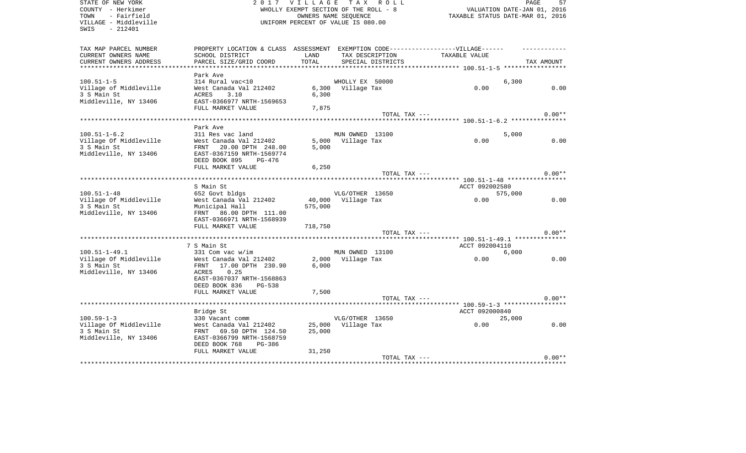| STATE OF NEW YORK<br>COUNTY - Herkimer<br>- Fairfield<br>TOWN<br>VILLAGE - Middleville<br>SWIS - 212401 |                                                                                                                                | 2017 VILLAGE TAX ROLL<br>WHOLLY EXEMPT SECTION OF THE ROLL - 8<br>UNIFORM PERCENT OF VALUE IS 080.00 | OWNERS NAME SEQUENCE |                                      | VALUATION DATE-JAN 01, 2016<br>TAXABLE STATUS DATE-MAR 01, 2016 | PAGE       | 57       |
|---------------------------------------------------------------------------------------------------------|--------------------------------------------------------------------------------------------------------------------------------|------------------------------------------------------------------------------------------------------|----------------------|--------------------------------------|-----------------------------------------------------------------|------------|----------|
| TAX MAP PARCEL NUMBER<br>CURRENT OWNERS NAME<br>CURRENT OWNERS ADDRESS                                  | PROPERTY LOCATION & CLASS ASSESSMENT EXEMPTION CODE-----------------VILLAGE------<br>SCHOOL DISTRICT<br>PARCEL SIZE/GRID COORD | LAND<br>TOTAL                                                                                        |                      | TAX DESCRIPTION<br>SPECIAL DISTRICTS | TAXABLE VALUE                                                   | TAX AMOUNT |          |
|                                                                                                         | Park Ave                                                                                                                       |                                                                                                      |                      |                                      |                                                                 |            |          |
| $100.51 - 1 - 5$                                                                                        | 314 Rural vac<10                                                                                                               |                                                                                                      | WHOLLY EX 50000      |                                      |                                                                 | 6,300      |          |
| Village of Middleville<br>3 S Main St<br>Middleville, NY 13406                                          | West Canada Val 212402<br>ACRES<br>3.10<br>EAST-0366977 NRTH-1569653                                                           | 6,300                                                                                                | 6,300 Village Tax    |                                      | 0.00                                                            |            | 0.00     |
|                                                                                                         | FULL MARKET VALUE                                                                                                              | 7,875                                                                                                |                      |                                      |                                                                 |            |          |
|                                                                                                         |                                                                                                                                |                                                                                                      |                      | TOTAL TAX ---                        |                                                                 |            | $0.00**$ |
|                                                                                                         | Park Ave                                                                                                                       |                                                                                                      |                      |                                      | ********** 100.51-1-6.2 ****************                        |            |          |
| $100.51 - 1 - 6.2$                                                                                      | 311 Res vac land                                                                                                               |                                                                                                      | MUN OWNED 13100      |                                      |                                                                 | 5,000      |          |
| Village Of Middleville                                                                                  | $\begin{array}{ll}\n\text{West } \text{Canada } \text{Val } 212402 \\ \text{IPNTE} & \text{Si} \\ \end{array}$                 |                                                                                                      | 5,000 Village Tax    |                                      | 0.00                                                            |            | 0.00     |
| 3 S Main St<br>Middleville, NY 13406                                                                    | FRNT 20.00 DPTH 248.00<br>EAST-0367159 NRTH-1569774<br>DEED BOOK 895 PG-476                                                    | 5,000                                                                                                |                      |                                      |                                                                 |            |          |
|                                                                                                         | FULL MARKET VALUE                                                                                                              | 6,250                                                                                                |                      |                                      |                                                                 |            |          |
|                                                                                                         |                                                                                                                                |                                                                                                      |                      | TOTAL TAX ---                        |                                                                 |            | $0.00**$ |
|                                                                                                         |                                                                                                                                |                                                                                                      |                      |                                      | ********** 100.51-1-48 ****************                         |            |          |
|                                                                                                         | S Main St                                                                                                                      |                                                                                                      |                      |                                      | ACCT 092002580                                                  |            |          |
| $100.51 - 1 - 48$                                                                                       | 652 Govt bldgs                                                                                                                 |                                                                                                      | VLG/OTHER 13650      |                                      |                                                                 | 575,000    |          |
| Village Of Middleville                                                                                  | West Canada Val 212402                                                                                                         |                                                                                                      | 40,000 Village Tax   |                                      | 0.00                                                            |            | 0.00     |
| 3 S Main St                                                                                             | Municipal Hall                                                                                                                 | 575,000                                                                                              |                      |                                      |                                                                 |            |          |
| Middleville, NY 13406                                                                                   | FRNT 86.00 DPTH 111.00<br>EAST-0366971 NRTH-1568939                                                                            |                                                                                                      |                      |                                      |                                                                 |            |          |
|                                                                                                         | FULL MARKET VALUE                                                                                                              | 718,750                                                                                              |                      |                                      |                                                                 |            |          |
|                                                                                                         |                                                                                                                                |                                                                                                      |                      | TOTAL TAX ---                        |                                                                 |            | $0.00**$ |
|                                                                                                         |                                                                                                                                |                                                                                                      |                      |                                      |                                                                 |            |          |
|                                                                                                         | 7 S Main St                                                                                                                    |                                                                                                      |                      |                                      | ACCT 092004110                                                  |            |          |
| $100.51 - 1 - 49.1$                                                                                     | 331 Com vac w/im                                                                                                               |                                                                                                      | MUN OWNED 13100      |                                      |                                                                 | 6,000      |          |
| Village Of Middleville                                                                                  | West Canada Val 212402                                                                                                         |                                                                                                      | 2,000 Village Tax    |                                      | 0.00                                                            |            | 0.00     |
| 3 S Main St                                                                                             | FRNT 17.00 DPTH 230.90                                                                                                         | 6,000                                                                                                |                      |                                      |                                                                 |            |          |
| Middleville, NY 13406                                                                                   | 0.25<br>ACRES                                                                                                                  |                                                                                                      |                      |                                      |                                                                 |            |          |
|                                                                                                         | EAST-0367037 NRTH-1568863                                                                                                      |                                                                                                      |                      |                                      |                                                                 |            |          |
|                                                                                                         | DEED BOOK 836<br>PG-538                                                                                                        |                                                                                                      |                      |                                      |                                                                 |            |          |
|                                                                                                         | FULL MARKET VALUE                                                                                                              | 7,500                                                                                                |                      | TOTAL TAX ---                        |                                                                 |            | $0.00**$ |
|                                                                                                         |                                                                                                                                |                                                                                                      |                      |                                      | **************** 100.59-1-3 ******************                  |            |          |
|                                                                                                         | Bridge St                                                                                                                      |                                                                                                      |                      |                                      | ACCT 092000840                                                  |            |          |
| $100.59 - 1 - 3$                                                                                        | 330 Vacant comm                                                                                                                |                                                                                                      | VLG/OTHER 13650      |                                      |                                                                 | 25,000     |          |
| Village Of Middleville                                                                                  | West Canada Val 212402                                                                                                         |                                                                                                      | 25,000 Village Tax   |                                      | 0.00                                                            |            | 0.00     |
| 3 S Main St                                                                                             | FRNT 69.50 DPTH 124.50                                                                                                         | 25,000                                                                                               |                      |                                      |                                                                 |            |          |
| Middleville, NY 13406                                                                                   | EAST-0366799 NRTH-1568759                                                                                                      |                                                                                                      |                      |                                      |                                                                 |            |          |
|                                                                                                         | DEED BOOK 768<br>PG-386                                                                                                        |                                                                                                      |                      |                                      |                                                                 |            |          |
|                                                                                                         | FULL MARKET VALUE                                                                                                              | 31,250                                                                                               |                      | TOTAL TAX ---                        |                                                                 |            | $0.00**$ |
|                                                                                                         |                                                                                                                                |                                                                                                      |                      |                                      | *************************************                           |            |          |
|                                                                                                         |                                                                                                                                |                                                                                                      |                      |                                      |                                                                 |            |          |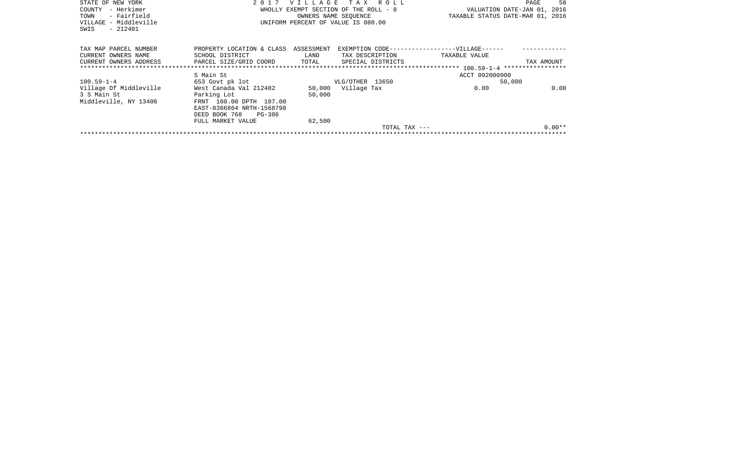| STATE OF NEW YORK<br>– Herkimer<br>COUNTY |            |                        |                                                                                                                                              | 58<br>PAGE                                                                                                                                                                      |
|-------------------------------------------|------------|------------------------|----------------------------------------------------------------------------------------------------------------------------------------------|---------------------------------------------------------------------------------------------------------------------------------------------------------------------------------|
|                                           |            |                        |                                                                                                                                              |                                                                                                                                                                                 |
|                                           |            |                        |                                                                                                                                              |                                                                                                                                                                                 |
|                                           |            |                        |                                                                                                                                              |                                                                                                                                                                                 |
|                                           |            |                        |                                                                                                                                              |                                                                                                                                                                                 |
|                                           |            |                        |                                                                                                                                              |                                                                                                                                                                                 |
| PROPERTY LOCATION & CLASS                 | ASSESSMENT |                        |                                                                                                                                              |                                                                                                                                                                                 |
| SCHOOL DISTRICT                           | LAND       |                        | TAXABLE VALUE                                                                                                                                |                                                                                                                                                                                 |
|                                           | TOTAL      | SPECIAL DISTRICTS      |                                                                                                                                              | TAX AMOUNT                                                                                                                                                                      |
| *******************************           |            |                        |                                                                                                                                              |                                                                                                                                                                                 |
| S Main St                                 |            |                        | ACCT 092000900                                                                                                                               |                                                                                                                                                                                 |
| 653 Govt pk lot                           |            |                        | 50,000                                                                                                                                       |                                                                                                                                                                                 |
| West Canada Val 212402                    |            |                        | 0.00                                                                                                                                         | 0.00                                                                                                                                                                            |
| Parking Lot                               | 50,000     |                        |                                                                                                                                              |                                                                                                                                                                                 |
| FRNT 160.00 DPTH 107.00                   |            |                        |                                                                                                                                              |                                                                                                                                                                                 |
| EAST-0366864 NRTH-1568798                 |            |                        |                                                                                                                                              |                                                                                                                                                                                 |
| DEED BOOK 768<br>PG-386                   |            |                        |                                                                                                                                              |                                                                                                                                                                                 |
| FULL MARKET VALUE                         | 62,500     |                        |                                                                                                                                              |                                                                                                                                                                                 |
|                                           |            |                        |                                                                                                                                              | $0.00**$                                                                                                                                                                        |
|                                           |            |                        |                                                                                                                                              |                                                                                                                                                                                 |
|                                           |            | PARCEL SIZE/GRID COORD | WHOLLY EXEMPT SECTION OF THE ROLL - 8<br>OWNERS NAME SEOUENCE<br>UNIFORM PERCENT OF VALUE IS 080.00<br>VLG/OTHER 13650<br>50,000 Village Tax | 2017 VILLAGE TAX ROLL<br>VALUATION DATE-JAN 01, 2016<br>TAXABLE STATUS DATE-MAR 01, 2016<br>EXEMPTION CODE------------------VILLAGE------<br>TAX DESCRIPTION<br>TOTAL TAX $---$ |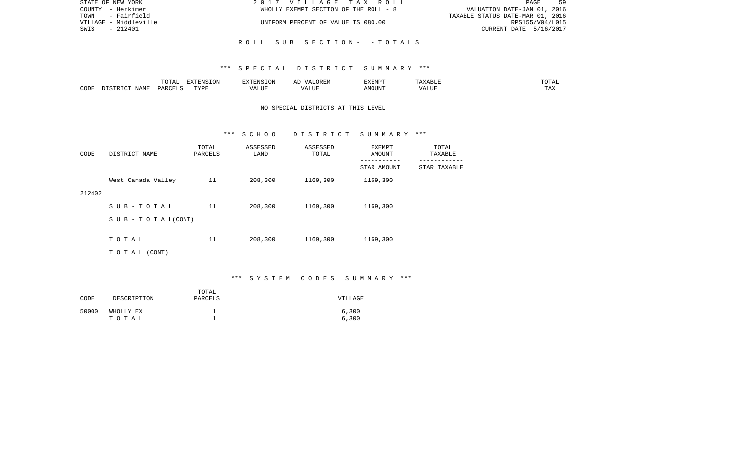| STATE OF NEW YORK     | 2017 VILLAGE TAX ROLL                 | 59<br>PAGE                       |
|-----------------------|---------------------------------------|----------------------------------|
| COUNTY - Herkimer     | WHOLLY EXEMPT SECTION OF THE ROLL - 8 | VALUATION DATE-JAN 01, 2016      |
| TOWN - Fairfield      |                                       | TAXABLE STATUS DATE-MAR 01, 2016 |
| VILLAGE - Middleville | UNIFORM PERCENT OF VALUE IS 080.00    | RPS155/V04/L015                  |
| SWIS<br>$-212401$     |                                       | CURRENT DATE 5/16/2017           |
|                       |                                       |                                  |
|                       | ROLL SUB SECTION- -TOTALS             |                                  |

|      |                            | .∪⊥⊓⊥         | $\blacksquare$<br>11 L<br>LUIN |               |            | EXEMPT       | ABL.                  | $m \wedge m$<br>. |
|------|----------------------------|---------------|--------------------------------|---------------|------------|--------------|-----------------------|-------------------|
| CODE | <b>ABST</b><br>. .<br>NAMP | <b>DARCFT</b> | TVDT                           | $\mathcal{L}$ | ,,,<br>שחד | OUN".<br>۱M۲ | $- - - - - -$<br>ALUI | $- - -$<br>. Ал   |

# NO SPECIAL DISTRICTS AT THIS LEVEL

#### \*\*\* S C H O O L D I S T R I C T S U M M A R Y \*\*\*

| CODE   | DISTRICT NAME                    | TOTAL<br>PARCELS | ASSESSED<br>LAND | ASSESSED<br>TOTAL | EXEMPT<br>AMOUNT           | TOTAL<br>TAXABLE                |
|--------|----------------------------------|------------------|------------------|-------------------|----------------------------|---------------------------------|
|        |                                  |                  |                  |                   | -----------<br>STAR AMOUNT | $- - - - - - -$<br>STAR TAXABLE |
|        | West Canada Valley               | 11               | 208,300          | 1169,300          | 1169,300                   |                                 |
| 212402 |                                  |                  |                  |                   |                            |                                 |
|        | SUB-TOTAL                        | 11               | 208,300          | 1169,300          | 1169,300                   |                                 |
|        | $S \cup B - T \cup T A L (CONT)$ |                  |                  |                   |                            |                                 |
|        | TOTAL                            | 11               | 208,300          | 1169,300          | 1169,300                   |                                 |
|        |                                  |                  |                  |                   |                            |                                 |
|        | T O T A L (CONT)                 |                  |                  |                   |                            |                                 |

# \*\*\* S Y S T E M C O D E S S U M M A R Y \*\*\*

| CODE  | DESCRIPTION        | TOTAL<br>PARCELS | VILLAGE        |
|-------|--------------------|------------------|----------------|
| 50000 | WHOLLY EX<br>тотаь | -                | 6,300<br>6,300 |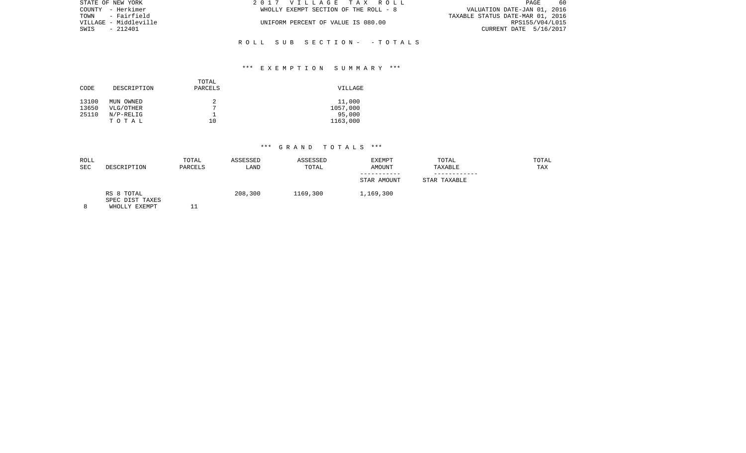| STATE OF NEW YORK     | 2017 VILLAGE TAX ROLL                 | 60<br>PAGE                       |
|-----------------------|---------------------------------------|----------------------------------|
| COUNTY - Herkimer     | WHOLLY EXEMPT SECTION OF THE ROLL - 8 | VALUATION DATE-JAN 01, 2016      |
| TOWN - Fairfield      |                                       | TAXABLE STATUS DATE-MAR 01, 2016 |
| VILLAGE - Middleville | UNIFORM PERCENT OF VALUE IS 080.00    | RPS155/V04/L015                  |
| SWIS<br>- 212401      |                                       | CURRENT DATE 5/16/2017           |
|                       |                                       |                                  |
|                       |                                       |                                  |

R O L L S U B S E C T I O N - - T O T A L S

| CODE                    | DESCRIPTION                                    | TOTAL<br>PARCELS        | VILLAGE                                  |
|-------------------------|------------------------------------------------|-------------------------|------------------------------------------|
| 13100<br>13650<br>25110 | MUN OWNED<br>VLG/OTHER<br>$N/P-RELIG$<br>TOTAL | 2<br>$\mathbf{r}$<br>10 | 11,000<br>1057,000<br>95,000<br>1163,000 |

| ROLL<br><b>SEC</b> | DESCRIPTION                                    | TOTAL<br>PARCELS | ASSESSED<br>LAND | ASSESSED<br>TOTAL | <b>EXEMPT</b><br><b>AMOUNT</b> | TOTAL<br>TAXABLE | TOTAL<br>TAX |
|--------------------|------------------------------------------------|------------------|------------------|-------------------|--------------------------------|------------------|--------------|
|                    |                                                |                  |                  |                   | STAR AMOUNT                    | STAR TAXABLE     |              |
|                    | RS 8 TOTAL<br>SPEC DIST TAXES<br>WHOLLY EXEMPT |                  | 208,300          | 1169,300          | 1,169,300                      |                  |              |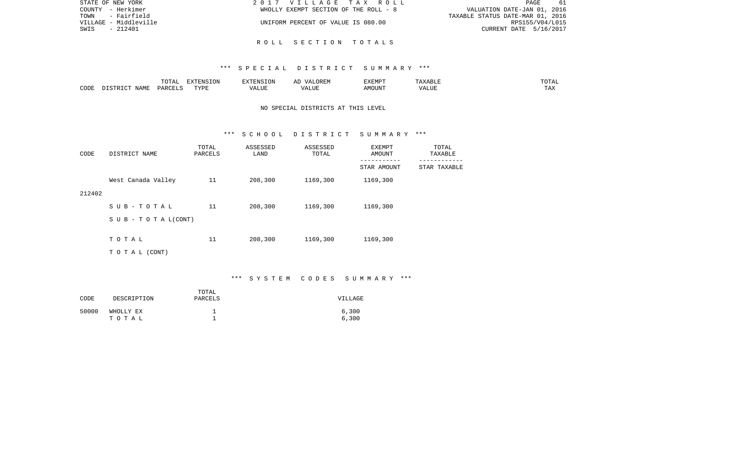| STATE OF NEW YORK     | 2017 VILLAGE TAX ROLL                 | <b>PAGE</b><br>-61               |
|-----------------------|---------------------------------------|----------------------------------|
| COUNTY - Herkimer     | WHOLLY EXEMPT SECTION OF THE ROLL - 8 | VALUATION DATE-JAN 01, 2016      |
| - Fairfield<br>TOWN   |                                       | TAXABLE STATUS DATE-MAR 01, 2016 |
| VILLAGE - Middleville | UNIFORM PERCENT OF VALUE IS 080.00    | RPS155/V04/L015                  |
| - 212401<br>SWIS      |                                       | CURRENT DATE 5/16/2017           |
|                       |                                       |                                  |

## R O L L S E C T I O N T O T A L S

### \*\*\* S P E C I A L D I S T R I C T S U M M A R Y \*\*\*

|      |                                 | $T$ $\cap$ $T$ $\cap$ $\cap$ $\cap$<br>$\cdot$<br>- ∪ + ⊥ + + | EXTENSION   |       | OREM<br>$\sqrt{4}$ | <b>EXEMPT</b> |                    | ------<br>"UTAL      |
|------|---------------------------------|---------------------------------------------------------------|-------------|-------|--------------------|---------------|--------------------|----------------------|
| CODE | $\Lambda \Delta M$ <sup>T</sup> | D A D C                                                       | TVDF<br>--- | т ттт | $\sqrt{ }$<br>பப   | MOUN'         | $\sqrt{ }$<br>ALUF | <b>TIA 32</b><br>IΑΛ |

# NO SPECIAL DISTRICTS AT THIS LEVEL

#### \*\*\* S C H O O L D I S T R I C T S U M M A R Y \*\*\*

| CODE   | DISTRICT NAME                    | TOTAL<br>PARCELS | ASSESSED<br>LAND | ASSESSED<br>TOTAL | EXEMPT<br>AMOUNT           | TOTAL<br>TAXABLE           |
|--------|----------------------------------|------------------|------------------|-------------------|----------------------------|----------------------------|
|        |                                  |                  |                  |                   | -----------<br>STAR AMOUNT | ----------<br>STAR TAXABLE |
|        | West Canada Valley               | 11               | 208,300          | 1169,300          | 1169,300                   |                            |
| 212402 |                                  |                  |                  |                   |                            |                            |
|        | SUB-TOTAL                        | 11               | 208,300          | 1169,300          | 1169,300                   |                            |
|        | $S \cup B - T \cup T A L (CONT)$ |                  |                  |                   |                            |                            |
|        | TOTAL                            | 11               | 208,300          | 1169,300          | 1169,300                   |                            |
|        |                                  |                  |                  |                   |                            |                            |
|        | T O T A L (CONT)                 |                  |                  |                   |                            |                            |

# \*\*\* S Y S T E M C O D E S S U M M A R Y \*\*\*

| CODE  | DESCRIPTION        | TOTAL<br>PARCELS | VILLAGE        |
|-------|--------------------|------------------|----------------|
| 50000 | WHOLLY EX<br>тотаь |                  | 6,300<br>6,300 |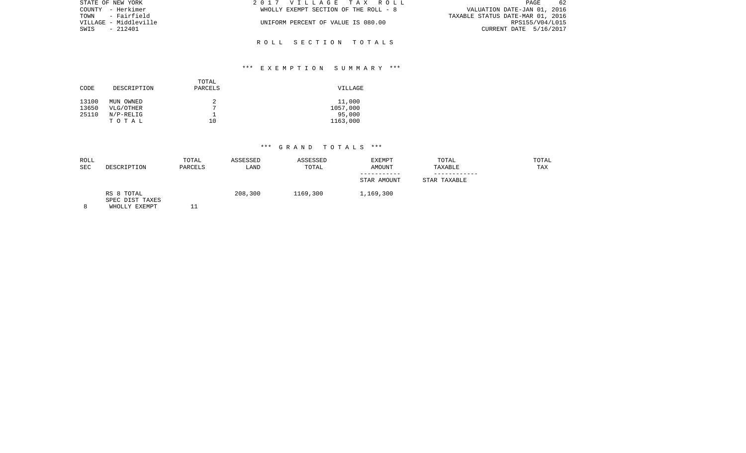| STATE OF NEW YORK     | 2017 VILLAGE TAX ROLL                 | -62<br>PAGE                      |
|-----------------------|---------------------------------------|----------------------------------|
| COUNTY - Herkimer     | WHOLLY EXEMPT SECTION OF THE ROLL - 8 | VALUATION DATE-JAN 01, 2016      |
| TOWN - Fairfield      |                                       | TAXABLE STATUS DATE-MAR 01, 2016 |
| VILLAGE - Middleville | UNIFORM PERCENT OF VALUE IS 080.00    | RPS155/V04/L015                  |
| SWIS - 212401         |                                       | CURRENT DATE 5/16/2017           |
|                       |                                       |                                  |

R O L L S E C T I O N T O T A L S

# \*\*\* E X E M P T I O N S U M M A R Y \*\*\*

| CODE                    | DESCRIPTION                                    | TOTAL<br>PARCELS          | VILLAGE                                  |
|-------------------------|------------------------------------------------|---------------------------|------------------------------------------|
| 13100<br>13650<br>25110 | MUN OWNED<br>VLG/OTHER<br>$N/P-RELIG$<br>TOTAL | 2<br>$\overline{ }$<br>10 | 11,000<br>1057,000<br>95,000<br>1163,000 |

| ROLL<br><b>SEC</b> | DESCRIPTION                                    | TOTAL<br>PARCELS | ASSESSED<br>LAND | ASSESSED<br>TOTAL | EXEMPT<br><b>AMOUNT</b> | TOTAL<br>TAXABLE | TOTAL<br>TAX |
|--------------------|------------------------------------------------|------------------|------------------|-------------------|-------------------------|------------------|--------------|
|                    |                                                |                  |                  |                   | STAR AMOUNT             | STAR TAXABLE     |              |
|                    | RS 8 TOTAL<br>SPEC DIST TAXES<br>WHOLLY EXEMPT |                  | 208,300          | 1169,300          | 1,169,300               |                  |              |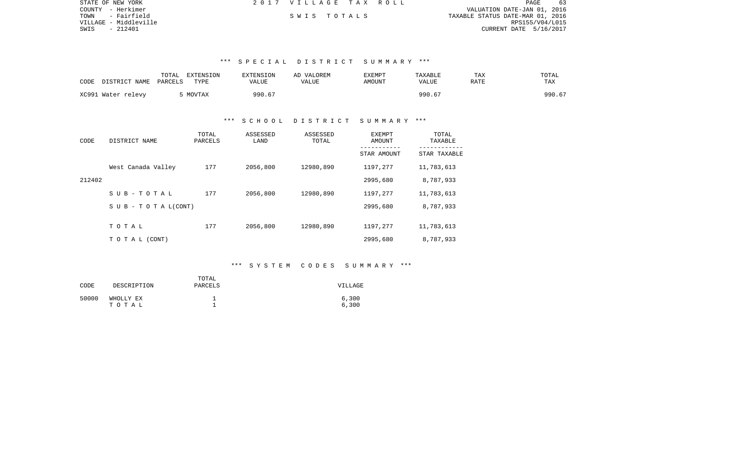| STATE OF NEW YORK     | 2017 VILLAGE TAX ROLL |  |                                  | PAGE            | 63 |
|-----------------------|-----------------------|--|----------------------------------|-----------------|----|
| COUNTY - Herkimer     |                       |  | VALUATION DATE-JAN 01, 2016      |                 |    |
| TOWN - Fairfield      | SWIS TOTALS           |  | TAXABLE STATUS DATE-MAR 01, 2016 |                 |    |
| VILLAGE - Middleville |                       |  |                                  | RPS155/V04/L015 |    |
| SWIS<br>- 212401      |                       |  | CURRENT DATE 5/16/2017           |                 |    |

| CODE<br>DISTRICT NAME | TOTAL<br>EXTENSION<br>PARCELS<br>TYPE | <b>EXTENSION</b><br>VALUE | AD VALOREM<br>VALUE | <b>EXEMPT</b><br>AMOUNT | TAXABLE<br>VALUE | TAX<br>RATE | TOTAL<br>TAX |
|-----------------------|---------------------------------------|---------------------------|---------------------|-------------------------|------------------|-------------|--------------|
| XC991 Water relevy    | MOVTAX                                | 990.67                    |                     |                         | 990.67           |             | 990.67       |

## \*\*\* S C H O O L D I S T R I C T S U M M A R Y \*\*\*

| CODE   | DISTRICT NAME                    | TOTAL<br>PARCELS | ASSESSED<br>LAND | ASSESSED<br>TOTAL | <b>EXEMPT</b><br>AMOUNT | TOTAL<br>TAXABLE |
|--------|----------------------------------|------------------|------------------|-------------------|-------------------------|------------------|
|        |                                  |                  |                  |                   | STAR AMOUNT             | STAR TAXABLE     |
|        | West Canada Valley               | 177              | 2056,800         | 12980,890         | 1197,277                | 11,783,613       |
| 212402 |                                  |                  |                  |                   | 2995,680                | 8,787,933        |
|        | SUB-TOTAL                        | 177              | 2056,800         | 12980,890         | 1197,277                | 11,783,613       |
|        | $S \cup B - T \cup T A L (CONT)$ |                  |                  |                   | 2995,680                | 8,787,933        |
|        |                                  |                  |                  |                   |                         |                  |
|        | TOTAL                            | 177              | 2056,800         | 12980,890         | 1197,277                | 11,783,613       |
|        | T O T A L (CONT)                 |                  |                  |                   | 2995,680                | 8,787,933        |

# \*\*\* S Y S T E M C O D E S S U M M A R Y \*\*\*

| CODE  | DESCRIPTION        | TOTAL<br>PARCELS | VILLAGE        |
|-------|--------------------|------------------|----------------|
| 50000 | WHOLLY EX<br>тотаь |                  | 6,300<br>6,300 |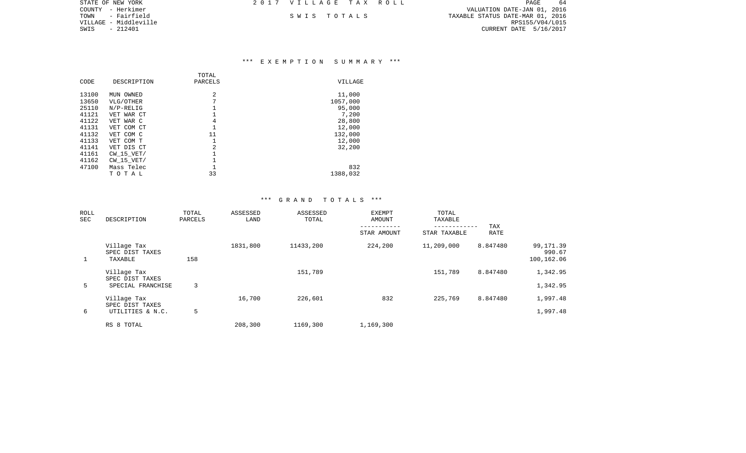| STATE OF NEW YORK     | 2017 VILLAGE TAX ROLL |  |                                  | PAGE            | -64 |  |
|-----------------------|-----------------------|--|----------------------------------|-----------------|-----|--|
| COUNTY - Herkimer     |                       |  | VALUATION DATE-JAN 01, 2016      |                 |     |  |
| - Fairfield<br>TOWN   | SWIS TOTALS           |  | TAXABLE STATUS DATE-MAR 01, 2016 |                 |     |  |
| VILLAGE - Middleville |                       |  |                                  | RPS155/V04/L015 |     |  |
| SWIS - 212401         |                       |  | CURRENT DATE 5/16/2017           |                 |     |  |
|                       |                       |  |                                  |                 |     |  |

| CODE  | DESCRIPTION    | TOTAL<br>PARCELS | VILLAGE  |
|-------|----------------|------------------|----------|
| 13100 | MUN OWNED      | 2                | 11,000   |
| 13650 | VLG/OTHER      | 7                | 1057,000 |
| 25110 | $N/P-RELLIG$   |                  | 95,000   |
| 41121 | VET WAR CT     |                  | 7,200    |
| 41122 | VET WAR C      | 4                | 28,800   |
| 41131 | VET COM CT     |                  | 12,000   |
| 41132 | VET COM C      | 11               | 132,000  |
| 41133 | VET COM T      |                  | 12,000   |
| 41141 | VET DIS CT     | 2                | 32,200   |
| 41161 | $CW$ 15 $VET/$ |                  |          |
| 41162 | $CW$ 15 $VET/$ |                  |          |
| 47100 | Mass Telec     |                  | 832      |
|       | тотаь          | 33               | 1388,032 |

| ROLL<br>SEC | DESCRIPTION                               | TOTAL<br>PARCELS | ASSESSED<br>LAND | ASSESSED<br>TOTAL | <b>EXEMPT</b><br>AMOUNT |              | TAX<br>--------- |                                   |
|-------------|-------------------------------------------|------------------|------------------|-------------------|-------------------------|--------------|------------------|-----------------------------------|
|             |                                           |                  |                  |                   | STAR AMOUNT             | STAR TAXABLE | <b>RATE</b>      |                                   |
|             | Village Tax<br>SPEC DIST TAXES<br>TAXABLE | 158              | 1831,800         | 11433,200         | 224,200                 | 11,209,000   | 8.847480         | 99,171.39<br>990.67<br>100,162.06 |
|             | Village Tax<br>SPEC DIST TAXES            |                  |                  | 151,789           |                         | 151,789      | 8.847480         | 1,342.95                          |
| 5           | SPECIAL FRANCHISE                         | 3                |                  |                   |                         |              |                  | 1,342.95                          |
|             | Village Tax                               |                  | 16,700           | 226,601           | 832                     | 225,769      | 8.847480         | 1,997.48                          |
| 6           | SPEC DIST TAXES<br>UTILITIES & N.C.       | 5                |                  |                   |                         |              |                  | 1,997.48                          |
|             | RS 8 TOTAL                                |                  | 208,300          | 1169,300          | 1,169,300               |              |                  |                                   |